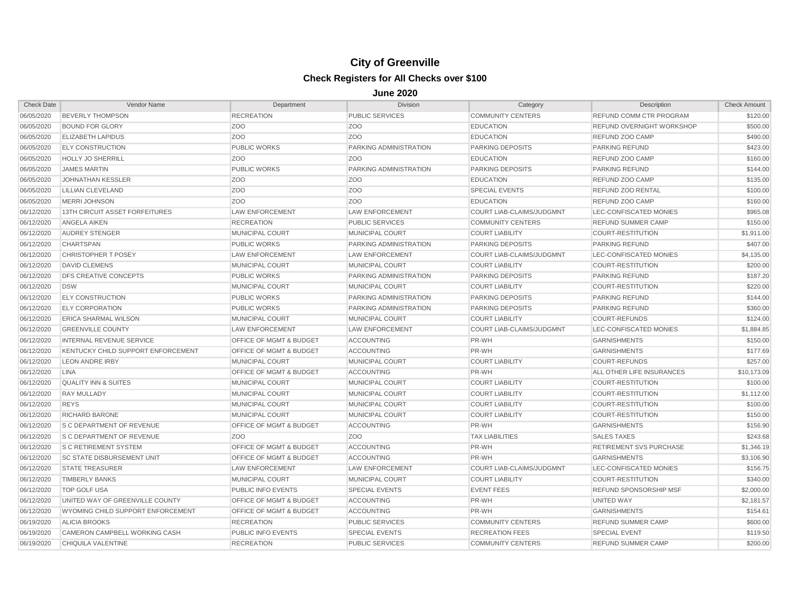| <b>Check Date</b> | Vendor Name                        | Department                         | <b>Division</b>        | Category                         | Description                    | <b>Check Amount</b> |
|-------------------|------------------------------------|------------------------------------|------------------------|----------------------------------|--------------------------------|---------------------|
| 06/05/2020        | <b>BEVERLY THOMPSON</b>            | <b>RECREATION</b>                  | <b>PUBLIC SERVICES</b> | <b>COMMUNITY CENTERS</b>         | REFUND COMM CTR PROGRAM        | \$120.00            |
| 06/05/2020        | <b>BOUND FOR GLORY</b>             | Z <sub>O</sub> O                   | Z <sub>O</sub> O       | <b>EDUCATION</b>                 | REFUND OVERNIGHT WORKSHOP      | \$500.00            |
| 06/05/2020        | <b>ELIZABETH LAPIDUS</b>           | Z <sub>O</sub> O                   | Z <sub>O</sub> O       | <b>EDUCATION</b>                 | REFUND ZOO CAMP                | \$490.00            |
| 06/05/2020        | <b>ELY CONSTRUCTION</b>            | <b>PUBLIC WORKS</b>                | PARKING ADMINISTRATION | <b>PARKING DEPOSITS</b>          | <b>PARKING REFUND</b>          | \$423.00            |
| 06/05/2020        | <b>HOLLY JO SHERRILL</b>           | Z <sub>O</sub> O                   | Z <sub>O</sub> O       | <b>EDUCATION</b>                 | REFUND ZOO CAMP                | \$160.00            |
| 06/05/2020        | <b>JAMES MARTIN</b>                | <b>PUBLIC WORKS</b>                | PARKING ADMINISTRATION | <b>PARKING DEPOSITS</b>          | PARKING REFUND                 | \$144.00            |
| 06/05/2020        | <b>JOHNATHAN KESSLER</b>           | Z <sub>O</sub> O                   | Z <sub>O</sub> O       | <b>EDUCATION</b>                 | REFUND ZOO CAMP                | \$135.00            |
| 06/05/2020        | <b>LILLIAN CLEVELAND</b>           | Z <sub>O</sub> O                   | Z <sub>O</sub> O       | <b>SPECIAL EVENTS</b>            | <b>REFUND ZOO RENTAL</b>       | \$100.00            |
| 06/05/2020        | MERRI JOHNSON                      | Z <sub>O</sub> O                   | Z <sub>O</sub> O       | <b>EDUCATION</b>                 | REFUND ZOO CAMP                | \$160.00            |
| 06/12/2020        | 13TH CIRCUIT ASSET FORFEITURES     | <b>LAW ENFORCEMENT</b>             | <b>LAW ENFORCEMENT</b> | COURT LIAB-CLAIMS/JUDGMNT        | LEC-CONFISCATED MONIES         | \$965.08            |
| 06/12/2020        | <b>ANGELA AIKEN</b>                | <b>RECREATION</b>                  | <b>PUBLIC SERVICES</b> | <b>COMMUNITY CENTERS</b>         | <b>REFUND SUMMER CAMP</b>      | \$150.00            |
| 06/12/2020        | <b>AUDREY STENGER</b>              | <b>MUNICIPAL COURT</b>             | MUNICIPAL COURT        | <b>COURT LIABILITY</b>           | <b>COURT-RESTITUTION</b>       | \$1,911.00          |
| 06/12/2020        | <b>CHARTSPAN</b>                   | <b>PUBLIC WORKS</b>                | PARKING ADMINISTRATION | <b>PARKING DEPOSITS</b>          | <b>PARKING REFUND</b>          | \$407.00            |
| 06/12/2020        | <b>CHRISTOPHER T POSEY</b>         | <b>LAW ENFORCEMENT</b>             | <b>LAW ENFORCEMENT</b> | COURT LIAB-CLAIMS/JUDGMNT        | LEC-CONFISCATED MONIES         | \$4,135.00          |
| 06/12/2020        | <b>DAVID CLEMENS</b>               | <b>MUNICIPAL COURT</b>             | MUNICIPAL COURT        | <b>COURT LIABILITY</b>           | <b>COURT-RESTITUTION</b>       | \$200.00            |
| 06/12/2020        | <b>DFS CREATIVE CONCEPTS</b>       | <b>PUBLIC WORKS</b>                | PARKING ADMINISTRATION | <b>PARKING DEPOSITS</b>          | <b>PARKING REFUND</b>          | \$187.20            |
| 06/12/2020        | <b>DSW</b>                         | <b>MUNICIPAL COURT</b>             | <b>MUNICIPAL COURT</b> | <b>COURT LIABILITY</b>           | <b>COURT-RESTITUTION</b>       | \$220.00            |
| 06/12/2020        | <b>ELY CONSTRUCTION</b>            | <b>PUBLIC WORKS</b>                | PARKING ADMINISTRATION | <b>PARKING DEPOSITS</b>          | <b>PARKING REFUND</b>          | \$144.00            |
| 06/12/2020        | <b>ELY CORPORATION</b>             | <b>PUBLIC WORKS</b>                | PARKING ADMINISTRATION | <b>PARKING DEPOSITS</b>          | <b>PARKING REFUND</b>          | \$360.00            |
| 06/12/2020        | <b>ERICA SHARMAL WILSON</b>        | <b>MUNICIPAL COURT</b>             | MUNICIPAL COURT        | <b>COURT LIABILITY</b>           | <b>COURT-REFUNDS</b>           | \$124.00            |
| 06/12/2020        | <b>GREENVILLE COUNTY</b>           | <b>LAW ENFORCEMENT</b>             | <b>LAW ENFORCEMENT</b> | COURT LIAB-CLAIMS/JUDGMNT        | LEC-CONFISCATED MONIES         | \$1,884.85          |
| 06/12/2020        | INTERNAL REVENUE SERVICE           | <b>OFFICE OF MGMT &amp; BUDGET</b> | <b>ACCOUNTING</b>      | PR-WH                            | <b>GARNISHMENTS</b>            | \$150.00            |
| 06/12/2020        | KENTUCKY CHILD SUPPORT ENFORCEMENT | OFFICE OF MGMT & BUDGET            | <b>ACCOUNTING</b>      | PR-WH                            | <b>GARNISHMENTS</b>            | \$177.69            |
| 06/12/2020        | <b>LEON ANDRE IRBY</b>             | <b>MUNICIPAL COURT</b>             | MUNICIPAL COURT        | <b>COURT LIABILITY</b>           | <b>COURT-REFUNDS</b>           | \$257.00            |
| 06/12/2020        | <b>LINA</b>                        | <b>OFFICE OF MGMT &amp; BUDGET</b> | <b>ACCOUNTING</b>      | PR-WH                            | ALL OTHER LIFE INSURANCES      | \$10,173.09         |
| 06/12/2020        | <b>QUALITY INN &amp; SUITES</b>    | <b>MUNICIPAL COURT</b>             | <b>MUNICIPAL COURT</b> | <b>COURT LIABILITY</b>           | <b>COURT-RESTITUTION</b>       | \$100.00            |
| 06/12/2020        | <b>RAY MULLADY</b>                 | <b>MUNICIPAL COURT</b>             | MUNICIPAL COURT        | <b>COURT LIABILITY</b>           | <b>COURT-RESTITUTION</b>       | \$1,112.00          |
| 06/12/2020        | <b>REYS</b>                        | <b>MUNICIPAL COURT</b>             | <b>MUNICIPAL COURT</b> | <b>COURT LIABILITY</b>           | <b>COURT-RESTITUTION</b>       | \$100.00            |
| 06/12/2020        | <b>RICHARD BARONE</b>              | MUNICIPAL COURT                    | MUNICIPAL COURT        | <b>COURT LIABILITY</b>           | <b>COURT-RESTITUTION</b>       | \$150.00            |
| 06/12/2020        | <b>S C DEPARTMENT OF REVENUE</b>   | <b>OFFICE OF MGMT &amp; BUDGET</b> | <b>ACCOUNTING</b>      | PR-WH                            | <b>GARNISHMENTS</b>            | \$156.90            |
| 06/12/2020        | <b>S C DEPARTMENT OF REVENUE</b>   | Z <sub>O</sub> O                   | Z <sub>O</sub> O       | <b>TAX LIABILITIES</b>           | <b>SALES TAXES</b>             | \$243.68            |
| 06/12/2020        | <b>S C RETIREMENT SYSTEM</b>       | <b>OFFICE OF MGMT &amp; BUDGET</b> | <b>ACCOUNTING</b>      | PR-WH                            | <b>RETIREMENT SVS PURCHASE</b> | \$1,346.19          |
| 06/12/2020        | <b>SC STATE DISBURSEMENT UNIT</b>  | <b>OFFICE OF MGMT &amp; BUDGET</b> | <b>ACCOUNTING</b>      | PR-WH                            | <b>GARNISHMENTS</b>            | \$3,106.90          |
| 06/12/2020        | <b>STATE TREASURER</b>             | <b>LAW ENFORCEMENT</b>             | <b>LAW ENFORCEMENT</b> | <b>COURT LIAB-CLAIMS/JUDGMNT</b> | LEC-CONFISCATED MONIES         | \$156.75            |
| 06/12/2020        | <b>TIMBERLY BANKS</b>              | <b>MUNICIPAL COURT</b>             | <b>MUNICIPAL COURT</b> | <b>COURT LIABILITY</b>           | <b>COURT-RESTITUTION</b>       | \$340.00            |
| 06/12/2020        | <b>TOP GOLF USA</b>                | PUBLIC INFO EVENTS                 | <b>SPECIAL EVENTS</b>  | <b>EVENT FEES</b>                | REFUND SPONSORSHIP MSF         | \$2,000.00          |
| 06/12/2020        | UNITED WAY OF GREENVILLE COUNTY    | <b>OFFICE OF MGMT &amp; BUDGET</b> | <b>ACCOUNTING</b>      | PR-WH                            | UNITED WAY                     | \$2,181.57          |
| 06/12/2020        | WYOMING CHILD SUPPORT ENFORCEMENT  | OFFICE OF MGMT & BUDGET            | <b>ACCOUNTING</b>      | PR-WH                            | <b>GARNISHMENTS</b>            | \$154.61            |
| 06/19/2020        | <b>ALICIA BROOKS</b>               | <b>RECREATION</b>                  | <b>PUBLIC SERVICES</b> | <b>COMMUNITY CENTERS</b>         | <b>REFUND SUMMER CAMP</b>      | \$600.00            |
| 06/19/2020        | CAMERON CAMPBELL WORKING CASH      | PUBLIC INFO EVENTS                 | <b>SPECIAL EVENTS</b>  | <b>RECREATION FEES</b>           | <b>SPECIAL EVENT</b>           | \$119.50            |
| 06/19/2020        | CHIQUILA VALENTINE                 | <b>RECREATION</b>                  | <b>PUBLIC SERVICES</b> | <b>COMMUNITY CENTERS</b>         | <b>REFUND SUMMER CAMP</b>      | \$200.00            |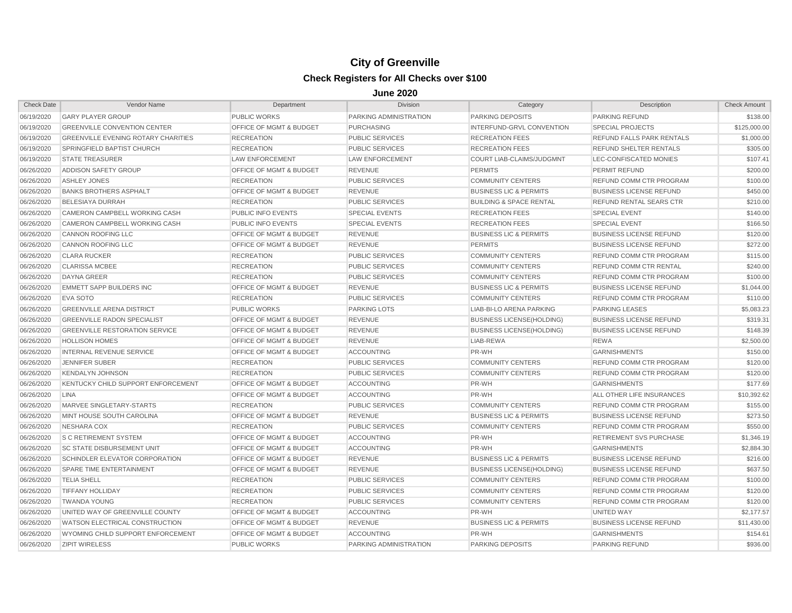| <b>Check Date</b> | Vendor Name                                | Department                         | <b>Division</b>        | Category                           | Description                    | <b>Check Amount</b> |
|-------------------|--------------------------------------------|------------------------------------|------------------------|------------------------------------|--------------------------------|---------------------|
| 06/19/2020        | <b>GARY PLAYER GROUP</b>                   | <b>PUBLIC WORKS</b>                | PARKING ADMINISTRATION | <b>PARKING DEPOSITS</b>            | <b>PARKING REFUND</b>          | \$138.00            |
| 06/19/2020        | <b>GREENVILLE CONVENTION CENTER</b>        | OFFICE OF MGMT & BUDGET            | <b>PURCHASING</b>      | INTERFUND-GRVL CONVENTION          | <b>SPECIAL PROJECTS</b>        | \$125,000.00        |
| 06/19/2020        | <b>GREENVILLE EVENING ROTARY CHARITIES</b> | <b>RECREATION</b>                  | <b>PUBLIC SERVICES</b> | <b>RECREATION FEES</b>             | REFUND FALLS PARK RENTALS      | \$1,000.00          |
| 06/19/2020        | SPRINGFIELD BAPTIST CHURCH                 | <b>RECREATION</b>                  | <b>PUBLIC SERVICES</b> | <b>RECREATION FEES</b>             | REFUND SHELTER RENTALS         | \$305.00            |
| 06/19/2020        | <b>STATE TREASURER</b>                     | <b>LAW ENFORCEMENT</b>             | <b>LAW ENFORCEMENT</b> | COURT LIAB-CLAIMS/JUDGMNT          | LEC-CONFISCATED MONIES         | \$107.41            |
| 06/26/2020        | ADDISON SAFETY GROUP                       | OFFICE OF MGMT & BUDGET            | <b>REVENUE</b>         | <b>PERMITS</b>                     | PERMIT REFUND                  | \$200.00            |
| 06/26/2020        | ASHLEY JONES                               | <b>RECREATION</b>                  | <b>PUBLIC SERVICES</b> | <b>COMMUNITY CENTERS</b>           | REFUND COMM CTR PROGRAM        | \$100.00            |
| 06/26/2020        | <b>BANKS BROTHERS ASPHALT</b>              | OFFICE OF MGMT & BUDGET            | <b>REVENUE</b>         | <b>BUSINESS LIC &amp; PERMITS</b>  | <b>BUSINESS LICENSE REFUND</b> | \$450.00            |
| 06/26/2020        | <b>BELESIAYA DURRAH</b>                    | <b>RECREATION</b>                  | <b>PUBLIC SERVICES</b> | <b>BUILDING &amp; SPACE RENTAL</b> | REFUND RENTAL SEARS CTR        | \$210.00            |
| 06/26/2020        | CAMERON CAMPBELL WORKING CASH              | PUBLIC INFO EVENTS                 | <b>SPECIAL EVENTS</b>  | <b>RECREATION FEES</b>             | <b>SPECIAL EVENT</b>           | \$140.00            |
| 06/26/2020        | CAMERON CAMPBELL WORKING CASH              | PUBLIC INFO EVENTS                 | <b>SPECIAL EVENTS</b>  | <b>RECREATION FEES</b>             | <b>SPECIAL EVENT</b>           | \$166.50            |
| 06/26/2020        | <b>CANNON ROOFING LLC</b>                  | OFFICE OF MGMT & BUDGET            | <b>REVENUE</b>         | <b>BUSINESS LIC &amp; PERMITS</b>  | <b>BUSINESS LICENSE REFUND</b> | \$120.00            |
| 06/26/2020        | <b>CANNON ROOFING LLC</b>                  | OFFICE OF MGMT & BUDGET            | <b>REVENUE</b>         | <b>PERMITS</b>                     | <b>BUSINESS LICENSE REFUND</b> | \$272.00            |
| 06/26/2020        | <b>CLARA RUCKER</b>                        | <b>RECREATION</b>                  | <b>PUBLIC SERVICES</b> | <b>COMMUNITY CENTERS</b>           | REFUND COMM CTR PROGRAM        | \$115.00            |
| 06/26/2020        | <b>CLARISSA MCBEE</b>                      | <b>RECREATION</b>                  | <b>PUBLIC SERVICES</b> | <b>COMMUNITY CENTERS</b>           | REFUND COMM CTR RENTAL         | \$240.00            |
| 06/26/2020        | <b>DAYNA GREER</b>                         | <b>RECREATION</b>                  | <b>PUBLIC SERVICES</b> | <b>COMMUNITY CENTERS</b>           | REFUND COMM CTR PROGRAM        | \$100.00            |
| 06/26/2020        | <b>EMMETT SAPP BUILDERS INC</b>            | OFFICE OF MGMT & BUDGET            | <b>REVENUE</b>         | <b>BUSINESS LIC &amp; PERMITS</b>  | <b>BUSINESS LICENSE REFUND</b> | \$1,044.00          |
| 06/26/2020        | <b>EVA SOTO</b>                            | <b>RECREATION</b>                  | <b>PUBLIC SERVICES</b> | <b>COMMUNITY CENTERS</b>           | REFUND COMM CTR PROGRAM        | \$110.00            |
| 06/26/2020        | <b>GREENVILLE ARENA DISTRICT</b>           | <b>PUBLIC WORKS</b>                | <b>PARKING LOTS</b>    | LIAB-BI-LO ARENA PARKING           | <b>PARKING LEASES</b>          | \$5,083.23          |
| 06/26/2020        | <b>GREENVILLE RADON SPECIALIST</b>         | <b>OFFICE OF MGMT &amp; BUDGET</b> | <b>REVENUE</b>         | <b>BUSINESS LICENSE(HOLDING)</b>   | <b>BUSINESS LICENSE REFUND</b> | \$319.31            |
| 06/26/2020        | <b>GREENVILLE RESTORATION SERVICE</b>      | OFFICE OF MGMT & BUDGET            | <b>REVENUE</b>         | <b>BUSINESS LICENSE(HOLDING)</b>   | <b>BUSINESS LICENSE REFUND</b> | \$148.39            |
| 06/26/2020        | <b>HOLLISON HOMES</b>                      | OFFICE OF MGMT & BUDGET            | <b>REVENUE</b>         | LIAB-REWA                          | <b>REWA</b>                    | \$2,500.00          |
| 06/26/2020        | INTERNAL REVENUE SERVICE                   | OFFICE OF MGMT & BUDGET            | <b>ACCOUNTING</b>      | PR-WH                              | <b>GARNISHMENTS</b>            | \$150.00            |
| 06/26/2020        | JENNIFER SUBER                             | <b>RECREATION</b>                  | <b>PUBLIC SERVICES</b> | <b>COMMUNITY CENTERS</b>           | REFUND COMM CTR PROGRAM        | \$120.00            |
| 06/26/2020        | <b>KENDALYN JOHNSON</b>                    | <b>RECREATION</b>                  | <b>PUBLIC SERVICES</b> | <b>COMMUNITY CENTERS</b>           | <b>REFUND COMM CTR PROGRAM</b> | \$120.00            |
| 06/26/2020        | KENTUCKY CHILD SUPPORT ENFORCEMENT         | OFFICE OF MGMT & BUDGET            | <b>ACCOUNTING</b>      | PR-WH                              | <b>GARNISHMENTS</b>            | \$177.69            |
| 06/26/2020        | <b>LINA</b>                                | OFFICE OF MGMT & BUDGET            | <b>ACCOUNTING</b>      | PR-WH                              | ALL OTHER LIFE INSURANCES      | \$10,392.62         |
| 06/26/2020        | MARVEE SINGLETARY-STARTS                   | <b>RECREATION</b>                  | <b>PUBLIC SERVICES</b> | <b>COMMUNITY CENTERS</b>           | <b>REFUND COMM CTR PROGRAM</b> | \$155.00            |
| 06/26/2020        | MINT HOUSE SOUTH CAROLINA                  | <b>OFFICE OF MGMT &amp; BUDGET</b> | <b>REVENUE</b>         | <b>BUSINESS LIC &amp; PERMITS</b>  | <b>BUSINESS LICENSE REFUND</b> | \$273.50            |
| 06/26/2020        | NESHARA COX                                | <b>RECREATION</b>                  | <b>PUBLIC SERVICES</b> | <b>COMMUNITY CENTERS</b>           | <b>REFUND COMM CTR PROGRAM</b> | \$550.00            |
| 06/26/2020        | <b>S C RETIREMENT SYSTEM</b>               | OFFICE OF MGMT & BUDGET            | <b>ACCOUNTING</b>      | PR-WH                              | <b>RETIREMENT SVS PURCHASE</b> | \$1,346.19          |
| 06/26/2020        | <b>SC STATE DISBURSEMENT UNIT</b>          | OFFICE OF MGMT & BUDGET            | <b>ACCOUNTING</b>      | PR-WH                              | <b>GARNISHMENTS</b>            | \$2,884.30          |
| 06/26/2020        | SCHINDLER ELEVATOR CORPORATION             | OFFICE OF MGMT & BUDGET            | <b>REVENUE</b>         | <b>BUSINESS LIC &amp; PERMITS</b>  | <b>BUSINESS LICENSE REFUND</b> | \$216.00            |
| 06/26/2020        | <b>SPARE TIME ENTERTAINMENT</b>            | <b>OFFICE OF MGMT &amp; BUDGET</b> | <b>REVENUE</b>         | <b>BUSINESS LICENSE(HOLDING)</b>   | <b>BUSINESS LICENSE REFUND</b> | \$637.50            |
| 06/26/2020        | <b>TELIA SHELL</b>                         | <b>RECREATION</b>                  | <b>PUBLIC SERVICES</b> | <b>COMMUNITY CENTERS</b>           | REFUND COMM CTR PROGRAM        | \$100.00            |
| 06/26/2020        | <b>TIFFANY HOLLIDAY</b>                    | <b>RECREATION</b>                  | <b>PUBLIC SERVICES</b> | <b>COMMUNITY CENTERS</b>           | <b>REFUND COMM CTR PROGRAM</b> | \$120.00            |
| 06/26/2020        | <b>TWANDA YOUNG</b>                        | <b>RECREATION</b>                  | <b>PUBLIC SERVICES</b> | <b>COMMUNITY CENTERS</b>           | REFUND COMM CTR PROGRAM        | \$120.00            |
| 06/26/2020        | UNITED WAY OF GREENVILLE COUNTY            | <b>OFFICE OF MGMT &amp; BUDGET</b> | <b>ACCOUNTING</b>      | PR-WH                              | <b>UNITED WAY</b>              | \$2,177.57          |
| 06/26/2020        | WATSON ELECTRICAL CONSTRUCTION             | OFFICE OF MGMT & BUDGET            | <b>REVENUE</b>         | <b>BUSINESS LIC &amp; PERMITS</b>  | <b>BUSINESS LICENSE REFUND</b> | \$11,430.00         |
| 06/26/2020        | WYOMING CHILD SUPPORT ENFORCEMENT          | OFFICE OF MGMT & BUDGET            | <b>ACCOUNTING</b>      | PR-WH                              | <b>GARNISHMENTS</b>            | \$154.61            |
| 06/26/2020        | <b>ZIPIT WIRELESS</b>                      | <b>PUBLIC WORKS</b>                | PARKING ADMINISTRATION | <b>PARKING DEPOSITS</b>            | <b>PARKING REFUND</b>          | \$936.00            |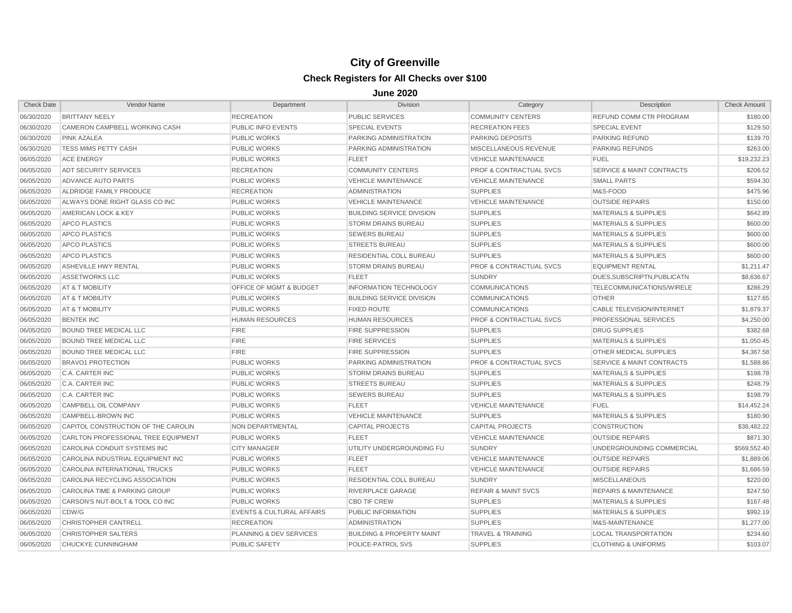| <b>Check Date</b> | Vendor Name                         | Department                           | <b>Division</b>                      | Category                           | Description                          | <b>Check Amount</b> |
|-------------------|-------------------------------------|--------------------------------------|--------------------------------------|------------------------------------|--------------------------------------|---------------------|
| 06/30/2020        | <b>BRITTANY NEELY</b>               | <b>RECREATION</b>                    | <b>PUBLIC SERVICES</b>               | <b>COMMUNITY CENTERS</b>           | REFUND COMM CTR PROGRAM              | \$180.00            |
| 06/30/2020        | CAMERON CAMPBELL WORKING CASH       | <b>PUBLIC INFO EVENTS</b>            | <b>SPECIAL EVENTS</b>                | <b>RECREATION FEES</b>             | <b>SPECIAL EVENT</b>                 | \$129.50            |
| 06/30/2020        | <b>PINK AZALEA</b>                  | <b>PUBLIC WORKS</b>                  | <b>PARKING ADMINISTRATION</b>        | <b>PARKING DEPOSITS</b>            | <b>PARKING REFUND</b>                | \$139.70            |
| 06/30/2020        | <b>TESS MIMS PETTY CASH</b>         | <b>PUBLIC WORKS</b>                  | PARKING ADMINISTRATION               | MISCELLANEOUS REVENUE              | <b>PARKING REFUNDS</b>               | \$263.00            |
| 06/05/2020        | <b>ACE ENERGY</b>                   | <b>PUBLIC WORKS</b>                  | <b>FLEET</b>                         | <b>VEHICLE MAINTENANCE</b>         | <b>FUEL</b>                          | \$19,232.23         |
| 06/05/2020        | <b>ADT SECURITY SERVICES</b>        | <b>RECREATION</b>                    | <b>COMMUNITY CENTERS</b>             | <b>PROF &amp; CONTRACTUAL SVCS</b> | <b>SERVICE &amp; MAINT CONTRACTS</b> | \$206.52            |
| 06/05/2020        | ADVANCE AUTO PARTS                  | <b>PUBLIC WORKS</b>                  | <b>VEHICLE MAINTENANCE</b>           | <b>VEHICLE MAINTENANCE</b>         | <b>SMALL PARTS</b>                   | \$594.30            |
| 06/05/2020        | ALDRIDGE FAMILY PRODUCE             | <b>RECREATION</b>                    | <b>ADMINISTRATION</b>                | <b>SUPPLIES</b>                    | M&S-FOOD                             | \$475.96            |
| 06/05/2020        | ALWAYS DONE RIGHT GLASS CO INC      | <b>PUBLIC WORKS</b>                  | <b>VEHICLE MAINTENANCE</b>           | <b>VEHICLE MAINTENANCE</b>         | <b>OUTSIDE REPAIRS</b>               | \$150.00            |
| 06/05/2020        | AMERICAN LOCK & KEY                 | <b>PUBLIC WORKS</b>                  | <b>BUILDING SERVICE DIVISION</b>     | <b>SUPPLIES</b>                    | <b>MATERIALS &amp; SUPPLIES</b>      | \$642.89            |
| 06/05/2020        | APCO PLASTICS                       | <b>PUBLIC WORKS</b>                  | <b>STORM DRAINS BUREAU</b>           | <b>SUPPLIES</b>                    | <b>MATERIALS &amp; SUPPLIES</b>      | \$600.00            |
| 06/05/2020        | <b>APCO PLASTICS</b>                | <b>PUBLIC WORKS</b>                  | <b>SEWERS BUREAU</b>                 | <b>SUPPLIES</b>                    | <b>MATERIALS &amp; SUPPLIES</b>      | \$600.00            |
| 06/05/2020        | <b>APCO PLASTICS</b>                | <b>PUBLIC WORKS</b>                  | <b>STREETS BUREAU</b>                | <b>SUPPLIES</b>                    | <b>MATERIALS &amp; SUPPLIES</b>      | \$600.00            |
| 06/05/2020        | <b>APCO PLASTICS</b>                | <b>PUBLIC WORKS</b>                  | <b>RESIDENTIAL COLL BUREAU</b>       | <b>SUPPLIES</b>                    | <b>MATERIALS &amp; SUPPLIES</b>      | \$600.00            |
| 06/05/2020        | ASHEVILLE HWY RENTAL                | <b>PUBLIC WORKS</b>                  | <b>STORM DRAINS BUREAU</b>           | <b>PROF &amp; CONTRACTUAL SVCS</b> | <b>EQUIPMENT RENTAL</b>              | \$1,211.47          |
| 06/05/2020        | <b>ASSETWORKS LLC</b>               | <b>PUBLIC WORKS</b>                  | <b>FLEET</b>                         | <b>SUNDRY</b>                      | DUES, SUBSCRIPTN, PUBLICATN          | \$8,636.67          |
| 06/05/2020        | AT & T MOBILITY                     | OFFICE OF MGMT & BUDGET              | <b>INFORMATION TECHNOLOGY</b>        | <b>COMMUNICATIONS</b>              | <b>TELECOMMUNICATIONS/WIRELE</b>     | \$286.29            |
| 06/05/2020        | AT & T MOBILITY                     | <b>PUBLIC WORKS</b>                  | <b>BUILDING SERVICE DIVISION</b>     | <b>COMMUNICATIONS</b>              | <b>OTHER</b>                         | \$127.65            |
| 06/05/2020        | <b>AT &amp; T MOBILITY</b>          | <b>PUBLIC WORKS</b>                  | <b>FIXED ROUTE</b>                   | <b>COMMUNICATIONS</b>              | <b>CABLE TELEVISION/INTERNET</b>     | \$1,879.37          |
| 06/05/2020        | <b>BENTEK INC</b>                   | <b>HUMAN RESOURCES</b>               | <b>HUMAN RESOURCES</b>               | <b>PROF &amp; CONTRACTUAL SVCS</b> | <b>PROFESSIONAL SERVICES</b>         | \$4,250.00          |
| 06/05/2020        | <b>BOUND TREE MEDICAL LLC</b>       | <b>FIRE</b>                          | <b>FIRE SUPPRESSION</b>              | <b>SUPPLIES</b>                    | <b>DRUG SUPPLIES</b>                 | \$382.68            |
| 06/05/2020        | <b>BOUND TREE MEDICAL LLC</b>       | <b>FIRE</b>                          | <b>FIRE SERVICES</b>                 | <b>SUPPLIES</b>                    | <b>MATERIALS &amp; SUPPLIES</b>      | \$1,050.45          |
| 06/05/2020        | <b>BOUND TREE MEDICAL LLC</b>       | <b>FIRE</b>                          | <b>FIRE SUPPRESSION</b>              | <b>SUPPLIES</b>                    | <b>OTHER MEDICAL SUPPLIES</b>        | \$4,367.58          |
| 06/05/2020        | <b>BRAVO1 PROTECTION</b>            | <b>PUBLIC WORKS</b>                  | PARKING ADMINISTRATION               | <b>PROF &amp; CONTRACTUAL SVCS</b> | <b>SERVICE &amp; MAINT CONTRACTS</b> | \$1,588.86          |
| 06/05/2020        | C.A. CARTER INC                     | <b>PUBLIC WORKS</b>                  | <b>STORM DRAINS BUREAU</b>           | <b>SUPPLIES</b>                    | <b>MATERIALS &amp; SUPPLIES</b>      | \$198.78            |
| 06/05/2020        | C.A. CARTER INC                     | <b>PUBLIC WORKS</b>                  | <b>STREETS BUREAU</b>                | <b>SUPPLIES</b>                    | <b>MATERIALS &amp; SUPPLIES</b>      | \$248.79            |
| 06/05/2020        | C.A. CARTER INC                     | <b>PUBLIC WORKS</b>                  | <b>SEWERS BUREAU</b>                 | <b>SUPPLIES</b>                    | <b>MATERIALS &amp; SUPPLIES</b>      | \$198.79            |
| 06/05/2020        | CAMPBELL OIL COMPANY                | <b>PUBLIC WORKS</b>                  | <b>FLEET</b>                         | <b>VEHICLE MAINTENANCE</b>         | <b>FUEL</b>                          | \$14,452.24         |
| 06/05/2020        | CAMPBELL-BROWN INC                  | <b>PUBLIC WORKS</b>                  | <b>VEHICLE MAINTENANCE</b>           | <b>SUPPLIES</b>                    | <b>MATERIALS &amp; SUPPLIES</b>      | \$180.90            |
| 06/05/2020        | CAPITOL CONSTRUCTION OF THE CAROLIN | <b>NON DEPARTMENTAL</b>              | <b>CAPITAL PROJECTS</b>              | <b>CAPITAL PROJECTS</b>            | <b>CONSTRUCTION</b>                  | \$38,482.22         |
| 06/05/2020        | CARLTON PROFESSIONAL TREE EQUIPMENT | <b>PUBLIC WORKS</b>                  | <b>FLEET</b>                         | <b>VEHICLE MAINTENANCE</b>         | <b>OUTSIDE REPAIRS</b>               | \$871.30            |
| 06/05/2020        | CAROLINA CONDUIT SYSTEMS INC        | <b>CITY MANAGER</b>                  | UTILITY UNDERGROUNDING FU            | <b>SUNDRY</b>                      | UNDERGROUNDING COMMERCIAL            | \$569,552.40        |
| 06/05/2020        | CAROLINA INDUSTRIAL EQUIPMENT INC   | <b>PUBLIC WORKS</b>                  | <b>FLEET</b>                         | <b>VEHICLE MAINTENANCE</b>         | <b>OUTSIDE REPAIRS</b>               | \$1,889.06          |
| 06/05/2020        | CAROLINA INTERNATIONAL TRUCKS       | <b>PUBLIC WORKS</b>                  | <b>FLEET</b>                         | <b>VEHICLE MAINTENANCE</b>         | <b>OUTSIDE REPAIRS</b>               | \$1,686.59          |
| 06/05/2020        | CAROLINA RECYCLING ASSOCIATION      | <b>PUBLIC WORKS</b>                  | RESIDENTIAL COLL BUREAU              | <b>SUNDRY</b>                      | <b>MISCELLANEOUS</b>                 | \$220.00            |
| 06/05/2020        | CAROLINA TIME & PARKING GROUP       | <b>PUBLIC WORKS</b>                  | RIVERPLACE GARAGE                    | <b>REPAIR &amp; MAINT SVCS</b>     | <b>REPAIRS &amp; MAINTENANCE</b>     | \$247.50            |
| 06/05/2020        | CARSON'S NUT-BOLT & TOOL CO INC     | <b>PUBLIC WORKS</b>                  | <b>CBD TIF CREW</b>                  | <b>SUPPLIES</b>                    | <b>MATERIALS &amp; SUPPLIES</b>      | \$167.48            |
| 06/05/2020        | CDW/G                               | <b>EVENTS &amp; CULTURAL AFFAIRS</b> | PUBLIC INFORMATION                   | <b>SUPPLIES</b>                    | <b>MATERIALS &amp; SUPPLIES</b>      | \$992.19            |
| 06/05/2020        | <b>CHRISTOPHER CANTRELL</b>         | <b>RECREATION</b>                    | <b>ADMINISTRATION</b>                | <b>SUPPLIES</b>                    | M&S-MAINTENANCE                      | \$1,277.00          |
| 06/05/2020        | <b>CHRISTOPHER SALTERS</b>          | PLANNING & DEV SERVICES              | <b>BUILDING &amp; PROPERTY MAINT</b> | <b>TRAVEL &amp; TRAINING</b>       | <b>LOCAL TRANSPORTATION</b>          | \$234.60            |
| 06/05/2020        | <b>CHUCKYE CUNNINGHAM</b>           | <b>PUBLIC SAFETY</b>                 | POLICE-PATROL SVS                    | <b>SUPPLIES</b>                    | <b>CLOTHING &amp; UNIFORMS</b>       | \$103.07            |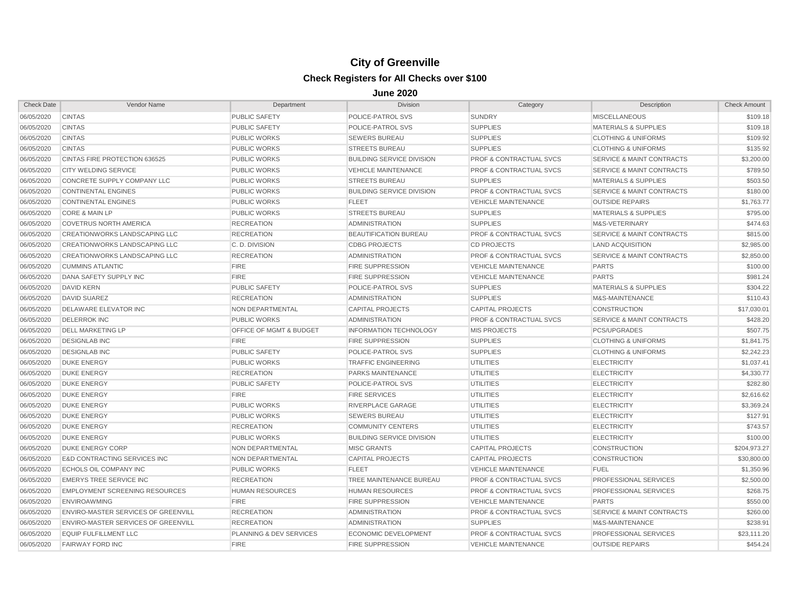| 06/05/2020<br><b>CINTAS</b><br><b>PUBLIC SAFETY</b><br>POLICE-PATROL SVS<br><b>SUNDRY</b><br><b>MISCELLANEOUS</b><br><b>SUPPLIES</b><br>06/05/2020<br><b>CINTAS</b><br>POLICE-PATROL SVS<br><b>MATERIALS &amp; SUPPLIES</b><br><b>PUBLIC SAFETY</b><br>06/05/2020<br><b>CINTAS</b><br><b>SUPPLIES</b><br><b>PUBLIC WORKS</b><br><b>SEWERS BUREAU</b><br><b>CLOTHING &amp; UNIFORMS</b><br><b>CINTAS</b><br><b>SUPPLIES</b><br>06/05/2020<br><b>PUBLIC WORKS</b><br><b>STREETS BUREAU</b><br><b>CLOTHING &amp; UNIFORMS</b><br><b>SERVICE &amp; MAINT CONTRACTS</b><br>06/05/2020<br>CINTAS FIRE PROTECTION 636525<br><b>PUBLIC WORKS</b><br><b>BUILDING SERVICE DIVISION</b><br><b>PROF &amp; CONTRACTUAL SVCS</b><br>06/05/2020<br><b>CITY WELDING SERVICE</b><br><b>PUBLIC WORKS</b><br><b>PROF &amp; CONTRACTUAL SVCS</b><br><b>SERVICE &amp; MAINT CONTRACTS</b><br><b>VEHICLE MAINTENANCE</b><br>06/05/2020<br>CONCRETE SUPPLY COMPANY LLC<br><b>PUBLIC WORKS</b><br><b>STREETS BUREAU</b><br><b>SUPPLIES</b><br><b>MATERIALS &amp; SUPPLIES</b><br>06/05/2020<br><b>CONTINENTAL ENGINES</b><br><b>PUBLIC WORKS</b><br><b>BUILDING SERVICE DIVISION</b><br>PROF & CONTRACTUAL SVCS<br><b>SERVICE &amp; MAINT CONTRACTS</b><br>06/05/2020<br><b>CONTINENTAL ENGINES</b><br><b>PUBLIC WORKS</b><br><b>FLEET</b><br><b>VEHICLE MAINTENANCE</b><br><b>OUTSIDE REPAIRS</b><br>06/05/2020<br><b>SUPPLIES</b><br>CORE & MAIN LP<br><b>PUBLIC WORKS</b><br><b>STREETS BUREAU</b><br><b>MATERIALS &amp; SUPPLIES</b><br>06/05/2020<br><b>SUPPLIES</b><br><b>COVETRUS NORTH AMERICA</b><br><b>RECREATION</b><br><b>ADMINISTRATION</b><br>M&S-VETERINARY<br>06/05/2020<br><b>CREATIONWORKS LANDSCAPING LLC</b><br><b>RECREATION</b><br><b>BEAUTIFICATION BUREAU</b><br><b>PROF &amp; CONTRACTUAL SVCS</b><br><b>SERVICE &amp; MAINT CONTRACTS</b><br>06/05/2020<br><b>CREATIONWORKS LANDSCAPING LLC</b><br>C.D. DIVISION<br><b>CDBG PROJECTS</b><br><b>CD PROJECTS</b><br><b>LAND ACQUISITION</b><br>06/05/2020<br><b>PROF &amp; CONTRACTUAL SVCS</b><br><b>CREATIONWORKS LANDSCAPING LLC</b><br><b>RECREATION</b><br><b>ADMINISTRATION</b><br><b>SERVICE &amp; MAINT CONTRACTS</b> | <b>Check Amount</b> |
|-------------------------------------------------------------------------------------------------------------------------------------------------------------------------------------------------------------------------------------------------------------------------------------------------------------------------------------------------------------------------------------------------------------------------------------------------------------------------------------------------------------------------------------------------------------------------------------------------------------------------------------------------------------------------------------------------------------------------------------------------------------------------------------------------------------------------------------------------------------------------------------------------------------------------------------------------------------------------------------------------------------------------------------------------------------------------------------------------------------------------------------------------------------------------------------------------------------------------------------------------------------------------------------------------------------------------------------------------------------------------------------------------------------------------------------------------------------------------------------------------------------------------------------------------------------------------------------------------------------------------------------------------------------------------------------------------------------------------------------------------------------------------------------------------------------------------------------------------------------------------------------------------------------------------------------------------------------------------------------------------------------------------------------------------------------------------------------------------------------------------------------------------------------------------------|---------------------|
|                                                                                                                                                                                                                                                                                                                                                                                                                                                                                                                                                                                                                                                                                                                                                                                                                                                                                                                                                                                                                                                                                                                                                                                                                                                                                                                                                                                                                                                                                                                                                                                                                                                                                                                                                                                                                                                                                                                                                                                                                                                                                                                                                                               | \$109.18            |
|                                                                                                                                                                                                                                                                                                                                                                                                                                                                                                                                                                                                                                                                                                                                                                                                                                                                                                                                                                                                                                                                                                                                                                                                                                                                                                                                                                                                                                                                                                                                                                                                                                                                                                                                                                                                                                                                                                                                                                                                                                                                                                                                                                               | \$109.18            |
|                                                                                                                                                                                                                                                                                                                                                                                                                                                                                                                                                                                                                                                                                                                                                                                                                                                                                                                                                                                                                                                                                                                                                                                                                                                                                                                                                                                                                                                                                                                                                                                                                                                                                                                                                                                                                                                                                                                                                                                                                                                                                                                                                                               | \$109.92            |
|                                                                                                                                                                                                                                                                                                                                                                                                                                                                                                                                                                                                                                                                                                                                                                                                                                                                                                                                                                                                                                                                                                                                                                                                                                                                                                                                                                                                                                                                                                                                                                                                                                                                                                                                                                                                                                                                                                                                                                                                                                                                                                                                                                               | \$135.92            |
|                                                                                                                                                                                                                                                                                                                                                                                                                                                                                                                                                                                                                                                                                                                                                                                                                                                                                                                                                                                                                                                                                                                                                                                                                                                                                                                                                                                                                                                                                                                                                                                                                                                                                                                                                                                                                                                                                                                                                                                                                                                                                                                                                                               | \$3,200.00          |
|                                                                                                                                                                                                                                                                                                                                                                                                                                                                                                                                                                                                                                                                                                                                                                                                                                                                                                                                                                                                                                                                                                                                                                                                                                                                                                                                                                                                                                                                                                                                                                                                                                                                                                                                                                                                                                                                                                                                                                                                                                                                                                                                                                               | \$789.50            |
|                                                                                                                                                                                                                                                                                                                                                                                                                                                                                                                                                                                                                                                                                                                                                                                                                                                                                                                                                                                                                                                                                                                                                                                                                                                                                                                                                                                                                                                                                                                                                                                                                                                                                                                                                                                                                                                                                                                                                                                                                                                                                                                                                                               | \$503.50            |
|                                                                                                                                                                                                                                                                                                                                                                                                                                                                                                                                                                                                                                                                                                                                                                                                                                                                                                                                                                                                                                                                                                                                                                                                                                                                                                                                                                                                                                                                                                                                                                                                                                                                                                                                                                                                                                                                                                                                                                                                                                                                                                                                                                               | \$180.00            |
|                                                                                                                                                                                                                                                                                                                                                                                                                                                                                                                                                                                                                                                                                                                                                                                                                                                                                                                                                                                                                                                                                                                                                                                                                                                                                                                                                                                                                                                                                                                                                                                                                                                                                                                                                                                                                                                                                                                                                                                                                                                                                                                                                                               | \$1,763.77          |
|                                                                                                                                                                                                                                                                                                                                                                                                                                                                                                                                                                                                                                                                                                                                                                                                                                                                                                                                                                                                                                                                                                                                                                                                                                                                                                                                                                                                                                                                                                                                                                                                                                                                                                                                                                                                                                                                                                                                                                                                                                                                                                                                                                               | \$795.00            |
|                                                                                                                                                                                                                                                                                                                                                                                                                                                                                                                                                                                                                                                                                                                                                                                                                                                                                                                                                                                                                                                                                                                                                                                                                                                                                                                                                                                                                                                                                                                                                                                                                                                                                                                                                                                                                                                                                                                                                                                                                                                                                                                                                                               | \$474.63            |
|                                                                                                                                                                                                                                                                                                                                                                                                                                                                                                                                                                                                                                                                                                                                                                                                                                                                                                                                                                                                                                                                                                                                                                                                                                                                                                                                                                                                                                                                                                                                                                                                                                                                                                                                                                                                                                                                                                                                                                                                                                                                                                                                                                               | \$815.00            |
|                                                                                                                                                                                                                                                                                                                                                                                                                                                                                                                                                                                                                                                                                                                                                                                                                                                                                                                                                                                                                                                                                                                                                                                                                                                                                                                                                                                                                                                                                                                                                                                                                                                                                                                                                                                                                                                                                                                                                                                                                                                                                                                                                                               | \$2,985.00          |
|                                                                                                                                                                                                                                                                                                                                                                                                                                                                                                                                                                                                                                                                                                                                                                                                                                                                                                                                                                                                                                                                                                                                                                                                                                                                                                                                                                                                                                                                                                                                                                                                                                                                                                                                                                                                                                                                                                                                                                                                                                                                                                                                                                               | \$2,850.00          |
| 06/05/2020<br><b>FIRE</b><br><b>CUMMINS ATLANTIC</b><br><b>FIRE SUPPRESSION</b><br><b>VEHICLE MAINTENANCE</b><br><b>PARTS</b>                                                                                                                                                                                                                                                                                                                                                                                                                                                                                                                                                                                                                                                                                                                                                                                                                                                                                                                                                                                                                                                                                                                                                                                                                                                                                                                                                                                                                                                                                                                                                                                                                                                                                                                                                                                                                                                                                                                                                                                                                                                 | \$100.00            |
| 06/05/2020<br>DANA SAFETY SUPPLY INC<br><b>FIRE</b><br><b>FIRE SUPPRESSION</b><br><b>VEHICLE MAINTENANCE</b><br><b>PARTS</b>                                                                                                                                                                                                                                                                                                                                                                                                                                                                                                                                                                                                                                                                                                                                                                                                                                                                                                                                                                                                                                                                                                                                                                                                                                                                                                                                                                                                                                                                                                                                                                                                                                                                                                                                                                                                                                                                                                                                                                                                                                                  | \$981.24            |
| 06/05/2020<br><b>DAVID KERN</b><br><b>PUBLIC SAFETY</b><br>POLICE-PATROL SVS<br><b>SUPPLIES</b><br><b>MATERIALS &amp; SUPPLIES</b>                                                                                                                                                                                                                                                                                                                                                                                                                                                                                                                                                                                                                                                                                                                                                                                                                                                                                                                                                                                                                                                                                                                                                                                                                                                                                                                                                                                                                                                                                                                                                                                                                                                                                                                                                                                                                                                                                                                                                                                                                                            | \$304.22            |
| 06/05/2020<br><b>DAVID SUAREZ</b><br><b>RECREATION</b><br><b>ADMINISTRATION</b><br><b>SUPPLIES</b><br>M&S-MAINTENANCE                                                                                                                                                                                                                                                                                                                                                                                                                                                                                                                                                                                                                                                                                                                                                                                                                                                                                                                                                                                                                                                                                                                                                                                                                                                                                                                                                                                                                                                                                                                                                                                                                                                                                                                                                                                                                                                                                                                                                                                                                                                         | \$110.43            |
| <b>CAPITAL PROJECTS</b><br>06/05/2020<br><b>DELAWARE ELEVATOR INC</b><br>NON DEPARTMENTAL<br><b>CAPITAL PROJECTS</b><br><b>CONSTRUCTION</b>                                                                                                                                                                                                                                                                                                                                                                                                                                                                                                                                                                                                                                                                                                                                                                                                                                                                                                                                                                                                                                                                                                                                                                                                                                                                                                                                                                                                                                                                                                                                                                                                                                                                                                                                                                                                                                                                                                                                                                                                                                   | \$17,030.01         |
| 06/05/2020<br><b>DELERROK INC</b><br><b>PROF &amp; CONTRACTUAL SVCS</b><br><b>SERVICE &amp; MAINT CONTRACTS</b><br><b>PUBLIC WORKS</b><br><b>ADMINISTRATION</b>                                                                                                                                                                                                                                                                                                                                                                                                                                                                                                                                                                                                                                                                                                                                                                                                                                                                                                                                                                                                                                                                                                                                                                                                                                                                                                                                                                                                                                                                                                                                                                                                                                                                                                                                                                                                                                                                                                                                                                                                               | \$428.20            |
| 06/05/2020<br><b>DELL MARKETING LP</b><br><b>OFFICE OF MGMT &amp; BUDGET</b><br><b>MIS PROJECTS</b><br><b>INFORMATION TECHNOLOGY</b><br><b>PCS/UPGRADES</b>                                                                                                                                                                                                                                                                                                                                                                                                                                                                                                                                                                                                                                                                                                                                                                                                                                                                                                                                                                                                                                                                                                                                                                                                                                                                                                                                                                                                                                                                                                                                                                                                                                                                                                                                                                                                                                                                                                                                                                                                                   | \$507.75            |
| 06/05/2020<br><b>DESIGNLAB INC</b><br><b>FIRE</b><br><b>FIRE SUPPRESSION</b><br><b>SUPPLIES</b><br><b>CLOTHING &amp; UNIFORMS</b>                                                                                                                                                                                                                                                                                                                                                                                                                                                                                                                                                                                                                                                                                                                                                                                                                                                                                                                                                                                                                                                                                                                                                                                                                                                                                                                                                                                                                                                                                                                                                                                                                                                                                                                                                                                                                                                                                                                                                                                                                                             | \$1,841.75          |
| 06/05/2020<br><b>DESIGNLAB INC</b><br><b>PUBLIC SAFETY</b><br><b>SUPPLIES</b><br><b>POLICE-PATROL SVS</b><br><b>CLOTHING &amp; UNIFORMS</b>                                                                                                                                                                                                                                                                                                                                                                                                                                                                                                                                                                                                                                                                                                                                                                                                                                                                                                                                                                                                                                                                                                                                                                                                                                                                                                                                                                                                                                                                                                                                                                                                                                                                                                                                                                                                                                                                                                                                                                                                                                   | \$2,242.23          |
| 06/05/2020<br><b>DUKE ENERGY</b><br><b>PUBLIC WORKS</b><br><b>UTILITIES</b><br><b>ELECTRICITY</b><br><b>TRAFFIC ENGINEERING</b>                                                                                                                                                                                                                                                                                                                                                                                                                                                                                                                                                                                                                                                                                                                                                                                                                                                                                                                                                                                                                                                                                                                                                                                                                                                                                                                                                                                                                                                                                                                                                                                                                                                                                                                                                                                                                                                                                                                                                                                                                                               | \$1,037.41          |
| 06/05/2020<br><b>DUKE ENERGY</b><br><b>RECREATION</b><br>PARKS MAINTENANCE<br><b>UTILITIES</b><br><b>ELECTRICITY</b>                                                                                                                                                                                                                                                                                                                                                                                                                                                                                                                                                                                                                                                                                                                                                                                                                                                                                                                                                                                                                                                                                                                                                                                                                                                                                                                                                                                                                                                                                                                                                                                                                                                                                                                                                                                                                                                                                                                                                                                                                                                          | \$4,330.77          |
| 06/05/2020<br><b>DUKE ENERGY</b><br><b>PUBLIC SAFETY</b><br>POLICE-PATROL SVS<br><b>UTILITIES</b><br><b>ELECTRICITY</b>                                                                                                                                                                                                                                                                                                                                                                                                                                                                                                                                                                                                                                                                                                                                                                                                                                                                                                                                                                                                                                                                                                                                                                                                                                                                                                                                                                                                                                                                                                                                                                                                                                                                                                                                                                                                                                                                                                                                                                                                                                                       | \$282.80            |
| 06/05/2020<br><b>DUKE ENERGY</b><br><b>FIRE</b><br><b>FIRE SERVICES</b><br><b>UTILITIES</b><br><b>ELECTRICITY</b>                                                                                                                                                                                                                                                                                                                                                                                                                                                                                                                                                                                                                                                                                                                                                                                                                                                                                                                                                                                                                                                                                                                                                                                                                                                                                                                                                                                                                                                                                                                                                                                                                                                                                                                                                                                                                                                                                                                                                                                                                                                             | \$2,616.62          |
| RIVERPLACE GARAGE<br>06/05/2020<br><b>DUKE ENERGY</b><br><b>PUBLIC WORKS</b><br><b>UTILITIES</b><br><b>ELECTRICITY</b>                                                                                                                                                                                                                                                                                                                                                                                                                                                                                                                                                                                                                                                                                                                                                                                                                                                                                                                                                                                                                                                                                                                                                                                                                                                                                                                                                                                                                                                                                                                                                                                                                                                                                                                                                                                                                                                                                                                                                                                                                                                        | \$3,369.24          |
| <b>DUKE ENERGY</b><br><b>PUBLIC WORKS</b><br><b>UTILITIES</b><br>06/05/2020<br><b>SEWERS BUREAU</b><br><b>ELECTRICITY</b>                                                                                                                                                                                                                                                                                                                                                                                                                                                                                                                                                                                                                                                                                                                                                                                                                                                                                                                                                                                                                                                                                                                                                                                                                                                                                                                                                                                                                                                                                                                                                                                                                                                                                                                                                                                                                                                                                                                                                                                                                                                     | \$127.91            |
| 06/05/2020<br><b>DUKE ENERGY</b><br><b>RECREATION</b><br><b>COMMUNITY CENTERS</b><br><b>UTILITIES</b><br><b>ELECTRICITY</b>                                                                                                                                                                                                                                                                                                                                                                                                                                                                                                                                                                                                                                                                                                                                                                                                                                                                                                                                                                                                                                                                                                                                                                                                                                                                                                                                                                                                                                                                                                                                                                                                                                                                                                                                                                                                                                                                                                                                                                                                                                                   | \$743.57            |
| 06/05/2020<br><b>DUKE ENERGY</b><br><b>BUILDING SERVICE DIVISION</b><br><b>UTILITIES</b><br><b>ELECTRICITY</b><br><b>PUBLIC WORKS</b>                                                                                                                                                                                                                                                                                                                                                                                                                                                                                                                                                                                                                                                                                                                                                                                                                                                                                                                                                                                                                                                                                                                                                                                                                                                                                                                                                                                                                                                                                                                                                                                                                                                                                                                                                                                                                                                                                                                                                                                                                                         | \$100.00            |
| 06/05/2020<br><b>MISC GRANTS</b><br><b>CAPITAL PROJECTS</b><br><b>DUKE ENERGY CORP</b><br>NON DEPARTMENTAL<br><b>CONSTRUCTION</b>                                                                                                                                                                                                                                                                                                                                                                                                                                                                                                                                                                                                                                                                                                                                                                                                                                                                                                                                                                                                                                                                                                                                                                                                                                                                                                                                                                                                                                                                                                                                                                                                                                                                                                                                                                                                                                                                                                                                                                                                                                             | \$204.973.27        |
| <b>CAPITAL PROJECTS</b><br>06/05/2020<br><b>E&amp;D CONTRACTING SERVICES INC</b><br>NON DEPARTMENTAL<br><b>CAPITAL PROJECTS</b><br><b>CONSTRUCTION</b>                                                                                                                                                                                                                                                                                                                                                                                                                                                                                                                                                                                                                                                                                                                                                                                                                                                                                                                                                                                                                                                                                                                                                                                                                                                                                                                                                                                                                                                                                                                                                                                                                                                                                                                                                                                                                                                                                                                                                                                                                        | \$30,800.00         |
| 06/05/2020<br>ECHOLS OIL COMPANY INC<br><b>PUBLIC WORKS</b><br><b>FLEET</b><br><b>VEHICLE MAINTENANCE</b><br><b>FUEL</b>                                                                                                                                                                                                                                                                                                                                                                                                                                                                                                                                                                                                                                                                                                                                                                                                                                                                                                                                                                                                                                                                                                                                                                                                                                                                                                                                                                                                                                                                                                                                                                                                                                                                                                                                                                                                                                                                                                                                                                                                                                                      | \$1,350.96          |
| 06/05/2020<br><b>EMERYS TREE SERVICE INC.</b><br><b>RECREATION</b><br>TREE MAINTENANCE BUREAU<br><b>PROF &amp; CONTRACTUAL SVCS</b><br><b>PROFESSIONAL SERVICES</b>                                                                                                                                                                                                                                                                                                                                                                                                                                                                                                                                                                                                                                                                                                                                                                                                                                                                                                                                                                                                                                                                                                                                                                                                                                                                                                                                                                                                                                                                                                                                                                                                                                                                                                                                                                                                                                                                                                                                                                                                           | \$2,500.00          |
| 06/05/2020<br><b>EMPLOYMENT SCREENING RESOURCES</b><br><b>HUMAN RESOURCES</b><br><b>HUMAN RESOURCES</b><br><b>PROF &amp; CONTRACTUAL SVCS</b><br>PROFESSIONAL SERVICES                                                                                                                                                                                                                                                                                                                                                                                                                                                                                                                                                                                                                                                                                                                                                                                                                                                                                                                                                                                                                                                                                                                                                                                                                                                                                                                                                                                                                                                                                                                                                                                                                                                                                                                                                                                                                                                                                                                                                                                                        | \$268.75            |
| 06/05/2020<br><b>ENVIROAWMING</b><br><b>FIRE</b><br><b>FIRE SUPPRESSION</b><br><b>VEHICLE MAINTENANCE</b><br><b>PARTS</b>                                                                                                                                                                                                                                                                                                                                                                                                                                                                                                                                                                                                                                                                                                                                                                                                                                                                                                                                                                                                                                                                                                                                                                                                                                                                                                                                                                                                                                                                                                                                                                                                                                                                                                                                                                                                                                                                                                                                                                                                                                                     | \$550.00            |
| 06/05/2020<br>PROF & CONTRACTUAL SVCS<br>ENVIRO-MASTER SERVICES OF GREENVILL<br><b>RECREATION</b><br><b>ADMINISTRATION</b><br><b>SERVICE &amp; MAINT CONTRACTS</b>                                                                                                                                                                                                                                                                                                                                                                                                                                                                                                                                                                                                                                                                                                                                                                                                                                                                                                                                                                                                                                                                                                                                                                                                                                                                                                                                                                                                                                                                                                                                                                                                                                                                                                                                                                                                                                                                                                                                                                                                            | \$260.00            |
| <b>ENVIRO-MASTER SERVICES OF GREENVILL</b><br><b>SUPPLIES</b><br>06/05/2020<br><b>RECREATION</b><br><b>ADMINISTRATION</b><br>M&S-MAINTENANCE                                                                                                                                                                                                                                                                                                                                                                                                                                                                                                                                                                                                                                                                                                                                                                                                                                                                                                                                                                                                                                                                                                                                                                                                                                                                                                                                                                                                                                                                                                                                                                                                                                                                                                                                                                                                                                                                                                                                                                                                                                  | \$238.91            |
| <b>EQUIP FULFILLMENT LLC</b><br>PROFESSIONAL SERVICES<br>06/05/2020<br><b>PLANNING &amp; DEV SERVICES</b><br><b>ECONOMIC DEVELOPMENT</b><br><b>PROF &amp; CONTRACTUAL SVCS</b>                                                                                                                                                                                                                                                                                                                                                                                                                                                                                                                                                                                                                                                                                                                                                                                                                                                                                                                                                                                                                                                                                                                                                                                                                                                                                                                                                                                                                                                                                                                                                                                                                                                                                                                                                                                                                                                                                                                                                                                                | \$23,111.20         |
| 06/05/2020<br><b>FAIRWAY FORD INC</b><br><b>FIRE</b><br><b>FIRE SUPPRESSION</b><br><b>VEHICLE MAINTENANCE</b><br><b>OUTSIDE REPAIRS</b>                                                                                                                                                                                                                                                                                                                                                                                                                                                                                                                                                                                                                                                                                                                                                                                                                                                                                                                                                                                                                                                                                                                                                                                                                                                                                                                                                                                                                                                                                                                                                                                                                                                                                                                                                                                                                                                                                                                                                                                                                                       | \$454.24            |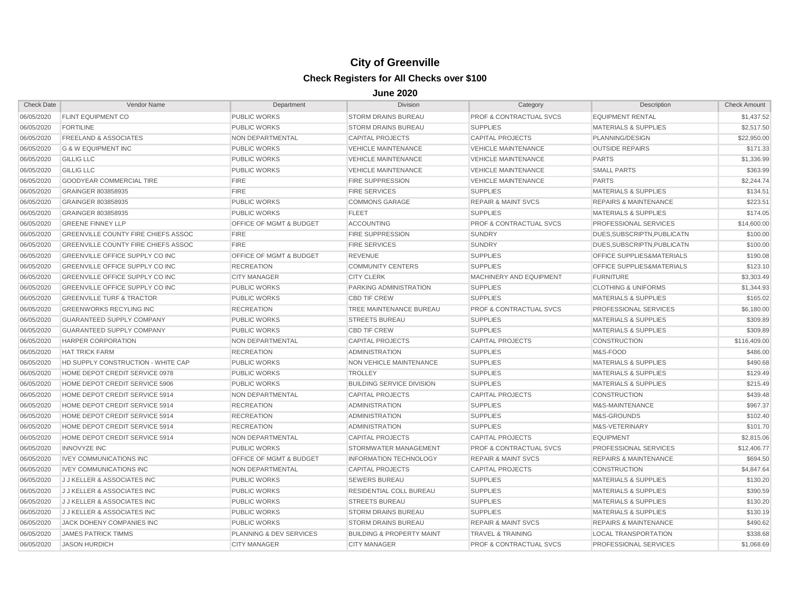| <b>Check Date</b> | Vendor Name                                | Department                         | <b>Division</b>                      | Category                           | Description                      | <b>Check Amount</b> |
|-------------------|--------------------------------------------|------------------------------------|--------------------------------------|------------------------------------|----------------------------------|---------------------|
| 06/05/2020        | <b>FLINT EQUIPMENT CO</b>                  | <b>PUBLIC WORKS</b>                | <b>STORM DRAINS BUREAU</b>           | <b>PROF &amp; CONTRACTUAL SVCS</b> | <b>EQUIPMENT RENTAL</b>          | \$1,437.52          |
| 06/05/2020        | <b>FORTILINE</b>                           | <b>PUBLIC WORKS</b>                | <b>STORM DRAINS BUREAU</b>           | <b>SUPPLIES</b>                    | <b>MATERIALS &amp; SUPPLIES</b>  | \$2,517.50          |
| 06/05/2020        | <b>FREELAND &amp; ASSOCIATES</b>           | NON DEPARTMENTAL                   | <b>CAPITAL PROJECTS</b>              | <b>CAPITAL PROJECTS</b>            | PLANNING/DESIGN                  | \$22,950.00         |
| 06/05/2020        | <b>G &amp; W EQUIPMENT INC</b>             | <b>PUBLIC WORKS</b>                | <b>VEHICLE MAINTENANCE</b>           | <b>VEHICLE MAINTENANCE</b>         | <b>OUTSIDE REPAIRS</b>           | \$171.33            |
| 06/05/2020        | <b>GILLIG LLC</b>                          | <b>PUBLIC WORKS</b>                | <b>VEHICLE MAINTENANCE</b>           | <b>VEHICLE MAINTENANCE</b>         | <b>PARTS</b>                     | \$1,336.99          |
| 06/05/2020        | <b>GILLIG LLC</b>                          | <b>PUBLIC WORKS</b>                | <b>VEHICLE MAINTENANCE</b>           | <b>VEHICLE MAINTENANCE</b>         | <b>SMALL PARTS</b>               | \$363.99            |
| 06/05/2020        | <b>GOODYEAR COMMERCIAL TIRE</b>            | <b>FIRE</b>                        | <b>FIRE SUPPRESSION</b>              | <b>VEHICLE MAINTENANCE</b>         | <b>PARTS</b>                     | \$2,244.74          |
| 06/05/2020        | GRAINGER 803858935                         | <b>FIRE</b>                        | <b>FIRE SERVICES</b>                 | <b>SUPPLIES</b>                    | <b>MATERIALS &amp; SUPPLIES</b>  | \$134.51            |
| 06/05/2020        | GRAINGER 803858935                         | <b>PUBLIC WORKS</b>                | <b>COMMONS GARAGE</b>                | <b>REPAIR &amp; MAINT SVCS</b>     | <b>REPAIRS &amp; MAINTENANCE</b> | \$223.51            |
| 06/05/2020        | GRAINGER 803858935                         | <b>PUBLIC WORKS</b>                | <b>FLEET</b>                         | <b>SUPPLIES</b>                    | <b>MATERIALS &amp; SUPPLIES</b>  | \$174.05            |
| 06/05/2020        | <b>GREENE FINNEY LLP</b>                   | <b>OFFICE OF MGMT &amp; BUDGET</b> | <b>ACCOUNTING</b>                    | <b>PROF &amp; CONTRACTUAL SVCS</b> | <b>PROFESSIONAL SERVICES</b>     | \$14,600.00         |
| 06/05/2020        | <b>GREENVILLE COUNTY FIRE CHIEFS ASSOC</b> | <b>FIRE</b>                        | <b>FIRE SUPPRESSION</b>              | <b>SUNDRY</b>                      | DUES.SUBSCRIPTN.PUBLICATN        | \$100.00            |
| 06/05/2020        | <b>GREENVILLE COUNTY FIRE CHIEFS ASSOC</b> | <b>FIRE</b>                        | <b>FIRE SERVICES</b>                 | <b>SUNDRY</b>                      | DUES.SUBSCRIPTN.PUBLICATN        | \$100.00            |
| 06/05/2020        | GREENVILLE OFFICE SUPPLY CO INC            | OFFICE OF MGMT & BUDGET            | <b>REVENUE</b>                       | <b>SUPPLIES</b>                    | OFFICE SUPPLIES&MATERIALS        | \$190.08            |
| 06/05/2020        | GREENVILLE OFFICE SUPPLY CO INC            | <b>RECREATION</b>                  | <b>COMMUNITY CENTERS</b>             | <b>SUPPLIES</b>                    | OFFICE SUPPLIES&MATERIALS        | \$123.10            |
| 06/05/2020        | GREENVILLE OFFICE SUPPLY CO INC            | <b>CITY MANAGER</b>                | <b>CITY CLERK</b>                    | <b>MACHINERY AND EQUIPMENT</b>     | <b>FURNITURE</b>                 | \$3,303.49          |
| 06/05/2020        | GREENVILLE OFFICE SUPPLY CO INC            | <b>PUBLIC WORKS</b>                | PARKING ADMINISTRATION               | <b>SUPPLIES</b>                    | <b>CLOTHING &amp; UNIFORMS</b>   | \$1,344.93          |
| 06/05/2020        | <b>GREENVILLE TURF &amp; TRACTOR</b>       | <b>PUBLIC WORKS</b>                | <b>CBD TIF CREW</b>                  | <b>SUPPLIES</b>                    | <b>MATERIALS &amp; SUPPLIES</b>  | \$165.02            |
| 06/05/2020        | <b>GREENWORKS RECYLING INC</b>             | <b>RECREATION</b>                  | TREE MAINTENANCE BUREAU              | <b>PROF &amp; CONTRACTUAL SVCS</b> | <b>PROFESSIONAL SERVICES</b>     | \$6,180.00          |
| 06/05/2020        | <b>GUARANTEED SUPPLY COMPANY</b>           | <b>PUBLIC WORKS</b>                | <b>STREETS BUREAU</b>                | <b>SUPPLIES</b>                    | <b>MATERIALS &amp; SUPPLIES</b>  | \$309.89            |
| 06/05/2020        | <b>GUARANTEED SUPPLY COMPANY</b>           | <b>PUBLIC WORKS</b>                | <b>CBD TIF CREW</b>                  | <b>SUPPLIES</b>                    | <b>MATERIALS &amp; SUPPLIES</b>  | \$309.89            |
| 06/05/2020        | <b>HARPER CORPORATION</b>                  | <b>NON DEPARTMENTAL</b>            | <b>CAPITAL PROJECTS</b>              | <b>CAPITAL PROJECTS</b>            | <b>CONSTRUCTION</b>              | \$116,409.00        |
| 06/05/2020        | <b>HAT TRICK FARM</b>                      | <b>RECREATION</b>                  | <b>ADMINISTRATION</b>                | <b>SUPPLIES</b>                    | M&S-FOOD                         | \$486.00            |
| 06/05/2020        | HD SUPPLY CONSTRUCTION - WHITE CAP         | <b>PUBLIC WORKS</b>                | <b>NON VEHICLE MAINTENANCE</b>       | <b>SUPPLIES</b>                    | <b>MATERIALS &amp; SUPPLIES</b>  | \$490.68            |
| 06/05/2020        | HOME DEPOT CREDIT SERVICE 0978             | <b>PUBLIC WORKS</b>                | <b>TROLLEY</b>                       | <b>SUPPLIES</b>                    | <b>MATERIALS &amp; SUPPLIES</b>  | \$129.49            |
| 06/05/2020        | HOME DEPOT CREDIT SERVICE 5906             | <b>PUBLIC WORKS</b>                | <b>BUILDING SERVICE DIVISION</b>     | <b>SUPPLIES</b>                    | <b>MATERIALS &amp; SUPPLIES</b>  | \$215.49            |
| 06/05/2020        | HOME DEPOT CREDIT SERVICE 5914             | NON DEPARTMENTAL                   | <b>CAPITAL PROJECTS</b>              | <b>CAPITAL PROJECTS</b>            | <b>CONSTRUCTION</b>              | \$439.48            |
| 06/05/2020        | HOME DEPOT CREDIT SERVICE 5914             | <b>RECREATION</b>                  | <b>ADMINISTRATION</b>                | <b>SUPPLIES</b>                    | M&S-MAINTENANCE                  | \$967.37            |
| 06/05/2020        | HOME DEPOT CREDIT SERVICE 5914             | <b>RECREATION</b>                  | <b>ADMINISTRATION</b>                | <b>SUPPLIES</b>                    | M&S-GROUNDS                      | \$102.40            |
| 06/05/2020        | HOME DEPOT CREDIT SERVICE 5914             | <b>RECREATION</b>                  | <b>ADMINISTRATION</b>                | <b>SUPPLIES</b>                    | M&S-VETERINARY                   | \$101.70            |
| 06/05/2020        | HOME DEPOT CREDIT SERVICE 5914             | <b>NON DEPARTMENTAL</b>            | <b>CAPITAL PROJECTS</b>              | <b>CAPITAL PROJECTS</b>            | <b>EQUIPMENT</b>                 | \$2,815.06          |
| 06/05/2020        | <b>INNOVYZE INC</b>                        | <b>PUBLIC WORKS</b>                | STORMWATER MANAGEMENT                | <b>PROF &amp; CONTRACTUAL SVCS</b> | PROFESSIONAL SERVICES            | \$12,406.77         |
| 06/05/2020        | <b>IVEY COMMUNICATIONS INC</b>             | <b>OFFICE OF MGMT &amp; BUDGET</b> | <b>INFORMATION TECHNOLOGY</b>        | <b>REPAIR &amp; MAINT SVCS</b>     | <b>REPAIRS &amp; MAINTENANCE</b> | \$694.50            |
| 06/05/2020        | <b>IVEY COMMUNICATIONS INC</b>             | NON DEPARTMENTAL                   | <b>CAPITAL PROJECTS</b>              | <b>CAPITAL PROJECTS</b>            | <b>CONSTRUCTION</b>              | \$4,847.64          |
| 06/05/2020        | <b>JJ KELLER &amp; ASSOCIATES INC</b>      | <b>PUBLIC WORKS</b>                | <b>SEWERS BUREAU</b>                 | <b>SUPPLIES</b>                    | <b>MATERIALS &amp; SUPPLIES</b>  | \$130.20            |
| 06/05/2020        | <b>JJ KELLER &amp; ASSOCIATES INC</b>      | <b>PUBLIC WORKS</b>                | RESIDENTIAL COLL BUREAU              | <b>SUPPLIES</b>                    | <b>MATERIALS &amp; SUPPLIES</b>  | \$390.59            |
| 06/05/2020        | J J KELLER & ASSOCIATES INC                | <b>PUBLIC WORKS</b>                | <b>STREETS BUREAU</b>                | <b>SUPPLIES</b>                    | <b>MATERIALS &amp; SUPPLIES</b>  | \$130.20            |
| 06/05/2020        | <b>JJ KELLER &amp; ASSOCIATES INC</b>      | <b>PUBLIC WORKS</b>                | <b>STORM DRAINS BUREAU</b>           | <b>SUPPLIES</b>                    | <b>MATERIALS &amp; SUPPLIES</b>  | \$130.19            |
| 06/05/2020        | JACK DOHENY COMPANIES INC                  | <b>PUBLIC WORKS</b>                | <b>STORM DRAINS BUREAU</b>           | <b>REPAIR &amp; MAINT SVCS</b>     | <b>REPAIRS &amp; MAINTENANCE</b> | \$490.62            |
| 06/05/2020        | <b>JAMES PATRICK TIMMS</b>                 | PLANNING & DEV SERVICES            | <b>BUILDING &amp; PROPERTY MAINT</b> | <b>TRAVEL &amp; TRAINING</b>       | <b>LOCAL TRANSPORTATION</b>      | \$338.68            |
| 06/05/2020        | <b>JASON HURDICH</b>                       | <b>CITY MANAGER</b>                | <b>CITY MANAGER</b>                  | <b>PROF &amp; CONTRACTUAL SVCS</b> | PROFESSIONAL SERVICES            | \$1,068.69          |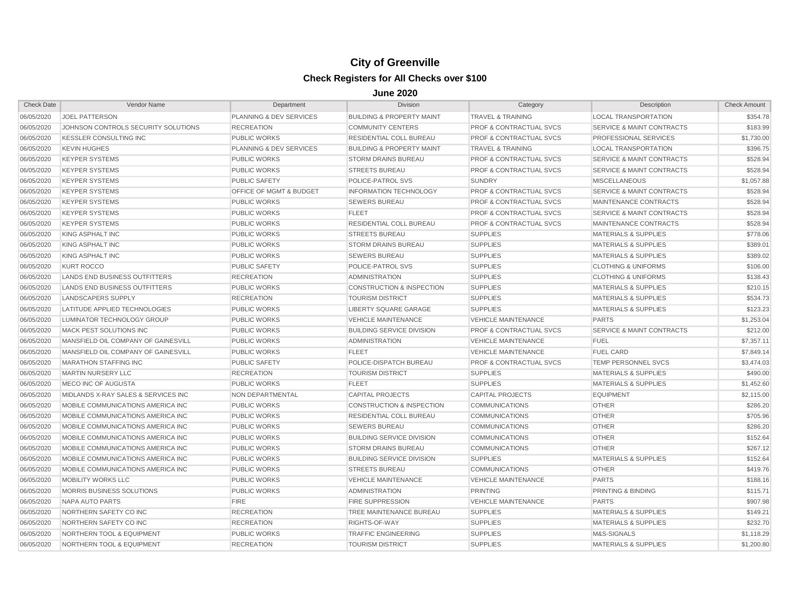| <b>Check Date</b> | Vendor Name                         | Department              | <b>Division</b>                      | Category                           | Description                          | <b>Check Amount</b> |
|-------------------|-------------------------------------|-------------------------|--------------------------------------|------------------------------------|--------------------------------------|---------------------|
| 06/05/2020        | <b>JOEL PATTERSON</b>               | PLANNING & DEV SERVICES | <b>BUILDING &amp; PROPERTY MAINT</b> | <b>TRAVEL &amp; TRAINING</b>       | <b>LOCAL TRANSPORTATION</b>          | \$354.78            |
| 06/05/2020        | JOHNSON CONTROLS SECURITY SOLUTIONS | <b>RECREATION</b>       | <b>COMMUNITY CENTERS</b>             | <b>PROF &amp; CONTRACTUAL SVCS</b> | <b>SERVICE &amp; MAINT CONTRACTS</b> | \$183.99            |
| 06/05/2020        | <b>KESSLER CONSULTING INC</b>       | <b>PUBLIC WORKS</b>     | RESIDENTIAL COLL BUREAU              | <b>PROF &amp; CONTRACTUAL SVCS</b> | PROFESSIONAL SERVICES                | \$1,730.00          |
| 06/05/2020        | <b>KEVIN HUGHES</b>                 | PLANNING & DEV SERVICES | <b>BUILDING &amp; PROPERTY MAINT</b> | <b>TRAVEL &amp; TRAINING</b>       | <b>LOCAL TRANSPORTATION</b>          | \$396.75            |
| 06/05/2020        | <b>KEYPER SYSTEMS</b>               | PUBLIC WORKS            | <b>STORM DRAINS BUREAU</b>           | <b>PROF &amp; CONTRACTUAL SVCS</b> | <b>SERVICE &amp; MAINT CONTRACTS</b> | \$528.94            |
| 06/05/2020        | <b>KEYPER SYSTEMS</b>               | <b>PUBLIC WORKS</b>     | <b>STREETS BUREAU</b>                | <b>PROF &amp; CONTRACTUAL SVCS</b> | <b>SERVICE &amp; MAINT CONTRACTS</b> | \$528.94            |
| 06/05/2020        | <b>KEYPER SYSTEMS</b>               | <b>PUBLIC SAFETY</b>    | POLICE-PATROL SVS                    | <b>SUNDRY</b>                      | <b>MISCELLANEOUS</b>                 | \$1,057.88          |
| 06/05/2020        | <b>KEYPER SYSTEMS</b>               | OFFICE OF MGMT & BUDGET | <b>INFORMATION TECHNOLOGY</b>        | <b>PROF &amp; CONTRACTUAL SVCS</b> | <b>SERVICE &amp; MAINT CONTRACTS</b> | \$528.94            |
| 06/05/2020        | <b>KEYPER SYSTEMS</b>               | <b>PUBLIC WORKS</b>     | <b>SEWERS BUREAU</b>                 | <b>PROF &amp; CONTRACTUAL SVCS</b> | MAINTENANCE CONTRACTS                | \$528.94            |
| 06/05/2020        | <b>KEYPER SYSTEMS</b>               | <b>PUBLIC WORKS</b>     | <b>FLEET</b>                         | <b>PROF &amp; CONTRACTUAL SVCS</b> | <b>SERVICE &amp; MAINT CONTRACTS</b> | \$528.94            |
| 06/05/2020        | <b>KEYPER SYSTEMS</b>               | <b>PUBLIC WORKS</b>     | <b>RESIDENTIAL COLL BUREAU</b>       | <b>PROF &amp; CONTRACTUAL SVCS</b> | MAINTENANCE CONTRACTS                | \$528.94            |
| 06/05/2020        | KING ASPHALT INC                    | <b>PUBLIC WORKS</b>     | <b>STREETS BUREAU</b>                | <b>SUPPLIES</b>                    | <b>MATERIALS &amp; SUPPLIES</b>      | \$778.06            |
| 06/05/2020        | KING ASPHALT INC                    | <b>PUBLIC WORKS</b>     | <b>STORM DRAINS BUREAU</b>           | <b>SUPPLIES</b>                    | <b>MATERIALS &amp; SUPPLIES</b>      | \$389.01            |
| 06/05/2020        | KING ASPHALT INC                    | <b>PUBLIC WORKS</b>     | <b>SEWERS BUREAU</b>                 | <b>SUPPLIES</b>                    | <b>MATERIALS &amp; SUPPLIES</b>      | \$389.02            |
| 06/05/2020        | <b>KURT ROCCO</b>                   | <b>PUBLIC SAFETY</b>    | POLICE-PATROL SVS                    | <b>SUPPLIES</b>                    | <b>CLOTHING &amp; UNIFORMS</b>       | \$106.00            |
| 06/05/2020        | LANDS END BUSINESS OUTFITTERS       | <b>RECREATION</b>       | <b>ADMINISTRATION</b>                | <b>SUPPLIES</b>                    | <b>CLOTHING &amp; UNIFORMS</b>       | \$138.43            |
| 06/05/2020        | LANDS END BUSINESS OUTFITTERS       | <b>PUBLIC WORKS</b>     | <b>CONSTRUCTION &amp; INSPECTION</b> | <b>SUPPLIES</b>                    | <b>MATERIALS &amp; SUPPLIES</b>      | \$210.15            |
| 06/05/2020        | LANDSCAPERS SUPPLY                  | <b>RECREATION</b>       | <b>TOURISM DISTRICT</b>              | <b>SUPPLIES</b>                    | <b>MATERIALS &amp; SUPPLIES</b>      | \$534.73            |
| 06/05/2020        | LATITUDE APPLIED TECHNOLOGIES       | <b>PUBLIC WORKS</b>     | <b>LIBERTY SQUARE GARAGE</b>         | <b>SUPPLIES</b>                    | <b>MATERIALS &amp; SUPPLIES</b>      | \$123.23            |
| 06/05/2020        | LUMINATOR TECHNOLOGY GROUP          | <b>PUBLIC WORKS</b>     | <b>VEHICLE MAINTENANCE</b>           | <b>VEHICLE MAINTENANCE</b>         | <b>PARTS</b>                         | \$1,253.04          |
| 06/05/2020        | <b>MACK PEST SOLUTIONS INC</b>      | <b>PUBLIC WORKS</b>     | <b>BUILDING SERVICE DIVISION</b>     | <b>PROF &amp; CONTRACTUAL SVCS</b> | <b>SERVICE &amp; MAINT CONTRACTS</b> | \$212.00            |
| 06/05/2020        | MANSFIELD OIL COMPANY OF GAINESVILL | <b>PUBLIC WORKS</b>     | <b>ADMINISTRATION</b>                | <b>VEHICLE MAINTENANCE</b>         | <b>FUEL</b>                          | \$7,357.11          |
| 06/05/2020        | MANSFIELD OIL COMPANY OF GAINESVILL | <b>PUBLIC WORKS</b>     | <b>FLEET</b>                         | <b>VEHICLE MAINTENANCE</b>         | <b>FUEL CARD</b>                     | \$7,849.14          |
| 06/05/2020        | <b>MARATHON STAFFING INC</b>        | <b>PUBLIC SAFETY</b>    | POLICE-DISPATCH BUREAU               | <b>PROF &amp; CONTRACTUAL SVCS</b> | TEMP PERSONNEL SVCS                  | \$3,474.03          |
| 06/05/2020        | <b>MARTIN NURSERY LLC</b>           | <b>RECREATION</b>       | <b>TOURISM DISTRICT</b>              | <b>SUPPLIES</b>                    | <b>MATERIALS &amp; SUPPLIES</b>      | \$490.00            |
| 06/05/2020        | <b>MECO INC OF AUGUSTA</b>          | <b>PUBLIC WORKS</b>     | <b>FLEET</b>                         | <b>SUPPLIES</b>                    | <b>MATERIALS &amp; SUPPLIES</b>      | \$1,452.60          |
| 06/05/2020        | MIDLANDS X-RAY SALES & SERVICES INC | <b>NON DEPARTMENTAL</b> | <b>CAPITAL PROJECTS</b>              | <b>CAPITAL PROJECTS</b>            | <b>EQUIPMENT</b>                     | \$2,115.00          |
| 06/05/2020        | MOBILE COMMUNICATIONS AMERICA INC   | <b>PUBLIC WORKS</b>     | <b>CONSTRUCTION &amp; INSPECTION</b> | <b>COMMUNICATIONS</b>              | <b>OTHER</b>                         | \$286.20            |
| 06/05/2020        | MOBILE COMMUNICATIONS AMERICA INC   | <b>PUBLIC WORKS</b>     | RESIDENTIAL COLL BUREAU              | <b>COMMUNICATIONS</b>              | <b>OTHER</b>                         | \$705.96            |
| 06/05/2020        | MOBILE COMMUNICATIONS AMERICA INC   | <b>PUBLIC WORKS</b>     | <b>SEWERS BUREAU</b>                 | <b>COMMUNICATIONS</b>              | <b>OTHER</b>                         | \$286.20            |
| 06/05/2020        | MOBILE COMMUNICATIONS AMERICA INC   | <b>PUBLIC WORKS</b>     | <b>BUILDING SERVICE DIVISION</b>     | <b>COMMUNICATIONS</b>              | <b>OTHER</b>                         | \$152.64            |
| 06/05/2020        | MOBILE COMMUNICATIONS AMERICA INC   | <b>PUBLIC WORKS</b>     | <b>STORM DRAINS BUREAU</b>           | <b>COMMUNICATIONS</b>              | <b>OTHER</b>                         | \$267.12            |
| 06/05/2020        | MOBILE COMMUNICATIONS AMERICA INC   | <b>PUBLIC WORKS</b>     | <b>BUILDING SERVICE DIVISION</b>     | <b>SUPPLIES</b>                    | <b>MATERIALS &amp; SUPPLIES</b>      | \$152.64            |
| 06/05/2020        | MOBILE COMMUNICATIONS AMERICA INC   | <b>PUBLIC WORKS</b>     | <b>STREETS BUREAU</b>                | <b>COMMUNICATIONS</b>              | <b>OTHER</b>                         | \$419.76            |
| 06/05/2020        | <b>MOBILITY WORKS LLC</b>           | <b>PUBLIC WORKS</b>     | <b>VEHICLE MAINTENANCE</b>           | <b>VEHICLE MAINTENANCE</b>         | <b>PARTS</b>                         | \$188.16            |
| 06/05/2020        | MORRIS BUSINESS SOLUTIONS           | <b>PUBLIC WORKS</b>     | <b>ADMINISTRATION</b>                | <b>PRINTING</b>                    | PRINTING & BINDING                   | \$115.71            |
| 06/05/2020        | NAPA AUTO PARTS                     | <b>FIRE</b>             | <b>FIRE SUPPRESSION</b>              | <b>VEHICLE MAINTENANCE</b>         | <b>PARTS</b>                         | \$907.98            |
| 06/05/2020        | NORTHERN SAFETY CO INC              | <b>RECREATION</b>       | <b>TREE MAINTENANCE BUREAU</b>       | <b>SUPPLIES</b>                    | <b>MATERIALS &amp; SUPPLIES</b>      | \$149.21            |
| 06/05/2020        | NORTHERN SAFETY CO INC              | <b>RECREATION</b>       | RIGHTS-OF-WAY                        | <b>SUPPLIES</b>                    | <b>MATERIALS &amp; SUPPLIES</b>      | \$232.70            |
| 06/05/2020        | NORTHERN TOOL & EQUIPMENT           | <b>PUBLIC WORKS</b>     | <b>TRAFFIC ENGINEERING</b>           | <b>SUPPLIES</b>                    | M&S-SIGNALS                          | \$1,118.29          |
| 06/05/2020        | NORTHERN TOOL & EQUIPMENT           | <b>RECREATION</b>       | <b>TOURISM DISTRICT</b>              | <b>SUPPLIES</b>                    | <b>MATERIALS &amp; SUPPLIES</b>      | \$1,200.80          |
|                   |                                     |                         |                                      |                                    |                                      |                     |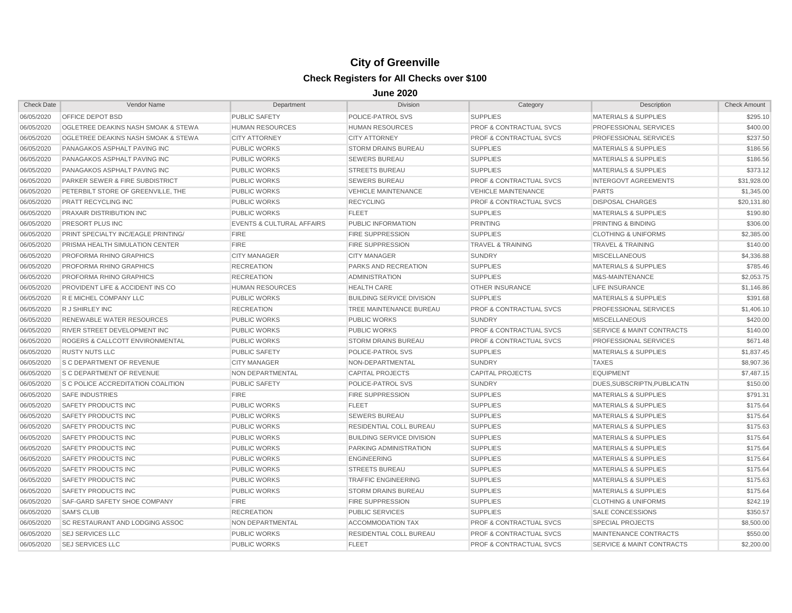| <b>Check Date</b> | Vendor Name                                    | Department                           | <b>Division</b>                  | Category                           | Description                          | <b>Check Amount</b> |
|-------------------|------------------------------------------------|--------------------------------------|----------------------------------|------------------------------------|--------------------------------------|---------------------|
| 06/05/2020        | <b>OFFICE DEPOT BSD</b>                        | <b>PUBLIC SAFETY</b>                 | POLICE-PATROL SVS                | <b>SUPPLIES</b>                    | <b>MATERIALS &amp; SUPPLIES</b>      | \$295.10            |
| 06/05/2020        | <b>OGLETREE DEAKINS NASH SMOAK &amp; STEWA</b> | <b>HUMAN RESOURCES</b>               | <b>HUMAN RESOURCES</b>           | <b>PROF &amp; CONTRACTUAL SVCS</b> | <b>PROFESSIONAL SERVICES</b>         | \$400.00            |
| 06/05/2020        | <b>OGLETREE DEAKINS NASH SMOAK &amp; STEWA</b> | <b>CITY ATTORNEY</b>                 | <b>CITY ATTORNEY</b>             | <b>PROF &amp; CONTRACTUAL SVCS</b> | <b>PROFESSIONAL SERVICES</b>         | \$237.50            |
| 06/05/2020        | PANAGAKOS ASPHALT PAVING INC                   | <b>PUBLIC WORKS</b>                  | <b>STORM DRAINS BUREAU</b>       | <b>SUPPLIES</b>                    | <b>MATERIALS &amp; SUPPLIES</b>      | \$186.56            |
| 06/05/2020        | PANAGAKOS ASPHALT PAVING INC                   | <b>PUBLIC WORKS</b>                  | <b>SEWERS BUREAU</b>             | <b>SUPPLIES</b>                    | <b>MATERIALS &amp; SUPPLIES</b>      | \$186.56            |
| 06/05/2020        | PANAGAKOS ASPHALT PAVING INC                   | <b>PUBLIC WORKS</b>                  | <b>STREETS BUREAU</b>            | <b>SUPPLIES</b>                    | <b>MATERIALS &amp; SUPPLIES</b>      | \$373.12            |
| 06/05/2020        | <b>PARKER SEWER &amp; FIRE SUBDISTRICT</b>     | <b>PUBLIC WORKS</b>                  | <b>SEWERS BUREAU</b>             | <b>PROF &amp; CONTRACTUAL SVCS</b> | <b>INTERGOVT AGREEMENTS</b>          | \$31,928.00         |
| 06/05/2020        | PETERBILT STORE OF GREENVILLE, THE             | <b>PUBLIC WORKS</b>                  | <b>VEHICLE MAINTENANCE</b>       | <b>VEHICLE MAINTENANCE</b>         | <b>PARTS</b>                         | \$1,345.00          |
| 06/05/2020        | <b>PRATT RECYCLING INC</b>                     | <b>PUBLIC WORKS</b>                  | <b>RECYCLING</b>                 | <b>PROF &amp; CONTRACTUAL SVCS</b> | <b>DISPOSAL CHARGES</b>              | \$20,131.80         |
| 06/05/2020        | <b>PRAXAIR DISTRIBUTION INC</b>                | <b>PUBLIC WORKS</b>                  | <b>FLEET</b>                     | <b>SUPPLIES</b>                    | <b>MATERIALS &amp; SUPPLIES</b>      | \$190.80            |
| 06/05/2020        | PRESORT PLUS INC.                              | <b>EVENTS &amp; CULTURAL AFFAIRS</b> | PUBLIC INFORMATION               | <b>PRINTING</b>                    | <b>PRINTING &amp; BINDING</b>        | \$306.00            |
| 06/05/2020        | PRINT SPECIALTY INC/EAGLE PRINTING/            | <b>FIRE</b>                          | <b>FIRE SUPPRESSION</b>          | <b>SUPPLIES</b>                    | <b>CLOTHING &amp; UNIFORMS</b>       | \$2,385.00          |
| 06/05/2020        | PRISMA HEALTH SIMULATION CENTER                | <b>FIRE</b>                          | <b>FIRE SUPPRESSION</b>          | <b>TRAVEL &amp; TRAINING</b>       | <b>TRAVEL &amp; TRAINING</b>         | \$140.00            |
| 06/05/2020        | <b>PROFORMA RHINO GRAPHICS</b>                 | <b>CITY MANAGER</b>                  | <b>CITY MANAGER</b>              | <b>SUNDRY</b>                      | <b>MISCELLANEOUS</b>                 | \$4,336.88          |
| 06/05/2020        | <b>PROFORMA RHINO GRAPHICS</b>                 | <b>RECREATION</b>                    | <b>PARKS AND RECREATION</b>      | <b>SUPPLIES</b>                    | <b>MATERIALS &amp; SUPPLIES</b>      | \$785.46            |
| 06/05/2020        | <b>PROFORMA RHINO GRAPHICS</b>                 | <b>RECREATION</b>                    | <b>ADMINISTRATION</b>            | <b>SUPPLIES</b>                    | M&S-MAINTENANCE                      | \$2,053.75          |
| 06/05/2020        | <b>PROVIDENT LIFE &amp; ACCIDENT INS CO</b>    | <b>HUMAN RESOURCES</b>               | <b>HEALTH CARE</b>               | <b>OTHER INSURANCE</b>             | LIFE INSURANCE                       | \$1,146.86          |
| 06/05/2020        | R E MICHEL COMPANY LLC                         | <b>PUBLIC WORKS</b>                  | <b>BUILDING SERVICE DIVISION</b> | <b>SUPPLIES</b>                    | <b>MATERIALS &amp; SUPPLIES</b>      | \$391.68            |
| 06/05/2020        | R J SHIRLEY INC                                | <b>RECREATION</b>                    | TREE MAINTENANCE BUREAU          | <b>PROF &amp; CONTRACTUAL SVCS</b> | <b>PROFESSIONAL SERVICES</b>         | \$1,406.10          |
| 06/05/2020        | <b>RENEWABLE WATER RESOURCES</b>               | <b>PUBLIC WORKS</b>                  | <b>PUBLIC WORKS</b>              | <b>SUNDRY</b>                      | <b>MISCELLANEOUS</b>                 | \$420.00            |
| 06/05/2020        | <b>RIVER STREET DEVELOPMENT INC</b>            | <b>PUBLIC WORKS</b>                  | <b>PUBLIC WORKS</b>              | <b>PROF &amp; CONTRACTUAL SVCS</b> | <b>SERVICE &amp; MAINT CONTRACTS</b> | \$140.00            |
| 06/05/2020        | <b>ROGERS &amp; CALLCOTT ENVIRONMENTAL</b>     | <b>PUBLIC WORKS</b>                  | <b>STORM DRAINS BUREAU</b>       | <b>PROF &amp; CONTRACTUAL SVCS</b> | <b>PROFESSIONAL SERVICES</b>         | \$671.48            |
| 06/05/2020        | <b>RUSTY NUTS LLC</b>                          | <b>PUBLIC SAFETY</b>                 | POLICE-PATROL SVS                | <b>SUPPLIES</b>                    | <b>MATERIALS &amp; SUPPLIES</b>      | \$1,837.45          |
| 06/05/2020        | <b>S C DEPARTMENT OF REVENUE</b>               | <b>CITY MANAGER</b>                  | NON-DEPARTMENTAL                 | <b>SUNDRY</b>                      | <b>TAXES</b>                         | \$8,907.36          |
| 06/05/2020        | <b>S C DEPARTMENT OF REVENUE</b>               | NON DEPARTMENTAL                     | <b>CAPITAL PROJECTS</b>          | <b>CAPITAL PROJECTS</b>            | <b>EQUIPMENT</b>                     | \$7,487.15          |
| 06/05/2020        | <b>S C POLICE ACCREDITATION COALITION</b>      | <b>PUBLIC SAFETY</b>                 | POLICE-PATROL SVS                | <b>SUNDRY</b>                      | DUES.SUBSCRIPTN.PUBLICATN            | \$150.00            |
| 06/05/2020        | <b>SAFE INDUSTRIES</b>                         | <b>FIRE</b>                          | <b>FIRE SUPPRESSION</b>          | <b>SUPPLIES</b>                    | <b>MATERIALS &amp; SUPPLIES</b>      | \$791.31            |
| 06/05/2020        | SAFETY PRODUCTS INC                            | <b>PUBLIC WORKS</b>                  | <b>FLEET</b>                     | <b>SUPPLIES</b>                    | <b>MATERIALS &amp; SUPPLIES</b>      | \$175.64            |
| 06/05/2020        | SAFETY PRODUCTS INC                            | <b>PUBLIC WORKS</b>                  | <b>SEWERS BUREAU</b>             | <b>SUPPLIES</b>                    | <b>MATERIALS &amp; SUPPLIES</b>      | \$175.64            |
| 06/05/2020        | SAFETY PRODUCTS INC                            | <b>PUBLIC WORKS</b>                  | RESIDENTIAL COLL BUREAU          | <b>SUPPLIES</b>                    | <b>MATERIALS &amp; SUPPLIES</b>      | \$175.63            |
| 06/05/2020        | SAFETY PRODUCTS INC                            | <b>PUBLIC WORKS</b>                  | <b>BUILDING SERVICE DIVISION</b> | <b>SUPPLIES</b>                    | <b>MATERIALS &amp; SUPPLIES</b>      | \$175.64            |
| 06/05/2020        | SAFETY PRODUCTS INC                            | <b>PUBLIC WORKS</b>                  | PARKING ADMINISTRATION           | <b>SUPPLIES</b>                    | <b>MATERIALS &amp; SUPPLIES</b>      | \$175.64            |
| 06/05/2020        | SAFETY PRODUCTS INC                            | <b>PUBLIC WORKS</b>                  | <b>ENGINEERING</b>               | <b>SUPPLIES</b>                    | <b>MATERIALS &amp; SUPPLIES</b>      | \$175.64            |
| 06/05/2020        | <b>SAFETY PRODUCTS INC</b>                     | <b>PUBLIC WORKS</b>                  | <b>STREETS BUREAU</b>            | <b>SUPPLIES</b>                    | <b>MATERIALS &amp; SUPPLIES</b>      | \$175.64            |
| 06/05/2020        | <b>SAFETY PRODUCTS INC</b>                     | <b>PUBLIC WORKS</b>                  | <b>TRAFFIC ENGINEERING</b>       | <b>SUPPLIES</b>                    | <b>MATERIALS &amp; SUPPLIES</b>      | \$175.63            |
| 06/05/2020        | SAFETY PRODUCTS INC                            | <b>PUBLIC WORKS</b>                  | <b>STORM DRAINS BUREAU</b>       | <b>SUPPLIES</b>                    | <b>MATERIALS &amp; SUPPLIES</b>      | \$175.64            |
| 06/05/2020        | <b>SAF-GARD SAFETY SHOE COMPANY</b>            | <b>FIRE</b>                          | <b>FIRE SUPPRESSION</b>          | <b>SUPPLIES</b>                    | <b>CLOTHING &amp; UNIFORMS</b>       | \$242.19            |
| 06/05/2020        | <b>SAM'S CLUB</b>                              | <b>RECREATION</b>                    | <b>PUBLIC SERVICES</b>           | <b>SUPPLIES</b>                    | SALE CONCESSIONS                     | \$350.57            |
| 06/05/2020        | <b>SC RESTAURANT AND LODGING ASSOC</b>         | <b>NON DEPARTMENTAL</b>              | <b>ACCOMMODATION TAX</b>         | <b>PROF &amp; CONTRACTUAL SVCS</b> | <b>SPECIAL PROJECTS</b>              | \$8,500.00          |
| 06/05/2020        | <b>SEJ SERVICES LLC</b>                        | <b>PUBLIC WORKS</b>                  | RESIDENTIAL COLL BUREAU          | <b>PROF &amp; CONTRACTUAL SVCS</b> | MAINTENANCE CONTRACTS                | \$550.00            |
| 06/05/2020        | <b>SEJ SERVICES LLC</b>                        | <b>PUBLIC WORKS</b>                  | <b>FLEET</b>                     | <b>PROF &amp; CONTRACTUAL SVCS</b> | <b>SERVICE &amp; MAINT CONTRACTS</b> | \$2,200.00          |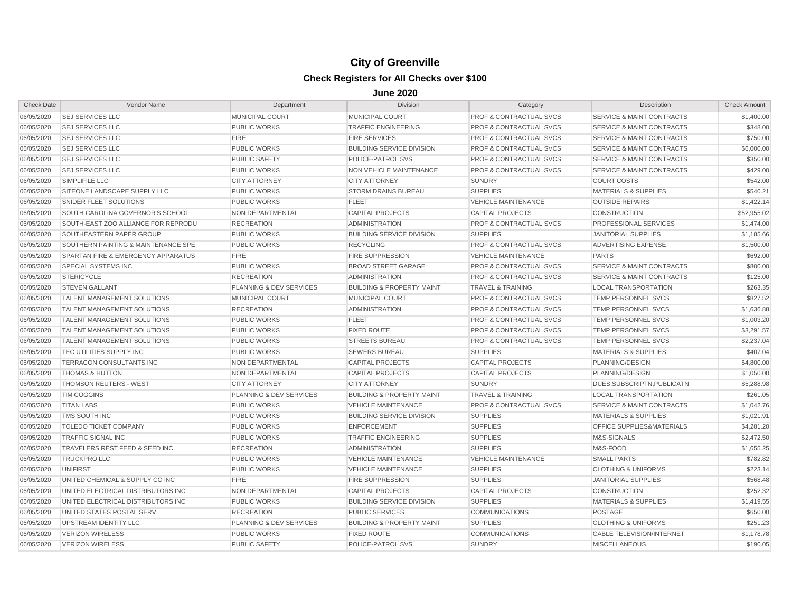| <b>Check Date</b> | Vendor Name                                   | Department              | <b>Division</b>                      | Category                           | Description                          | <b>Check Amount</b> |
|-------------------|-----------------------------------------------|-------------------------|--------------------------------------|------------------------------------|--------------------------------------|---------------------|
| 06/05/2020        | <b>SEJ SERVICES LLC</b>                       | MUNICIPAL COURT         | <b>MUNICIPAL COURT</b>               | <b>PROF &amp; CONTRACTUAL SVCS</b> | <b>SERVICE &amp; MAINT CONTRACTS</b> | \$1,400.00          |
| 06/05/2020        | <b>SEJ SERVICES LLC</b>                       | <b>PUBLIC WORKS</b>     | <b>TRAFFIC ENGINEERING</b>           | <b>PROF &amp; CONTRACTUAL SVCS</b> | <b>SERVICE &amp; MAINT CONTRACTS</b> | \$348.00            |
| 06/05/2020        | <b>SEJ SERVICES LLC</b>                       | <b>FIRE</b>             | <b>FIRE SERVICES</b>                 | <b>PROF &amp; CONTRACTUAL SVCS</b> | <b>SERVICE &amp; MAINT CONTRACTS</b> | \$750.00            |
| 06/05/2020        | <b>SEJ SERVICES LLC</b>                       | <b>PUBLIC WORKS</b>     | <b>BUILDING SERVICE DIVISION</b>     | <b>PROF &amp; CONTRACTUAL SVCS</b> | <b>SERVICE &amp; MAINT CONTRACTS</b> | \$6,000.00          |
| 06/05/2020        | <b>SEJ SERVICES LLC</b>                       | <b>PUBLIC SAFETY</b>    | POLICE-PATROL SVS                    | <b>PROF &amp; CONTRACTUAL SVCS</b> | <b>SERVICE &amp; MAINT CONTRACTS</b> | \$350.00            |
| 06/05/2020        | <b>SEJ SERVICES LLC</b>                       | <b>PUBLIC WORKS</b>     | NON VEHICLE MAINTENANCE              | <b>PROF &amp; CONTRACTUAL SVCS</b> | <b>SERVICE &amp; MAINT CONTRACTS</b> | \$429.00            |
| 06/05/2020        | SIMPLIFILE LLC                                | <b>CITY ATTORNEY</b>    | <b>CITY ATTORNEY</b>                 | <b>SUNDRY</b>                      | <b>COURT COSTS</b>                   | \$542.00            |
| 06/05/2020        | SITEONE LANDSCAPE SUPPLY LLC                  | <b>PUBLIC WORKS</b>     | <b>STORM DRAINS BUREAU</b>           | <b>SUPPLIES</b>                    | <b>MATERIALS &amp; SUPPLIES</b>      | \$540.21            |
| 06/05/2020        | SNIDER FLEET SOLUTIONS                        | <b>PUBLIC WORKS</b>     | <b>FLEET</b>                         | <b>VEHICLE MAINTENANCE</b>         | <b>OUTSIDE REPAIRS</b>               | \$1,422.14          |
| 06/05/2020        | SOUTH CAROLINA GOVERNOR'S SCHOOL              | NON DEPARTMENTAL        | <b>CAPITAL PROJECTS</b>              | <b>CAPITAL PROJECTS</b>            | <b>CONSTRUCTION</b>                  | \$52,955.02         |
| 06/05/2020        | SOUTH-EAST ZOO ALLIANCE FOR REPRODU           | <b>RECREATION</b>       | <b>ADMINISTRATION</b>                | <b>PROF &amp; CONTRACTUAL SVCS</b> | PROFESSIONAL SERVICES                | \$1,474.00          |
| 06/05/2020        | SOUTHEASTERN PAPER GROUP                      | <b>PUBLIC WORKS</b>     | <b>BUILDING SERVICE DIVISION</b>     | <b>SUPPLIES</b>                    | <b>JANITORIAL SUPPLIES</b>           | \$1,185.66          |
| 06/05/2020        | SOUTHERN PAINTING & MAINTENANCE SPE           | <b>PUBLIC WORKS</b>     | <b>RECYCLING</b>                     | <b>PROF &amp; CONTRACTUAL SVCS</b> | ADVERTISING EXPENSE                  | \$1,500.00          |
| 06/05/2020        | <b>SPARTAN FIRE &amp; EMERGENCY APPARATUS</b> | <b>FIRE</b>             | <b>FIRE SUPPRESSION</b>              | <b>VEHICLE MAINTENANCE</b>         | <b>PARTS</b>                         | \$692.00            |
| 06/05/2020        | <b>SPECIAL SYSTEMS INC</b>                    | <b>PUBLIC WORKS</b>     | <b>BROAD STREET GARAGE</b>           | <b>PROF &amp; CONTRACTUAL SVCS</b> | <b>SERVICE &amp; MAINT CONTRACTS</b> | \$800.00            |
| 06/05/2020        | <b>STERICYCLE</b>                             | <b>RECREATION</b>       | <b>ADMINISTRATION</b>                | <b>PROF &amp; CONTRACTUAL SVCS</b> | <b>SERVICE &amp; MAINT CONTRACTS</b> | \$125.00            |
| 06/05/2020        | <b>STEVEN GALLANT</b>                         | PLANNING & DEV SERVICES | <b>BUILDING &amp; PROPERTY MAINT</b> | <b>TRAVEL &amp; TRAINING</b>       | <b>LOCAL TRANSPORTATION</b>          | \$263.35            |
| 06/05/2020        | <b>TALENT MANAGEMENT SOLUTIONS</b>            | <b>MUNICIPAL COURT</b>  | MUNICIPAL COURT                      | <b>PROF &amp; CONTRACTUAL SVCS</b> | TEMP PERSONNEL SVCS                  | \$827.52            |
| 06/05/2020        | <b>TALENT MANAGEMENT SOLUTIONS</b>            | <b>RECREATION</b>       | <b>ADMINISTRATION</b>                | <b>PROF &amp; CONTRACTUAL SVCS</b> | <b>TEMP PERSONNEL SVCS</b>           | \$1,636.88          |
| 06/05/2020        | <b>TALENT MANAGEMENT SOLUTIONS</b>            | <b>PUBLIC WORKS</b>     | <b>FLEET</b>                         | <b>PROF &amp; CONTRACTUAL SVCS</b> | <b>TEMP PERSONNEL SVCS</b>           | \$1,003.20          |
| 06/05/2020        | <b>TALENT MANAGEMENT SOLUTIONS</b>            | <b>PUBLIC WORKS</b>     | <b>FIXED ROUTE</b>                   | PROF & CONTRACTUAL SVCS            | <b>TEMP PERSONNEL SVCS</b>           | \$3,291.57          |
| 06/05/2020        | <b>TALENT MANAGEMENT SOLUTIONS</b>            | <b>PUBLIC WORKS</b>     | <b>STREETS BUREAU</b>                | PROF & CONTRACTUAL SVCS            | TEMP PERSONNEL SVCS                  | \$2,237.04          |
| 06/05/2020        | <b>TEC UTILITIES SUPPLY INC</b>               | <b>PUBLIC WORKS</b>     | <b>SEWERS BUREAU</b>                 | <b>SUPPLIES</b>                    | <b>MATERIALS &amp; SUPPLIES</b>      | \$407.04            |
| 06/05/2020        | TERRACON CONSULTANTS INC                      | NON DEPARTMENTAL        | <b>CAPITAL PROJECTS</b>              | <b>CAPITAL PROJECTS</b>            | PLANNING/DESIGN                      | \$4,800.00          |
| 06/05/2020        | <b>THOMAS &amp; HUTTON</b>                    | NON DEPARTMENTAL        | <b>CAPITAL PROJECTS</b>              | <b>CAPITAL PROJECTS</b>            | PLANNING/DESIGN                      | \$1,050.00          |
| 06/05/2020        | <b>THOMSON REUTERS - WEST</b>                 | <b>CITY ATTORNEY</b>    | <b>CITY ATTORNEY</b>                 | <b>SUNDRY</b>                      | DUES.SUBSCRIPTN.PUBLICATN            | \$5,288.98          |
| 06/05/2020        | <b>TIM COGGINS</b>                            | PLANNING & DEV SERVICES | <b>BUILDING &amp; PROPERTY MAINT</b> | <b>TRAVEL &amp; TRAINING</b>       | <b>LOCAL TRANSPORTATION</b>          | \$261.05            |
| 06/05/2020        | <b>TITAN LABS</b>                             | <b>PUBLIC WORKS</b>     | <b>VEHICLE MAINTENANCE</b>           | <b>PROF &amp; CONTRACTUAL SVCS</b> | <b>SERVICE &amp; MAINT CONTRACTS</b> | \$1,042.76          |
| 06/05/2020        | TMS SOUTH INC                                 | <b>PUBLIC WORKS</b>     | <b>BUILDING SERVICE DIVISION</b>     | <b>SUPPLIES</b>                    | <b>MATERIALS &amp; SUPPLIES</b>      | \$1,021.91          |
| 06/05/2020        | <b>TOLEDO TICKET COMPANY</b>                  | <b>PUBLIC WORKS</b>     | <b>ENFORCEMENT</b>                   | <b>SUPPLIES</b>                    | OFFICE SUPPLIES&MATERIALS            | \$4,281.20          |
| 06/05/2020        | <b>TRAFFIC SIGNAL INC</b>                     | <b>PUBLIC WORKS</b>     | <b>TRAFFIC ENGINEERING</b>           | <b>SUPPLIES</b>                    | M&S-SIGNALS                          | \$2,472.50          |
| 06/05/2020        | TRAVELERS REST FEED & SEED INC                | <b>RECREATION</b>       | <b>ADMINISTRATION</b>                | <b>SUPPLIES</b>                    | M&S-FOOD                             | \$1,655.25          |
| 06/05/2020        | <b>TRUCKPROLLC</b>                            | <b>PUBLIC WORKS</b>     | <b>VEHICLE MAINTENANCE</b>           | <b>VEHICLE MAINTENANCE</b>         | <b>SMALL PARTS</b>                   | \$782.82            |
| 06/05/2020        | UNIFIRST                                      | <b>PUBLIC WORKS</b>     | <b>VEHICLE MAINTENANCE</b>           | <b>SUPPLIES</b>                    | <b>CLOTHING &amp; UNIFORMS</b>       | \$223.14            |
| 06/05/2020        | UNITED CHEMICAL & SUPPLY CO INC               | <b>FIRE</b>             | <b>FIRE SUPPRESSION</b>              | <b>SUPPLIES</b>                    | <b>JANITORIAL SUPPLIES</b>           | \$568.48            |
| 06/05/2020        | UNITED ELECTRICAL DISTRIBUTORS INC            | NON DEPARTMENTAL        | <b>CAPITAL PROJECTS</b>              | <b>CAPITAL PROJECTS</b>            | <b>CONSTRUCTION</b>                  | \$252.32            |
| 06/05/2020        | UNITED ELECTRICAL DISTRIBUTORS INC            | <b>PUBLIC WORKS</b>     | <b>BUILDING SERVICE DIVISION</b>     | <b>SUPPLIES</b>                    | <b>MATERIALS &amp; SUPPLIES</b>      | \$1,419.55          |
| 06/05/2020        | UNITED STATES POSTAL SERV.                    | <b>RECREATION</b>       | <b>PUBLIC SERVICES</b>               | <b>COMMUNICATIONS</b>              | <b>POSTAGE</b>                       | \$650.00            |
| 06/05/2020        | UPSTREAM IDENTITY LLC                         | PLANNING & DEV SERVICES | <b>BUILDING &amp; PROPERTY MAINT</b> | <b>SUPPLIES</b>                    | <b>CLOTHING &amp; UNIFORMS</b>       | \$251.23            |
| 06/05/2020        | <b>VERIZON WIRELESS</b>                       | <b>PUBLIC WORKS</b>     | <b>FIXED ROUTE</b>                   | <b>COMMUNICATIONS</b>              | <b>CABLE TELEVISION/INTERNET</b>     | \$1,178.78          |
| 06/05/2020        | <b>VERIZON WIRELESS</b>                       | <b>PUBLIC SAFETY</b>    | POLICE-PATROL SVS                    | <b>SUNDRY</b>                      | <b>MISCELLANEOUS</b>                 | \$190.05            |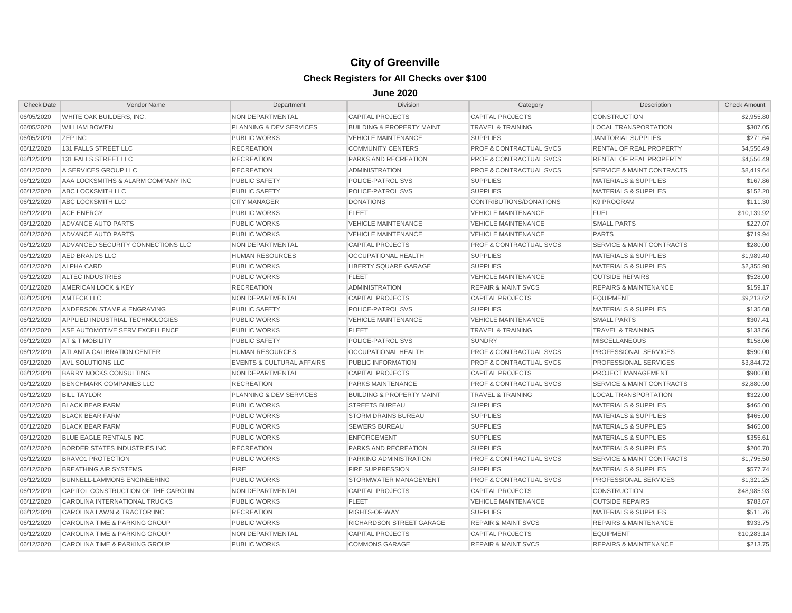| <b>Check Date</b> | Vendor Name                         | Department                           | <b>Division</b>                      | Category                           | Description                          | <b>Check Amount</b> |
|-------------------|-------------------------------------|--------------------------------------|--------------------------------------|------------------------------------|--------------------------------------|---------------------|
| 06/05/2020        | WHITE OAK BUILDERS, INC.            | NON DEPARTMENTAL                     | <b>CAPITAL PROJECTS</b>              | <b>CAPITAL PROJECTS</b>            | CONSTRUCTION                         | \$2,955.80          |
| 06/05/2020        | <b>WILLIAM BOWEN</b>                | <b>PLANNING &amp; DEV SERVICES</b>   | <b>BUILDING &amp; PROPERTY MAINT</b> | <b>TRAVEL &amp; TRAINING</b>       | <b>LOCAL TRANSPORTATION</b>          | \$307.05            |
| 06/05/2020        | <b>ZEP INC</b>                      | <b>PUBLIC WORKS</b>                  | <b>VEHICLE MAINTENANCE</b>           | <b>SUPPLIES</b>                    | <b>JANITORIAL SUPPLIES</b>           | \$271.64            |
| 06/12/2020        | 131 FALLS STREET LLC                | <b>RECREATION</b>                    | <b>COMMUNITY CENTERS</b>             | <b>PROF &amp; CONTRACTUAL SVCS</b> | <b>RENTAL OF REAL PROPERTY</b>       | \$4,556.49          |
| 06/12/2020        | 131 FALLS STREET LLC                | <b>RECREATION</b>                    | <b>PARKS AND RECREATION</b>          | <b>PROF &amp; CONTRACTUAL SVCS</b> | <b>RENTAL OF REAL PROPERTY</b>       | \$4,556.49          |
| 06/12/2020        | A SERVICES GROUP LLC                | <b>RECREATION</b>                    | <b>ADMINISTRATION</b>                | <b>PROF &amp; CONTRACTUAL SVCS</b> | <b>SERVICE &amp; MAINT CONTRACTS</b> | \$8,419.64          |
| 06/12/2020        | AAA LOCKSMITHS & ALARM COMPANY INC  | <b>PUBLIC SAFETY</b>                 | POLICE-PATROL SVS                    | <b>SUPPLIES</b>                    | <b>MATERIALS &amp; SUPPLIES</b>      | \$167.86            |
| 06/12/2020        | ABC LOCKSMITH LLC                   | <b>PUBLIC SAFETY</b>                 | POLICE-PATROL SVS                    | <b>SUPPLIES</b>                    | <b>MATERIALS &amp; SUPPLIES</b>      | \$152.20            |
| 06/12/2020        | ABC LOCKSMITH LLC                   | <b>CITY MANAGER</b>                  | <b>DONATIONS</b>                     | CONTRIBUTIONS/DONATIONS            | K9 PROGRAM                           | \$111.30            |
| 06/12/2020        | <b>ACE ENERGY</b>                   | <b>PUBLIC WORKS</b>                  | <b>FLEET</b>                         | <b>VEHICLE MAINTENANCE</b>         | <b>FUEL</b>                          | \$10,139.92         |
| 06/12/2020        | <b>ADVANCE AUTO PARTS</b>           | <b>PUBLIC WORKS</b>                  | <b>VEHICLE MAINTENANCE</b>           | <b>VEHICLE MAINTENANCE</b>         | <b>SMALL PARTS</b>                   | \$227.07            |
| 06/12/2020        | ADVANCE AUTO PARTS                  | <b>PUBLIC WORKS</b>                  | <b>VEHICLE MAINTENANCE</b>           | <b>VEHICLE MAINTENANCE</b>         | <b>PARTS</b>                         | \$719.94            |
| 06/12/2020        | ADVANCED SECURITY CONNECTIONS LLC   | NON DEPARTMENTAL                     | <b>CAPITAL PROJECTS</b>              | <b>PROF &amp; CONTRACTUAL SVCS</b> | <b>SERVICE &amp; MAINT CONTRACTS</b> | \$280.00            |
| 06/12/2020        | <b>AED BRANDS LLC</b>               | <b>HUMAN RESOURCES</b>               | <b>OCCUPATIONAL HEALTH</b>           | <b>SUPPLIES</b>                    | <b>MATERIALS &amp; SUPPLIES</b>      | \$1,989.40          |
| 06/12/2020        | ALPHA CARD                          | <b>PUBLIC WORKS</b>                  | LIBERTY SQUARE GARAGE                | <b>SUPPLIES</b>                    | <b>MATERIALS &amp; SUPPLIES</b>      | \$2,355.90          |
| 06/12/2020        | <b>ALTEC INDUSTRIES</b>             | <b>PUBLIC WORKS</b>                  | <b>FLEET</b>                         | <b>VEHICLE MAINTENANCE</b>         | <b>OUTSIDE REPAIRS</b>               | \$528.00            |
| 06/12/2020        | AMERICAN LOCK & KEY                 | <b>RECREATION</b>                    | <b>ADMINISTRATION</b>                | <b>REPAIR &amp; MAINT SVCS</b>     | <b>REPAIRS &amp; MAINTENANCE</b>     | \$159.17            |
| 06/12/2020        | <b>AMTECK LLC</b>                   | <b>NON DEPARTMENTAL</b>              | <b>CAPITAL PROJECTS</b>              | <b>CAPITAL PROJECTS</b>            | <b>EQUIPMENT</b>                     | \$9.213.62          |
| 06/12/2020        | ANDERSON STAMP & ENGRAVING          | <b>PUBLIC SAFETY</b>                 | POLICE-PATROL SVS                    | <b>SUPPLIES</b>                    | <b>MATERIALS &amp; SUPPLIES</b>      | \$135.68            |
| 06/12/2020        | APPLIED INDUSTRIAL TECHNOLOGIES     | <b>PUBLIC WORKS</b>                  | <b>VEHICLE MAINTENANCE</b>           | <b>VEHICLE MAINTENANCE</b>         | <b>SMALL PARTS</b>                   | \$307.41            |
| 06/12/2020        | ASE AUTOMOTIVE SERV EXCELLENCE      | <b>PUBLIC WORKS</b>                  | <b>FLEET</b>                         | <b>TRAVEL &amp; TRAINING</b>       | <b>TRAVEL &amp; TRAINING</b>         | \$133.56            |
| 06/12/2020        | <b>AT &amp; T MOBILITY</b>          | <b>PUBLIC SAFETY</b>                 | POLICE-PATROL SVS                    | <b>SUNDRY</b>                      | <b>MISCELLANEOUS</b>                 | \$158.06            |
| 06/12/2020        | ATLANTA CALIBRATION CENTER          | <b>HUMAN RESOURCES</b>               | <b>OCCUPATIONAL HEALTH</b>           | <b>PROF &amp; CONTRACTUAL SVCS</b> | <b>PROFESSIONAL SERVICES</b>         | \$590.00            |
| 06/12/2020        | <b>AVL SOLUTIONS LLC</b>            | <b>EVENTS &amp; CULTURAL AFFAIRS</b> | PUBLIC INFORMATION                   | <b>PROF &amp; CONTRACTUAL SVCS</b> | <b>PROFESSIONAL SERVICES</b>         | \$3,844.72          |
| 06/12/2020        | <b>BARRY NOCKS CONSULTING</b>       | NON DEPARTMENTAL                     | <b>CAPITAL PROJECTS</b>              | <b>CAPITAL PROJECTS</b>            | <b>PROJECT MANAGEMENT</b>            | \$900.00            |
| 06/12/2020        | <b>BENCHMARK COMPANIES LLC</b>      | <b>RECREATION</b>                    | <b>PARKS MAINTENANCE</b>             | <b>PROF &amp; CONTRACTUAL SVCS</b> | <b>SERVICE &amp; MAINT CONTRACTS</b> | \$2,880.90          |
| 06/12/2020        | <b>BILL TAYLOR</b>                  | PLANNING & DEV SERVICES              | <b>BUILDING &amp; PROPERTY MAINT</b> | <b>TRAVEL &amp; TRAINING</b>       | <b>LOCAL TRANSPORTATION</b>          | \$322.00            |
| 06/12/2020        | <b>BLACK BEAR FARM</b>              | <b>PUBLIC WORKS</b>                  | <b>STREETS BUREAU</b>                | <b>SUPPLIES</b>                    | <b>MATERIALS &amp; SUPPLIES</b>      | \$465.00            |
| 06/12/2020        | <b>BLACK BEAR FARM</b>              | <b>PUBLIC WORKS</b>                  | <b>STORM DRAINS BUREAU</b>           | <b>SUPPLIES</b>                    | <b>MATERIALS &amp; SUPPLIES</b>      | \$465.00            |
| 06/12/2020        | <b>BLACK BEAR FARM</b>              | <b>PUBLIC WORKS</b>                  | <b>SEWERS BUREAU</b>                 | <b>SUPPLIES</b>                    | <b>MATERIALS &amp; SUPPLIES</b>      | \$465.00            |
| 06/12/2020        | BLUE EAGLE RENTALS INC              | <b>PUBLIC WORKS</b>                  | <b>ENFORCEMENT</b>                   | <b>SUPPLIES</b>                    | <b>MATERIALS &amp; SUPPLIES</b>      | \$355.61            |
| 06/12/2020        | BORDER STATES INDUSTRIES INC        | <b>RECREATION</b>                    | PARKS AND RECREATION                 | <b>SUPPLIES</b>                    | <b>MATERIALS &amp; SUPPLIES</b>      | \$206.70            |
| 06/12/2020        | <b>BRAVO1 PROTECTION</b>            | <b>PUBLIC WORKS</b>                  | PARKING ADMINISTRATION               | <b>PROF &amp; CONTRACTUAL SVCS</b> | <b>SERVICE &amp; MAINT CONTRACTS</b> | \$1,795.50          |
| 06/12/2020        | <b>BREATHING AIR SYSTEMS</b>        | <b>FIRE</b>                          | <b>FIRE SUPPRESSION</b>              | <b>SUPPLIES</b>                    | <b>MATERIALS &amp; SUPPLIES</b>      | \$577.74            |
| 06/12/2020        | <b>BUNNELL-LAMMONS ENGINEERING</b>  | <b>PUBLIC WORKS</b>                  | STORMWATER MANAGEMENT                | PROF & CONTRACTUAL SVCS            | <b>PROFESSIONAL SERVICES</b>         | \$1,321.25          |
| 06/12/2020        | CAPITOL CONSTRUCTION OF THE CAROLIN | NON DEPARTMENTAL                     | <b>CAPITAL PROJECTS</b>              | <b>CAPITAL PROJECTS</b>            | <b>CONSTRUCTION</b>                  | \$48,985.93         |
| 06/12/2020        | CAROLINA INTERNATIONAL TRUCKS       | <b>PUBLIC WORKS</b>                  | <b>FLEET</b>                         | <b>VEHICLE MAINTENANCE</b>         | <b>OUTSIDE REPAIRS</b>               | \$783.67            |
| 06/12/2020        | CAROLINA LAWN & TRACTOR INC         | <b>RECREATION</b>                    | RIGHTS-OF-WAY                        | <b>SUPPLIES</b>                    | <b>MATERIALS &amp; SUPPLIES</b>      | \$511.76            |
| 06/12/2020        | CAROLINA TIME & PARKING GROUP       | <b>PUBLIC WORKS</b>                  | RICHARDSON STREET GARAGE             | <b>REPAIR &amp; MAINT SVCS</b>     | <b>REPAIRS &amp; MAINTENANCE</b>     | \$933.75            |
| 06/12/2020        | CAROLINA TIME & PARKING GROUP       | <b>NON DEPARTMENTAL</b>              | <b>CAPITAL PROJECTS</b>              | <b>CAPITAL PROJECTS</b>            | <b>EQUIPMENT</b>                     | \$10,283.14         |
| 06/12/2020        | CAROLINA TIME & PARKING GROUP       | <b>PUBLIC WORKS</b>                  | <b>COMMONS GARAGE</b>                | <b>REPAIR &amp; MAINT SVCS</b>     | <b>REPAIRS &amp; MAINTENANCE</b>     | \$213.75            |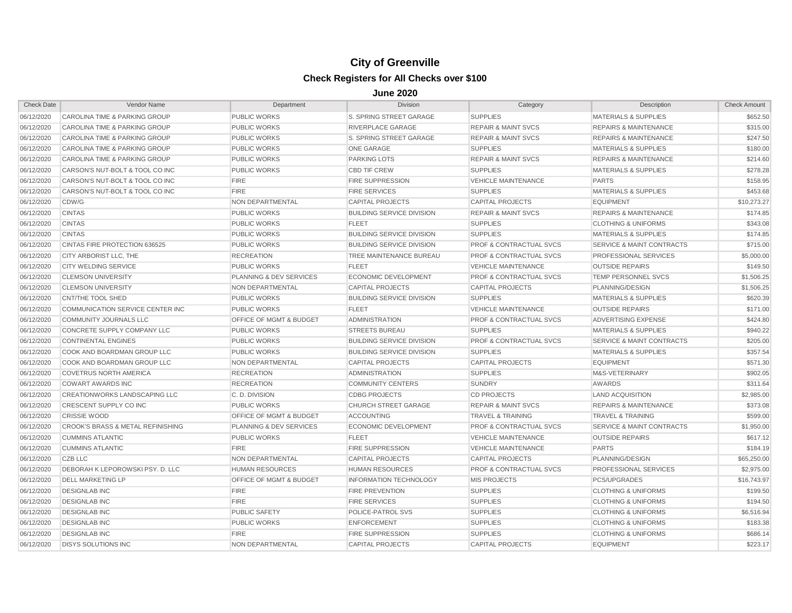| <b>Check Date</b> | Vendor Name                       | Department                         | Division                         | Category                           | Description                          | <b>Check Amount</b> |
|-------------------|-----------------------------------|------------------------------------|----------------------------------|------------------------------------|--------------------------------------|---------------------|
| 06/12/2020        | CAROLINA TIME & PARKING GROUP     | PUBLIC WORKS                       | S. SPRING STREET GARAGE          | <b>SUPPLIES</b>                    | <b>MATERIALS &amp; SUPPLIES</b>      | \$652.50            |
| 06/12/2020        | CAROLINA TIME & PARKING GROUP     | <b>PUBLIC WORKS</b>                | <b>RIVERPLACE GARAGE</b>         | <b>REPAIR &amp; MAINT SVCS</b>     | <b>REPAIRS &amp; MAINTENANCE</b>     | \$315.00            |
| 06/12/2020        | CAROLINA TIME & PARKING GROUP     | <b>PUBLIC WORKS</b>                | S. SPRING STREET GARAGE          | <b>REPAIR &amp; MAINT SVCS</b>     | <b>REPAIRS &amp; MAINTENANCE</b>     | \$247.50            |
| 06/12/2020        | CAROLINA TIME & PARKING GROUP     | <b>PUBLIC WORKS</b>                | <b>ONE GARAGE</b>                | <b>SUPPLIES</b>                    | <b>MATERIALS &amp; SUPPLIES</b>      | \$180.00            |
| 06/12/2020        | CAROLINA TIME & PARKING GROUP     | <b>PUBLIC WORKS</b>                | <b>PARKING LOTS</b>              | <b>REPAIR &amp; MAINT SVCS</b>     | <b>REPAIRS &amp; MAINTENANCE</b>     | \$214.60            |
| 06/12/2020        | CARSON'S NUT-BOLT & TOOL CO INC   | <b>PUBLIC WORKS</b>                | <b>CBD TIF CREW</b>              | <b>SUPPLIES</b>                    | <b>MATERIALS &amp; SUPPLIES</b>      | \$278.28            |
| 06/12/2020        | CARSON'S NUT-BOLT & TOOL CO INC   | <b>FIRE</b>                        | <b>FIRE SUPPRESSION</b>          | <b>VEHICLE MAINTENANCE</b>         | <b>PARTS</b>                         | \$158.95            |
| 06/12/2020        | CARSON'S NUT-BOLT & TOOL CO INC   | <b>FIRE</b>                        | <b>FIRE SERVICES</b>             | <b>SUPPLIES</b>                    | <b>MATERIALS &amp; SUPPLIES</b>      | \$453.68            |
| 06/12/2020        | CDW/G                             | NON DEPARTMENTAL                   | <b>CAPITAL PROJECTS</b>          | <b>CAPITAL PROJECTS</b>            | <b>EQUIPMENT</b>                     | \$10,273.27         |
| 06/12/2020        | <b>CINTAS</b>                     | <b>PUBLIC WORKS</b>                | <b>BUILDING SERVICE DIVISION</b> | <b>REPAIR &amp; MAINT SVCS</b>     | <b>REPAIRS &amp; MAINTENANCE</b>     | \$174.85            |
| 06/12/2020        | <b>CINTAS</b>                     | <b>PUBLIC WORKS</b>                | <b>FLEET</b>                     | <b>SUPPLIES</b>                    | <b>CLOTHING &amp; UNIFORMS</b>       | \$343.08            |
| 06/12/2020        | <b>CINTAS</b>                     | <b>PUBLIC WORKS</b>                | <b>BUILDING SERVICE DIVISION</b> | <b>SUPPLIES</b>                    | <b>MATERIALS &amp; SUPPLIES</b>      | \$174.85            |
| 06/12/2020        | CINTAS FIRE PROTECTION 636525     | <b>PUBLIC WORKS</b>                | <b>BUILDING SERVICE DIVISION</b> | <b>PROF &amp; CONTRACTUAL SVCS</b> | SERVICE & MAINT CONTRACTS            | \$715.00            |
| 06/12/2020        | CITY ARBORIST LLC, THE            | <b>RECREATION</b>                  | TREE MAINTENANCE BUREAU          | <b>PROF &amp; CONTRACTUAL SVCS</b> | PROFESSIONAL SERVICES                | \$5,000.00          |
| 06/12/2020        | <b>CITY WELDING SERVICE</b>       | <b>PUBLIC WORKS</b>                | <b>FLEET</b>                     | <b>VEHICLE MAINTENANCE</b>         | <b>OUTSIDE REPAIRS</b>               | \$149.50            |
| 06/12/2020        | <b>CLEMSON UNIVERSITY</b>         | PLANNING & DEV SERVICES            | <b>ECONOMIC DEVELOPMENT</b>      | PROF & CONTRACTUAL SVCS            | TEMP PERSONNEL SVCS                  | \$1,506.25          |
| 06/12/2020        | <b>CLEMSON UNIVERSITY</b>         | NON DEPARTMENTAL                   | <b>CAPITAL PROJECTS</b>          | <b>CAPITAL PROJECTS</b>            | PLANNING/DESIGN                      | \$1,506.25          |
| 06/12/2020        | CNT/THE TOOL SHED                 | <b>PUBLIC WORKS</b>                | <b>BUILDING SERVICE DIVISION</b> | <b>SUPPLIES</b>                    | <b>MATERIALS &amp; SUPPLIES</b>      | \$620.39            |
| 06/12/2020        | COMMUNICATION SERVICE CENTER INC  | <b>PUBLIC WORKS</b>                | <b>FLEET</b>                     | <b>VEHICLE MAINTENANCE</b>         | <b>OUTSIDE REPAIRS</b>               | \$171.00            |
| 06/12/2020        | <b>COMMUNITY JOURNALS LLC</b>     | <b>OFFICE OF MGMT &amp; BUDGET</b> | <b>ADMINISTRATION</b>            | <b>PROF &amp; CONTRACTUAL SVCS</b> | ADVERTISING EXPENSE                  | \$424.80            |
| 06/12/2020        | CONCRETE SUPPLY COMPANY LLC       | <b>PUBLIC WORKS</b>                | <b>STREETS BUREAU</b>            | <b>SUPPLIES</b>                    | <b>MATERIALS &amp; SUPPLIES</b>      | \$940.22            |
| 06/12/2020        | <b>CONTINENTAL ENGINES</b>        | <b>PUBLIC WORKS</b>                | <b>BUILDING SERVICE DIVISION</b> | <b>PROF &amp; CONTRACTUAL SVCS</b> | <b>SERVICE &amp; MAINT CONTRACTS</b> | \$205.00            |
| 06/12/2020        | COOK AND BOARDMAN GROUP LLC       | <b>PUBLIC WORKS</b>                | <b>BUILDING SERVICE DIVISION</b> | <b>SUPPLIES</b>                    | <b>MATERIALS &amp; SUPPLIES</b>      | \$357.54            |
| 06/12/2020        | COOK AND BOARDMAN GROUP LLC       | NON DEPARTMENTAL                   | <b>CAPITAL PROJECTS</b>          | <b>CAPITAL PROJECTS</b>            | <b>EQUIPMENT</b>                     | \$571.30            |
| 06/12/2020        | <b>COVETRUS NORTH AMERICA</b>     | <b>RECREATION</b>                  | <b>ADMINISTRATION</b>            | <b>SUPPLIES</b>                    | M&S-VETERINARY                       | \$902.05            |
| 06/12/2020        | <b>COWART AWARDS INC</b>          | <b>RECREATION</b>                  | <b>COMMUNITY CENTERS</b>         | <b>SUNDRY</b>                      | <b>AWARDS</b>                        | \$311.64            |
| 06/12/2020        | CREATIONWORKS LANDSCAPING LLC     | C.D. DIVISION                      | <b>CDBG PROJECTS</b>             | <b>CD PROJECTS</b>                 | LAND ACQUISITION                     | \$2,985.00          |
| 06/12/2020        | CRESCENT SUPPLY CO INC            | <b>PUBLIC WORKS</b>                | <b>CHURCH STREET GARAGE</b>      | <b>REPAIR &amp; MAINT SVCS</b>     | <b>REPAIRS &amp; MAINTENANCE</b>     | \$373.08            |
| 06/12/2020        | <b>CRISSIE WOOD</b>               | OFFICE OF MGMT & BUDGET            | <b>ACCOUNTING</b>                | <b>TRAVEL &amp; TRAINING</b>       | <b>TRAVEL &amp; TRAINING</b>         | \$599.00            |
| 06/12/2020        | CROOK'S BRASS & METAL REFINISHING | <b>PLANNING &amp; DEV SERVICES</b> | <b>ECONOMIC DEVELOPMENT</b>      | <b>PROF &amp; CONTRACTUAL SVCS</b> | <b>SERVICE &amp; MAINT CONTRACTS</b> | \$1,950.00          |
| 06/12/2020        | <b>CUMMINS ATLANTIC</b>           | <b>PUBLIC WORKS</b>                | <b>FLEET</b>                     | <b>VEHICLE MAINTENANCE</b>         | <b>OUTSIDE REPAIRS</b>               | \$617.12            |
| 06/12/2020        | <b>CUMMINS ATLANTIC</b>           | <b>FIRE</b>                        | <b>FIRE SUPPRESSION</b>          | <b>VEHICLE MAINTENANCE</b>         | <b>PARTS</b>                         | \$184.19            |
| 06/12/2020        | CZB LLC                           | NON DEPARTMENTAL                   | <b>CAPITAL PROJECTS</b>          | <b>CAPITAL PROJECTS</b>            | PLANNING/DESIGN                      | \$65,250.00         |
| 06/12/2020        | DEBORAH K LEPOROWSKI PSY. D. LLC  | <b>HUMAN RESOURCES</b>             | <b>HUMAN RESOURCES</b>           | <b>PROF &amp; CONTRACTUAL SVCS</b> | PROFESSIONAL SERVICES                | \$2,975.00          |
| 06/12/2020        | <b>DELL MARKETING LP</b>          | <b>OFFICE OF MGMT &amp; BUDGET</b> | <b>INFORMATION TECHNOLOGY</b>    | <b>MIS PROJECTS</b>                | <b>PCS/UPGRADES</b>                  | \$16,743.97         |
| 06/12/2020        | <b>DESIGNLAB INC</b>              | <b>FIRE</b>                        | <b>FIRE PREVENTION</b>           | <b>SUPPLIES</b>                    | <b>CLOTHING &amp; UNIFORMS</b>       | \$199.50            |
| 06/12/2020        | <b>DESIGNLAB INC</b>              | <b>FIRE</b>                        | <b>FIRE SERVICES</b>             | <b>SUPPLIES</b>                    | <b>CLOTHING &amp; UNIFORMS</b>       | \$194.50            |
| 06/12/2020        | <b>DESIGNLAB INC</b>              | <b>PUBLIC SAFETY</b>               | POLICE-PATROL SVS                | <b>SUPPLIES</b>                    | <b>CLOTHING &amp; UNIFORMS</b>       | \$6.516.94          |
| 06/12/2020        | <b>DESIGNLAB INC</b>              | <b>PUBLIC WORKS</b>                | <b>ENFORCEMENT</b>               | <b>SUPPLIES</b>                    | <b>CLOTHING &amp; UNIFORMS</b>       | \$183.38            |
| 06/12/2020        | <b>DESIGNLAB INC</b>              | <b>FIRE</b>                        | <b>FIRE SUPPRESSION</b>          | <b>SUPPLIES</b>                    | <b>CLOTHING &amp; UNIFORMS</b>       | \$686.14            |
| 06/12/2020        | <b>DISYS SOLUTIONS INC</b>        | <b>NON DEPARTMENTAL</b>            | <b>CAPITAL PROJECTS</b>          | <b>CAPITAL PROJECTS</b>            | <b>EQUIPMENT</b>                     | \$223.17            |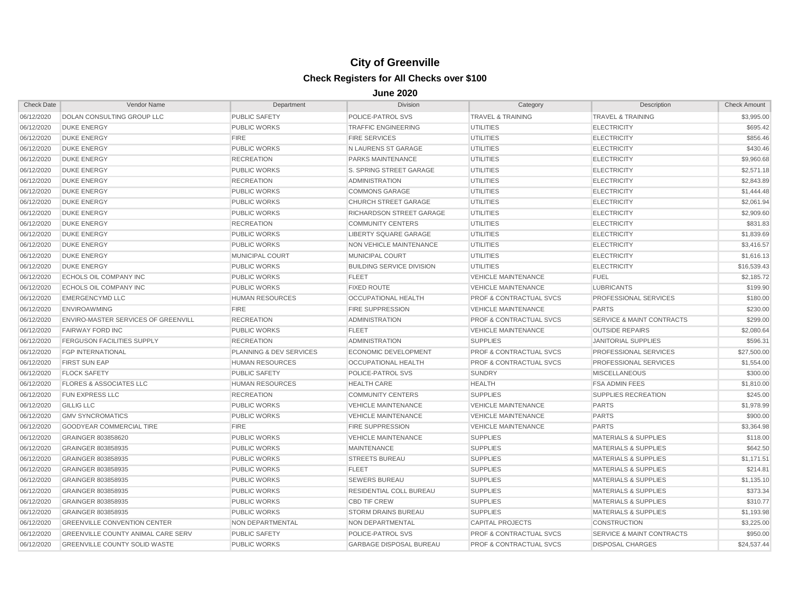| <b>Check Date</b> | Vendor Name                               | Department              | <b>Division</b>                  | Category                           | Description                          | <b>Check Amount</b> |
|-------------------|-------------------------------------------|-------------------------|----------------------------------|------------------------------------|--------------------------------------|---------------------|
| 06/12/2020        | <b>DOLAN CONSULTING GROUP LLC</b>         | <b>PUBLIC SAFETY</b>    | POLICE-PATROL SVS                | <b>TRAVEL &amp; TRAINING</b>       | <b>TRAVEL &amp; TRAINING</b>         | \$3,995.00          |
| 06/12/2020        | <b>DUKE ENERGY</b>                        | <b>PUBLIC WORKS</b>     | <b>TRAFFIC ENGINEERING</b>       | <b>UTILITIES</b>                   | <b>ELECTRICITY</b>                   | \$695.42            |
| 06/12/2020        | <b>DUKE ENERGY</b>                        | <b>FIRE</b>             | <b>FIRE SERVICES</b>             | <b>UTILITIES</b>                   | <b>ELECTRICITY</b>                   | \$856.46            |
| 06/12/2020        | <b>DUKE ENERGY</b>                        | <b>PUBLIC WORKS</b>     | N LAURENS ST GARAGE              | <b>UTILITIES</b>                   | <b>ELECTRICITY</b>                   | \$430.46            |
| 06/12/2020        | <b>DUKE ENERGY</b>                        | <b>RECREATION</b>       | PARKS MAINTENANCE                | <b>UTILITIES</b>                   | <b>ELECTRICITY</b>                   | \$9,960.68          |
| 06/12/2020        | <b>DUKE ENERGY</b>                        | <b>PUBLIC WORKS</b>     | S. SPRING STREET GARAGE          | <b>UTILITIES</b>                   | <b>ELECTRICITY</b>                   | \$2,571.18          |
| 06/12/2020        | <b>DUKE ENERGY</b>                        | <b>RECREATION</b>       | <b>ADMINISTRATION</b>            | <b>UTILITIES</b>                   | <b>ELECTRICITY</b>                   | \$2,843.89          |
| 06/12/2020        | <b>DUKE ENERGY</b>                        | <b>PUBLIC WORKS</b>     | <b>COMMONS GARAGE</b>            | <b>UTILITIES</b>                   | <b>ELECTRICITY</b>                   | \$1,444.48          |
| 06/12/2020        | <b>DUKE ENERGY</b>                        | <b>PUBLIC WORKS</b>     | <b>CHURCH STREET GARAGE</b>      | <b>UTILITIES</b>                   | <b>ELECTRICITY</b>                   | \$2,061.94          |
| 06/12/2020        | <b>DUKE ENERGY</b>                        | <b>PUBLIC WORKS</b>     | <b>RICHARDSON STREET GARAGE</b>  | <b>UTILITIES</b>                   | <b>ELECTRICITY</b>                   | \$2,909.60          |
| 06/12/2020        | <b>DUKE ENERGY</b>                        | <b>RECREATION</b>       | <b>COMMUNITY CENTERS</b>         | <b>UTILITIES</b>                   | <b>ELECTRICITY</b>                   | \$831.83            |
| 06/12/2020        | <b>DUKE ENERGY</b>                        | <b>PUBLIC WORKS</b>     | <b>LIBERTY SQUARE GARAGE</b>     | <b>UTILITIES</b>                   | <b>ELECTRICITY</b>                   | \$1,839.69          |
| 06/12/2020        | <b>DUKE ENERGY</b>                        | <b>PUBLIC WORKS</b>     | <b>NON VEHICLE MAINTENANCE</b>   | <b>UTILITIES</b>                   | <b>ELECTRICITY</b>                   | \$3,416.57          |
| 06/12/2020        | <b>DUKE ENERGY</b>                        | MUNICIPAL COURT         | MUNICIPAL COURT                  | <b>UTILITIES</b>                   | <b>ELECTRICITY</b>                   | \$1,616.13          |
| 06/12/2020        | <b>DUKE ENERGY</b>                        | <b>PUBLIC WORKS</b>     | <b>BUILDING SERVICE DIVISION</b> | <b>UTILITIES</b>                   | <b>ELECTRICITY</b>                   | \$16,539.43         |
| 06/12/2020        | ECHOLS OIL COMPANY INC                    | <b>PUBLIC WORKS</b>     | <b>FLEET</b>                     | <b>VEHICLE MAINTENANCE</b>         | <b>FUEL</b>                          | \$2,185.72          |
| 06/12/2020        | ECHOLS OIL COMPANY INC                    | <b>PUBLIC WORKS</b>     | <b>FIXED ROUTE</b>               | <b>VEHICLE MAINTENANCE</b>         | <b>LUBRICANTS</b>                    | \$199.90            |
| 06/12/2020        | <b>EMERGENCYMD LLC</b>                    | <b>HUMAN RESOURCES</b>  | <b>OCCUPATIONAL HEALTH</b>       | <b>PROF &amp; CONTRACTUAL SVCS</b> | PROFESSIONAL SERVICES                | \$180.00            |
| 06/12/2020        | <b>ENVIROAWMING</b>                       | <b>FIRE</b>             | <b>FIRE SUPPRESSION</b>          | <b>VEHICLE MAINTENANCE</b>         | <b>PARTS</b>                         | \$230.00            |
| 06/12/2020        | ENVIRO-MASTER SERVICES OF GREENVILL       | <b>RECREATION</b>       | <b>ADMINISTRATION</b>            | <b>PROF &amp; CONTRACTUAL SVCS</b> | <b>SERVICE &amp; MAINT CONTRACTS</b> | \$299.00            |
| 06/12/2020        | <b>FAIRWAY FORD INC</b>                   | <b>PUBLIC WORKS</b>     | <b>FLEET</b>                     | <b>VEHICLE MAINTENANCE</b>         | <b>OUTSIDE REPAIRS</b>               | \$2,080.64          |
| 06/12/2020        | <b>FERGUSON FACILITIES SUPPLY</b>         | <b>RECREATION</b>       | <b>ADMINISTRATION</b>            | <b>SUPPLIES</b>                    | <b>JANITORIAL SUPPLIES</b>           | \$596.31            |
| 06/12/2020        | <b>FGP INTERNATIONAL</b>                  | PLANNING & DEV SERVICES | <b>ECONOMIC DEVELOPMENT</b>      | <b>PROF &amp; CONTRACTUAL SVCS</b> | PROFESSIONAL SERVICES                | \$27,500.00         |
| 06/12/2020        | <b>FIRST SUN EAP</b>                      | <b>HUMAN RESOURCES</b>  | <b>OCCUPATIONAL HEALTH</b>       | <b>PROF &amp; CONTRACTUAL SVCS</b> | PROFESSIONAL SERVICES                | \$1,554.00          |
| 06/12/2020        | <b>FLOCK SAFETY</b>                       | <b>PUBLIC SAFETY</b>    | POLICE-PATROL SVS                | <b>SUNDRY</b>                      | <b>MISCELLANEOUS</b>                 | \$300.00            |
| 06/12/2020        | <b>FLORES &amp; ASSOCIATES LLC</b>        | <b>HUMAN RESOURCES</b>  | <b>HEALTH CARE</b>               | <b>HEALTH</b>                      | <b>FSA ADMIN FEES</b>                | \$1,810.00          |
| 06/12/2020        | <b>FUN EXPRESS LLC</b>                    | <b>RECREATION</b>       | <b>COMMUNITY CENTERS</b>         | <b>SUPPLIES</b>                    | <b>SUPPLIES RECREATION</b>           | \$245.00            |
| 06/12/2020        | <b>GILLIG LLC</b>                         | <b>PUBLIC WORKS</b>     | <b>VEHICLE MAINTENANCE</b>       | <b>VEHICLE MAINTENANCE</b>         | <b>PARTS</b>                         | \$1,978.99          |
| 06/12/2020        | <b>GMV SYNCROMATICS</b>                   | <b>PUBLIC WORKS</b>     | <b>VEHICLE MAINTENANCE</b>       | <b>VEHICLE MAINTENANCE</b>         | <b>PARTS</b>                         | \$900.00            |
| 06/12/2020        | GOODYEAR COMMERCIAL TIRE                  | <b>FIRE</b>             | <b>FIRE SUPPRESSION</b>          | <b>VEHICLE MAINTENANCE</b>         | <b>PARTS</b>                         | \$3,364.98          |
| 06/12/2020        | GRAINGER 803858620                        | <b>PUBLIC WORKS</b>     | <b>VEHICLE MAINTENANCE</b>       | <b>SUPPLIES</b>                    | <b>MATERIALS &amp; SUPPLIES</b>      | \$118.00            |
| 06/12/2020        | GRAINGER 803858935                        | <b>PUBLIC WORKS</b>     | <b>MAINTENANCE</b>               | <b>SUPPLIES</b>                    | <b>MATERIALS &amp; SUPPLIES</b>      | \$642.50            |
| 06/12/2020        | GRAINGER 803858935                        | <b>PUBLIC WORKS</b>     | <b>STREETS BUREAU</b>            | <b>SUPPLIES</b>                    | <b>MATERIALS &amp; SUPPLIES</b>      | \$1,171.51          |
| 06/12/2020        | GRAINGER 803858935                        | <b>PUBLIC WORKS</b>     | <b>FLEET</b>                     | <b>SUPPLIES</b>                    | <b>MATERIALS &amp; SUPPLIES</b>      | \$214.81            |
| 06/12/2020        | GRAINGER 803858935                        | <b>PUBLIC WORKS</b>     | <b>SEWERS BUREAU</b>             | <b>SUPPLIES</b>                    | <b>MATERIALS &amp; SUPPLIES</b>      | \$1,135.10          |
| 06/12/2020        | GRAINGER 803858935                        | <b>PUBLIC WORKS</b>     | <b>RESIDENTIAL COLL BUREAU</b>   | <b>SUPPLIES</b>                    | <b>MATERIALS &amp; SUPPLIES</b>      | \$373.34            |
| 06/12/2020        | GRAINGER 803858935                        | <b>PUBLIC WORKS</b>     | <b>CBD TIF CREW</b>              | <b>SUPPLIES</b>                    | <b>MATERIALS &amp; SUPPLIES</b>      | \$310.77            |
| 06/12/2020        | GRAINGER 803858935                        | <b>PUBLIC WORKS</b>     | <b>STORM DRAINS BUREAU</b>       | <b>SUPPLIES</b>                    | <b>MATERIALS &amp; SUPPLIES</b>      | \$1,193.98          |
| 06/12/2020        | <b>GREENVILLE CONVENTION CENTER</b>       | <b>NON DEPARTMENTAL</b> | NON DEPARTMENTAL                 | <b>CAPITAL PROJECTS</b>            | <b>CONSTRUCTION</b>                  | \$3,225.00          |
| 06/12/2020        | <b>GREENVILLE COUNTY ANIMAL CARE SERV</b> | <b>PUBLIC SAFETY</b>    | POLICE-PATROL SVS                | <b>PROF &amp; CONTRACTUAL SVCS</b> | <b>SERVICE &amp; MAINT CONTRACTS</b> | \$950.00            |
| 06/12/2020        | <b>GREENVILLE COUNTY SOLID WASTE</b>      | <b>PUBLIC WORKS</b>     | <b>GARBAGE DISPOSAL BUREAU</b>   | <b>PROF &amp; CONTRACTUAL SVCS</b> | <b>DISPOSAL CHARGES</b>              | \$24,537.44         |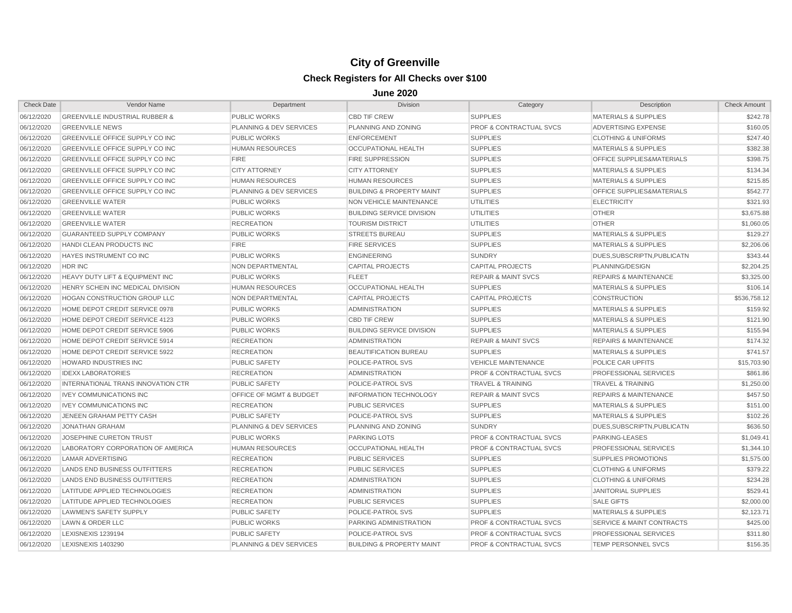| <b>Check Date</b> | Vendor Name                               | Department                         | Division                             | Category                           | Description                          | <b>Check Amount</b> |
|-------------------|-------------------------------------------|------------------------------------|--------------------------------------|------------------------------------|--------------------------------------|---------------------|
| 06/12/2020        | <b>GREENVILLE INDUSTRIAL RUBBER &amp;</b> | <b>PUBLIC WORKS</b>                | <b>CBD TIF CREW</b>                  | <b>SUPPLIES</b>                    | <b>MATERIALS &amp; SUPPLIES</b>      | \$242.78            |
| 06/12/2020        | <b>GREENVILLE NEWS</b>                    | PLANNING & DEV SERVICES            | PLANNING AND ZONING                  | <b>PROF &amp; CONTRACTUAL SVCS</b> | ADVERTISING EXPENSE                  | \$160.05            |
| 06/12/2020        | GREENVILLE OFFICE SUPPLY CO INC           | <b>PUBLIC WORKS</b>                | <b>ENFORCEMENT</b>                   | <b>SUPPLIES</b>                    | <b>CLOTHING &amp; UNIFORMS</b>       | \$247.40            |
| 06/12/2020        | GREENVILLE OFFICE SUPPLY CO INC           | <b>HUMAN RESOURCES</b>             | OCCUPATIONAL HEALTH                  | <b>SUPPLIES</b>                    | <b>MATERIALS &amp; SUPPLIES</b>      | \$382.38            |
| 06/12/2020        | <b>GREENVILLE OFFICE SUPPLY CO INC</b>    | <b>FIRE</b>                        | <b>FIRE SUPPRESSION</b>              | <b>SUPPLIES</b>                    | OFFICE SUPPLIES&MATERIALS            | \$398.75            |
| 06/12/2020        | GREENVILLE OFFICE SUPPLY CO INC           | <b>CITY ATTORNEY</b>               | <b>CITY ATTORNEY</b>                 | <b>SUPPLIES</b>                    | <b>MATERIALS &amp; SUPPLIES</b>      | \$134.34            |
| 06/12/2020        | <b>GREENVILLE OFFICE SUPPLY CO INC</b>    | <b>HUMAN RESOURCES</b>             | <b>HUMAN RESOURCES</b>               | <b>SUPPLIES</b>                    | <b>MATERIALS &amp; SUPPLIES</b>      | \$215.85            |
| 06/12/2020        | <b>GREENVILLE OFFICE SUPPLY CO INC</b>    | PLANNING & DEV SERVICES            | <b>BUILDING &amp; PROPERTY MAINT</b> | <b>SUPPLIES</b>                    | <b>OFFICE SUPPLIES&amp;MATERIALS</b> | \$542.77            |
| 06/12/2020        | <b>GREENVILLE WATER</b>                   | <b>PUBLIC WORKS</b>                | NON VEHICLE MAINTENANCE              | <b>UTILITIES</b>                   | <b>ELECTRICITY</b>                   | \$321.93            |
| 06/12/2020        | <b>GREENVILLE WATER</b>                   | <b>PUBLIC WORKS</b>                | <b>BUILDING SERVICE DIVISION</b>     | <b>UTILITIES</b>                   | <b>OTHER</b>                         | \$3,675.88          |
| 06/12/2020        | <b>GREENVILLE WATER</b>                   | <b>RECREATION</b>                  | <b>TOURISM DISTRICT</b>              | <b>UTILITIES</b>                   | <b>OTHER</b>                         | \$1,060.05          |
| 06/12/2020        | <b>GUARANTEED SUPPLY COMPANY</b>          | <b>PUBLIC WORKS</b>                | <b>STREETS BUREAU</b>                | <b>SUPPLIES</b>                    | <b>MATERIALS &amp; SUPPLIES</b>      | \$129.27            |
| 06/12/2020        | HANDI CLEAN PRODUCTS INC                  | <b>FIRE</b>                        | <b>FIRE SERVICES</b>                 | <b>SUPPLIES</b>                    | <b>MATERIALS &amp; SUPPLIES</b>      | \$2,206.06          |
| 06/12/2020        | HAYES INSTRUMENT CO INC                   | <b>PUBLIC WORKS</b>                | <b>ENGINEERING</b>                   | <b>SUNDRY</b>                      | DUES, SUBSCRIPTN, PUBLICATN          | \$343.44            |
| 06/12/2020        | HDR INC                                   | NON DEPARTMENTAL                   | <b>CAPITAL PROJECTS</b>              | <b>CAPITAL PROJECTS</b>            | PLANNING/DESIGN                      | \$2,204.25          |
| 06/12/2020        | HEAVY DUTY LIFT & EQUIPMENT INC           | <b>PUBLIC WORKS</b>                | <b>FLEET</b>                         | <b>REPAIR &amp; MAINT SVCS</b>     | <b>REPAIRS &amp; MAINTENANCE</b>     | \$3,325.00          |
| 06/12/2020        | HENRY SCHEIN INC MEDICAL DIVISION         | <b>HUMAN RESOURCES</b>             | OCCUPATIONAL HEALTH                  | <b>SUPPLIES</b>                    | <b>MATERIALS &amp; SUPPLIES</b>      | \$106.14            |
| 06/12/2020        | <b>HOGAN CONSTRUCTION GROUP LLC</b>       | NON DEPARTMENTAL                   | <b>CAPITAL PROJECTS</b>              | <b>CAPITAL PROJECTS</b>            | <b>CONSTRUCTION</b>                  | \$536,758.12        |
| 06/12/2020        | HOME DEPOT CREDIT SERVICE 0978            | <b>PUBLIC WORKS</b>                | <b>ADMINISTRATION</b>                | <b>SUPPLIES</b>                    | <b>MATERIALS &amp; SUPPLIES</b>      | \$159.92            |
| 06/12/2020        | HOME DEPOT CREDIT SERVICE 4123            | <b>PUBLIC WORKS</b>                | <b>CBD TIF CREW</b>                  | <b>SUPPLIES</b>                    | <b>MATERIALS &amp; SUPPLIES</b>      | \$121.90            |
| 06/12/2020        | HOME DEPOT CREDIT SERVICE 5906            | <b>PUBLIC WORKS</b>                | <b>BUILDING SERVICE DIVISION</b>     | <b>SUPPLIES</b>                    | <b>MATERIALS &amp; SUPPLIES</b>      | \$155.94            |
| 06/12/2020        | HOME DEPOT CREDIT SERVICE 5914            | <b>RECREATION</b>                  | <b>ADMINISTRATION</b>                | <b>REPAIR &amp; MAINT SVCS</b>     | <b>REPAIRS &amp; MAINTENANCE</b>     | \$174.32            |
| 06/12/2020        | HOME DEPOT CREDIT SERVICE 5922            | <b>RECREATION</b>                  | <b>BEAUTIFICATION BUREAU</b>         | <b>SUPPLIES</b>                    | <b>MATERIALS &amp; SUPPLIES</b>      | \$741.57            |
| 06/12/2020        | HOWARD INDUSTRIES INC                     | <b>PUBLIC SAFETY</b>               | POLICE-PATROL SVS                    | <b>VEHICLE MAINTENANCE</b>         | POLICE CAR UPFITS                    | \$15,703.90         |
| 06/12/2020        | <b>IDEXX LABORATORIES</b>                 | <b>RECREATION</b>                  | <b>ADMINISTRATION</b>                | <b>PROF &amp; CONTRACTUAL SVCS</b> | PROFESSIONAL SERVICES                | \$861.86            |
| 06/12/2020        | INTERNATIONAL TRANS INNOVATION CTR        | <b>PUBLIC SAFETY</b>               | POLICE-PATROL SVS                    | <b>TRAVEL &amp; TRAINING</b>       | <b>TRAVEL &amp; TRAINING</b>         | \$1,250.00          |
| 06/12/2020        | <b>IVEY COMMUNICATIONS INC</b>            | <b>OFFICE OF MGMT &amp; BUDGET</b> | <b>INFORMATION TECHNOLOGY</b>        | <b>REPAIR &amp; MAINT SVCS</b>     | <b>REPAIRS &amp; MAINTENANCE</b>     | \$457.50            |
| 06/12/2020        | <b>IVEY COMMUNICATIONS INC</b>            | <b>RECREATION</b>                  | <b>PUBLIC SERVICES</b>               | <b>SUPPLIES</b>                    | <b>MATERIALS &amp; SUPPLIES</b>      | \$151.00            |
| 06/12/2020        | JENEEN GRAHAM PETTY CASH                  | <b>PUBLIC SAFETY</b>               | POLICE-PATROL SVS                    | <b>SUPPLIES</b>                    | <b>MATERIALS &amp; SUPPLIES</b>      | \$102.26            |
| 06/12/2020        | <b>JONATHAN GRAHAM</b>                    | PLANNING & DEV SERVICES            | PLANNING AND ZONING                  | <b>SUNDRY</b>                      | DUES, SUBSCRIPTN, PUBLICATN          | \$636.50            |
| 06/12/2020        | JOSEPHINE CURETON TRUST                   | <b>PUBLIC WORKS</b>                | <b>PARKING LOTS</b>                  | <b>PROF &amp; CONTRACTUAL SVCS</b> | PARKING-LEASES                       | \$1,049.41          |
| 06/12/2020        | LABORATORY CORPORATION OF AMERICA         | <b>HUMAN RESOURCES</b>             | OCCUPATIONAL HEALTH                  | <b>PROF &amp; CONTRACTUAL SVCS</b> | PROFESSIONAL SERVICES                | \$1,344.10          |
| 06/12/2020        | <b>LAMAR ADVERTISING</b>                  | <b>RECREATION</b>                  | <b>PUBLIC SERVICES</b>               | <b>SUPPLIES</b>                    | <b>SUPPLIES PROMOTIONS</b>           | \$1,575.00          |
| 06/12/2020        | LANDS END BUSINESS OUTFITTERS             | <b>RECREATION</b>                  | <b>PUBLIC SERVICES</b>               | <b>SUPPLIES</b>                    | <b>CLOTHING &amp; UNIFORMS</b>       | \$379.22            |
| 06/12/2020        | LANDS END BUSINESS OUTFITTERS             | <b>RECREATION</b>                  | <b>ADMINISTRATION</b>                | <b>SUPPLIES</b>                    | <b>CLOTHING &amp; UNIFORMS</b>       | \$234.28            |
| 06/12/2020        | LATITUDE APPLIED TECHNOLOGIES             | <b>RECREATION</b>                  | <b>ADMINISTRATION</b>                | <b>SUPPLIES</b>                    | <b>JANITORIAL SUPPLIES</b>           | \$529.41            |
| 06/12/2020        | LATITUDE APPLIED TECHNOLOGIES             | <b>RECREATION</b>                  | <b>PUBLIC SERVICES</b>               | <b>SUPPLIES</b>                    | <b>SALE GIFTS</b>                    | \$2,000.00          |
| 06/12/2020        | <b>LAWMEN'S SAFETY SUPPLY</b>             | <b>PUBLIC SAFETY</b>               | <b>POLICE-PATROL SVS</b>             | <b>SUPPLIES</b>                    | <b>MATERIALS &amp; SUPPLIES</b>      | \$2,123.71          |
| 06/12/2020        | LAWN & ORDER LLC                          | <b>PUBLIC WORKS</b>                | PARKING ADMINISTRATION               | <b>PROF &amp; CONTRACTUAL SVCS</b> | <b>SERVICE &amp; MAINT CONTRACTS</b> | \$425.00            |
| 06/12/2020        | LEXISNEXIS 1239194                        | <b>PUBLIC SAFETY</b>               | POLICE-PATROL SVS                    | <b>PROF &amp; CONTRACTUAL SVCS</b> | PROFESSIONAL SERVICES                | \$311.80            |
| 06/12/2020        | LEXISNEXIS 1403290                        | PLANNING & DEV SERVICES            | <b>BUILDING &amp; PROPERTY MAINT</b> | <b>PROF &amp; CONTRACTUAL SVCS</b> | <b>TEMP PERSONNEL SVCS</b>           | \$156.35            |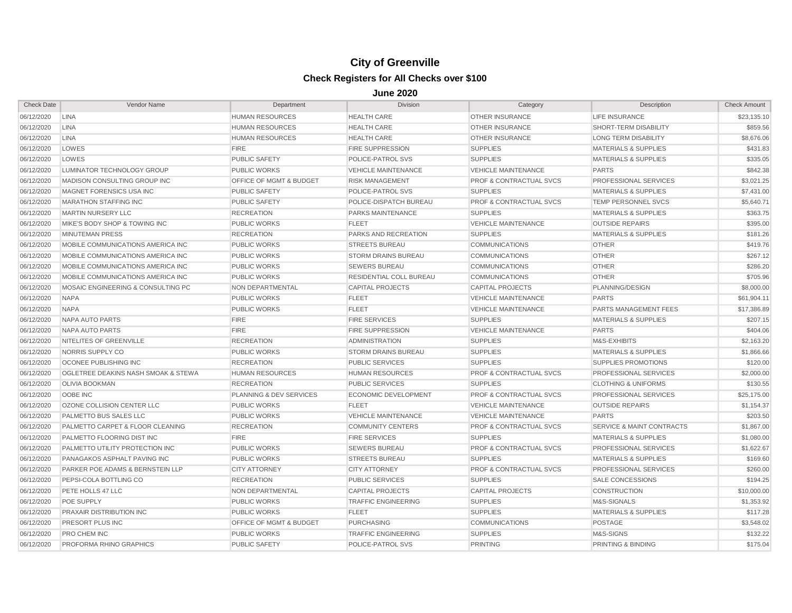| <b>Check Date</b> | Vendor Name                         | Department                         | <b>Division</b>            | Category                           | Description                          | <b>Check Amount</b> |
|-------------------|-------------------------------------|------------------------------------|----------------------------|------------------------------------|--------------------------------------|---------------------|
| 06/12/2020        | <b>LINA</b>                         | HUMAN RESOURCES                    | <b>HEALTH CARE</b>         | <b>OTHER INSURANCE</b>             | LIFE INSURANCE                       | \$23,135.10         |
| 06/12/2020        | <b>LINA</b>                         | <b>HUMAN RESOURCES</b>             | <b>HEALTH CARE</b>         | <b>OTHER INSURANCE</b>             | SHORT-TERM DISABILITY                | \$859.56            |
| 06/12/2020        | <b>LINA</b>                         | <b>HUMAN RESOURCES</b>             | <b>HEALTH CARE</b>         | <b>OTHER INSURANCE</b>             | <b>LONG TERM DISABILITY</b>          | \$8,676.06          |
| 06/12/2020        | LOWES                               | <b>FIRE</b>                        | <b>FIRE SUPPRESSION</b>    | <b>SUPPLIES</b>                    | <b>MATERIALS &amp; SUPPLIES</b>      | \$431.83            |
| 06/12/2020        | LOWES                               | <b>PUBLIC SAFETY</b>               | POLICE-PATROL SVS          | <b>SUPPLIES</b>                    | <b>MATERIALS &amp; SUPPLIES</b>      | \$335.05            |
| 06/12/2020        | LUMINATOR TECHNOLOGY GROUP          | <b>PUBLIC WORKS</b>                | <b>VEHICLE MAINTENANCE</b> | <b>VEHICLE MAINTENANCE</b>         | <b>PARTS</b>                         | \$842.38            |
| 06/12/2020        | MADISON CONSULTING GROUP INC        | OFFICE OF MGMT & BUDGET            | <b>RISK MANAGEMENT</b>     | <b>PROF &amp; CONTRACTUAL SVCS</b> | <b>PROFESSIONAL SERVICES</b>         | \$3,021.25          |
| 06/12/2020        | MAGNET FORENSICS USA INC            | <b>PUBLIC SAFETY</b>               | POLICE-PATROL SVS          | <b>SUPPLIES</b>                    | <b>MATERIALS &amp; SUPPLIES</b>      | \$7,431.00          |
| 06/12/2020        | <b>MARATHON STAFFING INC</b>        | <b>PUBLIC SAFETY</b>               | POLICE-DISPATCH BUREAU     | <b>PROF &amp; CONTRACTUAL SVCS</b> | TEMP PERSONNEL SVCS                  | \$5,640.71          |
| 06/12/2020        | <b>MARTIN NURSERY LLC</b>           | <b>RECREATION</b>                  | PARKS MAINTENANCE          | <b>SUPPLIES</b>                    | <b>MATERIALS &amp; SUPPLIES</b>      | \$363.75            |
| 06/12/2020        | MIKE'S BODY SHOP & TOWING INC       | <b>PUBLIC WORKS</b>                | <b>FLEET</b>               | <b>VEHICLE MAINTENANCE</b>         | <b>OUTSIDE REPAIRS</b>               | \$395.00            |
| 06/12/2020        | MINUTEMAN PRESS                     | <b>RECREATION</b>                  | PARKS AND RECREATION       | <b>SUPPLIES</b>                    | <b>MATERIALS &amp; SUPPLIES</b>      | \$181.26            |
| 06/12/2020        | MOBILE COMMUNICATIONS AMERICA INC   | <b>PUBLIC WORKS</b>                | <b>STREETS BUREAU</b>      | <b>COMMUNICATIONS</b>              | <b>OTHER</b>                         | \$419.76            |
| 06/12/2020        | MOBILE COMMUNICATIONS AMERICA INC   | <b>PUBLIC WORKS</b>                | <b>STORM DRAINS BUREAU</b> | <b>COMMUNICATIONS</b>              | <b>OTHER</b>                         | \$267.12            |
| 06/12/2020        | MOBILE COMMUNICATIONS AMERICA INC   | <b>PUBLIC WORKS</b>                | <b>SEWERS BUREAU</b>       | <b>COMMUNICATIONS</b>              | <b>OTHER</b>                         | \$286.20            |
| 06/12/2020        | MOBILE COMMUNICATIONS AMERICA INC   | <b>PUBLIC WORKS</b>                | RESIDENTIAL COLL BUREAU    | <b>COMMUNICATIONS</b>              | <b>OTHER</b>                         | \$705.96            |
| 06/12/2020        | MOSAIC ENGINEERING & CONSULTING PC  | NON DEPARTMENTAL                   | <b>CAPITAL PROJECTS</b>    | <b>CAPITAL PROJECTS</b>            | PLANNING/DESIGN                      | \$8,000.00          |
| 06/12/2020        | <b>NAPA</b>                         | <b>PUBLIC WORKS</b>                | <b>FLEET</b>               | <b>VEHICLE MAINTENANCE</b>         | <b>PARTS</b>                         | \$61,904.11         |
| 06/12/2020        | <b>NAPA</b>                         | <b>PUBLIC WORKS</b>                | <b>FLEET</b>               | <b>VEHICLE MAINTENANCE</b>         | <b>PARTS MANAGEMENT FEES</b>         | \$17,386.89         |
| 06/12/2020        | NAPA AUTO PARTS                     | <b>FIRE</b>                        | <b>FIRE SERVICES</b>       | <b>SUPPLIES</b>                    | <b>MATERIALS &amp; SUPPLIES</b>      | \$207.15            |
| 06/12/2020        | <b>NAPA AUTO PARTS</b>              | <b>FIRE</b>                        | <b>FIRE SUPPRESSION</b>    | <b>VEHICLE MAINTENANCE</b>         | <b>PARTS</b>                         | \$404.06            |
| 06/12/2020        | NITELITES OF GREENVILLE             | <b>RECREATION</b>                  | <b>ADMINISTRATION</b>      | <b>SUPPLIES</b>                    | M&S-EXHIBITS                         | \$2,163.20          |
| 06/12/2020        | NORRIS SUPPLY CO                    | <b>PUBLIC WORKS</b>                | <b>STORM DRAINS BUREAU</b> | <b>SUPPLIES</b>                    | <b>MATERIALS &amp; SUPPLIES</b>      | \$1,866.66          |
| 06/12/2020        | <b>OCONEE PUBLISHING INC</b>        | <b>RECREATION</b>                  | <b>PUBLIC SERVICES</b>     | <b>SUPPLIES</b>                    | <b>SUPPLIES PROMOTIONS</b>           | \$120.00            |
| 06/12/2020        | OGLETREE DEAKINS NASH SMOAK & STEWA | <b>HUMAN RESOURCES</b>             | <b>HUMAN RESOURCES</b>     | <b>PROF &amp; CONTRACTUAL SVCS</b> | <b>PROFESSIONAL SERVICES</b>         | \$2,000.00          |
| 06/12/2020        | <b>OLIVIA BOOKMAN</b>               | <b>RECREATION</b>                  | <b>PUBLIC SERVICES</b>     | <b>SUPPLIES</b>                    | <b>CLOTHING &amp; UNIFORMS</b>       | \$130.55            |
| 06/12/2020        | OOBE INC                            | PLANNING & DEV SERVICES            | ECONOMIC DEVELOPMENT       | <b>PROF &amp; CONTRACTUAL SVCS</b> | PROFESSIONAL SERVICES                | \$25,175.00         |
| 06/12/2020        | OZONE COLLISION CENTER LLC          | <b>PUBLIC WORKS</b>                | <b>FLEET</b>               | <b>VEHICLE MAINTENANCE</b>         | <b>OUTSIDE REPAIRS</b>               | \$1,154.37          |
| 06/12/2020        | PALMETTO BUS SALES LLC              | <b>PUBLIC WORKS</b>                | <b>VEHICLE MAINTENANCE</b> | <b>VEHICLE MAINTENANCE</b>         | <b>PARTS</b>                         | \$203.50            |
| 06/12/2020        | PALMETTO CARPET & FLOOR CLEANING    | <b>RECREATION</b>                  | <b>COMMUNITY CENTERS</b>   | <b>PROF &amp; CONTRACTUAL SVCS</b> | <b>SERVICE &amp; MAINT CONTRACTS</b> | \$1,867.00          |
| 06/12/2020        | PALMETTO FLOORING DIST INC          | <b>FIRE</b>                        | <b>FIRE SERVICES</b>       | <b>SUPPLIES</b>                    | <b>MATERIALS &amp; SUPPLIES</b>      | \$1,080.00          |
| 06/12/2020        | PALMETTO UTILITY PROTECTION INC     | <b>PUBLIC WORKS</b>                | <b>SEWERS BUREAU</b>       | <b>PROF &amp; CONTRACTUAL SVCS</b> | <b>PROFESSIONAL SERVICES</b>         | \$1,622.67          |
| 06/12/2020        | PANAGAKOS ASPHALT PAVING INC        | <b>PUBLIC WORKS</b>                | <b>STREETS BUREAU</b>      | <b>SUPPLIES</b>                    | <b>MATERIALS &amp; SUPPLIES</b>      | \$169.60            |
| 06/12/2020        | PARKER POE ADAMS & BERNSTEIN LLP    | <b>CITY ATTORNEY</b>               | <b>CITY ATTORNEY</b>       | <b>PROF &amp; CONTRACTUAL SVCS</b> | <b>PROFESSIONAL SERVICES</b>         | \$260.00            |
| 06/12/2020        | PEPSI-COLA BOTTLING CO              | <b>RECREATION</b>                  | <b>PUBLIC SERVICES</b>     | <b>SUPPLIES</b>                    | <b>SALE CONCESSIONS</b>              | \$194.25            |
| 06/12/2020        | PETE HOLLS 47 LLC                   | NON DEPARTMENTAL                   | <b>CAPITAL PROJECTS</b>    | <b>CAPITAL PROJECTS</b>            | <b>CONSTRUCTION</b>                  | \$10,000.00         |
| 06/12/2020        | <b>POE SUPPLY</b>                   | <b>PUBLIC WORKS</b>                | <b>TRAFFIC ENGINEERING</b> | <b>SUPPLIES</b>                    | M&S-SIGNALS                          | \$1,353.92          |
| 06/12/2020        | PRAXAIR DISTRIBUTION INC            | <b>PUBLIC WORKS</b>                | <b>FLEET</b>               | <b>SUPPLIES</b>                    | <b>MATERIALS &amp; SUPPLIES</b>      | \$117.28            |
| 06/12/2020        | PRESORT PLUS INC                    | <b>OFFICE OF MGMT &amp; BUDGET</b> | <b>PURCHASING</b>          | <b>COMMUNICATIONS</b>              | POSTAGE                              | \$3,548.02          |
| 06/12/2020        | <b>PRO CHEM INC</b>                 | <b>PUBLIC WORKS</b>                | <b>TRAFFIC ENGINEERING</b> | <b>SUPPLIES</b>                    | M&S-SIGNS                            | \$132.22            |
| 06/12/2020        | <b>PROFORMA RHINO GRAPHICS</b>      | <b>PUBLIC SAFETY</b>               | POLICE-PATROL SVS          | <b>PRINTING</b>                    | <b>PRINTING &amp; BINDING</b>        | \$175.04            |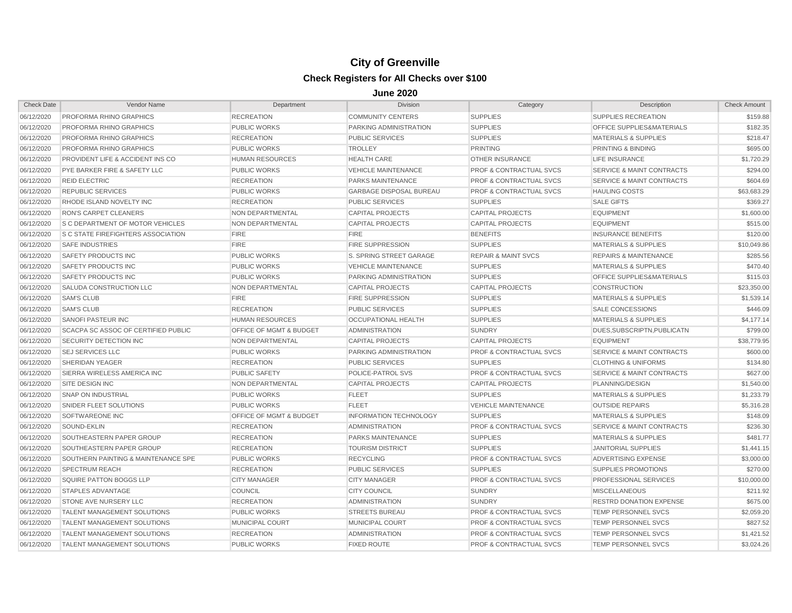| <b>Check Date</b> | Vendor Name                                 | Department                         | <b>Division</b>                | Category                           | Description                          | <b>Check Amount</b> |
|-------------------|---------------------------------------------|------------------------------------|--------------------------------|------------------------------------|--------------------------------------|---------------------|
| 06/12/2020        | PROFORMA RHINO GRAPHICS                     | <b>RECREATION</b>                  | <b>COMMUNITY CENTERS</b>       | <b>SUPPLIES</b>                    | SUPPLIES RECREATION                  | \$159.88            |
| 06/12/2020        | <b>PROFORMA RHINO GRAPHICS</b>              | <b>PUBLIC WORKS</b>                | PARKING ADMINISTRATION         | <b>SUPPLIES</b>                    | OFFICE SUPPLIES&MATERIALS            | \$182.35            |
| 06/12/2020        | PROFORMA RHINO GRAPHICS                     | <b>RECREATION</b>                  | <b>PUBLIC SERVICES</b>         | <b>SUPPLIES</b>                    | <b>MATERIALS &amp; SUPPLIES</b>      | \$218.47            |
| 06/12/2020        | PROFORMA RHINO GRAPHICS                     | <b>PUBLIC WORKS</b>                | <b>TROLLEY</b>                 | <b>PRINTING</b>                    | PRINTING & BINDING                   | \$695.00            |
| 06/12/2020        | <b>PROVIDENT LIFE &amp; ACCIDENT INS CO</b> | <b>HUMAN RESOURCES</b>             | <b>HEALTH CARE</b>             | <b>OTHER INSURANCE</b>             | <b>LIFE INSURANCE</b>                | \$1,720.29          |
| 06/12/2020        | PYE BARKER FIRE & SAFETY LLC                | <b>PUBLIC WORKS</b>                | <b>VEHICLE MAINTENANCE</b>     | <b>PROF &amp; CONTRACTUAL SVCS</b> | SERVICE & MAINT CONTRACTS            | \$294.00            |
| 06/12/2020        | <b>REID ELECTRIC</b>                        | <b>RECREATION</b>                  | <b>PARKS MAINTENANCE</b>       | <b>PROF &amp; CONTRACTUAL SVCS</b> | <b>SERVICE &amp; MAINT CONTRACTS</b> | \$604.69            |
| 06/12/2020        | <b>REPUBLIC SERVICES</b>                    | <b>PUBLIC WORKS</b>                | <b>GARBAGE DISPOSAL BUREAU</b> | <b>PROF &amp; CONTRACTUAL SVCS</b> | <b>HAULING COSTS</b>                 | \$63,683.29         |
| 06/12/2020        | RHODE ISLAND NOVELTY INC                    | <b>RECREATION</b>                  | <b>PUBLIC SERVICES</b>         | <b>SUPPLIES</b>                    | <b>SALE GIFTS</b>                    | \$369.27            |
| 06/12/2020        | <b>RON'S CARPET CLEANERS</b>                | NON DEPARTMENTAL                   | <b>CAPITAL PROJECTS</b>        | <b>CAPITAL PROJECTS</b>            | <b>EQUIPMENT</b>                     | \$1,600.00          |
| 06/12/2020        | <b>S C DEPARTMENT OF MOTOR VEHICLES</b>     | NON DEPARTMENTAL                   | <b>CAPITAL PROJECTS</b>        | <b>CAPITAL PROJECTS</b>            | <b>EQUIPMENT</b>                     | \$515.00            |
| 06/12/2020        | <b>IS C STATE FIREFIGHTERS ASSOCIATION</b>  | <b>FIRE</b>                        | <b>FIRE</b>                    | <b>BENEFITS</b>                    | <b>INSURANCE BENEFITS</b>            | \$120.00            |
| 06/12/2020        | <b>SAFE INDUSTRIES</b>                      | <b>FIRE</b>                        | <b>FIRE SUPPRESSION</b>        | <b>SUPPLIES</b>                    | <b>MATERIALS &amp; SUPPLIES</b>      | \$10,049.86         |
| 06/12/2020        | SAFETY PRODUCTS INC                         | <b>PUBLIC WORKS</b>                | S. SPRING STREET GARAGE        | <b>REPAIR &amp; MAINT SVCS</b>     | <b>REPAIRS &amp; MAINTENANCE</b>     | \$285.56            |
| 06/12/2020        | SAFETY PRODUCTS INC                         | <b>PUBLIC WORKS</b>                | <b>VEHICLE MAINTENANCE</b>     | <b>SUPPLIES</b>                    | <b>MATERIALS &amp; SUPPLIES</b>      | \$470.40            |
| 06/12/2020        | SAFETY PRODUCTS INC                         | <b>PUBLIC WORKS</b>                | PARKING ADMINISTRATION         | <b>SUPPLIES</b>                    | OFFICE SUPPLIES&MATERIALS            | \$115.03            |
| 06/12/2020        | SALUDA CONSTRUCTION LLC                     | NON DEPARTMENTAL                   | <b>CAPITAL PROJECTS</b>        | <b>CAPITAL PROJECTS</b>            | <b>CONSTRUCTION</b>                  | \$23,350.00         |
| 06/12/2020        | <b>SAM'S CLUB</b>                           | <b>FIRE</b>                        | <b>FIRE SUPPRESSION</b>        | <b>SUPPLIES</b>                    | <b>MATERIALS &amp; SUPPLIES</b>      | \$1,539.14          |
| 06/12/2020        | <b>SAM'S CLUB</b>                           | <b>RECREATION</b>                  | <b>PUBLIC SERVICES</b>         | <b>SUPPLIES</b>                    | <b>SALE CONCESSIONS</b>              | \$446.09            |
| 06/12/2020        | <b>SANOFI PASTEUR INC</b>                   | <b>HUMAN RESOURCES</b>             | <b>OCCUPATIONAL HEALTH</b>     | <b>SUPPLIES</b>                    | <b>MATERIALS &amp; SUPPLIES</b>      | \$4,177.14          |
| 06/12/2020        | SCACPA SC ASSOC OF CERTIFIED PUBLIC         | <b>OFFICE OF MGMT &amp; BUDGET</b> | <b>ADMINISTRATION</b>          | <b>SUNDRY</b>                      | DUES, SUBSCRIPTN, PUBLICATN          | \$799.00            |
| 06/12/2020        | SECURITY DETECTION INC                      | <b>NON DEPARTMENTAL</b>            | <b>CAPITAL PROJECTS</b>        | <b>CAPITAL PROJECTS</b>            | <b>EQUIPMENT</b>                     | \$38,779.95         |
| 06/12/2020        | <b>SEJ SERVICES LLC</b>                     | <b>PUBLIC WORKS</b>                | PARKING ADMINISTRATION         | <b>PROF &amp; CONTRACTUAL SVCS</b> | SERVICE & MAINT CONTRACTS            | \$600.00            |
| 06/12/2020        | <b>SHERIDAN YEAGER</b>                      | <b>RECREATION</b>                  | <b>PUBLIC SERVICES</b>         | <b>SUPPLIES</b>                    | <b>CLOTHING &amp; UNIFORMS</b>       | \$134.80            |
| 06/12/2020        | SIERRA WIRELESS AMERICA INC                 | <b>PUBLIC SAFETY</b>               | POLICE-PATROL SVS              | <b>PROF &amp; CONTRACTUAL SVCS</b> | <b>SERVICE &amp; MAINT CONTRACTS</b> | \$627.00            |
| 06/12/2020        | <b>SITE DESIGN INC</b>                      | NON DEPARTMENTAL                   | <b>CAPITAL PROJECTS</b>        | <b>CAPITAL PROJECTS</b>            | PLANNING/DESIGN                      | \$1,540.00          |
| 06/12/2020        | <b>SNAP ON INDUSTRIAL</b>                   | <b>PUBLIC WORKS</b>                | <b>FLEET</b>                   | <b>SUPPLIES</b>                    | <b>MATERIALS &amp; SUPPLIES</b>      | \$1,233.79          |
| 06/12/2020        | SNIDER FLEET SOLUTIONS                      | <b>PUBLIC WORKS</b>                | <b>FLEET</b>                   | <b>VEHICLE MAINTENANCE</b>         | <b>OUTSIDE REPAIRS</b>               | \$5,316.28          |
| 06/12/2020        | <b>SOFTWAREONE INC</b>                      | <b>OFFICE OF MGMT &amp; BUDGET</b> | <b>INFORMATION TECHNOLOGY</b>  | <b>SUPPLIES</b>                    | <b>MATERIALS &amp; SUPPLIES</b>      | \$148.09            |
| 06/12/2020        | <b>SOUND-EKLIN</b>                          | <b>RECREATION</b>                  | <b>ADMINISTRATION</b>          | <b>PROF &amp; CONTRACTUAL SVCS</b> | <b>SERVICE &amp; MAINT CONTRACTS</b> | \$236.30            |
| 06/12/2020        | SOUTHEASTERN PAPER GROUP                    | <b>RECREATION</b>                  | <b>PARKS MAINTENANCE</b>       | <b>SUPPLIES</b>                    | <b>MATERIALS &amp; SUPPLIES</b>      | \$481.77            |
| 06/12/2020        | SOUTHEASTERN PAPER GROUP                    | <b>RECREATION</b>                  | <b>TOURISM DISTRICT</b>        | <b>SUPPLIES</b>                    | <b>JANITORIAL SUPPLIES</b>           | \$1,441.15          |
| 06/12/2020        | SOUTHERN PAINTING & MAINTENANCE SPE         | <b>PUBLIC WORKS</b>                | <b>RECYCLING</b>               | <b>PROF &amp; CONTRACTUAL SVCS</b> | ADVERTISING EXPENSE                  | \$3,000.00          |
| 06/12/2020        | <b>SPECTRUM REACH</b>                       | <b>RECREATION</b>                  | <b>PUBLIC SERVICES</b>         | <b>SUPPLIES</b>                    | <b>SUPPLIES PROMOTIONS</b>           | \$270.00            |
| 06/12/2020        | SQUIRE PATTON BOGGS LLP                     | <b>CITY MANAGER</b>                | <b>CITY MANAGER</b>            | <b>PROF &amp; CONTRACTUAL SVCS</b> | PROFESSIONAL SERVICES                | \$10,000.00         |
| 06/12/2020        | <b>STAPLES ADVANTAGE</b>                    | <b>COUNCIL</b>                     | <b>CITY COUNCIL</b>            | <b>SUNDRY</b>                      | <b>MISCELLANEOUS</b>                 | \$211.92            |
| 06/12/2020        | <b>STONE AVE NURSERY LLC</b>                | <b>RECREATION</b>                  | <b>ADMINISTRATION</b>          | <b>SUNDRY</b>                      | <b>RESTRD DONATION EXPENSE</b>       | \$675.00            |
| 06/12/2020        | <b>TALENT MANAGEMENT SOLUTIONS</b>          | <b>PUBLIC WORKS</b>                | <b>STREETS BUREAU</b>          | <b>PROF &amp; CONTRACTUAL SVCS</b> | <b>TEMP PERSONNEL SVCS</b>           | \$2,059.20          |
| 06/12/2020        | TALENT MANAGEMENT SOLUTIONS                 | <b>MUNICIPAL COURT</b>             | <b>MUNICIPAL COURT</b>         | <b>PROF &amp; CONTRACTUAL SVCS</b> | <b>TEMP PERSONNEL SVCS</b>           | \$827.52            |
| 06/12/2020        | <b>TALENT MANAGEMENT SOLUTIONS</b>          | <b>RECREATION</b>                  | <b>ADMINISTRATION</b>          | <b>PROF &amp; CONTRACTUAL SVCS</b> | <b>TEMP PERSONNEL SVCS</b>           | \$1,421.52          |
| 06/12/2020        | <b>TALENT MANAGEMENT SOLUTIONS</b>          | <b>PUBLIC WORKS</b>                | <b>FIXED ROUTE</b>             | <b>PROF &amp; CONTRACTUAL SVCS</b> | <b>TEMP PERSONNEL SVCS</b>           | \$3.024.26          |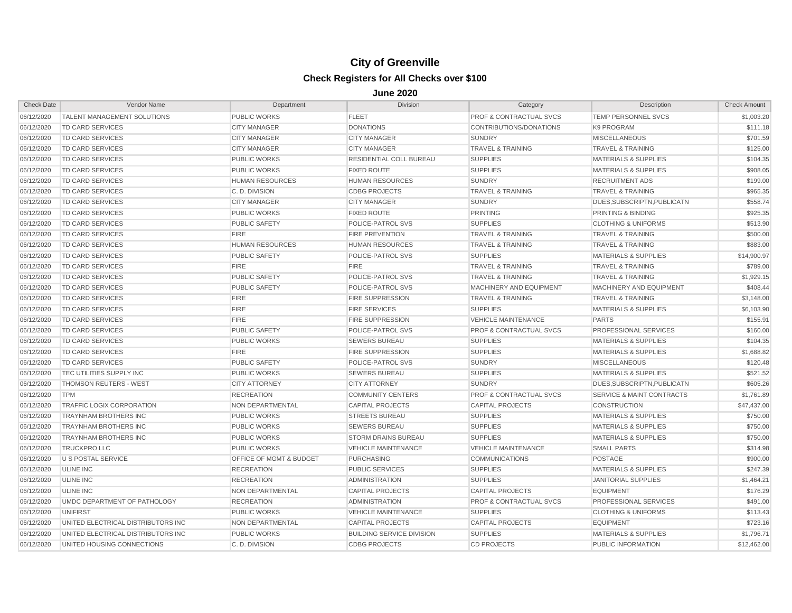| <b>Check Date</b> | Vendor Name                        | Department              | <b>Division</b>                  | Category                           | Description                          | <b>Check Amount</b> |
|-------------------|------------------------------------|-------------------------|----------------------------------|------------------------------------|--------------------------------------|---------------------|
| 06/12/2020        | TALENT MANAGEMENT SOLUTIONS        | <b>PUBLIC WORKS</b>     | <b>FLEET</b>                     | PROF & CONTRACTUAL SVCS            | TEMP PERSONNEL SVCS                  | \$1,003.20          |
| 06/12/2020        | <b>TD CARD SERVICES</b>            | <b>CITY MANAGER</b>     | <b>DONATIONS</b>                 | CONTRIBUTIONS/DONATIONS            | K9 PROGRAM                           | \$111.18            |
| 06/12/2020        | TD CARD SERVICES                   | <b>CITY MANAGER</b>     | <b>CITY MANAGER</b>              | <b>SUNDRY</b>                      | <b>MISCELLANEOUS</b>                 | \$701.59            |
| 06/12/2020        | TD CARD SERVICES                   | <b>CITY MANAGER</b>     | <b>CITY MANAGER</b>              | <b>TRAVEL &amp; TRAINING</b>       | <b>TRAVEL &amp; TRAINING</b>         | \$125.00            |
| 06/12/2020        | <b>TD CARD SERVICES</b>            | <b>PUBLIC WORKS</b>     | <b>RESIDENTIAL COLL BUREAU</b>   | <b>SUPPLIES</b>                    | <b>MATERIALS &amp; SUPPLIES</b>      | \$104.35            |
| 06/12/2020        | <b>TD CARD SERVICES</b>            | <b>PUBLIC WORKS</b>     | <b>FIXED ROUTE</b>               | <b>SUPPLIES</b>                    | <b>MATERIALS &amp; SUPPLIES</b>      | \$908.05            |
| 06/12/2020        | <b>TD CARD SERVICES</b>            | <b>HUMAN RESOURCES</b>  | <b>HUMAN RESOURCES</b>           | <b>SUNDRY</b>                      | <b>RECRUITMENT ADS</b>               | \$199.00            |
| 06/12/2020        | TD CARD SERVICES                   | C.D. DIVISION           | <b>CDBG PROJECTS</b>             | <b>TRAVEL &amp; TRAINING</b>       | <b>TRAVEL &amp; TRAINING</b>         | \$965.35            |
| 06/12/2020        | <b>TD CARD SERVICES</b>            | <b>CITY MANAGER</b>     | <b>CITY MANAGER</b>              | <b>SUNDRY</b>                      | DUES, SUBSCRIPTN, PUBLICATN          | \$558.74            |
| 06/12/2020        | <b>TD CARD SERVICES</b>            | <b>PUBLIC WORKS</b>     | <b>FIXED ROUTE</b>               | <b>PRINTING</b>                    | <b>PRINTING &amp; BINDING</b>        | \$925.35            |
| 06/12/2020        | <b>TD CARD SERVICES</b>            | <b>PUBLIC SAFETY</b>    | POLICE-PATROL SVS                | <b>SUPPLIES</b>                    | <b>CLOTHING &amp; UNIFORMS</b>       | \$513.90            |
| 06/12/2020        | TD CARD SERVICES                   | <b>FIRE</b>             | <b>FIRE PREVENTION</b>           | <b>TRAVEL &amp; TRAINING</b>       | <b>TRAVEL &amp; TRAINING</b>         | \$500.00            |
| 06/12/2020        | <b>TD CARD SERVICES</b>            | <b>HUMAN RESOURCES</b>  | <b>HUMAN RESOURCES</b>           | <b>TRAVEL &amp; TRAINING</b>       | <b>TRAVEL &amp; TRAINING</b>         | \$883.00            |
| 06/12/2020        | <b>TD CARD SERVICES</b>            | <b>PUBLIC SAFETY</b>    | POLICE-PATROL SVS                | <b>SUPPLIES</b>                    | <b>MATERIALS &amp; SUPPLIES</b>      | \$14,900.97         |
| 06/12/2020        | <b>TD CARD SERVICES</b>            | <b>FIRE</b>             | <b>FIRE</b>                      | <b>TRAVEL &amp; TRAINING</b>       | <b>TRAVEL &amp; TRAINING</b>         | \$789.00            |
| 06/12/2020        | <b>TD CARD SERVICES</b>            | <b>PUBLIC SAFETY</b>    | POLICE-PATROL SVS                | <b>TRAVEL &amp; TRAINING</b>       | <b>TRAVEL &amp; TRAINING</b>         | \$1,929.15          |
| 06/12/2020        | TD CARD SERVICES                   | <b>PUBLIC SAFETY</b>    | POLICE-PATROL SVS                | MACHINERY AND EQUIPMENT            | MACHINERY AND EQUIPMENT              | \$408.44            |
| 06/12/2020        | TD CARD SERVICES                   | <b>FIRE</b>             | <b>FIRE SUPPRESSION</b>          | <b>TRAVEL &amp; TRAINING</b>       | <b>TRAVEL &amp; TRAINING</b>         | \$3,148.00          |
| 06/12/2020        | <b>TD CARD SERVICES</b>            | <b>FIRE</b>             | <b>FIRE SERVICES</b>             | <b>SUPPLIES</b>                    | <b>MATERIALS &amp; SUPPLIES</b>      | \$6,103.90          |
| 06/12/2020        | <b>TD CARD SERVICES</b>            | <b>FIRE</b>             | <b>FIRE SUPPRESSION</b>          | <b>VEHICLE MAINTENANCE</b>         | <b>PARTS</b>                         | \$155.91            |
| 06/12/2020        | <b>TD CARD SERVICES</b>            | <b>PUBLIC SAFETY</b>    | POLICE-PATROL SVS                | <b>PROF &amp; CONTRACTUAL SVCS</b> | <b>PROFESSIONAL SERVICES</b>         | \$160.00            |
| 06/12/2020        | <b>TD CARD SERVICES</b>            | <b>PUBLIC WORKS</b>     | <b>SEWERS BUREAU</b>             | <b>SUPPLIES</b>                    | <b>MATERIALS &amp; SUPPLIES</b>      | \$104.35            |
| 06/12/2020        | <b>TD CARD SERVICES</b>            | <b>FIRE</b>             | <b>FIRE SUPPRESSION</b>          | <b>SUPPLIES</b>                    | <b>MATERIALS &amp; SUPPLIES</b>      | \$1,688.82          |
| 06/12/2020        | <b>TD CARD SERVICES</b>            | <b>PUBLIC SAFETY</b>    | POLICE-PATROL SVS                | <b>SUNDRY</b>                      | <b>MISCELLANEOUS</b>                 | \$120.48            |
| 06/12/2020        | <b>TEC UTILITIES SUPPLY INC</b>    | <b>PUBLIC WORKS</b>     | <b>SEWERS BUREAU</b>             | <b>SUPPLIES</b>                    | <b>MATERIALS &amp; SUPPLIES</b>      | \$521.52            |
| 06/12/2020        | <b>THOMSON REUTERS - WEST</b>      | <b>CITY ATTORNEY</b>    | <b>CITY ATTORNEY</b>             | <b>SUNDRY</b>                      | DUES, SUBSCRIPTN, PUBLICATN          | \$605.26            |
| 06/12/2020        | <b>TPM</b>                         | <b>RECREATION</b>       | <b>COMMUNITY CENTERS</b>         | <b>PROF &amp; CONTRACTUAL SVCS</b> | <b>SERVICE &amp; MAINT CONTRACTS</b> | \$1,761.89          |
| 06/12/2020        | <b>TRAFFIC LOGIX CORPORATION</b>   | NON DEPARTMENTAL        | <b>CAPITAL PROJECTS</b>          | <b>CAPITAL PROJECTS</b>            | <b>CONSTRUCTION</b>                  | \$47,437.00         |
| 06/12/2020        | <b>TRAYNHAM BROTHERS INC</b>       | <b>PUBLIC WORKS</b>     | <b>STREETS BUREAU</b>            | <b>SUPPLIES</b>                    | <b>MATERIALS &amp; SUPPLIES</b>      | \$750.00            |
| 06/12/2020        | <b>TRAYNHAM BROTHERS INC</b>       | <b>PUBLIC WORKS</b>     | <b>SEWERS BUREAU</b>             | <b>SUPPLIES</b>                    | <b>MATERIALS &amp; SUPPLIES</b>      | \$750.00            |
| 06/12/2020        | <b>TRAYNHAM BROTHERS INC</b>       | <b>PUBLIC WORKS</b>     | <b>STORM DRAINS BUREAU</b>       | <b>SUPPLIES</b>                    | <b>MATERIALS &amp; SUPPLIES</b>      | \$750.00            |
| 06/12/2020        | <b>TRUCKPRO LLC</b>                | <b>PUBLIC WORKS</b>     | <b>VEHICLE MAINTENANCE</b>       | <b>VEHICLE MAINTENANCE</b>         | <b>SMALL PARTS</b>                   | \$314.98            |
| 06/12/2020        | <b>U S POSTAL SERVICE</b>          | OFFICE OF MGMT & BUDGET | <b>PURCHASING</b>                | <b>COMMUNICATIONS</b>              | POSTAGE                              | \$900.00            |
| 06/12/2020        | ULINE INC                          | <b>RECREATION</b>       | <b>PUBLIC SERVICES</b>           | <b>SUPPLIES</b>                    | <b>MATERIALS &amp; SUPPLIES</b>      | \$247.39            |
| 06/12/2020        | ULINE INC                          | <b>RECREATION</b>       | <b>ADMINISTRATION</b>            | <b>SUPPLIES</b>                    | <b>JANITORIAL SUPPLIES</b>           | \$1,464.21          |
| 06/12/2020        | <b>ULINE INC</b>                   | NON DEPARTMENTAL        | <b>CAPITAL PROJECTS</b>          | <b>CAPITAL PROJECTS</b>            | <b>EQUIPMENT</b>                     | \$176.29            |
| 06/12/2020        | UMDC DEPARTMENT OF PATHOLOGY       | <b>RECREATION</b>       | <b>ADMINISTRATION</b>            | <b>PROF &amp; CONTRACTUAL SVCS</b> | <b>PROFESSIONAL SERVICES</b>         | \$491.00            |
| 06/12/2020        | UNIFIRST                           | <b>PUBLIC WORKS</b>     | <b>VEHICLE MAINTENANCE</b>       | <b>SUPPLIES</b>                    | <b>CLOTHING &amp; UNIFORMS</b>       | \$113.43            |
| 06/12/2020        | UNITED ELECTRICAL DISTRIBUTORS INC | NON DEPARTMENTAL        | <b>CAPITAL PROJECTS</b>          | <b>CAPITAL PROJECTS</b>            | <b>EQUIPMENT</b>                     | \$723.16            |
| 06/12/2020        | UNITED ELECTRICAL DISTRIBUTORS INC | <b>PUBLIC WORKS</b>     | <b>BUILDING SERVICE DIVISION</b> | <b>SUPPLIES</b>                    | <b>MATERIALS &amp; SUPPLIES</b>      | \$1,796.71          |
| 06/12/2020        | UNITED HOUSING CONNECTIONS         | C. D. DIVISION          | <b>CDBG PROJECTS</b>             | <b>CD PROJECTS</b>                 | <b>PUBLIC INFORMATION</b>            | \$12,462.00         |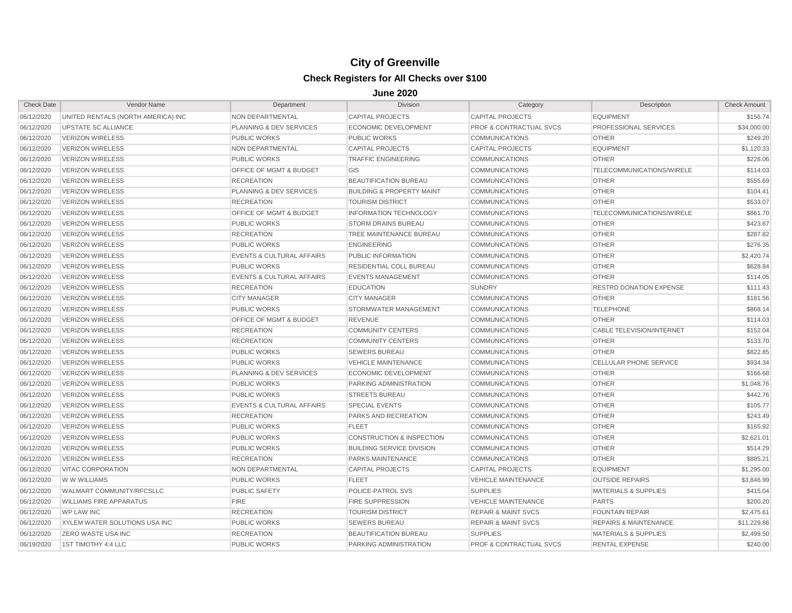| <b>Check Date</b> | Vendor Name                        | Department                           | <b>Division</b>                      | Category                           | Description                      | <b>Check Amount</b> |
|-------------------|------------------------------------|--------------------------------------|--------------------------------------|------------------------------------|----------------------------------|---------------------|
| 06/12/2020        | UNITED RENTALS (NORTH AMERICA) INC | NON DEPARTMENTAL                     | <b>CAPITAL PROJECTS</b>              | <b>CAPITAL PROJECTS</b>            | <b>EQUIPMENT</b>                 | \$156.74            |
| 06/12/2020        | <b>UPSTATE SC ALLIANCE</b>         | <b>PLANNING &amp; DEV SERVICES</b>   | <b>ECONOMIC DEVELOPMENT</b>          | <b>PROF &amp; CONTRACTUAL SVCS</b> | <b>PROFESSIONAL SERVICES</b>     | \$34,000.00         |
| 06/12/2020        | <b>VERIZON WIRELESS</b>            | <b>PUBLIC WORKS</b>                  | <b>PUBLIC WORKS</b>                  | <b>COMMUNICATIONS</b>              | <b>OTHER</b>                     | \$249.20            |
| 06/12/2020        | <b>VERIZON WIRELESS</b>            | <b>NON DEPARTMENTAL</b>              | <b>CAPITAL PROJECTS</b>              | <b>CAPITAL PROJECTS</b>            | <b>EQUIPMENT</b>                 | \$1,120.33          |
| 06/12/2020        | <b>VERIZON WIRELESS</b>            | <b>PUBLIC WORKS</b>                  | <b>TRAFFIC ENGINEERING</b>           | <b>COMMUNICATIONS</b>              | <b>OTHER</b>                     | \$228.06            |
| 06/12/2020        | <b>VERIZON WIRELESS</b>            | <b>OFFICE OF MGMT &amp; BUDGET</b>   | GIS                                  | <b>COMMUNICATIONS</b>              | TELECOMMUNICATIONS/WIRELE        | \$114.03            |
| 06/12/2020        | <b>VERIZON WIRELESS</b>            | <b>RECREATION</b>                    | <b>BEAUTIFICATION BUREAU</b>         | <b>COMMUNICATIONS</b>              | <b>OTHER</b>                     | \$555.69            |
| 06/12/2020        | <b>VERIZON WIRELESS</b>            | PLANNING & DEV SERVICES              | <b>BUILDING &amp; PROPERTY MAINT</b> | <b>COMMUNICATIONS</b>              | <b>OTHER</b>                     | \$104.41            |
| 06/12/2020        | <b>VERIZON WIRELESS</b>            | <b>RECREATION</b>                    | <b>TOURISM DISTRICT</b>              | <b>COMMUNICATIONS</b>              | <b>OTHER</b>                     | \$533.07            |
| 06/12/2020        | <b>VERIZON WIRELESS</b>            | <b>OFFICE OF MGMT &amp; BUDGET</b>   | <b>INFORMATION TECHNOLOGY</b>        | <b>COMMUNICATIONS</b>              | <b>TELECOMMUNICATIONS/WIRELE</b> | \$861.70            |
| 06/12/2020        | <b>VERIZON WIRELESS</b>            | <b>PUBLIC WORKS</b>                  | <b>STORM DRAINS BUREAU</b>           | <b>COMMUNICATIONS</b>              | <b>OTHER</b>                     | \$423.67            |
| 06/12/2020        | <b>VERIZON WIRELESS</b>            | <b>RECREATION</b>                    | <b>TREE MAINTENANCE BUREAU</b>       | <b>COMMUNICATIONS</b>              | <b>OTHER</b>                     | \$287.82            |
| 06/12/2020        | <b>VERIZON WIRELESS</b>            | <b>PUBLIC WORKS</b>                  | <b>ENGINEERING</b>                   | <b>COMMUNICATIONS</b>              | <b>OTHER</b>                     | \$276.35            |
| 06/12/2020        | <b>VERIZON WIRELESS</b>            | <b>EVENTS &amp; CULTURAL AFFAIRS</b> | PUBLIC INFORMATION                   | <b>COMMUNICATIONS</b>              | <b>OTHER</b>                     | \$2,420.74          |
| 06/12/2020        | <b>VERIZON WIRELESS</b>            | <b>PUBLIC WORKS</b>                  | <b>RESIDENTIAL COLL BUREAU</b>       | <b>COMMUNICATIONS</b>              | <b>OTHER</b>                     | \$628.84            |
| 06/12/2020        | <b>VERIZON WIRELESS</b>            | <b>EVENTS &amp; CULTURAL AFFAIRS</b> | <b>EVENTS MANAGEMENT</b>             | <b>COMMUNICATIONS</b>              | <b>OTHER</b>                     | \$114.05            |
| 06/12/2020        | <b>VERIZON WIRELESS</b>            | <b>RECREATION</b>                    | <b>EDUCATION</b>                     | <b>SUNDRY</b>                      | <b>RESTRD DONATION EXPENSE</b>   | \$111.43            |
| 06/12/2020        | <b>VERIZON WIRELESS</b>            | <b>CITY MANAGER</b>                  | <b>CITY MANAGER</b>                  | <b>COMMUNICATIONS</b>              | <b>OTHER</b>                     | \$181.56            |
| 06/12/2020        | <b>VERIZON WIRELESS</b>            | <b>PUBLIC WORKS</b>                  | STORMWATER MANAGEMENT                | <b>COMMUNICATIONS</b>              | <b>TELEPHONE</b>                 | \$868.14            |
| 06/12/2020        | <b>VERIZON WIRELESS</b>            | OFFICE OF MGMT & BUDGET              | <b>REVENUE</b>                       | <b>COMMUNICATIONS</b>              | <b>OTHER</b>                     | \$114.03            |
| 06/12/2020        | <b>VERIZON WIRELESS</b>            | <b>RECREATION</b>                    | <b>COMMUNITY CENTERS</b>             | <b>COMMUNICATIONS</b>              | CABLE TELEVISION/INTERNET        | \$152.04            |
| 06/12/2020        | <b>VERIZON WIRELESS</b>            | <b>RECREATION</b>                    | <b>COMMUNITY CENTERS</b>             | <b>COMMUNICATIONS</b>              | <b>OTHER</b>                     | \$133.70            |
| 06/12/2020        | <b>VERIZON WIRELESS</b>            | <b>PUBLIC WORKS</b>                  | <b>SEWERS BUREAU</b>                 | <b>COMMUNICATIONS</b>              | <b>OTHER</b>                     | \$822.85            |
| 06/12/2020        | <b>VERIZON WIRELESS</b>            | <b>PUBLIC WORKS</b>                  | <b>VEHICLE MAINTENANCE</b>           | <b>COMMUNICATIONS</b>              | <b>CELLULAR PHONE SERVICE</b>    | \$934.34            |
| 06/12/2020        | <b>VERIZON WIRELESS</b>            | PLANNING & DEV SERVICES              | <b>ECONOMIC DEVELOPMENT</b>          | <b>COMMUNICATIONS</b>              | <b>OTHER</b>                     | \$166.68            |
| 06/12/2020        | <b>VERIZON WIRELESS</b>            | <b>PUBLIC WORKS</b>                  | PARKING ADMINISTRATION               | <b>COMMUNICATIONS</b>              | <b>OTHER</b>                     | \$1,048.76          |
| 06/12/2020        | <b>VERIZON WIRELESS</b>            | <b>PUBLIC WORKS</b>                  | <b>STREETS BUREAU</b>                | <b>COMMUNICATIONS</b>              | <b>OTHER</b>                     | \$442.76            |
| 06/12/2020        | <b>VERIZON WIRELESS</b>            | <b>EVENTS &amp; CULTURAL AFFAIRS</b> | <b>SPECIAL EVENTS</b>                | <b>COMMUNICATIONS</b>              | <b>OTHER</b>                     | \$105.77            |
| 06/12/2020        | <b>VERIZON WIRELESS</b>            | <b>RECREATION</b>                    | <b>PARKS AND RECREATION</b>          | <b>COMMUNICATIONS</b>              | <b>OTHER</b>                     | \$243.49            |
| 06/12/2020        | <b>VERIZON WIRELESS</b>            | <b>PUBLIC WORKS</b>                  | <b>FLEET</b>                         | <b>COMMUNICATIONS</b>              | <b>OTHER</b>                     | \$165.92            |
| 06/12/2020        | <b>VERIZON WIRELESS</b>            | <b>PUBLIC WORKS</b>                  | <b>CONSTRUCTION &amp; INSPECTION</b> | <b>COMMUNICATIONS</b>              | <b>OTHER</b>                     | \$2,621.01          |
| 06/12/2020        | <b>VERIZON WIRELESS</b>            | <b>PUBLIC WORKS</b>                  | <b>BUILDING SERVICE DIVISION</b>     | <b>COMMUNICATIONS</b>              | <b>OTHER</b>                     | \$514.29            |
| 06/12/2020        | <b>VERIZON WIRELESS</b>            | <b>RECREATION</b>                    | <b>PARKS MAINTENANCE</b>             | <b>COMMUNICATIONS</b>              | <b>OTHER</b>                     | \$885.21            |
| 06/12/2020        | <b>VITAC CORPORATION</b>           | <b>NON DEPARTMENTAL</b>              | <b>CAPITAL PROJECTS</b>              | <b>CAPITAL PROJECTS</b>            | <b>EQUIPMENT</b>                 | \$1,295.00          |
| 06/12/2020        | W W WILLIAMS                       | <b>PUBLIC WORKS</b>                  | <b>FLEET</b>                         | <b>VEHICLE MAINTENANCE</b>         | <b>OUTSIDE REPAIRS</b>           | \$3,846.99          |
| 06/12/2020        | WALMART COMMUNITY/RFCSLLC          | <b>PUBLIC SAFETY</b>                 | POLICE-PATROL SVS                    | <b>SUPPLIES</b>                    | <b>MATERIALS &amp; SUPPLIES</b>  | \$415.04            |
| 06/12/2020        | <b>WILLIAMS FIRE APPARATUS</b>     | <b>FIRE</b>                          | <b>FIRE SUPPRESSION</b>              | <b>VEHICLE MAINTENANCE</b>         | <b>PARTS</b>                     | \$200.20            |
| 06/12/2020        | <b>WP LAW INC</b>                  | <b>RECREATION</b>                    | <b>TOURISM DISTRICT</b>              | <b>REPAIR &amp; MAINT SVCS</b>     | <b>FOUNTAIN REPAIR</b>           | \$2,475.61          |
| 06/12/2020        | XYLEM WATER SOLUTIONS USA INC      | <b>PUBLIC WORKS</b>                  | <b>SEWERS BUREAU</b>                 | <b>REPAIR &amp; MAINT SVCS</b>     | <b>REPAIRS &amp; MAINTENANCE</b> | \$11,229.86         |
| 06/12/2020        | <b>ZERO WASTE USA INC</b>          | <b>RECREATION</b>                    | <b>BEAUTIFICATION BUREAU</b>         | <b>SUPPLIES</b>                    | <b>MATERIALS &amp; SUPPLIES</b>  | \$2,499.50          |
| 06/19/2020        | 1ST TIMOTHY 4:4 LLC                | <b>PUBLIC WORKS</b>                  | PARKING ADMINISTRATION               | <b>PROF &amp; CONTRACTUAL SVCS</b> | <b>RENTAL EXPENSE</b>            | \$240.00            |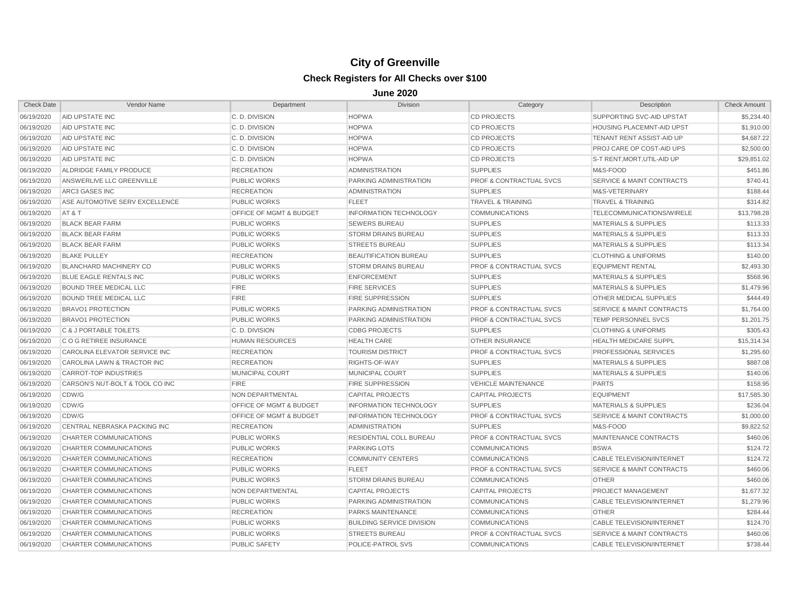| <b>Check Date</b> | Vendor Name                     | Department                         | <b>Division</b>                  | Category                           | Description                          | <b>Check Amount</b> |
|-------------------|---------------------------------|------------------------------------|----------------------------------|------------------------------------|--------------------------------------|---------------------|
| 06/19/2020        | AID UPSTATE INC                 | C. D. DIVISION                     | <b>HOPWA</b>                     | <b>CD PROJECTS</b>                 | SUPPORTING SVC-AID UPSTAT            | \$5,234.40          |
| 06/19/2020        | AID UPSTATE INC                 | C.D. DIVISION                      | <b>HOPWA</b>                     | <b>CD PROJECTS</b>                 | <b>HOUSING PLACEMNT-AID UPST</b>     | \$1,910.00          |
| 06/19/2020        | AID UPSTATE INC                 | C.D. DIVISION                      | <b>HOPWA</b>                     | <b>CD PROJECTS</b>                 | TENANT RENT ASSIST-AID UP            | \$4,687.22          |
| 06/19/2020        | AID UPSTATE INC                 | C. D. DIVISION                     | <b>HOPWA</b>                     | <b>CD PROJECTS</b>                 | <b>PROJ CARE OP COST-AID UPS</b>     | \$2,500.00          |
| 06/19/2020        | <b>AID UPSTATE INC</b>          | C. D. DIVISION                     | <b>HOPWA</b>                     | <b>CD PROJECTS</b>                 | S-T RENT, MORT, UTIL-AID UP          | \$29,851.02         |
| 06/19/2020        | ALDRIDGE FAMILY PRODUCE         | <b>RECREATION</b>                  | <b>ADMINISTRATION</b>            | <b>SUPPLIES</b>                    | M&S-FOOD                             | \$451.86            |
| 06/19/2020        | ANSWERLIVE LLC GREENVILLE       | <b>PUBLIC WORKS</b>                | PARKING ADMINISTRATION           | <b>PROF &amp; CONTRACTUAL SVCS</b> | <b>SERVICE &amp; MAINT CONTRACTS</b> | \$740.41            |
| 06/19/2020        | <b>ARC3 GASES INC</b>           | <b>RECREATION</b>                  | <b>ADMINISTRATION</b>            | <b>SUPPLIES</b>                    | M&S-VETERINARY                       | \$188.44            |
| 06/19/2020        | ASE AUTOMOTIVE SERV EXCELLENCE  | <b>PUBLIC WORKS</b>                | <b>FLEET</b>                     | <b>TRAVEL &amp; TRAINING</b>       | <b>TRAVEL &amp; TRAINING</b>         | \$314.82            |
| 06/19/2020        | AT&T                            | OFFICE OF MGMT & BUDGET            | <b>INFORMATION TECHNOLOGY</b>    | <b>COMMUNICATIONS</b>              | TELECOMMUNICATIONS/WIRELE            | \$13,798.28         |
| 06/19/2020        | <b>BLACK BEAR FARM</b>          | <b>PUBLIC WORKS</b>                | <b>SEWERS BUREAU</b>             | <b>SUPPLIES</b>                    | <b>MATERIALS &amp; SUPPLIES</b>      | \$113.33            |
| 06/19/2020        | <b>BLACK BEAR FARM</b>          | <b>PUBLIC WORKS</b>                | <b>STORM DRAINS BUREAU</b>       | <b>SUPPLIES</b>                    | <b>MATERIALS &amp; SUPPLIES</b>      | \$113.33            |
| 06/19/2020        | <b>BLACK BEAR FARM</b>          | <b>PUBLIC WORKS</b>                | <b>STREETS BUREAU</b>            | <b>SUPPLIES</b>                    | <b>MATERIALS &amp; SUPPLIES</b>      | \$113.34            |
| 06/19/2020        | <b>BLAKE PULLEY</b>             | <b>RECREATION</b>                  | <b>BEAUTIFICATION BUREAU</b>     | <b>SUPPLIES</b>                    | <b>CLOTHING &amp; UNIFORMS</b>       | \$140.00            |
| 06/19/2020        | <b>BLANCHARD MACHINERY CO</b>   | <b>PUBLIC WORKS</b>                | <b>STORM DRAINS BUREAU</b>       | <b>PROF &amp; CONTRACTUAL SVCS</b> | <b>EQUIPMENT RENTAL</b>              | \$2,493.30          |
| 06/19/2020        | <b>BLUE EAGLE RENTALS INC</b>   | <b>PUBLIC WORKS</b>                | <b>ENFORCEMENT</b>               | <b>SUPPLIES</b>                    | <b>MATERIALS &amp; SUPPLIES</b>      | \$568.96            |
| 06/19/2020        | <b>BOUND TREE MEDICAL LLC</b>   | <b>FIRE</b>                        | <b>FIRE SERVICES</b>             | <b>SUPPLIES</b>                    | <b>MATERIALS &amp; SUPPLIES</b>      | \$1,479.96          |
| 06/19/2020        | <b>BOUND TREE MEDICAL LLC</b>   | <b>FIRE</b>                        | <b>FIRE SUPPRESSION</b>          | <b>SUPPLIES</b>                    | <b>OTHER MEDICAL SUPPLIES</b>        | \$444.49            |
| 06/19/2020        | <b>BRAVO1 PROTECTION</b>        | <b>PUBLIC WORKS</b>                | PARKING ADMINISTRATION           | <b>PROF &amp; CONTRACTUAL SVCS</b> | <b>SERVICE &amp; MAINT CONTRACTS</b> | \$1,764.00          |
| 06/19/2020        | <b>BRAVO1 PROTECTION</b>        | PUBLIC WORKS                       | PARKING ADMINISTRATION           | <b>PROF &amp; CONTRACTUAL SVCS</b> | TEMP PERSONNEL SVCS                  | \$1,201.75          |
| 06/19/2020        | C & J PORTABLE TOILETS          | C. D. DIVISION                     | <b>CDBG PROJECTS</b>             | <b>SUPPLIES</b>                    | <b>CLOTHING &amp; UNIFORMS</b>       | \$305.43            |
| 06/19/2020        | C O G RETIREE INSURANCE         | <b>HUMAN RESOURCES</b>             | <b>HEALTH CARE</b>               | <b>OTHER INSURANCE</b>             | <b>HEALTH MEDICARE SUPPL</b>         | \$15,314.34         |
| 06/19/2020        | CAROLINA ELEVATOR SERVICE INC   | <b>RECREATION</b>                  | <b>TOURISM DISTRICT</b>          | <b>PROF &amp; CONTRACTUAL SVCS</b> | PROFESSIONAL SERVICES                | \$1,295.60          |
| 06/19/2020        | CAROLINA LAWN & TRACTOR INC     | <b>RECREATION</b>                  | RIGHTS-OF-WAY                    | <b>SUPPLIES</b>                    | <b>MATERIALS &amp; SUPPLIES</b>      | \$887.08            |
| 06/19/2020        | <b>CARROT-TOP INDUSTRIES</b>    | MUNICIPAL COURT                    | <b>MUNICIPAL COURT</b>           | <b>SUPPLIES</b>                    | <b>MATERIALS &amp; SUPPLIES</b>      | \$140.06            |
| 06/19/2020        | CARSON'S NUT-BOLT & TOOL CO INC | <b>FIRE</b>                        | <b>FIRE SUPPRESSION</b>          | <b>VEHICLE MAINTENANCE</b>         | <b>PARTS</b>                         | \$158.95            |
| 06/19/2020        | CDW/G                           | <b>NON DEPARTMENTAL</b>            | <b>CAPITAL PROJECTS</b>          | <b>CAPITAL PROJECTS</b>            | <b>EQUIPMENT</b>                     | \$17,585.30         |
| 06/19/2020        | CDW/G                           | <b>OFFICE OF MGMT &amp; BUDGET</b> | <b>INFORMATION TECHNOLOGY</b>    | <b>SUPPLIES</b>                    | <b>MATERIALS &amp; SUPPLIES</b>      | \$236.04            |
| 06/19/2020        | CDW/G                           | <b>OFFICE OF MGMT &amp; BUDGET</b> | <b>INFORMATION TECHNOLOGY</b>    | <b>PROF &amp; CONTRACTUAL SVCS</b> | <b>SERVICE &amp; MAINT CONTRACTS</b> | \$1,000.00          |
| 06/19/2020        | CENTRAL NEBRASKA PACKING INC    | <b>RECREATION</b>                  | <b>ADMINISTRATION</b>            | <b>SUPPLIES</b>                    | M&S-FOOD                             | \$9,822.52          |
| 06/19/2020        | CHARTER COMMUNICATIONS          | <b>PUBLIC WORKS</b>                | RESIDENTIAL COLL BUREAU          | <b>PROF &amp; CONTRACTUAL SVCS</b> | MAINTENANCE CONTRACTS                | \$460.06            |
| 06/19/2020        | CHARTER COMMUNICATIONS          | <b>PUBLIC WORKS</b>                | <b>PARKING LOTS</b>              | <b>COMMUNICATIONS</b>              | <b>BSWA</b>                          | \$124.72            |
| 06/19/2020        | CHARTER COMMUNICATIONS          | <b>RECREATION</b>                  | <b>COMMUNITY CENTERS</b>         | <b>COMMUNICATIONS</b>              | CABLE TELEVISION/INTERNET            | \$124.72            |
| 06/19/2020        | CHARTER COMMUNICATIONS          | <b>PUBLIC WORKS</b>                | <b>FLEET</b>                     | <b>PROF &amp; CONTRACTUAL SVCS</b> | <b>SERVICE &amp; MAINT CONTRACTS</b> | \$460.06            |
| 06/19/2020        | CHARTER COMMUNICATIONS          | <b>PUBLIC WORKS</b>                | <b>STORM DRAINS BUREAU</b>       | <b>COMMUNICATIONS</b>              | <b>OTHER</b>                         | \$460.06            |
| 06/19/2020        | CHARTER COMMUNICATIONS          | NON DEPARTMENTAL                   | <b>CAPITAL PROJECTS</b>          | <b>CAPITAL PROJECTS</b>            | PROJECT MANAGEMENT                   | \$1,677.32          |
| 06/19/2020        | CHARTER COMMUNICATIONS          | <b>PUBLIC WORKS</b>                | PARKING ADMINISTRATION           | <b>COMMUNICATIONS</b>              | CABLE TELEVISION/INTERNET            | \$1,279.96          |
| 06/19/2020        | CHARTER COMMUNICATIONS          | <b>RECREATION</b>                  | PARKS MAINTENANCE                | <b>COMMUNICATIONS</b>              | <b>OTHER</b>                         | \$284.44            |
| 06/19/2020        | CHARTER COMMUNICATIONS          | <b>PUBLIC WORKS</b>                | <b>BUILDING SERVICE DIVISION</b> | <b>COMMUNICATIONS</b>              | CABLE TELEVISION/INTERNET            | \$124.70            |
| 06/19/2020        | CHARTER COMMUNICATIONS          | <b>PUBLIC WORKS</b>                | <b>STREETS BUREAU</b>            | <b>PROF &amp; CONTRACTUAL SVCS</b> | <b>SERVICE &amp; MAINT CONTRACTS</b> | \$460.06            |
| 06/19/2020        | CHARTER COMMUNICATIONS          | PUBLIC SAFETY                      | POLICE-PATROL SVS                | <b>COMMUNICATIONS</b>              | <b>CABLE TELEVISION/INTERNET</b>     | \$738.44            |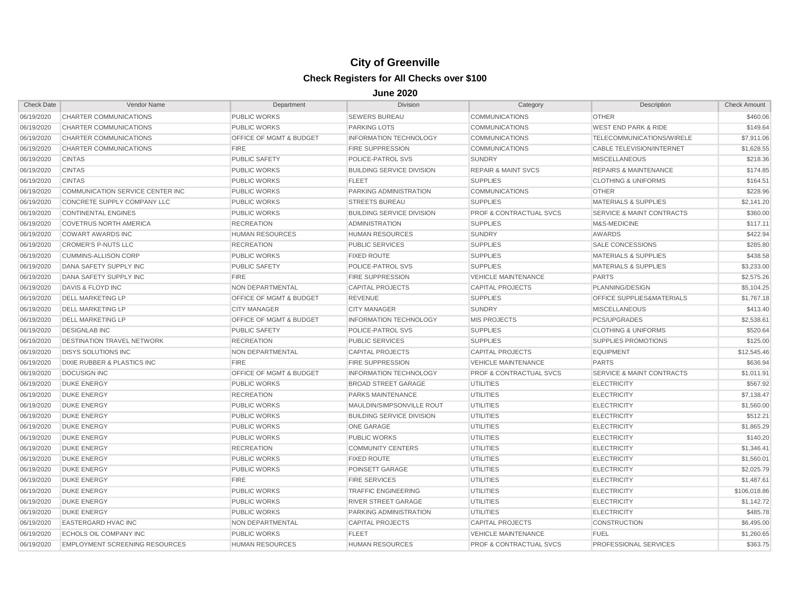| <b>Check Date</b> | Vendor Name                            | Department                         | <b>Division</b>                  | Category                           | Description                          | <b>Check Amount</b> |
|-------------------|----------------------------------------|------------------------------------|----------------------------------|------------------------------------|--------------------------------------|---------------------|
| 06/19/2020        | CHARTER COMMUNICATIONS                 | <b>PUBLIC WORKS</b>                | <b>SEWERS BUREAU</b>             | <b>COMMUNICATIONS</b>              | <b>OTHER</b>                         | \$460.06            |
| 06/19/2020        | CHARTER COMMUNICATIONS                 | <b>PUBLIC WORKS</b>                | <b>PARKING LOTS</b>              | <b>COMMUNICATIONS</b>              | <b>WEST END PARK &amp; RIDE</b>      | \$149.64            |
| 06/19/2020        | CHARTER COMMUNICATIONS                 | <b>OFFICE OF MGMT &amp; BUDGET</b> | <b>INFORMATION TECHNOLOGY</b>    | <b>COMMUNICATIONS</b>              | TELECOMMUNICATIONS/WIRELE            | \$7,911.06          |
| 06/19/2020        | CHARTER COMMUNICATIONS                 | <b>FIRE</b>                        | <b>FIRE SUPPRESSION</b>          | <b>COMMUNICATIONS</b>              | CABLE TELEVISION/INTERNET            | \$1,628.55          |
| 06/19/2020        | <b>CINTAS</b>                          | <b>PUBLIC SAFETY</b>               | POLICE-PATROL SVS                | <b>SUNDRY</b>                      | <b>MISCELLANEOUS</b>                 | \$218.36            |
| 06/19/2020        | <b>CINTAS</b>                          | <b>PUBLIC WORKS</b>                | <b>BUILDING SERVICE DIVISION</b> | <b>REPAIR &amp; MAINT SVCS</b>     | <b>REPAIRS &amp; MAINTENANCE</b>     | \$174.85            |
| 06/19/2020        | <b>CINTAS</b>                          | <b>PUBLIC WORKS</b>                | <b>FLEET</b>                     | <b>SUPPLIES</b>                    | <b>CLOTHING &amp; UNIFORMS</b>       | \$164.51            |
| 06/19/2020        | COMMUNICATION SERVICE CENTER INC       | <b>PUBLIC WORKS</b>                | PARKING ADMINISTRATION           | <b>COMMUNICATIONS</b>              | <b>OTHER</b>                         | \$228.96            |
| 06/19/2020        | CONCRETE SUPPLY COMPANY LLC            | <b>PUBLIC WORKS</b>                | <b>STREETS BUREAU</b>            | <b>SUPPLIES</b>                    | <b>MATERIALS &amp; SUPPLIES</b>      | \$2,141.20          |
| 06/19/2020        | <b>CONTINENTAL ENGINES</b>             | <b>PUBLIC WORKS</b>                | <b>BUILDING SERVICE DIVISION</b> | <b>PROF &amp; CONTRACTUAL SVCS</b> | <b>SERVICE &amp; MAINT CONTRACTS</b> | \$360.00            |
| 06/19/2020        | <b>COVETRUS NORTH AMERICA</b>          | <b>RECREATION</b>                  | <b>ADMINISTRATION</b>            | <b>SUPPLIES</b>                    | M&S-MEDICINE                         | \$117.11            |
| 06/19/2020        | <b>COWART AWARDS INC</b>               | <b>HUMAN RESOURCES</b>             | <b>HUMAN RESOURCES</b>           | <b>SUNDRY</b>                      | <b>AWARDS</b>                        | \$422.94            |
| 06/19/2020        | <b>CROMER'S P-NUTS LLC</b>             | <b>RECREATION</b>                  | <b>PUBLIC SERVICES</b>           | <b>SUPPLIES</b>                    | <b>SALE CONCESSIONS</b>              | \$285.80            |
| 06/19/2020        | <b>CUMMINS-ALLISON CORP</b>            | <b>PUBLIC WORKS</b>                | <b>FIXED ROUTE</b>               | <b>SUPPLIES</b>                    | <b>MATERIALS &amp; SUPPLIES</b>      | \$438.58            |
| 06/19/2020        | DANA SAFETY SUPPLY INC                 | <b>PUBLIC SAFETY</b>               | POLICE-PATROL SVS                | <b>SUPPLIES</b>                    | <b>MATERIALS &amp; SUPPLIES</b>      | \$3,233.00          |
| 06/19/2020        | DANA SAFETY SUPPLY INC                 | <b>FIRE</b>                        | <b>FIRE SUPPRESSION</b>          | <b>VEHICLE MAINTENANCE</b>         | <b>PARTS</b>                         | \$2,575.26          |
| 06/19/2020        | DAVIS & FLOYD INC                      | NON DEPARTMENTAL                   | <b>CAPITAL PROJECTS</b>          | <b>CAPITAL PROJECTS</b>            | PLANNING/DESIGN                      | \$5,104.25          |
| 06/19/2020        | <b>DELL MARKETING LP</b>               | <b>OFFICE OF MGMT &amp; BUDGET</b> | <b>REVENUE</b>                   | <b>SUPPLIES</b>                    | OFFICE SUPPLIES&MATERIALS            | \$1,767.18          |
| 06/19/2020        | <b>DELL MARKETING LP</b>               | <b>CITY MANAGER</b>                | <b>CITY MANAGER</b>              | <b>SUNDRY</b>                      | <b>MISCELLANEOUS</b>                 | \$413.40            |
| 06/19/2020        | <b>DELL MARKETING LP</b>               | OFFICE OF MGMT & BUDGET            | INFORMATION TECHNOLOGY           | <b>MIS PROJECTS</b>                | <b>PCS/UPGRADES</b>                  | \$2,538.61          |
| 06/19/2020        | <b>DESIGNLAB INC</b>                   | <b>PUBLIC SAFETY</b>               | POLICE-PATROL SVS                | <b>SUPPLIES</b>                    | <b>CLOTHING &amp; UNIFORMS</b>       | \$520.64            |
| 06/19/2020        | <b>DESTINATION TRAVEL NETWORK</b>      | <b>RECREATION</b>                  | <b>PUBLIC SERVICES</b>           | <b>SUPPLIES</b>                    | <b>SUPPLIES PROMOTIONS</b>           | \$125.00            |
| 06/19/2020        | <b>DISYS SOLUTIONS INC</b>             | NON DEPARTMENTAL                   | <b>CAPITAL PROJECTS</b>          | <b>CAPITAL PROJECTS</b>            | <b>EQUIPMENT</b>                     | \$12,545.46         |
| 06/19/2020        | <b>DIXIE RUBBER &amp; PLASTICS INC</b> | <b>FIRE</b>                        | <b>FIRE SUPPRESSION</b>          | <b>VEHICLE MAINTENANCE</b>         | <b>PARTS</b>                         | \$636.94            |
| 06/19/2020        | <b>DOCUSIGN INC</b>                    | OFFICE OF MGMT & BUDGET            | <b>INFORMATION TECHNOLOGY</b>    | <b>PROF &amp; CONTRACTUAL SVCS</b> | <b>SERVICE &amp; MAINT CONTRACTS</b> | \$1,011.91          |
| 06/19/2020        | <b>DUKE ENERGY</b>                     | <b>PUBLIC WORKS</b>                | <b>BROAD STREET GARAGE</b>       | <b>UTILITIES</b>                   | <b>ELECTRICITY</b>                   | \$567.92            |
| 06/19/2020        | <b>DUKE ENERGY</b>                     | <b>RECREATION</b>                  | PARKS MAINTENANCE                | <b>UTILITIES</b>                   | <b>ELECTRICITY</b>                   | \$7,138.47          |
| 06/19/2020        | <b>DUKE ENERGY</b>                     | <b>PUBLIC WORKS</b>                | MAULDIN/SIMPSONVILLE ROUT        | <b>UTILITIES</b>                   | <b>ELECTRICITY</b>                   | \$1,560.00          |
| 06/19/2020        | <b>DUKE ENERGY</b>                     | <b>PUBLIC WORKS</b>                | <b>BUILDING SERVICE DIVISION</b> | <b>UTILITIES</b>                   | <b>ELECTRICITY</b>                   | \$512.21            |
| 06/19/2020        | <b>DUKE ENERGY</b>                     | <b>PUBLIC WORKS</b>                | ONE GARAGE                       | <b>UTILITIES</b>                   | <b>ELECTRICITY</b>                   | \$1,865.29          |
| 06/19/2020        | <b>DUKE ENERGY</b>                     | <b>PUBLIC WORKS</b>                | <b>PUBLIC WORKS</b>              | <b>UTILITIES</b>                   | <b>ELECTRICITY</b>                   | \$140.20            |
| 06/19/2020        | <b>DUKE ENERGY</b>                     | <b>RECREATION</b>                  | <b>COMMUNITY CENTERS</b>         | <b>UTILITIES</b>                   | <b>ELECTRICITY</b>                   | \$1,346.41          |
| 06/19/2020        | <b>DUKE ENERGY</b>                     | <b>PUBLIC WORKS</b>                | <b>FIXED ROUTE</b>               | <b>UTILITIES</b>                   | <b>ELECTRICITY</b>                   | \$1,560.01          |
| 06/19/2020        | <b>DUKE ENERGY</b>                     | <b>PUBLIC WORKS</b>                | POINSETT GARAGE                  | <b>UTILITIES</b>                   | <b>ELECTRICITY</b>                   | \$2,025.79          |
| 06/19/2020        | <b>DUKE ENERGY</b>                     | <b>FIRE</b>                        | <b>FIRE SERVICES</b>             | <b>UTILITIES</b>                   | <b>ELECTRICITY</b>                   | \$1,487.61          |
| 06/19/2020        | <b>DUKE ENERGY</b>                     | <b>PUBLIC WORKS</b>                | <b>TRAFFIC ENGINEERING</b>       | <b>UTILITIES</b>                   | <b>ELECTRICITY</b>                   | \$106,018.86        |
| 06/19/2020        | <b>DUKE ENERGY</b>                     | PUBLIC WORKS                       | <b>RIVER STREET GARAGE</b>       | <b>UTILITIES</b>                   | <b>ELECTRICITY</b>                   | \$1,142.72          |
| 06/19/2020        | <b>DUKE ENERGY</b>                     | <b>PUBLIC WORKS</b>                | PARKING ADMINISTRATION           | <b>UTILITIES</b>                   | <b>ELECTRICITY</b>                   | \$485.78            |
| 06/19/2020        | EASTERGARD HVAC INC                    | NON DEPARTMENTAL                   | <b>CAPITAL PROJECTS</b>          | <b>CAPITAL PROJECTS</b>            | CONSTRUCTION                         | \$6,495.00          |
| 06/19/2020        | ECHOLS OIL COMPANY INC                 | <b>PUBLIC WORKS</b>                | <b>FLEET</b>                     | <b>VEHICLE MAINTENANCE</b>         | <b>FUEL</b>                          | \$1,260.65          |
| 06/19/2020        | <b>EMPLOYMENT SCREENING RESOURCES</b>  | <b>HUMAN RESOURCES</b>             | <b>HUMAN RESOURCES</b>           | <b>PROF &amp; CONTRACTUAL SVCS</b> | PROFESSIONAL SERVICES                | \$363.75            |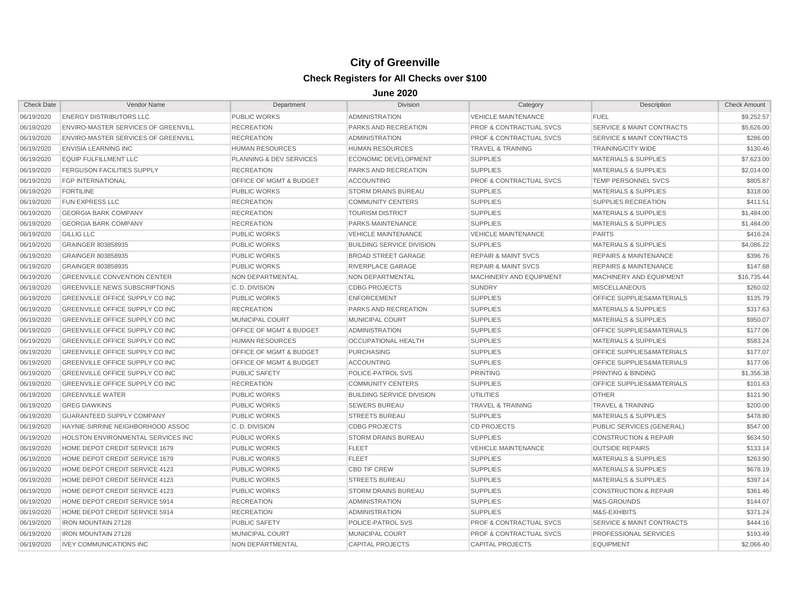| <b>Check Date</b> | Vendor Name                                | Department                         | <b>Division</b>                  | Category                           | Description                          | <b>Check Amount</b> |
|-------------------|--------------------------------------------|------------------------------------|----------------------------------|------------------------------------|--------------------------------------|---------------------|
| 06/19/2020        | <b>ENERGY DISTRIBUTORS LLC</b>             | <b>PUBLIC WORKS</b>                | <b>ADMINISTRATION</b>            | <b>VEHICLE MAINTENANCE</b>         | <b>FUEL</b>                          | \$9,252.57          |
| 06/19/2020        | <b>ENVIRO-MASTER SERVICES OF GREENVILL</b> | <b>RECREATION</b>                  | <b>PARKS AND RECREATION</b>      | <b>PROF &amp; CONTRACTUAL SVCS</b> | <b>SERVICE &amp; MAINT CONTRACTS</b> | \$5,626.00          |
| 06/19/2020        | <b>ENVIRO-MASTER SERVICES OF GREENVILL</b> | <b>RECREATION</b>                  | <b>ADMINISTRATION</b>            | <b>PROF &amp; CONTRACTUAL SVCS</b> | <b>SERVICE &amp; MAINT CONTRACTS</b> | \$286.00            |
| 06/19/2020        | <b>ENVISIA LEARNING INC</b>                | <b>HUMAN RESOURCES</b>             | <b>HUMAN RESOURCES</b>           | <b>TRAVEL &amp; TRAINING</b>       | <b>TRAINING/CITY WIDE</b>            | \$130.46            |
| 06/19/2020        | <b>EQUIP FULFILLMENT LLC</b>               | <b>PLANNING &amp; DEV SERVICES</b> | <b>ECONOMIC DEVELOPMENT</b>      | <b>SUPPLIES</b>                    | <b>MATERIALS &amp; SUPPLIES</b>      | \$7,623.00          |
| 06/19/2020        | <b>FERGUSON FACILITIES SUPPLY</b>          | <b>RECREATION</b>                  | PARKS AND RECREATION             | <b>SUPPLIES</b>                    | <b>MATERIALS &amp; SUPPLIES</b>      | \$2,014.00          |
| 06/19/2020        | <b>FGP INTERNATIONAL</b>                   | <b>OFFICE OF MGMT &amp; BUDGET</b> | <b>ACCOUNTING</b>                | <b>PROF &amp; CONTRACTUAL SVCS</b> | <b>TEMP PERSONNEL SVCS</b>           | \$805.87            |
| 06/19/2020        | <b>FORTILINE</b>                           | <b>PUBLIC WORKS</b>                | <b>STORM DRAINS BUREAU</b>       | <b>SUPPLIES</b>                    | <b>MATERIALS &amp; SUPPLIES</b>      | \$318.00            |
| 06/19/2020        | <b>FUN EXPRESS LLC</b>                     | <b>RECREATION</b>                  | <b>COMMUNITY CENTERS</b>         | <b>SUPPLIES</b>                    | SUPPLIES RECREATION                  | \$411.51            |
| 06/19/2020        | <b>GEORGIA BARK COMPANY</b>                | <b>RECREATION</b>                  | <b>TOURISM DISTRICT</b>          | <b>SUPPLIES</b>                    | <b>MATERIALS &amp; SUPPLIES</b>      | \$1,484.00          |
| 06/19/2020        | <b>GEORGIA BARK COMPANY</b>                | <b>RECREATION</b>                  | PARKS MAINTENANCE                | <b>SUPPLIES</b>                    | <b>MATERIALS &amp; SUPPLIES</b>      | \$1,484.00          |
| 06/19/2020        | <b>GILLIG LLC</b>                          | <b>PUBLIC WORKS</b>                | <b>VEHICLE MAINTENANCE</b>       | <b>VEHICLE MAINTENANCE</b>         | <b>PARTS</b>                         | \$416.24            |
| 06/19/2020        | GRAINGER 803858935                         | <b>PUBLIC WORKS</b>                | <b>BUILDING SERVICE DIVISION</b> | <b>SUPPLIES</b>                    | <b>MATERIALS &amp; SUPPLIES</b>      | \$4,086.22          |
| 06/19/2020        | GRAINGER 803858935                         | <b>PUBLIC WORKS</b>                | <b>BROAD STREET GARAGE</b>       | <b>REPAIR &amp; MAINT SVCS</b>     | <b>REPAIRS &amp; MAINTENANCE</b>     | \$396.76            |
| 06/19/2020        | GRAINGER 803858935                         | <b>PUBLIC WORKS</b>                | RIVERPLACE GARAGE                | <b>REPAIR &amp; MAINT SVCS</b>     | <b>REPAIRS &amp; MAINTENANCE</b>     | \$147.68            |
| 06/19/2020        | <b>GREENVILLE CONVENTION CENTER</b>        | NON DEPARTMENTAL                   | NON DEPARTMENTAL                 | <b>MACHINERY AND EQUIPMENT</b>     | MACHINERY AND EQUIPMENT              | \$16,735.44         |
| 06/19/2020        | <b>GREENVILLE NEWS SUBSCRIPTIONS</b>       | C.D. DIVISION                      | <b>CDBG PROJECTS</b>             | <b>SUNDRY</b>                      | <b>MISCELLANEOUS</b>                 | \$260.02            |
| 06/19/2020        | <b>GREENVILLE OFFICE SUPPLY CO INC</b>     | <b>PUBLIC WORKS</b>                | <b>ENFORCEMENT</b>               | <b>SUPPLIES</b>                    | <b>OFFICE SUPPLIES&amp;MATERIALS</b> | \$135.79            |
| 06/19/2020        | <b>GREENVILLE OFFICE SUPPLY CO INC</b>     | <b>RECREATION</b>                  | <b>PARKS AND RECREATION</b>      | <b>SUPPLIES</b>                    | <b>MATERIALS &amp; SUPPLIES</b>      | \$317.63            |
| 06/19/2020        | <b>GREENVILLE OFFICE SUPPLY CO INC</b>     | <b>MUNICIPAL COURT</b>             | <b>MUNICIPAL COURT</b>           | <b>SUPPLIES</b>                    | <b>MATERIALS &amp; SUPPLIES</b>      | \$950.07            |
| 06/19/2020        | GREENVILLE OFFICE SUPPLY CO INC            | OFFICE OF MGMT & BUDGET            | <b>ADMINISTRATION</b>            | <b>SUPPLIES</b>                    | <b>OFFICE SUPPLIES&amp;MATERIALS</b> | \$177.06            |
| 06/19/2020        | GREENVILLE OFFICE SUPPLY CO INC            | <b>HUMAN RESOURCES</b>             | OCCUPATIONAL HEALTH              | <b>SUPPLIES</b>                    | <b>MATERIALS &amp; SUPPLIES</b>      | \$583.24            |
| 06/19/2020        | GREENVILLE OFFICE SUPPLY CO INC            | <b>OFFICE OF MGMT &amp; BUDGET</b> | <b>PURCHASING</b>                | <b>SUPPLIES</b>                    | OFFICE SUPPLIES&MATERIALS            | \$177.07            |
| 06/19/2020        | <b>GREENVILLE OFFICE SUPPLY CO INC</b>     | OFFICE OF MGMT & BUDGET            | <b>ACCOUNTING</b>                | <b>SUPPLIES</b>                    | OFFICE SUPPLIES&MATERIALS            | \$177.06            |
| 06/19/2020        | GREENVILLE OFFICE SUPPLY CO INC            | <b>PUBLIC SAFETY</b>               | POLICE-PATROL SVS                | <b>PRINTING</b>                    | <b>PRINTING &amp; BINDING</b>        | \$1,356.38          |
| 06/19/2020        | <b>GREENVILLE OFFICE SUPPLY CO INC</b>     | <b>RECREATION</b>                  | <b>COMMUNITY CENTERS</b>         | <b>SUPPLIES</b>                    | OFFICE SUPPLIES&MATERIALS            | \$101.63            |
| 06/19/2020        | <b>GREENVILLE WATER</b>                    | <b>PUBLIC WORKS</b>                | <b>BUILDING SERVICE DIVISION</b> | UTILITIES                          | <b>OTHER</b>                         | \$121.90            |
| 06/19/2020        | <b>GREG DAWKINS</b>                        | <b>PUBLIC WORKS</b>                | <b>SEWERS BUREAU</b>             | <b>TRAVEL &amp; TRAINING</b>       | <b>TRAVEL &amp; TRAINING</b>         | \$200.00            |
| 06/19/2020        | <b>GUARANTEED SUPPLY COMPANY</b>           | <b>PUBLIC WORKS</b>                | <b>STREETS BUREAU</b>            | <b>SUPPLIES</b>                    | <b>MATERIALS &amp; SUPPLIES</b>      | \$478.80            |
| 06/19/2020        | HAYNIE-SIRRINE NEIGHBORHOOD ASSOC          | C. D. DIVISION                     | <b>CDBG PROJECTS</b>             | <b>CD PROJECTS</b>                 | <b>PUBLIC SERVICES (GENERAL)</b>     | \$547.00            |
| 06/19/2020        | HOLSTON ENVIRONMENTAL SERVICES INC         | <b>PUBLIC WORKS</b>                | <b>STORM DRAINS BUREAU</b>       | <b>SUPPLIES</b>                    | <b>CONSTRUCTION &amp; REPAIR</b>     | \$634.50            |
| 06/19/2020        | HOME DEPOT CREDIT SERVICE 1679             | <b>PUBLIC WORKS</b>                | <b>FLEET</b>                     | <b>VEHICLE MAINTENANCE</b>         | <b>OUTSIDE REPAIRS</b>               | \$133.14            |
| 06/19/2020        | HOME DEPOT CREDIT SERVICE 1679             | <b>PUBLIC WORKS</b>                | <b>FLEET</b>                     | <b>SUPPLIES</b>                    | <b>MATERIALS &amp; SUPPLIES</b>      | \$263.90            |
| 06/19/2020        | HOME DEPOT CREDIT SERVICE 4123             | <b>PUBLIC WORKS</b>                | <b>CBD TIF CREW</b>              | <b>SUPPLIES</b>                    | <b>MATERIALS &amp; SUPPLIES</b>      | \$678.19            |
| 06/19/2020        | HOME DEPOT CREDIT SERVICE 4123             | <b>PUBLIC WORKS</b>                | <b>STREETS BUREAU</b>            | <b>SUPPLIES</b>                    | <b>MATERIALS &amp; SUPPLIES</b>      | \$397.14            |
| 06/19/2020        | HOME DEPOT CREDIT SERVICE 4123             | <b>PUBLIC WORKS</b>                | <b>STORM DRAINS BUREAU</b>       | <b>SUPPLIES</b>                    | <b>CONSTRUCTION &amp; REPAIR</b>     | \$361.46            |
| 06/19/2020        | HOME DEPOT CREDIT SERVICE 5914             | <b>RECREATION</b>                  | <b>ADMINISTRATION</b>            | <b>SUPPLIES</b>                    | M&S-GROUNDS                          | \$144.07            |
| 06/19/2020        | HOME DEPOT CREDIT SERVICE 5914             | <b>RECREATION</b>                  | <b>ADMINISTRATION</b>            | <b>SUPPLIES</b>                    | M&S-EXHIBITS                         | \$371.24            |
| 06/19/2020        | <b>IRON MOUNTAIN 27128</b>                 | <b>PUBLIC SAFETY</b>               | POLICE-PATROL SVS                | <b>PROF &amp; CONTRACTUAL SVCS</b> | <b>SERVICE &amp; MAINT CONTRACTS</b> | \$444.16            |
| 06/19/2020        | <b>IRON MOUNTAIN 27128</b>                 | <b>MUNICIPAL COURT</b>             | <b>MUNICIPAL COURT</b>           | <b>PROF &amp; CONTRACTUAL SVCS</b> | <b>PROFESSIONAL SERVICES</b>         | \$193.49            |
| 06/19/2020        | <b>IVEY COMMUNICATIONS INC</b>             | <b>NON DEPARTMENTAL</b>            | <b>CAPITAL PROJECTS</b>          | <b>CAPITAL PROJECTS</b>            | <b>EQUIPMENT</b>                     | \$2,066.40          |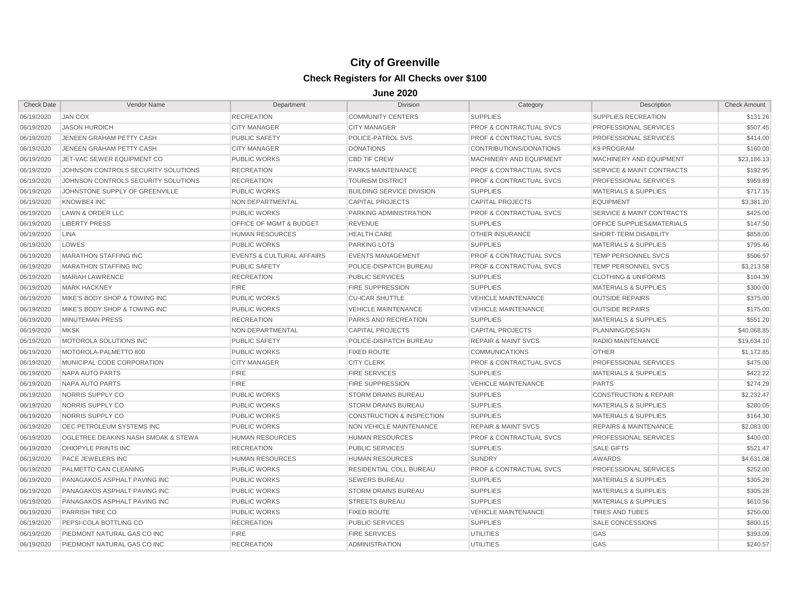| <b>Check Date</b> | Vendor Name                         | Department                           | <b>Division</b>                      | Category                           | Description                          | <b>Check Amount</b> |
|-------------------|-------------------------------------|--------------------------------------|--------------------------------------|------------------------------------|--------------------------------------|---------------------|
| 06/19/2020        | <b>JAN COX</b>                      | <b>RECREATION</b>                    | <b>COMMUNITY CENTERS</b>             | <b>SUPPLIES</b>                    | SUPPLIES RECREATION                  | \$131.26            |
| 06/19/2020        | <b>JASON HURDICH</b>                | <b>CITY MANAGER</b>                  | <b>CITY MANAGER</b>                  | PROF & CONTRACTUAL SVCS            | PROFESSIONAL SERVICES                | \$507.45            |
| 06/19/2020        | JENEEN GRAHAM PETTY CASH            | <b>PUBLIC SAFETY</b>                 | POLICE-PATROL SVS                    | <b>PROF &amp; CONTRACTUAL SVCS</b> | <b>PROFESSIONAL SERVICES</b>         | \$414.00            |
| 06/19/2020        | JENEEN GRAHAM PETTY CASH            | <b>CITY MANAGER</b>                  | <b>DONATIONS</b>                     | CONTRIBUTIONS/DONATIONS            | <b>K9 PROGRAM</b>                    | \$160.00            |
| 06/19/2020        | JET-VAC SEWER EQUIPMENT CO          | <b>PUBLIC WORKS</b>                  | <b>CBD TIF CREW</b>                  | <b>MACHINERY AND EQUIPMENT</b>     | MACHINERY AND EQUIPMENT              | \$23,186.13         |
| 06/19/2020        | JOHNSON CONTROLS SECURITY SOLUTIONS | <b>RECREATION</b>                    | <b>PARKS MAINTENANCE</b>             | <b>PROF &amp; CONTRACTUAL SVCS</b> | <b>SERVICE &amp; MAINT CONTRACTS</b> | \$192.95            |
| 06/19/2020        | JOHNSON CONTROLS SECURITY SOLUTIONS | <b>RECREATION</b>                    | <b>TOURISM DISTRICT</b>              | <b>PROF &amp; CONTRACTUAL SVCS</b> | <b>PROFESSIONAL SERVICES</b>         | \$959.89            |
| 06/19/2020        | JOHNSTONE SUPPLY OF GREENVILLE      | <b>PUBLIC WORKS</b>                  | <b>BUILDING SERVICE DIVISION</b>     | <b>SUPPLIES</b>                    | <b>MATERIALS &amp; SUPPLIES</b>      | \$717.15            |
| 06/19/2020        | KNOWBE4 INC                         | NON DEPARTMENTAL                     | <b>CAPITAL PROJECTS</b>              | <b>CAPITAL PROJECTS</b>            | <b>EQUIPMENT</b>                     | \$3,381.20          |
| 06/19/2020        | <b>LAWN &amp; ORDER LLC</b>         | <b>PUBLIC WORKS</b>                  | PARKING ADMINISTRATION               | <b>PROF &amp; CONTRACTUAL SVCS</b> | <b>SERVICE &amp; MAINT CONTRACTS</b> | \$425.00            |
| 06/19/2020        | <b>LIBERTY PRESS</b>                | OFFICE OF MGMT & BUDGET              | <b>REVENUE</b>                       | <b>SUPPLIES</b>                    | <b>OFFICE SUPPLIES&amp;MATERIALS</b> | \$147.50            |
| 06/19/2020        | <b>LINA</b>                         | <b>HUMAN RESOURCES</b>               | <b>HEALTH CARE</b>                   | <b>OTHER INSURANCE</b>             | SHORT-TERM DISABILITY                | \$858.00            |
| 06/19/2020        | LOWES                               | <b>PUBLIC WORKS</b>                  | <b>PARKING LOTS</b>                  | <b>SUPPLIES</b>                    | <b>MATERIALS &amp; SUPPLIES</b>      | \$795.46            |
| 06/19/2020        | <b>MARATHON STAFFING INC</b>        | <b>EVENTS &amp; CULTURAL AFFAIRS</b> | <b>EVENTS MANAGEMENT</b>             | <b>PROF &amp; CONTRACTUAL SVCS</b> | TEMP PERSONNEL SVCS                  | \$506.97            |
| 06/19/2020        | <b>MARATHON STAFFING INC</b>        | <b>PUBLIC SAFETY</b>                 | POLICE-DISPATCH BUREAU               | <b>PROF &amp; CONTRACTUAL SVCS</b> | <b>TEMP PERSONNEL SVCS</b>           | \$3,213.58          |
| 06/19/2020        | <b>MARIAH LAWRENCE</b>              | <b>RECREATION</b>                    | <b>PUBLIC SERVICES</b>               | <b>SUPPLIES</b>                    | <b>CLOTHING &amp; UNIFORMS</b>       | \$104.39            |
| 06/19/2020        | <b>MARK HACKNEY</b>                 | <b>FIRE</b>                          | <b>FIRE SUPPRESSION</b>              | <b>SUPPLIES</b>                    | <b>MATERIALS &amp; SUPPLIES</b>      | \$300.00            |
| 06/19/2020        | MIKE'S BODY SHOP & TOWING INC       | <b>PUBLIC WORKS</b>                  | <b>CU-ICAR SHUTTLE</b>               | <b>VEHICLE MAINTENANCE</b>         | <b>OUTSIDE REPAIRS</b>               | \$375.00            |
| 06/19/2020        | MIKE'S BODY SHOP & TOWING INC       | <b>PUBLIC WORKS</b>                  | <b>VEHICLE MAINTENANCE</b>           | <b>VEHICLE MAINTENANCE</b>         | <b>OUTSIDE REPAIRS</b>               | \$175.00            |
| 06/19/2020        | <b>MINUTEMAN PRESS</b>              | <b>RECREATION</b>                    | <b>PARKS AND RECREATION</b>          | <b>SUPPLIES</b>                    | <b>MATERIALS &amp; SUPPLIES</b>      | \$551.20            |
| 06/19/2020        | <b>MKSK</b>                         | NON DEPARTMENTAL                     | <b>CAPITAL PROJECTS</b>              | <b>CAPITAL PROJECTS</b>            | PLANNING/DESIGN                      | \$40,068.85         |
| 06/19/2020        | MOTOROLA SOLUTIONS INC              | <b>PUBLIC SAFETY</b>                 | POLICE-DISPATCH BUREAU               | <b>REPAIR &amp; MAINT SVCS</b>     | RADIO MAINTENANCE                    | \$19,634.10         |
| 06/19/2020        | MOTOROLA-PALMETTO 800               | <b>PUBLIC WORKS</b>                  | <b>FIXED ROUTE</b>                   | <b>COMMUNICATIONS</b>              | <b>OTHER</b>                         | \$1,172.85          |
| 06/19/2020        | MUNICIPAL CODE CORPORATION          | <b>CITY MANAGER</b>                  | <b>CITY CLERK</b>                    | <b>PROF &amp; CONTRACTUAL SVCS</b> | PROFESSIONAL SERVICES                | \$475.00            |
| 06/19/2020        | NAPA AUTO PARTS                     | <b>FIRE</b>                          | <b>FIRE SERVICES</b>                 | <b>SUPPLIES</b>                    | <b>MATERIALS &amp; SUPPLIES</b>      | \$422.22            |
| 06/19/2020        | <b>NAPA AUTO PARTS</b>              | <b>FIRE</b>                          | <b>FIRE SUPPRESSION</b>              | <b>VEHICLE MAINTENANCE</b>         | <b>PARTS</b>                         | \$274.29            |
| 06/19/2020        | NORRIS SUPPLY CO                    | <b>PUBLIC WORKS</b>                  | <b>STORM DRAINS BUREAU</b>           | <b>SUPPLIES</b>                    | <b>CONSTRUCTION &amp; REPAIR</b>     | \$2,232.47          |
| 06/19/2020        | NORRIS SUPPLY CO                    | <b>PUBLIC WORKS</b>                  | <b>STORM DRAINS BUREAU</b>           | <b>SUPPLIES</b>                    | <b>MATERIALS &amp; SUPPLIES</b>      | \$280.05            |
| 06/19/2020        | NORRIS SUPPLY CO                    | <b>PUBLIC WORKS</b>                  | <b>CONSTRUCTION &amp; INSPECTION</b> | <b>SUPPLIES</b>                    | <b>MATERIALS &amp; SUPPLIES</b>      | \$164.30            |
| 06/19/2020        | OEC PETROLEUM SYSTEMS INC           | <b>PUBLIC WORKS</b>                  | <b>NON VEHICLE MAINTENANCE</b>       | <b>REPAIR &amp; MAINT SVCS</b>     | <b>REPAIRS &amp; MAINTENANCE</b>     | \$2,083.00          |
| 06/19/2020        | OGLETREE DEAKINS NASH SMOAK & STEWA | <b>HUMAN RESOURCES</b>               | <b>HUMAN RESOURCES</b>               | <b>PROF &amp; CONTRACTUAL SVCS</b> | PROFESSIONAL SERVICES                | \$400.00            |
| 06/19/2020        | OHIOPYLE PRINTS INC                 | <b>RECREATION</b>                    | <b>PUBLIC SERVICES</b>               | <b>SUPPLIES</b>                    | <b>SALE GIFTS</b>                    | \$521.47            |
| 06/19/2020        | PACE JEWELERS INC                   | <b>HUMAN RESOURCES</b>               | <b>HUMAN RESOURCES</b>               | <b>SUNDRY</b>                      | <b>AWARDS</b>                        | \$4,631.08          |
| 06/19/2020        | PALMETTO CAN CLEANING               | <b>PUBLIC WORKS</b>                  | RESIDENTIAL COLL BUREAU              | <b>PROF &amp; CONTRACTUAL SVCS</b> | <b>PROFESSIONAL SERVICES</b>         | \$252.00            |
| 06/19/2020        | PANAGAKOS ASPHALT PAVING INC        | <b>PUBLIC WORKS</b>                  | <b>SEWERS BUREAU</b>                 | <b>SUPPLIES</b>                    | <b>MATERIALS &amp; SUPPLIES</b>      | \$305.28            |
| 06/19/2020        | PANAGAKOS ASPHALT PAVING INC        | <b>PUBLIC WORKS</b>                  | <b>STORM DRAINS BUREAU</b>           | <b>SUPPLIES</b>                    | <b>MATERIALS &amp; SUPPLIES</b>      | \$305.28            |
| 06/19/2020        | PANAGAKOS ASPHALT PAVING INC        | <b>PUBLIC WORKS</b>                  | <b>STREETS BUREAU</b>                | <b>SUPPLIES</b>                    | <b>MATERIALS &amp; SUPPLIES</b>      | \$610.56            |
| 06/19/2020        | PARRISH TIRE CO                     | <b>PUBLIC WORKS</b>                  | <b>FIXED ROUTE</b>                   | <b>VEHICLE MAINTENANCE</b>         | <b>TIRES AND TUBES</b>               | \$250.00            |
| 06/19/2020        | PEPSI-COLA BOTTLING CO              | <b>RECREATION</b>                    | <b>PUBLIC SERVICES</b>               | <b>SUPPLIES</b>                    | SALE CONCESSIONS                     | \$800.15            |
| 06/19/2020        | PIEDMONT NATURAL GAS CO INC         | <b>FIRE</b>                          | <b>FIRE SERVICES</b>                 | <b>UTILITIES</b>                   | GAS                                  | \$393.09            |
| 06/19/2020        | PIEDMONT NATURAL GAS CO INC         | <b>RECREATION</b>                    | <b>ADMINISTRATION</b>                | <b>UTILITIES</b>                   | GAS                                  | \$240.57            |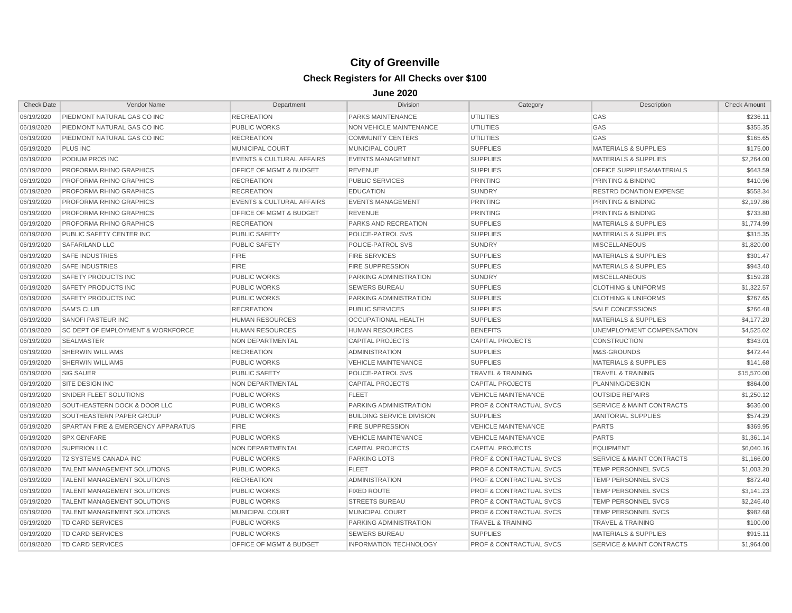| <b>Check Date</b> | Vendor Name                                  | Department                           | <b>Division</b>                  | Category                           | Description                          | <b>Check Amount</b> |
|-------------------|----------------------------------------------|--------------------------------------|----------------------------------|------------------------------------|--------------------------------------|---------------------|
| 06/19/2020        | PIEDMONT NATURAL GAS CO INC                  | <b>RECREATION</b>                    | PARKS MAINTENANCE                | <b>UTILITIES</b>                   | GAS                                  | \$236.11            |
| 06/19/2020        | PIEDMONT NATURAL GAS CO INC                  | <b>PUBLIC WORKS</b>                  | NON VEHICLE MAINTENANCE          | <b>UTILITIES</b>                   | GAS                                  | \$355.35            |
| 06/19/2020        | PIEDMONT NATURAL GAS CO INC                  | <b>RECREATION</b>                    | <b>COMMUNITY CENTERS</b>         | UTILITIES                          | GAS                                  | \$165.65            |
| 06/19/2020        | <b>PLUS INC</b>                              | MUNICIPAL COURT                      | MUNICIPAL COURT                  | <b>SUPPLIES</b>                    | <b>MATERIALS &amp; SUPPLIES</b>      | \$175.00            |
| 06/19/2020        | PODIUM PROS INC                              | <b>EVENTS &amp; CULTURAL AFFAIRS</b> | <b>EVENTS MANAGEMENT</b>         | <b>SUPPLIES</b>                    | <b>MATERIALS &amp; SUPPLIES</b>      | \$2,264.00          |
| 06/19/2020        | PROFORMA RHINO GRAPHICS                      | <b>OFFICE OF MGMT &amp; BUDGET</b>   | <b>REVENUE</b>                   | <b>SUPPLIES</b>                    | <b>OFFICE SUPPLIES&amp;MATERIALS</b> | \$643.59            |
| 06/19/2020        | PROFORMA RHINO GRAPHICS                      | <b>RECREATION</b>                    | <b>PUBLIC SERVICES</b>           | <b>PRINTING</b>                    | PRINTING & BINDING                   | \$410.96            |
| 06/19/2020        | PROFORMA RHINO GRAPHICS                      | <b>RECREATION</b>                    | <b>EDUCATION</b>                 | <b>SUNDRY</b>                      | <b>RESTRD DONATION EXPENSE</b>       | \$558.34            |
| 06/19/2020        | PROFORMA RHINO GRAPHICS                      | <b>EVENTS &amp; CULTURAL AFFAIRS</b> | <b>EVENTS MANAGEMENT</b>         | <b>PRINTING</b>                    | <b>PRINTING &amp; BINDING</b>        | \$2,197.86          |
| 06/19/2020        | PROFORMA RHINO GRAPHICS                      | OFFICE OF MGMT & BUDGET              | <b>REVENUE</b>                   | <b>PRINTING</b>                    | <b>PRINTING &amp; BINDING</b>        | \$733.80            |
| 06/19/2020        | PROFORMA RHINO GRAPHICS                      | <b>RECREATION</b>                    | PARKS AND RECREATION             | <b>SUPPLIES</b>                    | <b>MATERIALS &amp; SUPPLIES</b>      | \$1,774.99          |
| 06/19/2020        | PUBLIC SAFETY CENTER INC                     | <b>PUBLIC SAFETY</b>                 | POLICE-PATROL SVS                | <b>SUPPLIES</b>                    | <b>MATERIALS &amp; SUPPLIES</b>      | \$315.35            |
| 06/19/2020        | SAFARILAND LLC                               | <b>PUBLIC SAFETY</b>                 | POLICE-PATROL SVS                | <b>SUNDRY</b>                      | <b>MISCELLANEOUS</b>                 | \$1,820.00          |
| 06/19/2020        | SAFE INDUSTRIES                              | <b>FIRE</b>                          | <b>FIRE SERVICES</b>             | <b>SUPPLIES</b>                    | <b>MATERIALS &amp; SUPPLIES</b>      | \$301.47            |
| 06/19/2020        | <b>SAFE INDUSTRIES</b>                       | <b>FIRE</b>                          | <b>FIRE SUPPRESSION</b>          | <b>SUPPLIES</b>                    | <b>MATERIALS &amp; SUPPLIES</b>      | \$943.40            |
| 06/19/2020        | SAFETY PRODUCTS INC                          | <b>PUBLIC WORKS</b>                  | PARKING ADMINISTRATION           | <b>SUNDRY</b>                      | <b>MISCELLANEOUS</b>                 | \$159.28            |
| 06/19/2020        | SAFETY PRODUCTS INC                          | <b>PUBLIC WORKS</b>                  | <b>SEWERS BUREAU</b>             | <b>SUPPLIES</b>                    | <b>CLOTHING &amp; UNIFORMS</b>       | \$1,322.57          |
| 06/19/2020        | SAFETY PRODUCTS INC                          | <b>PUBLIC WORKS</b>                  | PARKING ADMINISTRATION           | <b>SUPPLIES</b>                    | <b>CLOTHING &amp; UNIFORMS</b>       | \$267.65            |
| 06/19/2020        | <b>SAM'S CLUB</b>                            | <b>RECREATION</b>                    | <b>PUBLIC SERVICES</b>           | <b>SUPPLIES</b>                    | <b>SALE CONCESSIONS</b>              | \$266.48            |
| 06/19/2020        | SANOFI PASTEUR INC                           | <b>HUMAN RESOURCES</b>               | OCCUPATIONAL HEALTH              | <b>SUPPLIES</b>                    | <b>MATERIALS &amp; SUPPLIES</b>      | \$4,177.20          |
| 06/19/2020        | <b>SC DEPT OF EMPLOYMENT &amp; WORKFORCE</b> | <b>HUMAN RESOURCES</b>               | <b>HUMAN RESOURCES</b>           | <b>BENEFITS</b>                    | UNEMPLOYMENT COMPENSATION            | \$4,525.02          |
| 06/19/2020        | <b>SEALMASTER</b>                            | NON DEPARTMENTAL                     | <b>CAPITAL PROJECTS</b>          | <b>CAPITAL PROJECTS</b>            | <b>CONSTRUCTION</b>                  | \$343.01            |
| 06/19/2020        | <b>SHERWIN WILLIAMS</b>                      | <b>RECREATION</b>                    | <b>ADMINISTRATION</b>            | <b>SUPPLIES</b>                    | M&S-GROUNDS                          | \$472.44            |
| 06/19/2020        | <b>SHERWIN WILLIAMS</b>                      | <b>PUBLIC WORKS</b>                  | <b>VEHICLE MAINTENANCE</b>       | <b>SUPPLIES</b>                    | <b>MATERIALS &amp; SUPPLIES</b>      | \$141.68            |
| 06/19/2020        | <b>SIG SAUER</b>                             | <b>PUBLIC SAFETY</b>                 | POLICE-PATROL SVS                | <b>TRAVEL &amp; TRAINING</b>       | <b>TRAVEL &amp; TRAINING</b>         | \$15,570.00         |
| 06/19/2020        | SITE DESIGN INC                              | NON DEPARTMENTAL                     | <b>CAPITAL PROJECTS</b>          | <b>CAPITAL PROJECTS</b>            | PLANNING/DESIGN                      | \$864.00            |
| 06/19/2020        | SNIDER FLEET SOLUTIONS                       | <b>PUBLIC WORKS</b>                  | <b>FLEET</b>                     | <b>VEHICLE MAINTENANCE</b>         | <b>OUTSIDE REPAIRS</b>               | \$1,250.12          |
| 06/19/2020        | SOUTHEASTERN DOCK & DOOR LLC                 | <b>PUBLIC WORKS</b>                  | PARKING ADMINISTRATION           | <b>PROF &amp; CONTRACTUAL SVCS</b> | <b>SERVICE &amp; MAINT CONTRACTS</b> | \$636.00            |
| 06/19/2020        | SOUTHEASTERN PAPER GROUP                     | <b>PUBLIC WORKS</b>                  | <b>BUILDING SERVICE DIVISION</b> | <b>SUPPLIES</b>                    | <b>JANITORIAL SUPPLIES</b>           | \$574.29            |
| 06/19/2020        | SPARTAN FIRE & EMERGENCY APPARATUS           | <b>FIRE</b>                          | <b>FIRE SUPPRESSION</b>          | <b>VEHICLE MAINTENANCE</b>         | <b>PARTS</b>                         | \$369.95            |
| 06/19/2020        | <b>SPX GENFARE</b>                           | <b>PUBLIC WORKS</b>                  | <b>VEHICLE MAINTENANCE</b>       | <b>VEHICLE MAINTENANCE</b>         | <b>PARTS</b>                         | \$1,361.14          |
| 06/19/2020        | <b>SUPERION LLC</b>                          | NON DEPARTMENTAL                     | <b>CAPITAL PROJECTS</b>          | <b>CAPITAL PROJECTS</b>            | <b>EQUIPMENT</b>                     | \$6,040.16          |
| 06/19/2020        | <b>T2 SYSTEMS CANADA INC</b>                 | <b>PUBLIC WORKS</b>                  | <b>PARKING LOTS</b>              | <b>PROF &amp; CONTRACTUAL SVCS</b> | <b>SERVICE &amp; MAINT CONTRACTS</b> | \$1,166.00          |
| 06/19/2020        | <b>TALENT MANAGEMENT SOLUTIONS</b>           | <b>PUBLIC WORKS</b>                  | <b>FLEET</b>                     | <b>PROF &amp; CONTRACTUAL SVCS</b> | <b>TEMP PERSONNEL SVCS</b>           | \$1,003.20          |
| 06/19/2020        | TALENT MANAGEMENT SOLUTIONS                  | <b>RECREATION</b>                    | <b>ADMINISTRATION</b>            | <b>PROF &amp; CONTRACTUAL SVCS</b> | TEMP PERSONNEL SVCS                  | \$872.40            |
| 06/19/2020        | <b>TALENT MANAGEMENT SOLUTIONS</b>           | <b>PUBLIC WORKS</b>                  | <b>FIXED ROUTE</b>               | <b>PROF &amp; CONTRACTUAL SVCS</b> | TEMP PERSONNEL SVCS                  | \$3,141.23          |
| 06/19/2020        | <b>TALENT MANAGEMENT SOLUTIONS</b>           | <b>PUBLIC WORKS</b>                  | <b>STREETS BUREAU</b>            | <b>PROF &amp; CONTRACTUAL SVCS</b> | TEMP PERSONNEL SVCS                  | \$2,246.40          |
| 06/19/2020        | <b>TALENT MANAGEMENT SOLUTIONS</b>           | MUNICIPAL COURT                      | <b>MUNICIPAL COURT</b>           | <b>PROF &amp; CONTRACTUAL SVCS</b> | TEMP PERSONNEL SVCS                  | \$982.68            |
| 06/19/2020        | <b>TD CARD SERVICES</b>                      | <b>PUBLIC WORKS</b>                  | PARKING ADMINISTRATION           | <b>TRAVEL &amp; TRAINING</b>       | <b>TRAVEL &amp; TRAINING</b>         | \$100.00            |
| 06/19/2020        | <b>TD CARD SERVICES</b>                      | <b>PUBLIC WORKS</b>                  | <b>SEWERS BUREAU</b>             | <b>SUPPLIES</b>                    | <b>MATERIALS &amp; SUPPLIES</b>      | \$915.11            |
| 06/19/2020        | <b>TD CARD SERVICES</b>                      | <b>OFFICE OF MGMT &amp; BUDGET</b>   | <b>INFORMATION TECHNOLOGY</b>    | <b>PROF &amp; CONTRACTUAL SVCS</b> | <b>SERVICE &amp; MAINT CONTRACTS</b> | \$1,964.00          |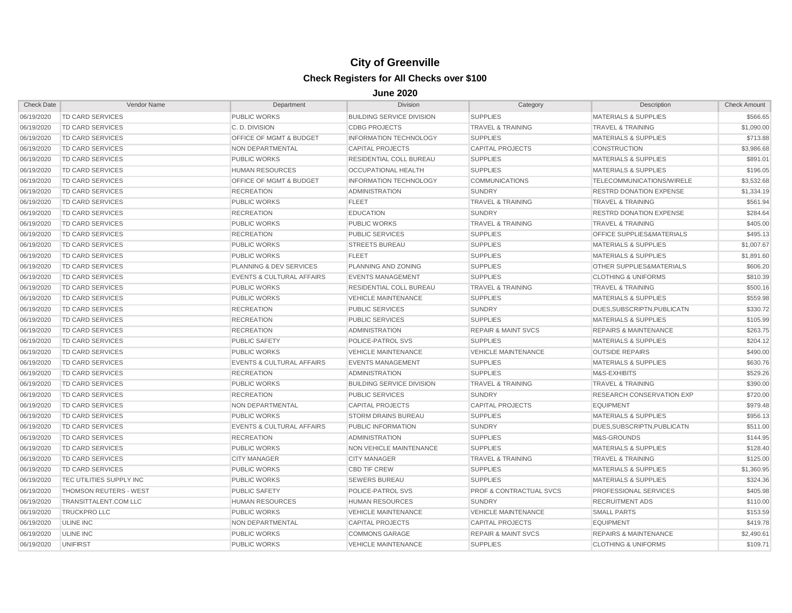| <b>Check Date</b> | Vendor Name                   | Department                           | <b>Division</b>                  | Category                           | Description                         | <b>Check Amount</b> |
|-------------------|-------------------------------|--------------------------------------|----------------------------------|------------------------------------|-------------------------------------|---------------------|
| 06/19/2020        | <b>TD CARD SERVICES</b>       | <b>PUBLIC WORKS</b>                  | <b>BUILDING SERVICE DIVISION</b> | <b>SUPPLIES</b>                    | <b>MATERIALS &amp; SUPPLIES</b>     | \$566.65            |
| 06/19/2020        | <b>TD CARD SERVICES</b>       | C.D. DIVISION                        | <b>CDBG PROJECTS</b>             | <b>TRAVEL &amp; TRAINING</b>       | <b>TRAVEL &amp; TRAINING</b>        | \$1,090.00          |
| 06/19/2020        | TD CARD SERVICES              | <b>OFFICE OF MGMT &amp; BUDGET</b>   | <b>INFORMATION TECHNOLOGY</b>    | <b>SUPPLIES</b>                    | <b>MATERIALS &amp; SUPPLIES</b>     | \$713.88            |
| 06/19/2020        | <b>TD CARD SERVICES</b>       | NON DEPARTMENTAL                     | <b>CAPITAL PROJECTS</b>          | <b>CAPITAL PROJECTS</b>            | <b>CONSTRUCTION</b>                 | \$3,986.68          |
| 06/19/2020        | <b>TD CARD SERVICES</b>       | <b>PUBLIC WORKS</b>                  | <b>RESIDENTIAL COLL BUREAU</b>   | <b>SUPPLIES</b>                    | <b>MATERIALS &amp; SUPPLIES</b>     | \$891.01            |
| 06/19/2020        | <b>TD CARD SERVICES</b>       | <b>HUMAN RESOURCES</b>               | <b>OCCUPATIONAL HEALTH</b>       | <b>SUPPLIES</b>                    | <b>MATERIALS &amp; SUPPLIES</b>     | \$196.05            |
| 06/19/2020        | <b>TD CARD SERVICES</b>       | <b>OFFICE OF MGMT &amp; BUDGET</b>   | <b>INFORMATION TECHNOLOGY</b>    | <b>COMMUNICATIONS</b>              | <b>TELECOMMUNICATIONS/WIRELE</b>    | \$3,532.68          |
| 06/19/2020        | TD CARD SERVICES              | <b>RECREATION</b>                    | <b>ADMINISTRATION</b>            | <b>SUNDRY</b>                      | <b>RESTRD DONATION EXPENSE</b>      | \$1,334.19          |
| 06/19/2020        | <b>TD CARD SERVICES</b>       | <b>PUBLIC WORKS</b>                  | <b>FLEET</b>                     | <b>TRAVEL &amp; TRAINING</b>       | <b>TRAVEL &amp; TRAINING</b>        | \$561.94            |
| 06/19/2020        | <b>TD CARD SERVICES</b>       | <b>RECREATION</b>                    | <b>EDUCATION</b>                 | <b>SUNDRY</b>                      | <b>RESTRD DONATION EXPENSE</b>      | \$284.64            |
| 06/19/2020        | <b>TD CARD SERVICES</b>       | <b>PUBLIC WORKS</b>                  | <b>PUBLIC WORKS</b>              | <b>TRAVEL &amp; TRAINING</b>       | <b>TRAVEL &amp; TRAINING</b>        | \$405.00            |
| 06/19/2020        | <b>TD CARD SERVICES</b>       | <b>RECREATION</b>                    | <b>PUBLIC SERVICES</b>           | <b>SUPPLIES</b>                    | OFFICE SUPPLIES&MATERIALS           | \$495.13            |
| 06/19/2020        | <b>TD CARD SERVICES</b>       | <b>PUBLIC WORKS</b>                  | <b>STREETS BUREAU</b>            | <b>SUPPLIES</b>                    | <b>MATERIALS &amp; SUPPLIES</b>     | \$1,007.67          |
| 06/19/2020        | <b>TD CARD SERVICES</b>       | <b>PUBLIC WORKS</b>                  | <b>FLEET</b>                     | <b>SUPPLIES</b>                    | <b>MATERIALS &amp; SUPPLIES</b>     | \$1,891.60          |
| 06/19/2020        | <b>TD CARD SERVICES</b>       | PLANNING & DEV SERVICES              | PLANNING AND ZONING              | <b>SUPPLIES</b>                    | <b>OTHER SUPPLIES&amp;MATERIALS</b> | \$606.20            |
| 06/19/2020        | <b>TD CARD SERVICES</b>       | <b>EVENTS &amp; CULTURAL AFFAIRS</b> | <b>EVENTS MANAGEMENT</b>         | <b>SUPPLIES</b>                    | <b>CLOTHING &amp; UNIFORMS</b>      | \$810.39            |
| 06/19/2020        | TD CARD SERVICES              | <b>PUBLIC WORKS</b>                  | RESIDENTIAL COLL BUREAU          | <b>TRAVEL &amp; TRAINING</b>       | <b>TRAVEL &amp; TRAINING</b>        | \$500.16            |
| 06/19/2020        | TD CARD SERVICES              | <b>PUBLIC WORKS</b>                  | <b>VEHICLE MAINTENANCE</b>       | <b>SUPPLIES</b>                    | <b>MATERIALS &amp; SUPPLIES</b>     | \$559.98            |
| 06/19/2020        | <b>TD CARD SERVICES</b>       | <b>RECREATION</b>                    | <b>PUBLIC SERVICES</b>           | <b>SUNDRY</b>                      | DUES.SUBSCRIPTN.PUBLICATN           | \$330.72            |
| 06/19/2020        | <b>TD CARD SERVICES</b>       | <b>RECREATION</b>                    | <b>PUBLIC SERVICES</b>           | <b>SUPPLIES</b>                    | <b>MATERIALS &amp; SUPPLIES</b>     | \$105.99            |
| 06/19/2020        | <b>TD CARD SERVICES</b>       | <b>RECREATION</b>                    | <b>ADMINISTRATION</b>            | <b>REPAIR &amp; MAINT SVCS</b>     | <b>REPAIRS &amp; MAINTENANCE</b>    | \$263.75            |
| 06/19/2020        | <b>TD CARD SERVICES</b>       | <b>PUBLIC SAFETY</b>                 | POLICE-PATROL SVS                | <b>SUPPLIES</b>                    | <b>MATERIALS &amp; SUPPLIES</b>     | \$204.12            |
| 06/19/2020        | <b>TD CARD SERVICES</b>       | <b>PUBLIC WORKS</b>                  | <b>VEHICLE MAINTENANCE</b>       | <b>VEHICLE MAINTENANCE</b>         | <b>OUTSIDE REPAIRS</b>              | \$490.00            |
| 06/19/2020        | <b>TD CARD SERVICES</b>       | <b>EVENTS &amp; CULTURAL AFFAIRS</b> | <b>EVENTS MANAGEMENT</b>         | <b>SUPPLIES</b>                    | <b>MATERIALS &amp; SUPPLIES</b>     | \$630.76            |
| 06/19/2020        | TD CARD SERVICES              | <b>RECREATION</b>                    | <b>ADMINISTRATION</b>            | <b>SUPPLIES</b>                    | M&S-EXHIBITS                        | \$529.26            |
| 06/19/2020        | <b>TD CARD SERVICES</b>       | <b>PUBLIC WORKS</b>                  | <b>BUILDING SERVICE DIVISION</b> | <b>TRAVEL &amp; TRAINING</b>       | <b>TRAVEL &amp; TRAINING</b>        | \$390.00            |
| 06/19/2020        | TD CARD SERVICES              | <b>RECREATION</b>                    | <b>PUBLIC SERVICES</b>           | <b>SUNDRY</b>                      | <b>RESEARCH CONSERVATION EXP</b>    | \$720.00            |
| 06/19/2020        | <b>TD CARD SERVICES</b>       | NON DEPARTMENTAL                     | <b>CAPITAL PROJECTS</b>          | <b>CAPITAL PROJECTS</b>            | <b>EQUIPMENT</b>                    | \$979.48            |
| 06/19/2020        | <b>TD CARD SERVICES</b>       | <b>PUBLIC WORKS</b>                  | <b>STORM DRAINS BUREAU</b>       | <b>SUPPLIES</b>                    | <b>MATERIALS &amp; SUPPLIES</b>     | \$956.13            |
| 06/19/2020        | <b>TD CARD SERVICES</b>       | <b>EVENTS &amp; CULTURAL AFFAIRS</b> | PUBLIC INFORMATION               | <b>SUNDRY</b>                      | DUES.SUBSCRIPTN.PUBLICATN           | \$511.00            |
| 06/19/2020        | <b>TD CARD SERVICES</b>       | <b>RECREATION</b>                    | <b>ADMINISTRATION</b>            | <b>SUPPLIES</b>                    | M&S-GROUNDS                         | \$144.95            |
| 06/19/2020        | <b>TD CARD SERVICES</b>       | <b>PUBLIC WORKS</b>                  | NON VEHICLE MAINTENANCE          | <b>SUPPLIES</b>                    | <b>MATERIALS &amp; SUPPLIES</b>     | \$128.40            |
| 06/19/2020        | <b>TD CARD SERVICES</b>       | <b>CITY MANAGER</b>                  | <b>CITY MANAGER</b>              | <b>TRAVEL &amp; TRAINING</b>       | <b>TRAVEL &amp; TRAINING</b>        | \$125.00            |
| 06/19/2020        | <b>TD CARD SERVICES</b>       | <b>PUBLIC WORKS</b>                  | <b>CBD TIF CREW</b>              | <b>SUPPLIES</b>                    | <b>MATERIALS &amp; SUPPLIES</b>     | \$1,360.95          |
| 06/19/2020        | TEC UTILITIES SUPPLY INC      | <b>PUBLIC WORKS</b>                  | <b>SEWERS BUREAU</b>             | <b>SUPPLIES</b>                    | <b>MATERIALS &amp; SUPPLIES</b>     | \$324.36            |
| 06/19/2020        | <b>THOMSON REUTERS - WEST</b> | <b>PUBLIC SAFETY</b>                 | POLICE-PATROL SVS                | <b>PROF &amp; CONTRACTUAL SVCS</b> | <b>PROFESSIONAL SERVICES</b>        | \$405.98            |
| 06/19/2020        | TRANSITTALENT.COM LLC         | <b>HUMAN RESOURCES</b>               | <b>HUMAN RESOURCES</b>           | <b>SUNDRY</b>                      | <b>RECRUITMENT ADS</b>              | \$110.00            |
| 06/19/2020        | <b>TRUCKPROLLC</b>            | <b>PUBLIC WORKS</b>                  | <b>VEHICLE MAINTENANCE</b>       | <b>VEHICLE MAINTENANCE</b>         | <b>SMALL PARTS</b>                  | \$153.59            |
| 06/19/2020        | <b>ULINE INC</b>              | <b>NON DEPARTMENTAL</b>              | <b>CAPITAL PROJECTS</b>          | <b>CAPITAL PROJECTS</b>            | <b>EQUIPMENT</b>                    | \$419.78            |
| 06/19/2020        | <b>ULINE INC</b>              | <b>PUBLIC WORKS</b>                  | <b>COMMONS GARAGE</b>            | <b>REPAIR &amp; MAINT SVCS</b>     | <b>REPAIRS &amp; MAINTENANCE</b>    | \$2,490.61          |
| 06/19/2020        | UNIFIRST                      | <b>PUBLIC WORKS</b>                  | <b>VEHICLE MAINTENANCE</b>       | <b>SUPPLIES</b>                    | <b>CLOTHING &amp; UNIFORMS</b>      | \$109.71            |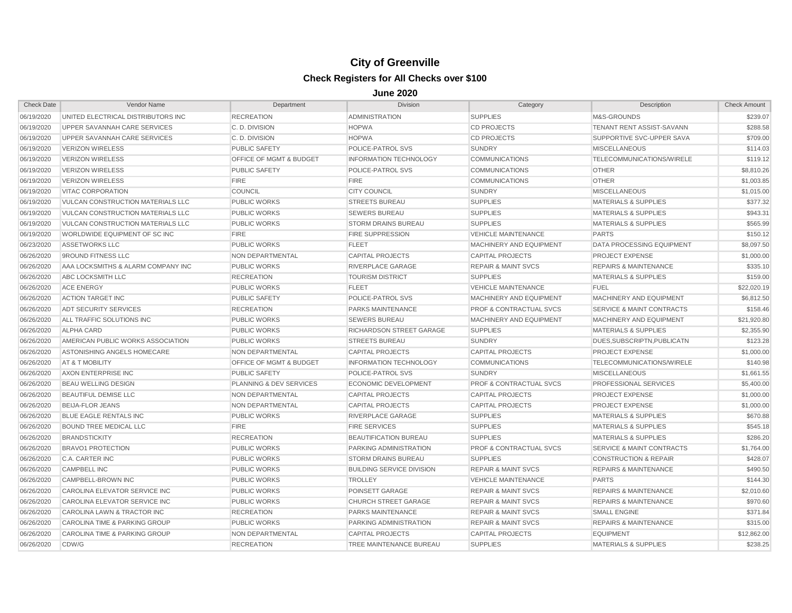| <b>Check Date</b> | Vendor Name                              | Department                         | <b>Division</b>                  | Category                           | Description                          | <b>Check Amount</b> |
|-------------------|------------------------------------------|------------------------------------|----------------------------------|------------------------------------|--------------------------------------|---------------------|
| 06/19/2020        | UNITED ELECTRICAL DISTRIBUTORS INC       | <b>RECREATION</b>                  | <b>ADMINISTRATION</b>            | <b>SUPPLIES</b>                    | M&S-GROUNDS                          | \$239.07            |
| 06/19/2020        | UPPER SAVANNAH CARE SERVICES             | C.D. DIVISION                      | <b>HOPWA</b>                     | <b>CD PROJECTS</b>                 | TENANT RENT ASSIST-SAVANN            | \$288.58            |
| 06/19/2020        | UPPER SAVANNAH CARE SERVICES             | C.D. DIVISION                      | <b>HOPWA</b>                     | <b>CD PROJECTS</b>                 | SUPPORTIVE SVC-UPPER SAVA            | \$709.00            |
| 06/19/2020        | <b>VERIZON WIRELESS</b>                  | <b>PUBLIC SAFETY</b>               | POLICE-PATROL SVS                | <b>SUNDRY</b>                      | <b>MISCELLANEOUS</b>                 | \$114.03            |
| 06/19/2020        | <b>VERIZON WIRELESS</b>                  | <b>OFFICE OF MGMT &amp; BUDGET</b> | <b>INFORMATION TECHNOLOGY</b>    | <b>COMMUNICATIONS</b>              | TELECOMMUNICATIONS/WIRELE            | \$119.12            |
| 06/19/2020        | <b>VERIZON WIRELESS</b>                  | <b>PUBLIC SAFETY</b>               | POLICE-PATROL SVS                | <b>COMMUNICATIONS</b>              | <b>OTHER</b>                         | \$8,810.26          |
| 06/19/2020        | VERIZON WIRELESS                         | <b>FIRE</b>                        | <b>FIRE</b>                      | <b>COMMUNICATIONS</b>              | <b>OTHER</b>                         | \$1,003.85          |
| 06/19/2020        | <b>VITAC CORPORATION</b>                 | <b>COUNCIL</b>                     | <b>CITY COUNCIL</b>              | <b>SUNDRY</b>                      | <b>MISCELLANEOUS</b>                 | \$1,015.00          |
| 06/19/2020        | <b>VULCAN CONSTRUCTION MATERIALS LLC</b> | <b>PUBLIC WORKS</b>                | <b>STREETS BUREAU</b>            | <b>SUPPLIES</b>                    | <b>MATERIALS &amp; SUPPLIES</b>      | \$377.32            |
| 06/19/2020        | VULCAN CONSTRUCTION MATERIALS LLC        | <b>PUBLIC WORKS</b>                | <b>SEWERS BUREAU</b>             | <b>SUPPLIES</b>                    | <b>MATERIALS &amp; SUPPLIES</b>      | \$943.31            |
| 06/19/2020        | VULCAN CONSTRUCTION MATERIALS LLC        | <b>PUBLIC WORKS</b>                | <b>STORM DRAINS BUREAU</b>       | <b>SUPPLIES</b>                    | <b>MATERIALS &amp; SUPPLIES</b>      | \$565.99            |
| 06/19/2020        | WORLDWIDE EQUIPMENT OF SC INC            | <b>FIRE</b>                        | <b>FIRE SUPPRESSION</b>          | <b>VEHICLE MAINTENANCE</b>         | <b>PARTS</b>                         | \$150.12            |
| 06/23/2020        | <b>ASSETWORKS LLC</b>                    | <b>PUBLIC WORKS</b>                | <b>FLEET</b>                     | <b>MACHINERY AND EQUIPMENT</b>     | <b>DATA PROCESSING EQUIPMENT</b>     | \$8,097.50          |
| 06/26/2020        | 9ROUND FITNESS LLC                       | <b>NON DEPARTMENTAL</b>            | <b>CAPITAL PROJECTS</b>          | <b>CAPITAL PROJECTS</b>            | PROJECT EXPENSE                      | \$1,000.00          |
| 06/26/2020        | AAA LOCKSMITHS & ALARM COMPANY INC       | <b>PUBLIC WORKS</b>                | RIVERPLACE GARAGE                | <b>REPAIR &amp; MAINT SVCS</b>     | <b>REPAIRS &amp; MAINTENANCE</b>     | \$335.10            |
| 06/26/2020        | ABC LOCKSMITH LLC                        | <b>RECREATION</b>                  | <b>TOURISM DISTRICT</b>          | <b>SUPPLIES</b>                    | <b>MATERIALS &amp; SUPPLIES</b>      | \$159.00            |
| 06/26/2020        | <b>ACE ENERGY</b>                        | <b>PUBLIC WORKS</b>                | <b>FLEET</b>                     | <b>VEHICLE MAINTENANCE</b>         | <b>FUEL</b>                          | \$22,020.19         |
| 06/26/2020        | <b>ACTION TARGET INC</b>                 | <b>PUBLIC SAFETY</b>               | POLICE-PATROL SVS                | MACHINERY AND EQUIPMENT            | MACHINERY AND EQUIPMENT              | \$6,812.50          |
| 06/26/2020        | ADT SECURITY SERVICES                    | <b>RECREATION</b>                  | <b>PARKS MAINTENANCE</b>         | <b>PROF &amp; CONTRACTUAL SVCS</b> | <b>SERVICE &amp; MAINT CONTRACTS</b> | \$158.46            |
| 06/26/2020        | ALL TRAFFIC SOLUTIONS INC                | <b>PUBLIC WORKS</b>                | <b>SEWERS BUREAU</b>             | <b>MACHINERY AND EQUIPMENT</b>     | MACHINERY AND EQUIPMENT              | \$21,920.80         |
| 06/26/2020        | <b>ALPHA CARD</b>                        | <b>PUBLIC WORKS</b>                | <b>RICHARDSON STREET GARAGE</b>  | <b>SUPPLIES</b>                    | <b>MATERIALS &amp; SUPPLIES</b>      | \$2,355.90          |
| 06/26/2020        | AMERICAN PUBLIC WORKS ASSOCIATION        | <b>PUBLIC WORKS</b>                | <b>STREETS BUREAU</b>            | <b>SUNDRY</b>                      | DUES.SUBSCRIPTN.PUBLICATN            | \$123.28            |
| 06/26/2020        | ASTONISHING ANGELS HOMECARE              | NON DEPARTMENTAL                   | <b>CAPITAL PROJECTS</b>          | <b>CAPITAL PROJECTS</b>            | <b>PROJECT EXPENSE</b>               | \$1,000.00          |
| 06/26/2020        | AT & T MOBILITY                          | <b>OFFICE OF MGMT &amp; BUDGET</b> | <b>INFORMATION TECHNOLOGY</b>    | <b>COMMUNICATIONS</b>              | TELECOMMUNICATIONS/WIRELE            | \$140.98            |
| 06/26/2020        | AXON ENTERPRISE INC                      | <b>PUBLIC SAFETY</b>               | POLICE-PATROL SVS                | <b>SUNDRY</b>                      | <b>MISCELLANEOUS</b>                 | \$1,661.55          |
| 06/26/2020        | <b>BEAU WELLING DESIGN</b>               | PLANNING & DEV SERVICES            | <b>ECONOMIC DEVELOPMENT</b>      | <b>PROF &amp; CONTRACTUAL SVCS</b> | <b>PROFESSIONAL SERVICES</b>         | \$5,400.00          |
| 06/26/2020        | <b>BEAUTIFUL DEMISE LLC</b>              | NON DEPARTMENTAL                   | <b>CAPITAL PROJECTS</b>          | <b>CAPITAL PROJECTS</b>            | PROJECT EXPENSE                      | \$1,000.00          |
| 06/26/2020        | <b>BEIJA-FLOR JEANS</b>                  | NON DEPARTMENTAL                   | <b>CAPITAL PROJECTS</b>          | <b>CAPITAL PROJECTS</b>            | PROJECT EXPENSE                      | \$1,000.00          |
| 06/26/2020        | BLUE EAGLE RENTALS INC                   | <b>PUBLIC WORKS</b>                | <b>RIVERPLACE GARAGE</b>         | <b>SUPPLIES</b>                    | <b>MATERIALS &amp; SUPPLIES</b>      | \$670.88            |
| 06/26/2020        | <b>BOUND TREE MEDICAL LLC</b>            | <b>FIRE</b>                        | <b>FIRE SERVICES</b>             | <b>SUPPLIES</b>                    | <b>MATERIALS &amp; SUPPLIES</b>      | \$545.18            |
| 06/26/2020        | <b>BRANDSTICKITY</b>                     | <b>RECREATION</b>                  | <b>BEAUTIFICATION BUREAU</b>     | <b>SUPPLIES</b>                    | <b>MATERIALS &amp; SUPPLIES</b>      | \$286.20            |
| 06/26/2020        | <b>BRAVO1 PROTECTION</b>                 | <b>PUBLIC WORKS</b>                | PARKING ADMINISTRATION           | <b>PROF &amp; CONTRACTUAL SVCS</b> | SERVICE & MAINT CONTRACTS            | \$1,764.00          |
| 06/26/2020        | <b>C.A. CARTER INC</b>                   | <b>PUBLIC WORKS</b>                | <b>STORM DRAINS BUREAU</b>       | <b>SUPPLIES</b>                    | <b>CONSTRUCTION &amp; REPAIR</b>     | \$428.07            |
| 06/26/2020        | <b>CAMPBELL INC</b>                      | <b>PUBLIC WORKS</b>                | <b>BUILDING SERVICE DIVISION</b> | <b>REPAIR &amp; MAINT SVCS</b>     | <b>REPAIRS &amp; MAINTENANCE</b>     | \$490.50            |
| 06/26/2020        | CAMPBELL-BROWN INC                       | <b>PUBLIC WORKS</b>                | <b>TROLLEY</b>                   | <b>VEHICLE MAINTENANCE</b>         | <b>PARTS</b>                         | \$144.30            |
| 06/26/2020        | CAROLINA ELEVATOR SERVICE INC            | <b>PUBLIC WORKS</b>                | POINSETT GARAGE                  | <b>REPAIR &amp; MAINT SVCS</b>     | <b>REPAIRS &amp; MAINTENANCE</b>     | \$2,010.60          |
| 06/26/2020        | CAROLINA ELEVATOR SERVICE INC            | <b>PUBLIC WORKS</b>                | <b>CHURCH STREET GARAGE</b>      | <b>REPAIR &amp; MAINT SVCS</b>     | <b>REPAIRS &amp; MAINTENANCE</b>     | \$970.60            |
| 06/26/2020        | CAROLINA LAWN & TRACTOR INC              | <b>RECREATION</b>                  | <b>PARKS MAINTENANCE</b>         | <b>REPAIR &amp; MAINT SVCS</b>     | <b>SMALL ENGINE</b>                  | \$371.84            |
| 06/26/2020        | CAROLINA TIME & PARKING GROUP            | <b>PUBLIC WORKS</b>                | <b>PARKING ADMINISTRATION</b>    | <b>REPAIR &amp; MAINT SVCS</b>     | <b>REPAIRS &amp; MAINTENANCE</b>     | \$315.00            |
| 06/26/2020        | <b>CAROLINA TIME &amp; PARKING GROUP</b> | <b>NON DEPARTMENTAL</b>            | <b>CAPITAL PROJECTS</b>          | <b>CAPITAL PROJECTS</b>            | <b>EQUIPMENT</b>                     | \$12,862.00         |
| 06/26/2020        | CDW/G                                    | <b>RECREATION</b>                  | TREE MAINTENANCE BUREAU          | <b>SUPPLIES</b>                    | <b>MATERIALS &amp; SUPPLIES</b>      | \$238.25            |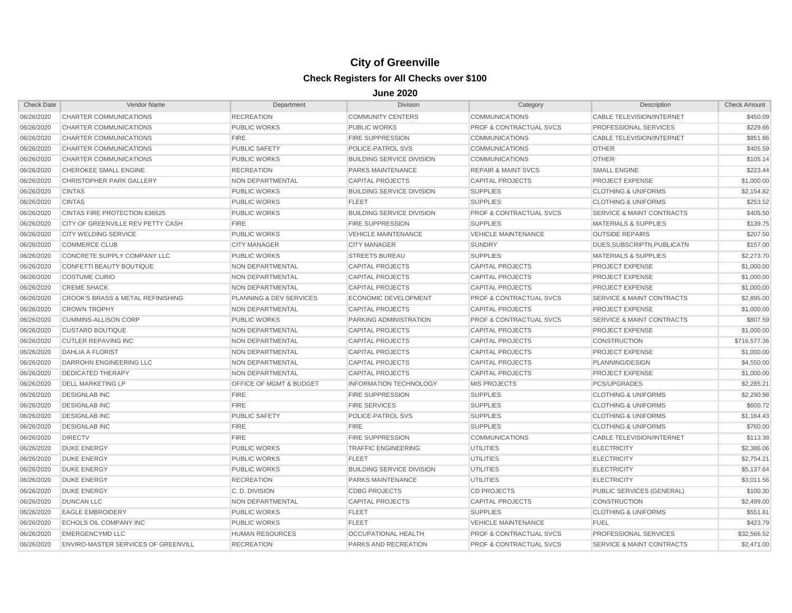| <b>Check Date</b> | Vendor Name                                  | Department                         | <b>Division</b>                  | Category                           | Description                          | <b>Check Amount</b> |
|-------------------|----------------------------------------------|------------------------------------|----------------------------------|------------------------------------|--------------------------------------|---------------------|
| 06/26/2020        | CHARTER COMMUNICATIONS                       | <b>RECREATION</b>                  | <b>COMMUNITY CENTERS</b>         | <b>COMMUNICATIONS</b>              | CABLE TELEVISION/INTERNET            | \$450.09            |
| 06/26/2020        | CHARTER COMMUNICATIONS                       | <b>PUBLIC WORKS</b>                | <b>PUBLIC WORKS</b>              | <b>PROF &amp; CONTRACTUAL SVCS</b> | PROFESSIONAL SERVICES                | \$229.66            |
| 06/26/2020        | CHARTER COMMUNICATIONS                       | <b>FIRE</b>                        | <b>FIRE SUPPRESSION</b>          | <b>COMMUNICATIONS</b>              | <b>CABLE TELEVISION/INTERNET</b>     | \$851.86            |
| 06/26/2020        | CHARTER COMMUNICATIONS                       | <b>PUBLIC SAFETY</b>               | POLICE-PATROL SVS                | <b>COMMUNICATIONS</b>              | <b>OTHER</b>                         | \$405.59            |
| 06/26/2020        | CHARTER COMMUNICATIONS                       | <b>PUBLIC WORKS</b>                | <b>BUILDING SERVICE DIVISION</b> | <b>COMMUNICATIONS</b>              | <b>OTHER</b>                         | \$105.14            |
| 06/26/2020        | CHEROKEE SMALL ENGINE                        | <b>RECREATION</b>                  | PARKS MAINTENANCE                | <b>REPAIR &amp; MAINT SVCS</b>     | <b>SMALL ENGINE</b>                  | \$223.44            |
| 06/26/2020        | <b>CHRISTOPHER PARK GALLERY</b>              | NON DEPARTMENTAL                   | <b>CAPITAL PROJECTS</b>          | <b>CAPITAL PROJECTS</b>            | <b>PROJECT EXPENSE</b>               | \$1,000.00          |
| 06/26/2020        | <b>CINTAS</b>                                | <b>PUBLIC WORKS</b>                | <b>BUILDING SERVICE DIVISION</b> | <b>SUPPLIES</b>                    | <b>CLOTHING &amp; UNIFORMS</b>       | \$2,154.82          |
| 06/26/2020        | <b>CINTAS</b>                                | <b>PUBLIC WORKS</b>                | <b>FLEET</b>                     | <b>SUPPLIES</b>                    | <b>CLOTHING &amp; UNIFORMS</b>       | \$253.52            |
| 06/26/2020        | CINTAS FIRE PROTECTION 636525                | <b>PUBLIC WORKS</b>                | <b>BUILDING SERVICE DIVISION</b> | <b>PROF &amp; CONTRACTUAL SVCS</b> | <b>SERVICE &amp; MAINT CONTRACTS</b> | \$405.50            |
| 06/26/2020        | CITY OF GREENVILLE REV PETTY CASH            | <b>FIRE</b>                        | <b>FIRE SUPPRESSION</b>          | <b>SUPPLIES</b>                    | <b>MATERIALS &amp; SUPPLIES</b>      | \$139.75            |
| 06/26/2020        | <b>CITY WELDING SERVICE</b>                  | <b>PUBLIC WORKS</b>                | <b>VEHICLE MAINTENANCE</b>       | <b>VEHICLE MAINTENANCE</b>         | <b>OUTSIDE REPAIRS</b>               | \$207.50            |
| 06/26/2020        | <b>COMMERCE CLUB</b>                         | <b>CITY MANAGER</b>                | <b>CITY MANAGER</b>              | <b>SUNDRY</b>                      | DUES.SUBSCRIPTN.PUBLICATN            | \$157.00            |
| 06/26/2020        | CONCRETE SUPPLY COMPANY LLC                  | <b>PUBLIC WORKS</b>                | <b>STREETS BUREAU</b>            | <b>SUPPLIES</b>                    | <b>MATERIALS &amp; SUPPLIES</b>      | \$2,273.70          |
| 06/26/2020        | CONFETTI BEAUTY BOUTIQUE                     | NON DEPARTMENTAL                   | <b>CAPITAL PROJECTS</b>          | <b>CAPITAL PROJECTS</b>            | <b>PROJECT EXPENSE</b>               | \$1,000.00          |
| 06/26/2020        | <b>COSTUME CURIO</b>                         | NON DEPARTMENTAL                   | <b>CAPITAL PROJECTS</b>          | <b>CAPITAL PROJECTS</b>            | <b>PROJECT EXPENSE</b>               | \$1,000.00          |
| 06/26/2020        | <b>CREME SHACK</b>                           | NON DEPARTMENTAL                   | <b>CAPITAL PROJECTS</b>          | <b>CAPITAL PROJECTS</b>            | <b>PROJECT EXPENSE</b>               | \$1,000.00          |
| 06/26/2020        | <b>CROOK'S BRASS &amp; METAL REFINISHING</b> | <b>PLANNING &amp; DEV SERVICES</b> | <b>ECONOMIC DEVELOPMENT</b>      | <b>PROF &amp; CONTRACTUAL SVCS</b> | <b>SERVICE &amp; MAINT CONTRACTS</b> | \$2,895.00          |
| 06/26/2020        | <b>CROWN TROPHY</b>                          | NON DEPARTMENTAL                   | <b>CAPITAL PROJECTS</b>          | <b>CAPITAL PROJECTS</b>            | <b>PROJECT EXPENSE</b>               | \$1,000.00          |
| 06/26/2020        | <b>CUMMINS-ALLISON CORP</b>                  | <b>PUBLIC WORKS</b>                | PARKING ADMINISTRATION           | <b>PROF &amp; CONTRACTUAL SVCS</b> | <b>SERVICE &amp; MAINT CONTRACTS</b> | \$807.59            |
| 06/26/2020        | <b>CUSTARD BOUTIQUE</b>                      | NON DEPARTMENTAL                   | <b>CAPITAL PROJECTS</b>          | <b>CAPITAL PROJECTS</b>            | <b>PROJECT EXPENSE</b>               | \$1,000.00          |
| 06/26/2020        | <b>CUTLER REPAVING INC</b>                   | NON DEPARTMENTAL                   | <b>CAPITAL PROJECTS</b>          | <b>CAPITAL PROJECTS</b>            | <b>CONSTRUCTION</b>                  | \$716,577.36        |
| 06/26/2020        | <b>DAHLIA A FLORIST</b>                      | NON DEPARTMENTAL                   | <b>CAPITAL PROJECTS</b>          | <b>CAPITAL PROJECTS</b>            | <b>PROJECT EXPENSE</b>               | \$1,000.00          |
| 06/26/2020        | DARROHN ENGINEERING LLC                      | NON DEPARTMENTAL                   | <b>CAPITAL PROJECTS</b>          | <b>CAPITAL PROJECTS</b>            | PLANNING/DESIGN                      | \$4,550.00          |
| 06/26/2020        | <b>DEDICATED THERAPY</b>                     | NON DEPARTMENTAL                   | <b>CAPITAL PROJECTS</b>          | <b>CAPITAL PROJECTS</b>            | <b>PROJECT EXPENSE</b>               | \$1,000.00          |
| 06/26/2020        | <b>DELL MARKETING LP</b>                     | <b>OFFICE OF MGMT &amp; BUDGET</b> | <b>INFORMATION TECHNOLOGY</b>    | <b>MIS PROJECTS</b>                | PCS/UPGRADES                         | \$2,285.21          |
| 06/26/2020        | <b>DESIGNLAB INC</b>                         | <b>FIRE</b>                        | <b>FIRE SUPPRESSION</b>          | <b>SUPPLIES</b>                    | <b>CLOTHING &amp; UNIFORMS</b>       | \$2,290.98          |
| 06/26/2020        | <b>DESIGNLAB INC</b>                         | <b>FIRE</b>                        | <b>FIRE SERVICES</b>             | <b>SUPPLIES</b>                    | <b>CLOTHING &amp; UNIFORMS</b>       | \$600.72            |
| 06/26/2020        | <b>DESIGNLAB INC</b>                         | <b>PUBLIC SAFETY</b>               | POLICE-PATROL SVS                | <b>SUPPLIES</b>                    | <b>CLOTHING &amp; UNIFORMS</b>       | \$1,164.43          |
| 06/26/2020        | <b>DESIGNLAB INC</b>                         | <b>FIRE</b>                        | <b>FIRE</b>                      | <b>SUPPLIES</b>                    | <b>CLOTHING &amp; UNIFORMS</b>       | \$760.00            |
| 06/26/2020        | <b>DIRECTV</b>                               | <b>FIRE</b>                        | <b>FIRE SUPPRESSION</b>          | <b>COMMUNICATIONS</b>              | <b>CABLE TELEVISION/INTERNET</b>     | \$113.38            |
| 06/26/2020        | <b>DUKE ENERGY</b>                           | <b>PUBLIC WORKS</b>                | <b>TRAFFIC ENGINEERING</b>       | <b>UTILITIES</b>                   | <b>ELECTRICITY</b>                   | \$2,386.06          |
| 06/26/2020        | <b>DUKE ENERGY</b>                           | <b>PUBLIC WORKS</b>                | <b>FLEET</b>                     | <b>UTILITIES</b>                   | <b>ELECTRICITY</b>                   | \$2,754.21          |
| 06/26/2020        | <b>DUKE ENERGY</b>                           | <b>PUBLIC WORKS</b>                | <b>BUILDING SERVICE DIVISION</b> | <b>UTILITIES</b>                   | <b>ELECTRICITY</b>                   | \$5,137.64          |
| 06/26/2020        | <b>DUKE ENERGY</b>                           | <b>RECREATION</b>                  | PARKS MAINTENANCE                | <b>UTILITIES</b>                   | <b>ELECTRICITY</b>                   | \$3,011.56          |
| 06/26/2020        | <b>DUKE ENERGY</b>                           | C.D. DIVISION                      | <b>CDBG PROJECTS</b>             | <b>CD PROJECTS</b>                 | <b>PUBLIC SERVICES (GENERAL)</b>     | \$100.30            |
| 06/26/2020        | <b>DUNCAN LLC</b>                            | NON DEPARTMENTAL                   | <b>CAPITAL PROJECTS</b>          | <b>CAPITAL PROJECTS</b>            | <b>CONSTRUCTION</b>                  | \$2,499.00          |
| 06/26/2020        | <b>EAGLE EMBROIDERY</b>                      | <b>PUBLIC WORKS</b>                | <b>FLEET</b>                     | <b>SUPPLIES</b>                    | <b>CLOTHING &amp; UNIFORMS</b>       | \$551.81            |
| 06/26/2020        | ECHOLS OIL COMPANY INC                       | <b>PUBLIC WORKS</b>                | <b>FLEET</b>                     | <b>VEHICLE MAINTENANCE</b>         | <b>FUEL</b>                          | \$423.79            |
| 06/26/2020        | <b>EMERGENCYMD LLC</b>                       | <b>HUMAN RESOURCES</b>             | <b>OCCUPATIONAL HEALTH</b>       | <b>PROF &amp; CONTRACTUAL SVCS</b> | PROFESSIONAL SERVICES                | \$32.566.52         |
| 06/26/2020        | ENVIRO-MASTER SERVICES OF GREENVILL          | <b>RECREATION</b>                  | <b>PARKS AND RECREATION</b>      | <b>PROF &amp; CONTRACTUAL SVCS</b> | <b>SERVICE &amp; MAINT CONTRACTS</b> | \$2,471.00          |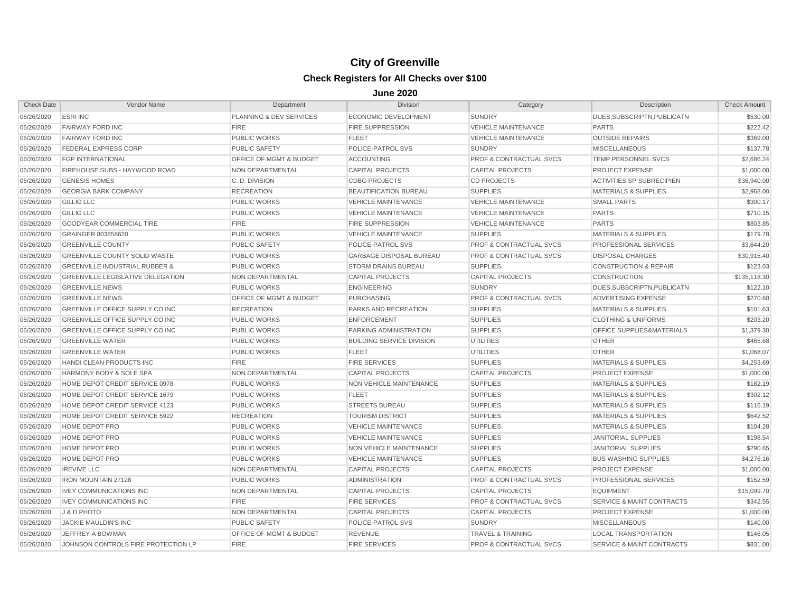| <b>Check Date</b> | Vendor Name                               | Department                         | <b>Division</b>                  | Category                           | Description                          | <b>Check Amount</b> |
|-------------------|-------------------------------------------|------------------------------------|----------------------------------|------------------------------------|--------------------------------------|---------------------|
| 06/26/2020        | <b>ESRIINC</b>                            | PLANNING & DEV SERVICES            | <b>ECONOMIC DEVELOPMENT</b>      | <b>SUNDRY</b>                      | DUES, SUBSCRIPTN, PUBLICATN          | \$530.00            |
| 06/26/2020        | <b>FAIRWAY FORD INC</b>                   | <b>FIRE</b>                        | <b>FIRE SUPPRESSION</b>          | <b>VEHICLE MAINTENANCE</b>         | <b>PARTS</b>                         | \$222.42            |
| 06/26/2020        | <b>FAIRWAY FORD INC</b>                   | <b>PUBLIC WORKS</b>                | <b>FLEET</b>                     | <b>VEHICLE MAINTENANCE</b>         | <b>OUTSIDE REPAIRS</b>               | \$369.00            |
| 06/26/2020        | FEDERAL EXPRESS CORP                      | <b>PUBLIC SAFETY</b>               | POLICE-PATROL SVS                | <b>SUNDRY</b>                      | <b>MISCELLANEOUS</b>                 | \$137.78            |
| 06/26/2020        | <b>FGP INTERNATIONAL</b>                  | OFFICE OF MGMT & BUDGET            | <b>ACCOUNTING</b>                | <b>PROF &amp; CONTRACTUAL SVCS</b> | TEMP PERSONNEL SVCS                  | \$2,686.24          |
| 06/26/2020        | FIREHOUSE SUBS - HAYWOOD ROAD             | NON DEPARTMENTAL                   | <b>CAPITAL PROJECTS</b>          | <b>CAPITAL PROJECTS</b>            | PROJECT EXPENSE                      | \$1,000.00          |
| 06/26/2020        | <b>GENESIS HOMES</b>                      | C.D. DIVISION                      | <b>CDBG PROJECTS</b>             | <b>CD PROJECTS</b>                 | ACTIVITIES SP SUBRECIPIEN            | \$36,940.00         |
| 06/26/2020        | <b>GEORGIA BARK COMPANY</b>               | <b>RECREATION</b>                  | <b>BEAUTIFICATION BUREAU</b>     | <b>SUPPLIES</b>                    | <b>MATERIALS &amp; SUPPLIES</b>      | \$2,968.00          |
| 06/26/2020        | <b>GILLIG LLC</b>                         | <b>PUBLIC WORKS</b>                | <b>VEHICLE MAINTENANCE</b>       | <b>VEHICLE MAINTENANCE</b>         | <b>SMALL PARTS</b>                   | \$300.17            |
| 06/26/2020        | <b>GILLIG LLC</b>                         | <b>PUBLIC WORKS</b>                | <b>VEHICLE MAINTENANCE</b>       | <b>VEHICLE MAINTENANCE</b>         | <b>PARTS</b>                         | \$710.15            |
| 06/26/2020        | <b>GOODYEAR COMMERCIAL TIRE</b>           | <b>FIRE</b>                        | <b>FIRE SUPPRESSION</b>          | <b>VEHICLE MAINTENANCE</b>         | <b>PARTS</b>                         | \$803.85            |
| 06/26/2020        | GRAINGER 803858620                        | <b>PUBLIC WORKS</b>                | <b>VEHICLE MAINTENANCE</b>       | <b>SUPPLIES</b>                    | <b>MATERIALS &amp; SUPPLIES</b>      | \$179.78            |
| 06/26/2020        | <b>GREENVILLE COUNTY</b>                  | <b>PUBLIC SAFETY</b>               | POLICE-PATROL SVS                | <b>PROF &amp; CONTRACTUAL SVCS</b> | PROFESSIONAL SERVICES                | \$3,644.20          |
| 06/26/2020        | GREENVILLE COUNTY SOLID WASTE             | <b>PUBLIC WORKS</b>                | <b>GARBAGE DISPOSAL BUREAU</b>   | <b>PROF &amp; CONTRACTUAL SVCS</b> | <b>DISPOSAL CHARGES</b>              | \$30,915.40         |
| 06/26/2020        | <b>GREENVILLE INDUSTRIAL RUBBER &amp;</b> | <b>PUBLIC WORKS</b>                | <b>STORM DRAINS BUREAU</b>       | <b>SUPPLIES</b>                    | <b>CONSTRUCTION &amp; REPAIR</b>     | \$123.03            |
| 06/26/2020        | <b>GREENVILLE LEGISLATIVE DELEGATION</b>  | NON DEPARTMENTAL                   | <b>CAPITAL PROJECTS</b>          | <b>CAPITAL PROJECTS</b>            | <b>CONSTRUCTION</b>                  | \$135,118.30        |
| 06/26/2020        | <b>GREENVILLE NEWS</b>                    | <b>PUBLIC WORKS</b>                | <b>ENGINEERING</b>               | <b>SUNDRY</b>                      | DUES, SUBSCRIPTN, PUBLICATN          | \$122.10            |
| 06/26/2020        | <b>GREENVILLE NEWS</b>                    | <b>OFFICE OF MGMT &amp; BUDGET</b> | <b>PURCHASING</b>                | <b>PROF &amp; CONTRACTUAL SVCS</b> | ADVERTISING EXPENSE                  | \$270.60            |
| 06/26/2020        | <b>GREENVILLE OFFICE SUPPLY CO INC</b>    | <b>RECREATION</b>                  | <b>PARKS AND RECREATION</b>      | <b>SUPPLIES</b>                    | <b>MATERIALS &amp; SUPPLIES</b>      | \$101.63            |
| 06/26/2020        | <b>GREENVILLE OFFICE SUPPLY CO INC</b>    | <b>PUBLIC WORKS</b>                | <b>ENFORCEMENT</b>               | <b>SUPPLIES</b>                    | <b>CLOTHING &amp; UNIFORMS</b>       | \$203.20            |
| 06/26/2020        | <b>GREENVILLE OFFICE SUPPLY CO INC</b>    | <b>PUBLIC WORKS</b>                | PARKING ADMINISTRATION           | <b>SUPPLIES</b>                    | <b>OFFICE SUPPLIES&amp;MATERIALS</b> | \$1,379.30          |
| 06/26/2020        | <b>GREENVILLE WATER</b>                   | <b>PUBLIC WORKS</b>                | <b>BUILDING SERVICE DIVISION</b> | <b>UTILITIES</b>                   | <b>OTHER</b>                         | \$465.68            |
| 06/26/2020        | <b>GREENVILLE WATER</b>                   | <b>PUBLIC WORKS</b>                | <b>FLEET</b>                     | <b>UTILITIES</b>                   | <b>OTHER</b>                         | \$1,068.07          |
| 06/26/2020        | HANDI CLEAN PRODUCTS INC                  | <b>FIRE</b>                        | <b>FIRE SERVICES</b>             | <b>SUPPLIES</b>                    | <b>MATERIALS &amp; SUPPLIES</b>      | \$4,253.69          |
| 06/26/2020        | <b>HARMONY BODY &amp; SOLE SPA</b>        | NON DEPARTMENTAL                   | <b>CAPITAL PROJECTS</b>          | <b>CAPITAL PROJECTS</b>            | <b>PROJECT EXPENSE</b>               | \$1,000.00          |
| 06/26/2020        | HOME DEPOT CREDIT SERVICE 0978            | <b>PUBLIC WORKS</b>                | NON VEHICLE MAINTENANCE          | <b>SUPPLIES</b>                    | <b>MATERIALS &amp; SUPPLIES</b>      | \$182.19            |
| 06/26/2020        | HOME DEPOT CREDIT SERVICE 1679            | <b>PUBLIC WORKS</b>                | <b>FLEET</b>                     | <b>SUPPLIES</b>                    | <b>MATERIALS &amp; SUPPLIES</b>      | \$302.12            |
| 06/26/2020        | HOME DEPOT CREDIT SERVICE 4123            | <b>PUBLIC WORKS</b>                | <b>STREETS BUREAU</b>            | <b>SUPPLIES</b>                    | <b>MATERIALS &amp; SUPPLIES</b>      | \$116.19            |
| 06/26/2020        | HOME DEPOT CREDIT SERVICE 5922            | <b>RECREATION</b>                  | <b>TOURISM DISTRICT</b>          | <b>SUPPLIES</b>                    | <b>MATERIALS &amp; SUPPLIES</b>      | \$642.52            |
| 06/26/2020        | HOME DEPOT PRO                            | <b>PUBLIC WORKS</b>                | <b>VEHICLE MAINTENANCE</b>       | <b>SUPPLIES</b>                    | <b>MATERIALS &amp; SUPPLIES</b>      | \$104.28            |
| 06/26/2020        | HOME DEPOT PRO                            | <b>PUBLIC WORKS</b>                | <b>VEHICLE MAINTENANCE</b>       | <b>SUPPLIES</b>                    | <b>JANITORIAL SUPPLIES</b>           | \$198.54            |
| 06/26/2020        | HOME DEPOT PRO                            | <b>PUBLIC WORKS</b>                | NON VEHICLE MAINTENANCE          | <b>SUPPLIES</b>                    | <b>JANITORIAL SUPPLIES</b>           | \$290.65            |
| 06/26/2020        | HOME DEPOT PRO                            | <b>PUBLIC WORKS</b>                | <b>VEHICLE MAINTENANCE</b>       | <b>SUPPLIES</b>                    | <b>BUS WASHING SUPPLIES</b>          | \$4,276.16          |
| 06/26/2020        | <b>IREVIVE LLC</b>                        | NON DEPARTMENTAL                   | <b>CAPITAL PROJECTS</b>          | <b>CAPITAL PROJECTS</b>            | PROJECT EXPENSE                      | \$1,000.00          |
| 06/26/2020        | <b>IRON MOUNTAIN 27128</b>                | <b>PUBLIC WORKS</b>                | <b>ADMINISTRATION</b>            | <b>PROF &amp; CONTRACTUAL SVCS</b> | PROFESSIONAL SERVICES                | \$152.59            |
| 06/26/2020        | <b>IVEY COMMUNICATIONS INC</b>            | NON DEPARTMENTAL                   | <b>CAPITAL PROJECTS</b>          | <b>CAPITAL PROJECTS</b>            | <b>EQUIPMENT</b>                     | \$15,099.70         |
| 06/26/2020        | <b>IVEY COMMUNICATIONS INC</b>            | <b>FIRE</b>                        | <b>FIRE SERVICES</b>             | <b>PROF &amp; CONTRACTUAL SVCS</b> | SERVICE & MAINT CONTRACTS            | \$342.55            |
| 06/26/2020        | J & D PHOTO                               | NON DEPARTMENTAL                   | <b>CAPITAL PROJECTS</b>          | <b>CAPITAL PROJECTS</b>            | <b>PROJECT EXPENSE</b>               | \$1,000.00          |
| 06/26/2020        | <b>JACKIE MAULDIN'S INC</b>               | <b>PUBLIC SAFETY</b>               | POLICE-PATROL SVS                | <b>SUNDRY</b>                      | <b>MISCELLANEOUS</b>                 | \$140.00            |
| 06/26/2020        | JEFFREY A BOWMAN                          | OFFICE OF MGMT & BUDGET            | <b>REVENUE</b>                   | <b>TRAVEL &amp; TRAINING</b>       | <b>LOCAL TRANSPORTATION</b>          | \$146.05            |
| 06/26/2020        | JOHNSON CONTROLS FIRE PROTECTION LP       | <b>FIRE</b>                        | <b>FIRE SERVICES</b>             | <b>PROF &amp; CONTRACTUAL SVCS</b> | <b>SERVICE &amp; MAINT CONTRACTS</b> | \$831.00            |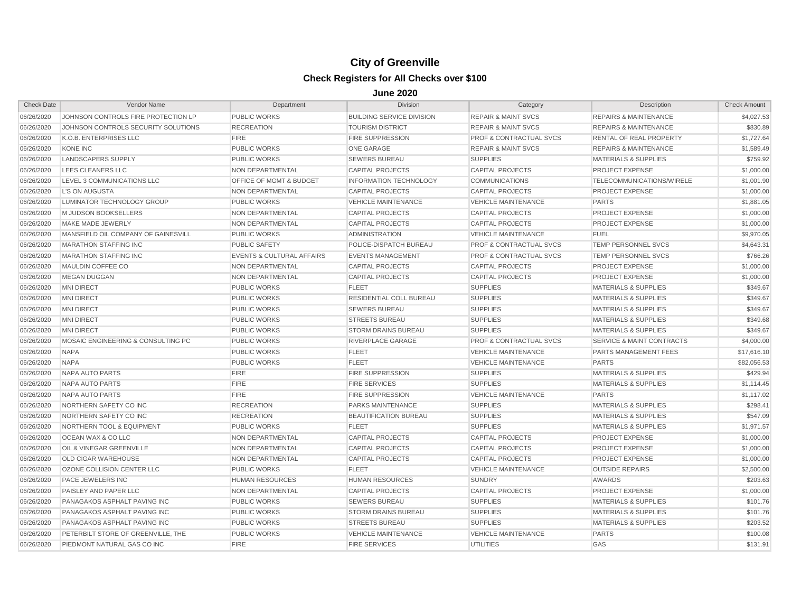| <b>Check Date</b> | Vendor Name                         | Department                           | <b>Division</b>                  | Category                           | Description                          | <b>Check Amount</b> |
|-------------------|-------------------------------------|--------------------------------------|----------------------------------|------------------------------------|--------------------------------------|---------------------|
| 06/26/2020        | JOHNSON CONTROLS FIRE PROTECTION LP | <b>PUBLIC WORKS</b>                  | <b>BUILDING SERVICE DIVISION</b> | <b>REPAIR &amp; MAINT SVCS</b>     | <b>REPAIRS &amp; MAINTENANCE</b>     | \$4,027.53          |
| 06/26/2020        | JOHNSON CONTROLS SECURITY SOLUTIONS | <b>RECREATION</b>                    | <b>TOURISM DISTRICT</b>          | <b>REPAIR &amp; MAINT SVCS</b>     | <b>REPAIRS &amp; MAINTENANCE</b>     | \$830.89            |
| 06/26/2020        | K.O.B. ENTERPRISES LLC              | <b>FIRE</b>                          | <b>FIRE SUPPRESSION</b>          | <b>PROF &amp; CONTRACTUAL SVCS</b> | <b>RENTAL OF REAL PROPERTY</b>       | \$1,727.64          |
| 06/26/2020        | <b>KONE INC</b>                     | <b>PUBLIC WORKS</b>                  | <b>ONE GARAGE</b>                | <b>REPAIR &amp; MAINT SVCS</b>     | <b>REPAIRS &amp; MAINTENANCE</b>     | \$1,589.49          |
| 06/26/2020        | <b>LANDSCAPERS SUPPLY</b>           | <b>PUBLIC WORKS</b>                  | <b>SEWERS BUREAU</b>             | <b>SUPPLIES</b>                    | <b>MATERIALS &amp; SUPPLIES</b>      | \$759.92            |
| 06/26/2020        | LEES CLEANERS LLC                   | NON DEPARTMENTAL                     | <b>CAPITAL PROJECTS</b>          | <b>CAPITAL PROJECTS</b>            | PROJECT EXPENSE                      | \$1,000.00          |
| 06/26/2020        | LEVEL 3 COMMUNICATIONS LLC          | <b>OFFICE OF MGMT &amp; BUDGET</b>   | <b>INFORMATION TECHNOLOGY</b>    | <b>COMMUNICATIONS</b>              | TELECOMMUNICATIONS/WIRELE            | \$1,001.90          |
| 06/26/2020        | L'S ON AUGUSTA                      | NON DEPARTMENTAL                     | <b>CAPITAL PROJECTS</b>          | <b>CAPITAL PROJECTS</b>            | <b>PROJECT EXPENSE</b>               | \$1,000.00          |
| 06/26/2020        | LUMINATOR TECHNOLOGY GROUP          | <b>PUBLIC WORKS</b>                  | <b>VEHICLE MAINTENANCE</b>       | <b>VEHICLE MAINTENANCE</b>         | <b>PARTS</b>                         | \$1,881.05          |
| 06/26/2020        | M JUDSON BOOKSELLERS                | <b>NON DEPARTMENTAL</b>              | <b>CAPITAL PROJECTS</b>          | <b>CAPITAL PROJECTS</b>            | <b>PROJECT EXPENSE</b>               | \$1,000.00          |
| 06/26/2020        | MAKE MADE JEWERLY                   | NON DEPARTMENTAL                     | <b>CAPITAL PROJECTS</b>          | <b>CAPITAL PROJECTS</b>            | <b>PROJECT EXPENSE</b>               | \$1,000.00          |
| 06/26/2020        | MANSFIELD OIL COMPANY OF GAINESVILL | <b>PUBLIC WORKS</b>                  | <b>ADMINISTRATION</b>            | <b>VEHICLE MAINTENANCE</b>         | <b>FUEL</b>                          | \$9,970.05          |
| 06/26/2020        | <b>MARATHON STAFFING INC</b>        | <b>PUBLIC SAFETY</b>                 | POLICE-DISPATCH BUREAU           | <b>PROF &amp; CONTRACTUAL SVCS</b> | TEMP PERSONNEL SVCS                  | \$4,643.31          |
| 06/26/2020        | <b>MARATHON STAFFING INC</b>        | <b>EVENTS &amp; CULTURAL AFFAIRS</b> | <b>EVENTS MANAGEMENT</b>         | <b>PROF &amp; CONTRACTUAL SVCS</b> | TEMP PERSONNEL SVCS                  | \$766.26            |
| 06/26/2020        | MAULDIN COFFEE CO                   | NON DEPARTMENTAL                     | <b>CAPITAL PROJECTS</b>          | <b>CAPITAL PROJECTS</b>            | PROJECT EXPENSE                      | \$1,000.00          |
| 06/26/2020        | <b>MEGAN DUGGAN</b>                 | NON DEPARTMENTAL                     | <b>CAPITAL PROJECTS</b>          | <b>CAPITAL PROJECTS</b>            | PROJECT EXPENSE                      | \$1,000.00          |
| 06/26/2020        | <b>MNI DIRECT</b>                   | <b>PUBLIC WORKS</b>                  | <b>FLEET</b>                     | <b>SUPPLIES</b>                    | <b>MATERIALS &amp; SUPPLIES</b>      | \$349.67            |
| 06/26/2020        | <b>MNI DIRECT</b>                   | <b>PUBLIC WORKS</b>                  | <b>RESIDENTIAL COLL BUREAU</b>   | <b>SUPPLIES</b>                    | <b>MATERIALS &amp; SUPPLIES</b>      | \$349.67            |
| 06/26/2020        | <b>MNI DIRECT</b>                   | <b>PUBLIC WORKS</b>                  | <b>SEWERS BUREAU</b>             | <b>SUPPLIES</b>                    | <b>MATERIALS &amp; SUPPLIES</b>      | \$349.67            |
| 06/26/2020        | <b>MNI DIRECT</b>                   | <b>PUBLIC WORKS</b>                  | <b>STREETS BUREAU</b>            | <b>SUPPLIES</b>                    | <b>MATERIALS &amp; SUPPLIES</b>      | \$349.68            |
| 06/26/2020        | <b>MNI DIRECT</b>                   | <b>PUBLIC WORKS</b>                  | <b>STORM DRAINS BUREAU</b>       | <b>SUPPLIES</b>                    | <b>MATERIALS &amp; SUPPLIES</b>      | \$349.67            |
| 06/26/2020        | MOSAIC ENGINEERING & CONSULTING PC  | <b>PUBLIC WORKS</b>                  | RIVERPLACE GARAGE                | <b>PROF &amp; CONTRACTUAL SVCS</b> | <b>SERVICE &amp; MAINT CONTRACTS</b> | \$4,000.00          |
| 06/26/2020        | <b>NAPA</b>                         | <b>PUBLIC WORKS</b>                  | <b>FLEET</b>                     | <b>VEHICLE MAINTENANCE</b>         | PARTS MANAGEMENT FEES                | \$17,616.10         |
| 06/26/2020        | <b>NAPA</b>                         | <b>PUBLIC WORKS</b>                  | <b>FLEET</b>                     | <b>VEHICLE MAINTENANCE</b>         | <b>PARTS</b>                         | \$82,056.53         |
| 06/26/2020        | <b>NAPA AUTO PARTS</b>              | <b>FIRE</b>                          | <b>FIRE SUPPRESSION</b>          | <b>SUPPLIES</b>                    | <b>MATERIALS &amp; SUPPLIES</b>      | \$429.94            |
| 06/26/2020        | <b>NAPA AUTO PARTS</b>              | <b>FIRE</b>                          | <b>FIRE SERVICES</b>             | <b>SUPPLIES</b>                    | <b>MATERIALS &amp; SUPPLIES</b>      | \$1.114.45          |
| 06/26/2020        | NAPA AUTO PARTS                     | <b>FIRE</b>                          | <b>FIRE SUPPRESSION</b>          | <b>VEHICLE MAINTENANCE</b>         | <b>PARTS</b>                         | \$1.117.02          |
| 06/26/2020        | NORTHERN SAFETY CO INC              | <b>RECREATION</b>                    | PARKS MAINTENANCE                | <b>SUPPLIES</b>                    | <b>MATERIALS &amp; SUPPLIES</b>      | \$298.41            |
| 06/26/2020        | NORTHERN SAFETY CO INC              | <b>RECREATION</b>                    | BEAUTIFICATION BUREAU            | <b>SUPPLIES</b>                    | <b>MATERIALS &amp; SUPPLIES</b>      | \$547.09            |
| 06/26/2020        | NORTHERN TOOL & EQUIPMENT           | <b>PUBLIC WORKS</b>                  | <b>FLEET</b>                     | <b>SUPPLIES</b>                    | <b>MATERIALS &amp; SUPPLIES</b>      | \$1,971.57          |
| 06/26/2020        | OCEAN WAX & CO LLC                  | NON DEPARTMENTAL                     | <b>CAPITAL PROJECTS</b>          | <b>CAPITAL PROJECTS</b>            | PROJECT EXPENSE                      | \$1,000.00          |
| 06/26/2020        | OIL & VINEGAR GREENVILLE            | NON DEPARTMENTAL                     | <b>CAPITAL PROJECTS</b>          | <b>CAPITAL PROJECTS</b>            | <b>PROJECT EXPENSE</b>               | \$1,000.00          |
| 06/26/2020        | OLD CIGAR WAREHOUSE                 | NON DEPARTMENTAL                     | <b>CAPITAL PROJECTS</b>          | <b>CAPITAL PROJECTS</b>            | PROJECT EXPENSE                      | \$1,000.00          |
| 06/26/2020        | OZONE COLLISION CENTER LLC          | <b>PUBLIC WORKS</b>                  | <b>FLEET</b>                     | <b>VEHICLE MAINTENANCE</b>         | <b>OUTSIDE REPAIRS</b>               | \$2,500.00          |
| 06/26/2020        | PACE JEWELERS INC                   | <b>HUMAN RESOURCES</b>               | <b>HUMAN RESOURCES</b>           | <b>SUNDRY</b>                      | <b>AWARDS</b>                        | \$203.63            |
| 06/26/2020        | PAISLEY AND PAPER LLC               | <b>NON DEPARTMENTAL</b>              | <b>CAPITAL PROJECTS</b>          | <b>CAPITAL PROJECTS</b>            | <b>PROJECT EXPENSE</b>               | \$1,000.00          |
| 06/26/2020        | PANAGAKOS ASPHALT PAVING INC        | <b>PUBLIC WORKS</b>                  | <b>SEWERS BUREAU</b>             | <b>SUPPLIES</b>                    | <b>MATERIALS &amp; SUPPLIES</b>      | \$101.76            |
| 06/26/2020        | PANAGAKOS ASPHALT PAVING INC        | <b>PUBLIC WORKS</b>                  | <b>STORM DRAINS BUREAU</b>       | <b>SUPPLIES</b>                    | <b>MATERIALS &amp; SUPPLIES</b>      | \$101.76            |
| 06/26/2020        | PANAGAKOS ASPHALT PAVING INC        | <b>PUBLIC WORKS</b>                  | <b>STREETS BUREAU</b>            | <b>SUPPLIES</b>                    | <b>MATERIALS &amp; SUPPLIES</b>      | \$203.52            |
| 06/26/2020        | PETERBILT STORE OF GREENVILLE. THE  | <b>PUBLIC WORKS</b>                  | <b>VEHICLE MAINTENANCE</b>       | <b>VEHICLE MAINTENANCE</b>         | <b>PARTS</b>                         | \$100.08            |
| 06/26/2020        | PIEDMONT NATURAL GAS CO INC         | <b>FIRE</b>                          | <b>FIRE SERVICES</b>             | <b>UTILITIES</b>                   | GAS                                  | \$131.91            |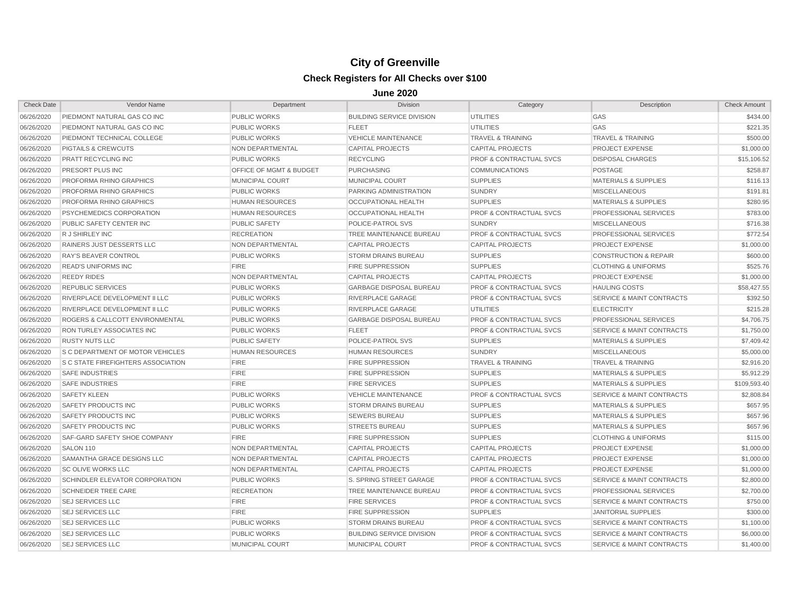| <b>Check Date</b> | Vendor Name                               | Department              | <b>Division</b>                  | Category                           | Description                          | <b>Check Amount</b> |
|-------------------|-------------------------------------------|-------------------------|----------------------------------|------------------------------------|--------------------------------------|---------------------|
| 06/26/2020        | PIEDMONT NATURAL GAS CO INC               | <b>PUBLIC WORKS</b>     | <b>BUILDING SERVICE DIVISION</b> | <b>UTILITIES</b>                   | GAS                                  | \$434.00            |
| 06/26/2020        | PIEDMONT NATURAL GAS CO INC               | <b>PUBLIC WORKS</b>     | <b>FLEET</b>                     | <b>UTILITIES</b>                   | GAS                                  | \$221.35            |
| 06/26/2020        | PIEDMONT TECHNICAL COLLEGE                | <b>PUBLIC WORKS</b>     | <b>VEHICLE MAINTENANCE</b>       | <b>TRAVEL &amp; TRAINING</b>       | <b>TRAVEL &amp; TRAINING</b>         | \$500.00            |
| 06/26/2020        | <b>PIGTAILS &amp; CREWCUTS</b>            | <b>NON DEPARTMENTAL</b> | <b>CAPITAL PROJECTS</b>          | <b>CAPITAL PROJECTS</b>            | <b>PROJECT EXPENSE</b>               | \$1,000.00          |
| 06/26/2020        | PRATT RECYCLING INC                       | <b>PUBLIC WORKS</b>     | <b>RECYCLING</b>                 | <b>PROF &amp; CONTRACTUAL SVCS</b> | <b>DISPOSAL CHARGES</b>              | \$15,106.52         |
| 06/26/2020        | PRESORT PLUS INC                          | OFFICE OF MGMT & BUDGET | <b>PURCHASING</b>                | <b>COMMUNICATIONS</b>              | <b>POSTAGE</b>                       | \$258.87            |
| 06/26/2020        | PROFORMA RHINO GRAPHICS                   | MUNICIPAL COURT         | MUNICIPAL COURT                  | <b>SUPPLIES</b>                    | <b>MATERIALS &amp; SUPPLIES</b>      | \$116.13            |
| 06/26/2020        | PROFORMA RHINO GRAPHICS                   | <b>PUBLIC WORKS</b>     | PARKING ADMINISTRATION           | <b>SUNDRY</b>                      | <b>MISCELLANEOUS</b>                 | \$191.81            |
| 06/26/2020        | PROFORMA RHINO GRAPHICS                   | <b>HUMAN RESOURCES</b>  | <b>OCCUPATIONAL HEALTH</b>       | <b>SUPPLIES</b>                    | <b>MATERIALS &amp; SUPPLIES</b>      | \$280.95            |
| 06/26/2020        | <b>PSYCHEMEDICS CORPORATION</b>           | <b>HUMAN RESOURCES</b>  | <b>OCCUPATIONAL HEALTH</b>       | <b>PROF &amp; CONTRACTUAL SVCS</b> | <b>PROFESSIONAL SERVICES</b>         | \$783.00            |
| 06/26/2020        | PUBLIC SAFETY CENTER INC                  | <b>PUBLIC SAFETY</b>    | POLICE-PATROL SVS                | <b>SUNDRY</b>                      | <b>MISCELLANEOUS</b>                 | \$716.38            |
| 06/26/2020        | R J SHIRLEY INC                           | <b>RECREATION</b>       | TREE MAINTENANCE BUREAU          | <b>PROF &amp; CONTRACTUAL SVCS</b> | PROFESSIONAL SERVICES                | \$772.54            |
| 06/26/2020        | <b>RAINERS JUST DESSERTS LLC</b>          | <b>NON DEPARTMENTAL</b> | <b>CAPITAL PROJECTS</b>          | <b>CAPITAL PROJECTS</b>            | <b>PROJECT EXPENSE</b>               | \$1,000.00          |
| 06/26/2020        | <b>RAY'S BEAVER CONTROL</b>               | <b>PUBLIC WORKS</b>     | <b>STORM DRAINS BUREAU</b>       | <b>SUPPLIES</b>                    | <b>CONSTRUCTION &amp; REPAIR</b>     | \$600.00            |
| 06/26/2020        | <b>READ'S UNIFORMS INC</b>                | <b>FIRE</b>             | <b>FIRE SUPPRESSION</b>          | <b>SUPPLIES</b>                    | <b>CLOTHING &amp; UNIFORMS</b>       | \$525.76            |
| 06/26/2020        | <b>REEDY RIDES</b>                        | NON DEPARTMENTAL        | <b>CAPITAL PROJECTS</b>          | <b>CAPITAL PROJECTS</b>            | <b>PROJECT EXPENSE</b>               | \$1,000.00          |
| 06/26/2020        | <b>REPUBLIC SERVICES</b>                  | <b>PUBLIC WORKS</b>     | <b>GARBAGE DISPOSAL BUREAU</b>   | <b>PROF &amp; CONTRACTUAL SVCS</b> | <b>HAULING COSTS</b>                 | \$58,427.55         |
| 06/26/2020        | RIVERPLACE DEVELOPMENT II LLC             | <b>PUBLIC WORKS</b>     | <b>RIVERPLACE GARAGE</b>         | <b>PROF &amp; CONTRACTUAL SVCS</b> | <b>SERVICE &amp; MAINT CONTRACTS</b> | \$392.50            |
| 06/26/2020        | RIVERPLACE DEVELOPMENT II LLC             | <b>PUBLIC WORKS</b>     | <b>RIVERPLACE GARAGE</b>         | <b>UTILITIES</b>                   | <b>ELECTRICITY</b>                   | \$215.28            |
| 06/26/2020        | ROGERS & CALLCOTT ENVIRONMENTAL           | <b>PUBLIC WORKS</b>     | <b>GARBAGE DISPOSAL BUREAU</b>   | <b>PROF &amp; CONTRACTUAL SVCS</b> | PROFESSIONAL SERVICES                | \$4,706.75          |
| 06/26/2020        | RON TURLEY ASSOCIATES INC                 | <b>PUBLIC WORKS</b>     | <b>FLEET</b>                     | <b>PROF &amp; CONTRACTUAL SVCS</b> | SERVICE & MAINT CONTRACTS            | \$1,750.00          |
| 06/26/2020        | <b>RUSTY NUTS LLC</b>                     | <b>PUBLIC SAFETY</b>    | POLICE-PATROL SVS                | <b>SUPPLIES</b>                    | <b>MATERIALS &amp; SUPPLIES</b>      | \$7,409.42          |
| 06/26/2020        | <b>S C DEPARTMENT OF MOTOR VEHICLES</b>   | <b>HUMAN RESOURCES</b>  | <b>HUMAN RESOURCES</b>           | <b>SUNDRY</b>                      | <b>MISCELLANEOUS</b>                 | \$5,000.00          |
| 06/26/2020        | <b>S C STATE FIREFIGHTERS ASSOCIATION</b> | <b>FIRE</b>             | <b>FIRE SUPPRESSION</b>          | <b>TRAVEL &amp; TRAINING</b>       | <b>TRAVEL &amp; TRAINING</b>         | \$2,916.20          |
| 06/26/2020        | <b>SAFE INDUSTRIES</b>                    | <b>FIRE</b>             | <b>FIRE SUPPRESSION</b>          | <b>SUPPLIES</b>                    | <b>MATERIALS &amp; SUPPLIES</b>      | \$5,912.29          |
| 06/26/2020        | <b>SAFE INDUSTRIES</b>                    | <b>FIRE</b>             | <b>FIRE SERVICES</b>             | <b>SUPPLIES</b>                    | <b>MATERIALS &amp; SUPPLIES</b>      | \$109,593.40        |
| 06/26/2020        | <b>SAFETY KLEEN</b>                       | <b>PUBLIC WORKS</b>     | <b>VEHICLE MAINTENANCE</b>       | <b>PROF &amp; CONTRACTUAL SVCS</b> | <b>SERVICE &amp; MAINT CONTRACTS</b> | \$2,808.84          |
| 06/26/2020        | <b>SAFETY PRODUCTS INC</b>                | <b>PUBLIC WORKS</b>     | <b>STORM DRAINS BUREAU</b>       | <b>SUPPLIES</b>                    | <b>MATERIALS &amp; SUPPLIES</b>      | \$657.95            |
| 06/26/2020        | <b>SAFETY PRODUCTS INC</b>                | <b>PUBLIC WORKS</b>     | <b>SEWERS BUREAU</b>             | <b>SUPPLIES</b>                    | <b>MATERIALS &amp; SUPPLIES</b>      | \$657.96            |
| 06/26/2020        | SAFETY PRODUCTS INC                       | <b>PUBLIC WORKS</b>     | <b>STREETS BUREAU</b>            | <b>SUPPLIES</b>                    | <b>MATERIALS &amp; SUPPLIES</b>      | \$657.96            |
| 06/26/2020        | SAF-GARD SAFETY SHOE COMPANY              | <b>FIRE</b>             | <b>FIRE SUPPRESSION</b>          | <b>SUPPLIES</b>                    | <b>CLOTHING &amp; UNIFORMS</b>       | \$115.00            |
| 06/26/2020        | SALON 110                                 | NON DEPARTMENTAL        | <b>CAPITAL PROJECTS</b>          | <b>CAPITAL PROJECTS</b>            | <b>PROJECT EXPENSE</b>               | \$1,000.00          |
| 06/26/2020        | SAMANTHA GRACE DESIGNS LLC                | NON DEPARTMENTAL        | <b>CAPITAL PROJECTS</b>          | <b>CAPITAL PROJECTS</b>            | <b>PROJECT EXPENSE</b>               | \$1,000.00          |
| 06/26/2020        | <b>SC OLIVE WORKS LLC</b>                 | NON DEPARTMENTAL        | <b>CAPITAL PROJECTS</b>          | <b>CAPITAL PROJECTS</b>            | PROJECT EXPENSE                      | \$1,000.00          |
| 06/26/2020        | SCHINDLER ELEVATOR CORPORATION            | <b>PUBLIC WORKS</b>     | S. SPRING STREET GARAGE          | <b>PROF &amp; CONTRACTUAL SVCS</b> | <b>SERVICE &amp; MAINT CONTRACTS</b> | \$2,800.00          |
| 06/26/2020        | <b>SCHNEIDER TREE CARE</b>                | <b>RECREATION</b>       | TREE MAINTENANCE BUREAU          | <b>PROF &amp; CONTRACTUAL SVCS</b> | PROFESSIONAL SERVICES                | \$2,700.00          |
| 06/26/2020        | <b>SEJ SERVICES LLC</b>                   | <b>FIRE</b>             | <b>FIRE SERVICES</b>             | <b>PROF &amp; CONTRACTUAL SVCS</b> | <b>SERVICE &amp; MAINT CONTRACTS</b> | \$750.00            |
| 06/26/2020        | <b>SEJ SERVICES LLC</b>                   | <b>FIRE</b>             | <b>FIRE SUPPRESSION</b>          | <b>SUPPLIES</b>                    | <b>JANITORIAL SUPPLIES</b>           | \$300.00            |
| 06/26/2020        | <b>SEJ SERVICES LLC</b>                   | <b>PUBLIC WORKS</b>     | <b>STORM DRAINS BUREAU</b>       | <b>PROF &amp; CONTRACTUAL SVCS</b> | <b>SERVICE &amp; MAINT CONTRACTS</b> | \$1,100.00          |
| 06/26/2020        | <b>SEJ SERVICES LLC</b>                   | <b>PUBLIC WORKS</b>     | <b>BUILDING SERVICE DIVISION</b> | <b>PROF &amp; CONTRACTUAL SVCS</b> | <b>SERVICE &amp; MAINT CONTRACTS</b> | \$6,000.00          |
| 06/26/2020        | <b>SEJ SERVICES LLC</b>                   | <b>MUNICIPAL COURT</b>  | <b>MUNICIPAL COURT</b>           | <b>PROF &amp; CONTRACTUAL SVCS</b> | <b>SERVICE &amp; MAINT CONTRACTS</b> | \$1,400.00          |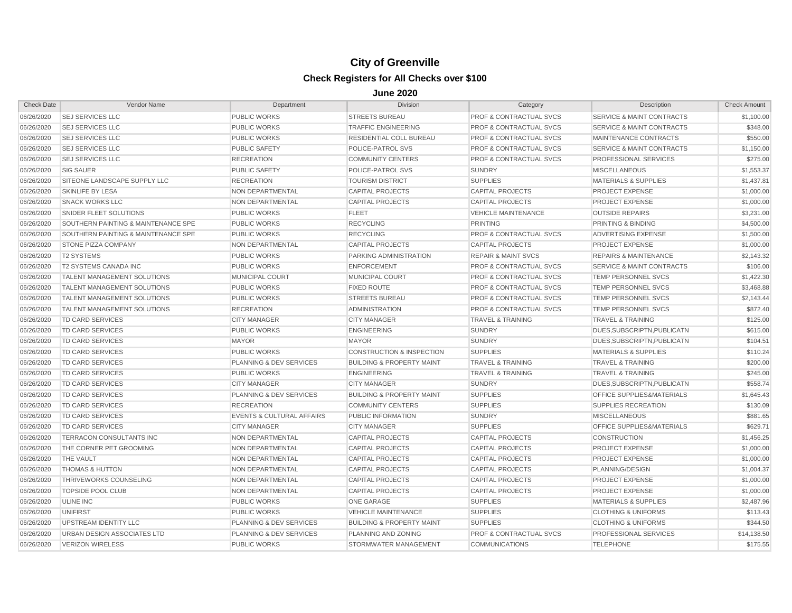| <b>SEJ SERVICES LLC</b><br><b>PUBLIC WORKS</b><br><b>STREETS BUREAU</b><br>06/26/2020<br>PROF & CONTRACTUAL SVCS<br>SERVICE & MAINT CONTRACTS                                       |                                                    |
|-------------------------------------------------------------------------------------------------------------------------------------------------------------------------------------|----------------------------------------------------|
|                                                                                                                                                                                     | \$1,100.00                                         |
| <b>SEJ SERVICES LLC</b><br>06/26/2020<br><b>PUBLIC WORKS</b><br><b>TRAFFIC ENGINEERING</b><br><b>PROF &amp; CONTRACTUAL SVCS</b>                                                    | <b>SERVICE &amp; MAINT CONTRACTS</b><br>\$348.00   |
| 06/26/2020<br><b>SEJ SERVICES LLC</b><br><b>PUBLIC WORKS</b><br><b>RESIDENTIAL COLL BUREAU</b><br>PROF & CONTRACTUAL SVCS<br>MAINTENANCE CONTRACTS                                  | \$550.00                                           |
| 06/26/2020<br><b>SEJ SERVICES LLC</b><br><b>PUBLIC SAFETY</b><br>POLICE-PATROL SVS<br>PROF & CONTRACTUAL SVCS                                                                       | <b>SERVICE &amp; MAINT CONTRACTS</b><br>\$1,150.00 |
| 06/26/2020<br><b>SEJ SERVICES LLC</b><br><b>RECREATION</b><br><b>COMMUNITY CENTERS</b><br><b>PROF &amp; CONTRACTUAL SVCS</b><br><b>PROFESSIONAL SERVICES</b>                        | \$275.00                                           |
| 06/26/2020<br><b>SIG SAUER</b><br><b>PUBLIC SAFETY</b><br>POLICE-PATROL SVS<br><b>SUNDRY</b><br><b>MISCELLANEOUS</b>                                                                | \$1,553.37                                         |
| SITEONE LANDSCAPE SUPPLY LLC<br><b>SUPPLIES</b><br>06/26/2020<br><b>RECREATION</b><br><b>TOURISM DISTRICT</b><br><b>MATERIALS &amp; SUPPLIES</b>                                    | \$1,437.81                                         |
| 06/26/2020<br><b>SKINLIFE BY LESA</b><br>NON DEPARTMENTAL<br><b>CAPITAL PROJECTS</b><br><b>CAPITAL PROJECTS</b><br><b>PROJECT EXPENSE</b>                                           | \$1,000.00                                         |
| 06/26/2020<br><b>SNACK WORKS LLC</b><br><b>NON DEPARTMENTAL</b><br><b>CAPITAL PROJECTS</b><br><b>CAPITAL PROJECTS</b><br>PROJECT EXPENSE                                            | \$1,000.00                                         |
| <b>FLEET</b><br>06/26/2020<br>SNIDER FLEET SOLUTIONS<br><b>PUBLIC WORKS</b><br><b>VEHICLE MAINTENANCE</b><br><b>OUTSIDE REPAIRS</b>                                                 | \$3,231.00                                         |
| SOUTHERN PAINTING & MAINTENANCE SPE<br><b>PUBLIC WORKS</b><br><b>RECYCLING</b><br><b>PRINTING</b><br><b>PRINTING &amp; BINDING</b><br>06/26/2020                                    | \$4,500.00                                         |
| 06/26/2020<br>SOUTHERN PAINTING & MAINTENANCE SPE<br><b>PUBLIC WORKS</b><br><b>RECYCLING</b><br><b>PROF &amp; CONTRACTUAL SVCS</b><br>ADVERTISING EXPENSE                           | \$1,500.00                                         |
| 06/26/2020<br><b>STONE PIZZA COMPANY</b><br>NON DEPARTMENTAL<br><b>CAPITAL PROJECTS</b><br><b>CAPITAL PROJECTS</b><br><b>PROJECT EXPENSE</b>                                        | \$1,000.00                                         |
| 06/26/2020<br><b>T2 SYSTEMS</b><br><b>PUBLIC WORKS</b><br>PARKING ADMINISTRATION<br><b>REPAIR &amp; MAINT SVCS</b><br><b>REPAIRS &amp; MAINTENANCE</b>                              | \$2,143.32                                         |
| 06/26/2020<br><b>T2 SYSTEMS CANADA INC</b><br><b>PUBLIC WORKS</b><br><b>ENFORCEMENT</b><br><b>PROF &amp; CONTRACTUAL SVCS</b>                                                       | <b>SERVICE &amp; MAINT CONTRACTS</b><br>\$106.00   |
| <b>MUNICIPAL COURT</b><br>TEMP PERSONNEL SVCS<br>06/26/2020<br><b>TALENT MANAGEMENT SOLUTIONS</b><br>MUNICIPAL COURT<br><b>PROF &amp; CONTRACTUAL SVCS</b>                          | \$1,422.30                                         |
| 06/26/2020<br><b>TEMP PERSONNEL SVCS</b><br><b>TALENT MANAGEMENT SOLUTIONS</b><br><b>PUBLIC WORKS</b><br><b>FIXED ROUTE</b><br><b>PROF &amp; CONTRACTUAL SVCS</b>                   | \$3,468.88                                         |
| 06/26/2020<br><b>TALENT MANAGEMENT SOLUTIONS</b><br><b>PUBLIC WORKS</b><br><b>STREETS BUREAU</b><br><b>PROF &amp; CONTRACTUAL SVCS</b><br><b>TEMP PERSONNEL SVCS</b>                | \$2,143.44                                         |
| <b>TALENT MANAGEMENT SOLUTIONS</b><br><b>PROF &amp; CONTRACTUAL SVCS</b><br>TEMP PERSONNEL SVCS<br>06/26/2020<br><b>RECREATION</b><br><b>ADMINISTRATION</b>                         | \$872.40                                           |
| 06/26/2020<br>TD CARD SERVICES<br><b>CITY MANAGER</b><br><b>CITY MANAGER</b><br><b>TRAVEL &amp; TRAINING</b><br><b>TRAVEL &amp; TRAINING</b>                                        | \$125.00                                           |
| 06/26/2020<br><b>TD CARD SERVICES</b><br><b>PUBLIC WORKS</b><br><b>ENGINEERING</b><br><b>SUNDRY</b>                                                                                 | DUES, SUBSCRIPTN, PUBLICATN<br>\$615.00            |
| 06/26/2020<br><b>TD CARD SERVICES</b><br><b>MAYOR</b><br><b>MAYOR</b><br><b>SUNDRY</b>                                                                                              | DUES, SUBSCRIPTN, PUBLICATN<br>\$104.51            |
| 06/26/2020<br><b>TD CARD SERVICES</b><br><b>PUBLIC WORKS</b><br><b>CONSTRUCTION &amp; INSPECTION</b><br><b>SUPPLIES</b><br><b>MATERIALS &amp; SUPPLIES</b>                          | \$110.24                                           |
| <b>BUILDING &amp; PROPERTY MAINT</b><br>06/26/2020<br><b>TD CARD SERVICES</b><br><b>PLANNING &amp; DEV SERVICES</b><br><b>TRAVEL &amp; TRAINING</b><br><b>TRAVEL &amp; TRAINING</b> | \$200.00                                           |
| 06/26/2020<br><b>TD CARD SERVICES</b><br><b>PUBLIC WORKS</b><br><b>ENGINEERING</b><br><b>TRAVEL &amp; TRAINING</b><br><b>TRAVEL &amp; TRAINING</b>                                  | \$245.00                                           |
| 06/26/2020<br><b>TD CARD SERVICES</b><br><b>CITY MANAGER</b><br><b>CITY MANAGER</b><br><b>SUNDRY</b>                                                                                | DUES, SUBSCRIPTN, PUBLICATN<br>\$558.74            |
| 06/26/2020<br><b>TD CARD SERVICES</b><br>PLANNING & DEV SERVICES<br><b>BUILDING &amp; PROPERTY MAINT</b><br><b>SUPPLIES</b>                                                         | <b>OFFICE SUPPLIES&amp;MATERIALS</b><br>\$1,645.43 |
| 06/26/2020<br><b>TD CARD SERVICES</b><br><b>RECREATION</b><br><b>COMMUNITY CENTERS</b><br><b>SUPPLIES</b><br>SUPPLIES RECREATION                                                    | \$130.09                                           |
| 06/26/2020<br><b>TD CARD SERVICES</b><br><b>EVENTS &amp; CULTURAL AFFAIRS</b><br>PUBLIC INFORMATION<br><b>SUNDRY</b><br><b>MISCELLANEOUS</b>                                        | \$881.65                                           |
| 06/26/2020<br><b>TD CARD SERVICES</b><br><b>CITY MANAGER</b><br><b>CITY MANAGER</b><br><b>SUPPLIES</b>                                                                              | \$629.71<br><b>OFFICE SUPPLIES&amp;MATERIALS</b>   |
| <b>CAPITAL PROJECTS</b><br>06/26/2020<br><b>TERRACON CONSULTANTS INC</b><br><b>NON DEPARTMENTAL</b><br><b>CAPITAL PROJECTS</b><br><b>CONSTRUCTION</b>                               | \$1,456.25                                         |
| 06/26/2020<br>THE CORNER PET GROOMING<br>NON DEPARTMENTAL<br><b>CAPITAL PROJECTS</b><br><b>CAPITAL PROJECTS</b><br><b>PROJECT EXPENSE</b>                                           | \$1,000.00                                         |
| 06/26/2020<br><b>PROJECT EXPENSE</b><br>THE VAULT<br>NON DEPARTMENTAL<br><b>CAPITAL PROJECTS</b><br><b>CAPITAL PROJECTS</b>                                                         | \$1,000.00                                         |
| 06/26/2020<br><b>THOMAS &amp; HUTTON</b><br><b>CAPITAL PROJECTS</b><br><b>CAPITAL PROJECTS</b><br>NON DEPARTMENTAL<br>PLANNING/DESIGN                                               | \$1,004.37                                         |
| 06/26/2020<br>THRIVEWORKS COUNSELING<br>NON DEPARTMENTAL<br><b>CAPITAL PROJECTS</b><br><b>CAPITAL PROJECTS</b><br>PROJECT EXPENSE                                                   | \$1,000.00                                         |
| 06/26/2020<br><b>TOPSIDE POOL CLUB</b><br>NON DEPARTMENTAL<br><b>CAPITAL PROJECTS</b><br><b>CAPITAL PROJECTS</b><br>PROJECT EXPENSE                                                 | \$1,000.00                                         |
| 06/26/2020<br>ULINE INC<br><b>PUBLIC WORKS</b><br>ONE GARAGE<br><b>SUPPLIES</b><br><b>MATERIALS &amp; SUPPLIES</b>                                                                  | \$2,487.96                                         |
| 06/26/2020<br><b>UNIFIRST</b><br><b>PUBLIC WORKS</b><br><b>SUPPLIES</b><br><b>CLOTHING &amp; UNIFORMS</b><br><b>VEHICLE MAINTENANCE</b>                                             | \$113.43                                           |
| 06/26/2020<br>UPSTREAM IDENTITY LLC<br>PLANNING & DEV SERVICES<br><b>BUILDING &amp; PROPERTY MAINT</b><br><b>SUPPLIES</b><br><b>CLOTHING &amp; UNIFORMS</b>                         | \$344.50                                           |
| 06/26/2020<br>URBAN DESIGN ASSOCIATES LTD<br>PLANNING & DEV SERVICES<br><b>PROF &amp; CONTRACTUAL SVCS</b><br>PROFESSIONAL SERVICES<br>PLANNING AND ZONING                          | \$14,138,50                                        |
| 06/26/2020<br><b>VERIZON WIRELESS</b><br><b>PUBLIC WORKS</b><br>STORMWATER MANAGEMENT<br><b>COMMUNICATIONS</b><br><b>TELEPHONE</b>                                                  | \$175.55                                           |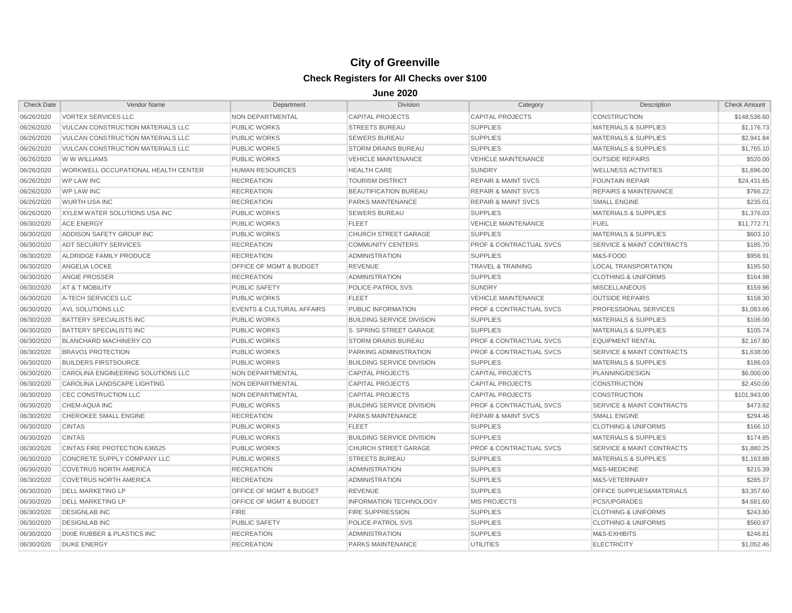| <b>Check Date</b> | Vendor Name                                | Department                           | <b>Division</b>                  | Category                           | Description                          | <b>Check Amount</b> |
|-------------------|--------------------------------------------|--------------------------------------|----------------------------------|------------------------------------|--------------------------------------|---------------------|
| 06/26/2020        | <b>VORTEX SERVICES LLC</b>                 | NON DEPARTMENTAL                     | <b>CAPITAL PROJECTS</b>          | <b>CAPITAL PROJECTS</b>            | <b>CONSTRUCTION</b>                  | \$148,536.60        |
| 06/26/2020        | <b>VULCAN CONSTRUCTION MATERIALS LLC</b>   | <b>PUBLIC WORKS</b>                  | <b>STREETS BUREAU</b>            | <b>SUPPLIES</b>                    | <b>MATERIALS &amp; SUPPLIES</b>      | \$1,176.73          |
| 06/26/2020        | VULCAN CONSTRUCTION MATERIALS LLC          | <b>PUBLIC WORKS</b>                  | <b>SEWERS BUREAU</b>             | <b>SUPPLIES</b>                    | <b>MATERIALS &amp; SUPPLIES</b>      | \$2,941.84          |
| 06/26/2020        | <b>VULCAN CONSTRUCTION MATERIALS LLC</b>   | <b>PUBLIC WORKS</b>                  | <b>STORM DRAINS BUREAU</b>       | <b>SUPPLIES</b>                    | <b>MATERIALS &amp; SUPPLIES</b>      | \$1,765.10          |
| 06/26/2020        | W W WILLIAMS                               | <b>PUBLIC WORKS</b>                  | <b>VEHICLE MAINTENANCE</b>       | <b>VEHICLE MAINTENANCE</b>         | <b>OUTSIDE REPAIRS</b>               | \$520.00            |
| 06/26/2020        | <b>WORKWELL OCCUPATIONAL HEALTH CENTER</b> | <b>HUMAN RESOURCES</b>               | <b>HEALTH CARE</b>               | <b>SUNDRY</b>                      | <b>WELLNESS ACTIVITIES</b>           | \$1,696.00          |
| 06/26/2020        | <b>WP LAW INC</b>                          | <b>RECREATION</b>                    | <b>TOURISM DISTRICT</b>          | <b>REPAIR &amp; MAINT SVCS</b>     | <b>FOUNTAIN REPAIR</b>               | \$24,431.65         |
| 06/26/2020        | <b>WP LAW INC</b>                          | <b>RECREATION</b>                    | BEAUTIFICATION BUREAU            | <b>REPAIR &amp; MAINT SVCS</b>     | <b>REPAIRS &amp; MAINTENANCE</b>     | \$766.22            |
| 06/26/2020        | <b>WURTH USA INC</b>                       | <b>RECREATION</b>                    | PARKS MAINTENANCE                | <b>REPAIR &amp; MAINT SVCS</b>     | <b>SMALL ENGINE</b>                  | \$235.01            |
| 06/26/2020        | XYLEM WATER SOLUTIONS USA INC              | <b>PUBLIC WORKS</b>                  | <b>SEWERS BUREAU</b>             | <b>SUPPLIES</b>                    | <b>MATERIALS &amp; SUPPLIES</b>      | \$1,376.03          |
| 06/30/2020        | <b>ACE ENERGY</b>                          | <b>PUBLIC WORKS</b>                  | <b>FLEET</b>                     | <b>VEHICLE MAINTENANCE</b>         | <b>FUEL</b>                          | \$11,772,71         |
| 06/30/2020        | ADDISON SAFETY GROUP INC                   | <b>PUBLIC WORKS</b>                  | <b>CHURCH STREET GARAGE</b>      | <b>SUPPLIES</b>                    | <b>MATERIALS &amp; SUPPLIES</b>      | \$603.10            |
| 06/30/2020        | <b>ADT SECURITY SERVICES</b>               | <b>RECREATION</b>                    | <b>COMMUNITY CENTERS</b>         | <b>PROF &amp; CONTRACTUAL SVCS</b> | <b>SERVICE &amp; MAINT CONTRACTS</b> | \$185.70            |
| 06/30/2020        | ALDRIDGE FAMILY PRODUCE                    | <b>RECREATION</b>                    | <b>ADMINISTRATION</b>            | <b>SUPPLIES</b>                    | M&S-FOOD                             | \$956.91            |
| 06/30/2020        | ANGELIA LOCKE                              | OFFICE OF MGMT & BUDGET              | <b>REVENUE</b>                   | <b>TRAVEL &amp; TRAINING</b>       | <b>LOCAL TRANSPORTATION</b>          | \$195.50            |
| 06/30/2020        | <b>ANGIE PROSSER</b>                       | <b>RECREATION</b>                    | <b>ADMINISTRATION</b>            | <b>SUPPLIES</b>                    | <b>CLOTHING &amp; UNIFORMS</b>       | \$164.98            |
| 06/30/2020        | AT & T MOBILITY                            | <b>PUBLIC SAFETY</b>                 | POLICE-PATROL SVS                | <b>SUNDRY</b>                      | <b>MISCELLANEOUS</b>                 | \$159.96            |
| 06/30/2020        | A-TECH SERVICES LLC                        | <b>PUBLIC WORKS</b>                  | <b>FLEET</b>                     | <b>VEHICLE MAINTENANCE</b>         | <b>OUTSIDE REPAIRS</b>               | \$158.30            |
| 06/30/2020        | AVL SOLUTIONS LLC                          | <b>EVENTS &amp; CULTURAL AFFAIRS</b> | PUBLIC INFORMATION               | <b>PROF &amp; CONTRACTUAL SVCS</b> | PROFESSIONAL SERVICES                | \$1,083.66          |
| 06/30/2020        | <b>BATTERY SPECIALISTS INC</b>             | <b>PUBLIC WORKS</b>                  | <b>BUILDING SERVICE DIVISION</b> | <b>SUPPLIES</b>                    | <b>MATERIALS &amp; SUPPLIES</b>      | \$106.00            |
| 06/30/2020        | <b>BATTERY SPECIALISTS INC</b>             | <b>PUBLIC WORKS</b>                  | S. SPRING STREET GARAGE          | <b>SUPPLIES</b>                    | <b>MATERIALS &amp; SUPPLIES</b>      | \$105.74            |
| 06/30/2020        | <b>BLANCHARD MACHINERY CO</b>              | <b>PUBLIC WORKS</b>                  | <b>STORM DRAINS BUREAU</b>       | <b>PROF &amp; CONTRACTUAL SVCS</b> | <b>EQUIPMENT RENTAL</b>              | \$2,167.80          |
| 06/30/2020        | <b>BRAVO1 PROTECTION</b>                   | <b>PUBLIC WORKS</b>                  | PARKING ADMINISTRATION           | <b>PROF &amp; CONTRACTUAL SVCS</b> | <b>SERVICE &amp; MAINT CONTRACTS</b> | \$1,638.00          |
| 06/30/2020        | <b>BUILDERS FIRSTSOURCE</b>                | <b>PUBLIC WORKS</b>                  | <b>BUILDING SERVICE DIVISION</b> | <b>SUPPLIES</b>                    | <b>MATERIALS &amp; SUPPLIES</b>      | \$186.03            |
| 06/30/2020        | CAROLINA ENGINEERING SOLUTIONS LLC         | NON DEPARTMENTAL                     | <b>CAPITAL PROJECTS</b>          | <b>CAPITAL PROJECTS</b>            | PLANNING/DESIGN                      | \$6,000.00          |
| 06/30/2020        | <b>CAROLINA LANDSCAPE LIGHTING</b>         | <b>NON DEPARTMENTAL</b>              | <b>CAPITAL PROJECTS</b>          | <b>CAPITAL PROJECTS</b>            | <b>CONSTRUCTION</b>                  | \$2,450.00          |
| 06/30/2020        | CEC CONSTRUCTION LLC                       | <b>NON DEPARTMENTAL</b>              | <b>CAPITAL PROJECTS</b>          | <b>CAPITAL PROJECTS</b>            | <b>CONSTRUCTION</b>                  | \$101,943.00        |
| 06/30/2020        | CHEM-AQUA INC                              | <b>PUBLIC WORKS</b>                  | <b>BUILDING SERVICE DIVISION</b> | <b>PROF &amp; CONTRACTUAL SVCS</b> | <b>SERVICE &amp; MAINT CONTRACTS</b> | \$473.82            |
| 06/30/2020        | CHEROKEE SMALL ENGINE                      | <b>RECREATION</b>                    | <b>PARKS MAINTENANCE</b>         | <b>REPAIR &amp; MAINT SVCS</b>     | <b>SMALL ENGINE</b>                  | \$294.46            |
| 06/30/2020        | <b>CINTAS</b>                              | <b>PUBLIC WORKS</b>                  | <b>FLEET</b>                     | <b>SUPPLIES</b>                    | <b>CLOTHING &amp; UNIFORMS</b>       | \$166.10            |
| 06/30/2020        | <b>CINTAS</b>                              | <b>PUBLIC WORKS</b>                  | <b>BUILDING SERVICE DIVISION</b> | <b>SUPPLIES</b>                    | <b>MATERIALS &amp; SUPPLIES</b>      | \$174.85            |
| 06/30/2020        | CINTAS FIRE PROTECTION 636525              | <b>PUBLIC WORKS</b>                  | <b>CHURCH STREET GARAGE</b>      | <b>PROF &amp; CONTRACTUAL SVCS</b> | <b>SERVICE &amp; MAINT CONTRACTS</b> | \$1,880.25          |
| 06/30/2020        | <b>CONCRETE SUPPLY COMPANY LLC</b>         | <b>PUBLIC WORKS</b>                  | <b>STREETS BUREAU</b>            | <b>SUPPLIES</b>                    | <b>MATERIALS &amp; SUPPLIES</b>      | \$1,163.88          |
| 06/30/2020        | <b>COVETRUS NORTH AMERICA</b>              | <b>RECREATION</b>                    | <b>ADMINISTRATION</b>            | <b>SUPPLIES</b>                    | M&S-MEDICINE                         | \$215.39            |
| 06/30/2020        | <b>COVETRUS NORTH AMERICA</b>              | <b>RECREATION</b>                    | <b>ADMINISTRATION</b>            | <b>SUPPLIES</b>                    | M&S-VETERINARY                       | \$285.37            |
| 06/30/2020        | <b>DELL MARKETING LP</b>                   | OFFICE OF MGMT & BUDGET              | <b>REVENUE</b>                   | <b>SUPPLIES</b>                    | OFFICE SUPPLIES&MATERIALS            | \$3,357.60          |
| 06/30/2020        | <b>DELL MARKETING LP</b>                   | OFFICE OF MGMT & BUDGET              | <b>INFORMATION TECHNOLOGY</b>    | <b>MIS PROJECTS</b>                | <b>PCS/UPGRADES</b>                  | \$4,681.60          |
| 06/30/2020        | <b>DESIGNLAB INC</b>                       | <b>FIRE</b>                          | <b>FIRE SUPPRESSION</b>          | <b>SUPPLIES</b>                    | <b>CLOTHING &amp; UNIFORMS</b>       | \$243.80            |
| 06/30/2020        | <b>DESIGNLAB INC</b>                       | <b>PUBLIC SAFETY</b>                 | POLICE-PATROL SVS                | <b>SUPPLIES</b>                    | <b>CLOTHING &amp; UNIFORMS</b>       | \$560.87            |
| 06/30/2020        | <b>DIXIE RUBBER &amp; PLASTICS INC</b>     | <b>RECREATION</b>                    | <b>ADMINISTRATION</b>            | <b>SUPPLIES</b>                    | M&S-EXHIBITS                         | \$246.81            |
| 06/30/2020        | <b>DUKE ENERGY</b>                         | <b>RECREATION</b>                    | <b>PARKS MAINTENANCE</b>         | <b>UTILITIES</b>                   | <b>ELECTRICITY</b>                   | \$1,052.46          |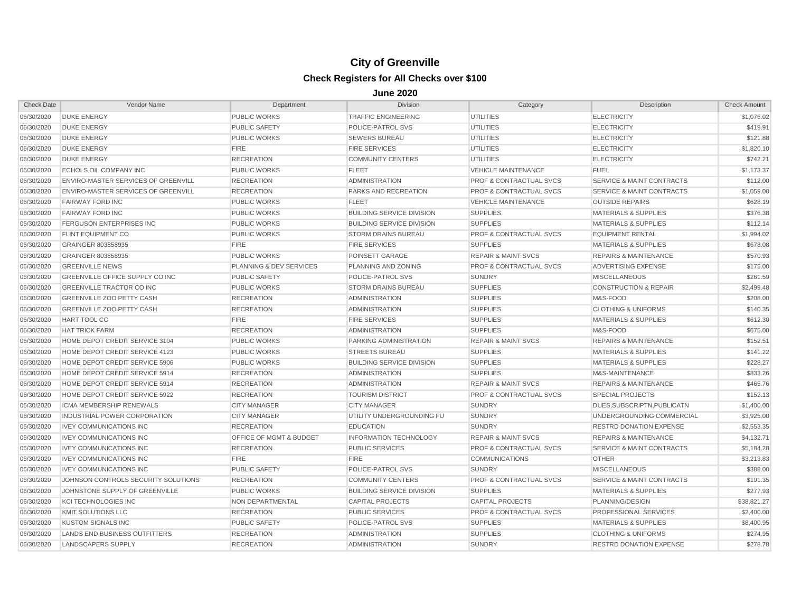| <b>Check Date</b> | Vendor Name                                | Department              | <b>Division</b>                  | Category                           | Description                          | <b>Check Amount</b> |
|-------------------|--------------------------------------------|-------------------------|----------------------------------|------------------------------------|--------------------------------------|---------------------|
| 06/30/2020        | <b>DUKE ENERGY</b>                         | <b>PUBLIC WORKS</b>     | <b>TRAFFIC ENGINEERING</b>       | <b>UTILITIES</b>                   | <b>ELECTRICITY</b>                   | \$1,076.02          |
| 06/30/2020        | <b>DUKE ENERGY</b>                         | <b>PUBLIC SAFETY</b>    | <b>POLICE-PATROL SVS</b>         | <b>UTILITIES</b>                   | <b>ELECTRICITY</b>                   | \$419.91            |
| 06/30/2020        | <b>DUKE ENERGY</b>                         | <b>PUBLIC WORKS</b>     | <b>SEWERS BUREAU</b>             | <b>UTILITIES</b>                   | <b>ELECTRICITY</b>                   | \$121.88            |
| 06/30/2020        | <b>DUKE ENERGY</b>                         | <b>FIRE</b>             | <b>FIRE SERVICES</b>             | <b>UTILITIES</b>                   | <b>ELECTRICITY</b>                   | \$1,820.10          |
| 06/30/2020        | <b>DUKE ENERGY</b>                         | <b>RECREATION</b>       | <b>COMMUNITY CENTERS</b>         | <b>UTILITIES</b>                   | <b>ELECTRICITY</b>                   | \$742.21            |
| 06/30/2020        | <b>ECHOLS OIL COMPANY INC</b>              | <b>PUBLIC WORKS</b>     | <b>FLEET</b>                     | <b>VEHICLE MAINTENANCE</b>         | <b>FUEL</b>                          | \$1,173.37          |
| 06/30/2020        | <b>ENVIRO-MASTER SERVICES OF GREENVILL</b> | <b>RECREATION</b>       | <b>ADMINISTRATION</b>            | <b>PROF &amp; CONTRACTUAL SVCS</b> | <b>SERVICE &amp; MAINT CONTRACTS</b> | \$112.00            |
| 06/30/2020        | <b>ENVIRO-MASTER SERVICES OF GREENVILL</b> | <b>RECREATION</b>       | <b>PARKS AND RECREATION</b>      | PROF & CONTRACTUAL SVCS            | SERVICE & MAINT CONTRACTS            | \$1,059.00          |
| 06/30/2020        | <b>FAIRWAY FORD INC</b>                    | <b>PUBLIC WORKS</b>     | <b>FLEET</b>                     | <b>VEHICLE MAINTENANCE</b>         | <b>OUTSIDE REPAIRS</b>               | \$628.19            |
| 06/30/2020        | <b>FAIRWAY FORD INC</b>                    | <b>PUBLIC WORKS</b>     | <b>BUILDING SERVICE DIVISION</b> | <b>SUPPLIES</b>                    | <b>MATERIALS &amp; SUPPLIES</b>      | \$376.38            |
| 06/30/2020        | <b>FERGUSON ENTERPRISES INC</b>            | <b>PUBLIC WORKS</b>     | <b>BUILDING SERVICE DIVISION</b> | <b>SUPPLIES</b>                    | <b>MATERIALS &amp; SUPPLIES</b>      | \$112.14            |
| 06/30/2020        | <b>FLINT EQUIPMENT CO</b>                  | <b>PUBLIC WORKS</b>     | <b>STORM DRAINS BUREAU</b>       | <b>PROF &amp; CONTRACTUAL SVCS</b> | <b>EQUIPMENT RENTAL</b>              | \$1,994.02          |
| 06/30/2020        | GRAINGER 803858935                         | <b>FIRE</b>             | <b>FIRE SERVICES</b>             | <b>SUPPLIES</b>                    | <b>MATERIALS &amp; SUPPLIES</b>      | \$678.08            |
| 06/30/2020        | GRAINGER 803858935                         | <b>PUBLIC WORKS</b>     | POINSETT GARAGE                  | <b>REPAIR &amp; MAINT SVCS</b>     | <b>REPAIRS &amp; MAINTENANCE</b>     | \$570.93            |
| 06/30/2020        | <b>GREENVILLE NEWS</b>                     | PLANNING & DEV SERVICES | PLANNING AND ZONING              | <b>PROF &amp; CONTRACTUAL SVCS</b> | ADVERTISING EXPENSE                  | \$175.00            |
| 06/30/2020        | GREENVILLE OFFICE SUPPLY CO INC            | <b>PUBLIC SAFETY</b>    | POLICE-PATROL SVS                | <b>SUNDRY</b>                      | <b>MISCELLANEOUS</b>                 | \$261.59            |
| 06/30/2020        | <b>GREENVILLE TRACTOR CO INC</b>           | <b>PUBLIC WORKS</b>     | <b>STORM DRAINS BUREAU</b>       | <b>SUPPLIES</b>                    | <b>CONSTRUCTION &amp; REPAIR</b>     | \$2,499.48          |
| 06/30/2020        | <b>GREENVILLE ZOO PETTY CASH</b>           | <b>RECREATION</b>       | <b>ADMINISTRATION</b>            | <b>SUPPLIES</b>                    | M&S-FOOD                             | \$208.00            |
| 06/30/2020        | <b>GREENVILLE ZOO PETTY CASH</b>           | <b>RECREATION</b>       | <b>ADMINISTRATION</b>            | <b>SUPPLIES</b>                    | <b>CLOTHING &amp; UNIFORMS</b>       | \$140.35            |
| 06/30/2020        | HART TOOL CO                               | <b>FIRE</b>             | <b>FIRE SERVICES</b>             | <b>SUPPLIES</b>                    | <b>MATERIALS &amp; SUPPLIES</b>      | \$612.30            |
| 06/30/2020        | <b>HAT TRICK FARM</b>                      | <b>RECREATION</b>       | <b>ADMINISTRATION</b>            | <b>SUPPLIES</b>                    | M&S-FOOD                             | \$675.00            |
| 06/30/2020        | HOME DEPOT CREDIT SERVICE 3104             | <b>PUBLIC WORKS</b>     | <b>PARKING ADMINISTRATION</b>    | <b>REPAIR &amp; MAINT SVCS</b>     | <b>REPAIRS &amp; MAINTENANCE</b>     | \$152.51            |
| 06/30/2020        | HOME DEPOT CREDIT SERVICE 4123             | <b>PUBLIC WORKS</b>     | <b>STREETS BUREAU</b>            | <b>SUPPLIES</b>                    | <b>MATERIALS &amp; SUPPLIES</b>      | \$141.22            |
| 06/30/2020        | HOME DEPOT CREDIT SERVICE 5906             | <b>PUBLIC WORKS</b>     | <b>BUILDING SERVICE DIVISION</b> | <b>SUPPLIES</b>                    | <b>MATERIALS &amp; SUPPLIES</b>      | \$228.27            |
| 06/30/2020        | HOME DEPOT CREDIT SERVICE 5914             | <b>RECREATION</b>       | <b>ADMINISTRATION</b>            | <b>SUPPLIES</b>                    | M&S-MAINTENANCE                      | \$833.26            |
| 06/30/2020        | HOME DEPOT CREDIT SERVICE 5914             | <b>RECREATION</b>       | <b>ADMINISTRATION</b>            | <b>REPAIR &amp; MAINT SVCS</b>     | <b>REPAIRS &amp; MAINTENANCE</b>     | \$465.76            |
| 06/30/2020        | HOME DEPOT CREDIT SERVICE 5922             | <b>RECREATION</b>       | <b>TOURISM DISTRICT</b>          | PROF & CONTRACTUAL SVCS            | <b>SPECIAL PROJECTS</b>              | \$152.13            |
| 06/30/2020        | ICMA MEMBERSHIP RENEWALS                   | <b>CITY MANAGER</b>     | <b>CITY MANAGER</b>              | <b>SUNDRY</b>                      | DUES, SUBSCRIPTN, PUBLICATN          | \$1,400.00          |
| 06/30/2020        | <b>INDUSTRIAL POWER CORPORATION</b>        | <b>CITY MANAGER</b>     | UTILITY UNDERGROUNDING FU        | <b>SUNDRY</b>                      | UNDERGROUNDING COMMERCIAL            | \$3,925.00          |
| 06/30/2020        | <b>IVEY COMMUNICATIONS INC</b>             | <b>RECREATION</b>       | <b>EDUCATION</b>                 | <b>SUNDRY</b>                      | <b>RESTRD DONATION EXPENSE</b>       | \$2,553.35          |
| 06/30/2020        | <b>IVEY COMMUNICATIONS INC</b>             | OFFICE OF MGMT & BUDGET | <b>INFORMATION TECHNOLOGY</b>    | <b>REPAIR &amp; MAINT SVCS</b>     | <b>REPAIRS &amp; MAINTENANCE</b>     | \$4,132.71          |
| 06/30/2020        | <b>IVEY COMMUNICATIONS INC</b>             | <b>RECREATION</b>       | <b>PUBLIC SERVICES</b>           | <b>PROF &amp; CONTRACTUAL SVCS</b> | <b>SERVICE &amp; MAINT CONTRACTS</b> | \$5,184.28          |
| 06/30/2020        | <b>IVEY COMMUNICATIONS INC</b>             | <b>FIRE</b>             | <b>FIRE</b>                      | <b>COMMUNICATIONS</b>              | <b>OTHER</b>                         | \$3,213.83          |
| 06/30/2020        | <b>IVEY COMMUNICATIONS INC</b>             | <b>PUBLIC SAFETY</b>    | POLICE-PATROL SVS                | <b>SUNDRY</b>                      | <b>MISCELLANEOUS</b>                 | \$388.00            |
| 06/30/2020        | JOHNSON CONTROLS SECURITY SOLUTIONS        | <b>RECREATION</b>       | <b>COMMUNITY CENTERS</b>         | <b>PROF &amp; CONTRACTUAL SVCS</b> | <b>SERVICE &amp; MAINT CONTRACTS</b> | \$191.35            |
| 06/30/2020        | JOHNSTONE SUPPLY OF GREENVILLE             | <b>PUBLIC WORKS</b>     | <b>BUILDING SERVICE DIVISION</b> | <b>SUPPLIES</b>                    | <b>MATERIALS &amp; SUPPLIES</b>      | \$277.93            |
| 06/30/2020        | <b>KCI TECHNOLOGIES INC</b>                | NON DEPARTMENTAL        | <b>CAPITAL PROJECTS</b>          | <b>CAPITAL PROJECTS</b>            | PLANNING/DESIGN                      | \$38,821.27         |
| 06/30/2020        | <b>KMIT SOLUTIONS LLC</b>                  | <b>RECREATION</b>       | <b>PUBLIC SERVICES</b>           | <b>PROF &amp; CONTRACTUAL SVCS</b> | PROFESSIONAL SERVICES                | \$2,400.00          |
| 06/30/2020        | <b>KUSTOM SIGNALS INC</b>                  | <b>PUBLIC SAFETY</b>    | <b>POLICE-PATROL SVS</b>         | <b>SUPPLIES</b>                    | <b>MATERIALS &amp; SUPPLIES</b>      | \$8,400.95          |
| 06/30/2020        | LANDS END BUSINESS OUTFITTERS              | <b>RECREATION</b>       | <b>ADMINISTRATION</b>            | <b>SUPPLIES</b>                    | <b>CLOTHING &amp; UNIFORMS</b>       | \$274.95            |
| 06/30/2020        | <b>LANDSCAPERS SUPPLY</b>                  | <b>RECREATION</b>       | <b>ADMINISTRATION</b>            | <b>SUNDRY</b>                      | <b>RESTRD DONATION EXPENSE</b>       | \$278.78            |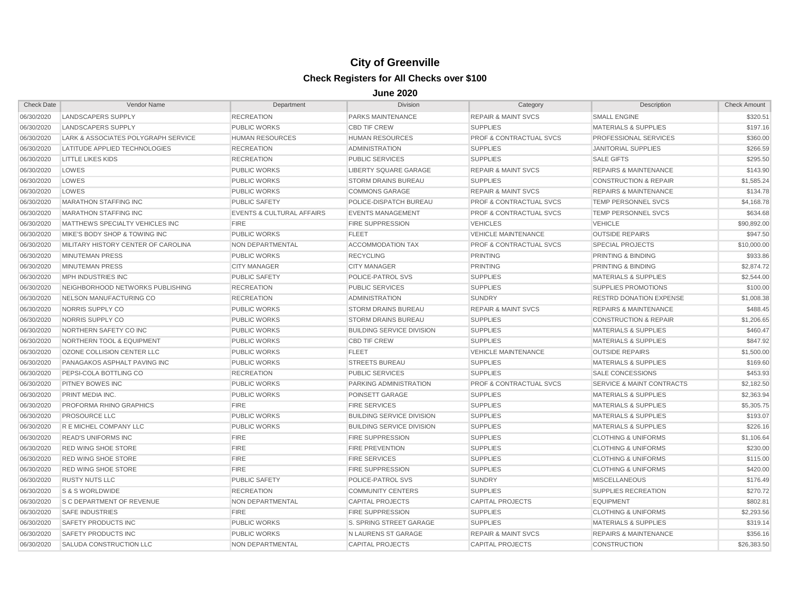| <b>Check Date</b> | Vendor Name                          | Department                           | <b>Division</b>                  | Category                           | Description                          | <b>Check Amount</b> |
|-------------------|--------------------------------------|--------------------------------------|----------------------------------|------------------------------------|--------------------------------------|---------------------|
| 06/30/2020        | <b>LANDSCAPERS SUPPLY</b>            | <b>RECREATION</b>                    | PARKS MAINTENANCE                | <b>REPAIR &amp; MAINT SVCS</b>     | <b>SMALL ENGINE</b>                  | \$320.51            |
| 06/30/2020        | LANDSCAPERS SUPPLY                   | <b>PUBLIC WORKS</b>                  | <b>CBD TIF CREW</b>              | <b>SUPPLIES</b>                    | <b>MATERIALS &amp; SUPPLIES</b>      | \$197.16            |
| 06/30/2020        | LARK & ASSOCIATES POLYGRAPH SERVICE  | <b>HUMAN RESOURCES</b>               | <b>HUMAN RESOURCES</b>           | <b>PROF &amp; CONTRACTUAL SVCS</b> | <b>PROFESSIONAL SERVICES</b>         | \$360.00            |
| 06/30/2020        | LATITUDE APPLIED TECHNOLOGIES        | <b>RECREATION</b>                    | <b>ADMINISTRATION</b>            | <b>SUPPLIES</b>                    | <b>JANITORIAL SUPPLIES</b>           | \$266.59            |
| 06/30/2020        | <b>LITTLE LIKES KIDS</b>             | <b>RECREATION</b>                    | <b>PUBLIC SERVICES</b>           | <b>SUPPLIES</b>                    | <b>SALE GIFTS</b>                    | \$295.50            |
| 06/30/2020        | LOWES                                | <b>PUBLIC WORKS</b>                  | <b>LIBERTY SQUARE GARAGE</b>     | <b>REPAIR &amp; MAINT SVCS</b>     | <b>REPAIRS &amp; MAINTENANCE</b>     | \$143.90            |
| 06/30/2020        | LOWES                                | <b>PUBLIC WORKS</b>                  | <b>STORM DRAINS BUREAU</b>       | <b>SUPPLIES</b>                    | <b>CONSTRUCTION &amp; REPAIR</b>     | \$1,585.24          |
| 06/30/2020        | LOWES                                | <b>PUBLIC WORKS</b>                  | <b>COMMONS GARAGE</b>            | <b>REPAIR &amp; MAINT SVCS</b>     | <b>REPAIRS &amp; MAINTENANCE</b>     | \$134.78            |
| 06/30/2020        | <b>MARATHON STAFFING INC</b>         | <b>PUBLIC SAFETY</b>                 | POLICE-DISPATCH BUREAU           | <b>PROF &amp; CONTRACTUAL SVCS</b> | <b>TEMP PERSONNEL SVCS</b>           | \$4,168.78          |
| 06/30/2020        | <b>MARATHON STAFFING INC</b>         | <b>EVENTS &amp; CULTURAL AFFAIRS</b> | <b>EVENTS MANAGEMENT</b>         | <b>PROF &amp; CONTRACTUAL SVCS</b> | <b>TEMP PERSONNEL SVCS</b>           | \$634.68            |
| 06/30/2020        | MATTHEWS SPECIALTY VEHICLES INC      | <b>FIRE</b>                          | <b>FIRE SUPPRESSION</b>          | <b>VEHICLES</b>                    | <b>VEHICLE</b>                       | \$90,892.00         |
| 06/30/2020        | MIKE'S BODY SHOP & TOWING INC        | <b>PUBLIC WORKS</b>                  | <b>FLEET</b>                     | <b>VEHICLE MAINTENANCE</b>         | <b>OUTSIDE REPAIRS</b>               | \$947.50            |
| 06/30/2020        | MILITARY HISTORY CENTER OF CAROLINA  | <b>NON DEPARTMENTAL</b>              | <b>ACCOMMODATION TAX</b>         | <b>PROF &amp; CONTRACTUAL SVCS</b> | <b>SPECIAL PROJECTS</b>              | \$10,000.00         |
| 06/30/2020        | MINUTEMAN PRESS                      | <b>PUBLIC WORKS</b>                  | <b>RECYCLING</b>                 | <b>PRINTING</b>                    | <b>PRINTING &amp; BINDING</b>        | \$933.86            |
| 06/30/2020        | <b>MINUTEMAN PRESS</b>               | <b>CITY MANAGER</b>                  | <b>CITY MANAGER</b>              | <b>PRINTING</b>                    | <b>PRINTING &amp; BINDING</b>        | \$2,874.72          |
| 06/30/2020        | <b>MPH INDUSTRIES INC</b>            | <b>PUBLIC SAFETY</b>                 | POLICE-PATROL SVS                | <b>SUPPLIES</b>                    | <b>MATERIALS &amp; SUPPLIES</b>      | \$2,544.00          |
| 06/30/2020        | NEIGHBORHOOD NETWORKS PUBLISHING     | <b>RECREATION</b>                    | <b>PUBLIC SERVICES</b>           | <b>SUPPLIES</b>                    | <b>SUPPLIES PROMOTIONS</b>           | \$100.00            |
| 06/30/2020        | NELSON MANUFACTURING CO              | <b>RECREATION</b>                    | <b>ADMINISTRATION</b>            | <b>SUNDRY</b>                      | <b>RESTRD DONATION EXPENSE</b>       | \$1,008.38          |
| 06/30/2020        | NORRIS SUPPLY CO                     | <b>PUBLIC WORKS</b>                  | <b>STORM DRAINS BUREAU</b>       | <b>REPAIR &amp; MAINT SVCS</b>     | <b>REPAIRS &amp; MAINTENANCE</b>     | \$488.45            |
| 06/30/2020        | NORRIS SUPPLY CO                     | <b>PUBLIC WORKS</b>                  | <b>STORM DRAINS BUREAU</b>       | <b>SUPPLIES</b>                    | <b>CONSTRUCTION &amp; REPAIR</b>     | \$1,206.65          |
| 06/30/2020        | NORTHERN SAFETY CO INC               | <b>PUBLIC WORKS</b>                  | <b>BUILDING SERVICE DIVISION</b> | <b>SUPPLIES</b>                    | <b>MATERIALS &amp; SUPPLIES</b>      | \$460.47            |
| 06/30/2020        | <b>NORTHERN TOOL &amp; EQUIPMENT</b> | <b>PUBLIC WORKS</b>                  | <b>CBD TIF CREW</b>              | <b>SUPPLIES</b>                    | <b>MATERIALS &amp; SUPPLIES</b>      | \$847.92            |
| 06/30/2020        | OZONE COLLISION CENTER LLC           | <b>PUBLIC WORKS</b>                  | <b>FLEET</b>                     | <b>VEHICLE MAINTENANCE</b>         | <b>OUTSIDE REPAIRS</b>               | \$1,500.00          |
| 06/30/2020        | PANAGAKOS ASPHALT PAVING INC         | <b>PUBLIC WORKS</b>                  | <b>STREETS BUREAU</b>            | <b>SUPPLIES</b>                    | <b>MATERIALS &amp; SUPPLIES</b>      | \$169.60            |
| 06/30/2020        | <b>PEPSI-COLA BOTTLING CO</b>        | <b>RECREATION</b>                    | <b>PUBLIC SERVICES</b>           | <b>SUPPLIES</b>                    | SALE CONCESSIONS                     | \$453.93            |
| 06/30/2020        | <b>PITNEY BOWES INC</b>              | <b>PUBLIC WORKS</b>                  | PARKING ADMINISTRATION           | <b>PROF &amp; CONTRACTUAL SVCS</b> | <b>SERVICE &amp; MAINT CONTRACTS</b> | \$2,182.50          |
| 06/30/2020        | PRINT MEDIA INC.                     | <b>PUBLIC WORKS</b>                  | POINSETT GARAGE                  | <b>SUPPLIES</b>                    | <b>MATERIALS &amp; SUPPLIES</b>      | \$2,363.94          |
| 06/30/2020        | <b>PROFORMA RHINO GRAPHICS</b>       | <b>FIRE</b>                          | <b>FIRE SERVICES</b>             | <b>SUPPLIES</b>                    | <b>MATERIALS &amp; SUPPLIES</b>      | \$5,305.75          |
| 06/30/2020        | <b>PROSOURCE LLC</b>                 | <b>PUBLIC WORKS</b>                  | <b>BUILDING SERVICE DIVISION</b> | <b>SUPPLIES</b>                    | <b>MATERIALS &amp; SUPPLIES</b>      | \$193.07            |
| 06/30/2020        | R E MICHEL COMPANY LLC               | <b>PUBLIC WORKS</b>                  | <b>BUILDING SERVICE DIVISION</b> | <b>SUPPLIES</b>                    | <b>MATERIALS &amp; SUPPLIES</b>      | \$226.16            |
| 06/30/2020        | <b>READ'S UNIFORMS INC</b>           | <b>FIRE</b>                          | <b>FIRE SUPPRESSION</b>          | <b>SUPPLIES</b>                    | <b>CLOTHING &amp; UNIFORMS</b>       | \$1,106.64          |
| 06/30/2020        | <b>RED WING SHOE STORE</b>           | <b>FIRE</b>                          | <b>FIRE PREVENTION</b>           | <b>SUPPLIES</b>                    | <b>CLOTHING &amp; UNIFORMS</b>       | \$230.00            |
| 06/30/2020        | <b>RED WING SHOE STORE</b>           | <b>FIRE</b>                          | <b>FIRE SERVICES</b>             | <b>SUPPLIES</b>                    | <b>CLOTHING &amp; UNIFORMS</b>       | \$115.00            |
| 06/30/2020        | <b>RED WING SHOE STORE</b>           | <b>FIRE</b>                          | <b>FIRE SUPPRESSION</b>          | <b>SUPPLIES</b>                    | <b>CLOTHING &amp; UNIFORMS</b>       | \$420.00            |
| 06/30/2020        | <b>RUSTY NUTS LLC</b>                | <b>PUBLIC SAFETY</b>                 | POLICE-PATROL SVS                | <b>SUNDRY</b>                      | <b>MISCELLANEOUS</b>                 | \$176.49            |
| 06/30/2020        | S & S WORLDWIDE                      | <b>RECREATION</b>                    | <b>COMMUNITY CENTERS</b>         | <b>SUPPLIES</b>                    | <b>SUPPLIES RECREATION</b>           | \$270.72            |
| 06/30/2020        | <b>S C DEPARTMENT OF REVENUE</b>     | NON DEPARTMENTAL                     | <b>CAPITAL PROJECTS</b>          | <b>CAPITAL PROJECTS</b>            | <b>EQUIPMENT</b>                     | \$802.81            |
| 06/30/2020        | <b>SAFE INDUSTRIES</b>               | <b>FIRE</b>                          | <b>FIRE SUPPRESSION</b>          | <b>SUPPLIES</b>                    | <b>CLOTHING &amp; UNIFORMS</b>       | \$2,293.56          |
| 06/30/2020        | <b>SAFETY PRODUCTS INC</b>           | <b>PUBLIC WORKS</b>                  | S. SPRING STREET GARAGE          | <b>SUPPLIES</b>                    | <b>MATERIALS &amp; SUPPLIES</b>      | \$319.14            |
| 06/30/2020        | <b>SAFETY PRODUCTS INC</b>           | <b>PUBLIC WORKS</b>                  | N LAURENS ST GARAGE              | <b>REPAIR &amp; MAINT SVCS</b>     | <b>REPAIRS &amp; MAINTENANCE</b>     | \$356.16            |
| 06/30/2020        | SALUDA CONSTRUCTION LLC              | <b>NON DEPARTMENTAL</b>              | <b>CAPITAL PROJECTS</b>          | <b>CAPITAL PROJECTS</b>            | <b>CONSTRUCTION</b>                  | \$26,383.50         |